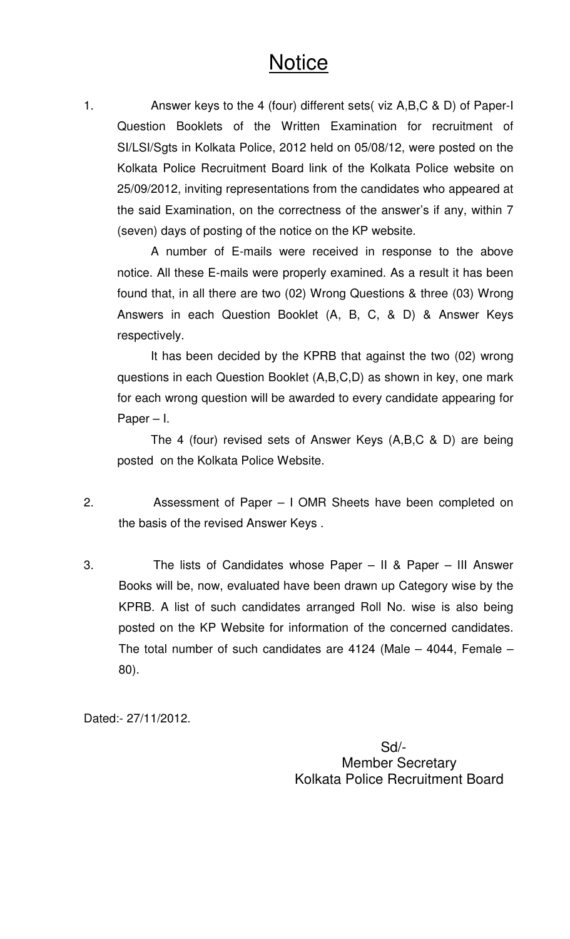# **Notice**

1. Answer keys to the 4 (four) different sets( viz A,B,C & D) of Paper-I Question Booklets of the Written Examination for recruitment of SI/LSI/Sgts in Kolkata Police, 2012 held on 05/08/12, were posted on the Kolkata Police Recruitment Board link of the Kolkata Police website on 25/09/2012, inviting representations from the candidates who appeared at the said Examination, on the correctness of the answer's if any, within 7 (seven) days of posting of the notice on the KP website.

A number of E-mails were received in response to the above notice. All these E-mails were properly examined. As a result it has been found that, in all there are two (02) Wrong Questions & three (03) Wrong Answers in each Question Booklet (A, B, C, & D) & Answer Keys respectively.

It has been decided by the KPRB that against the two (02) wrong questions in each Question Booklet (A,B,C,D) as shown in key, one mark for each wrong question will be awarded to every candidate appearing for Paper – I.

The 4 (four) revised sets of Answer Keys (A,B,C & D) are being posted on the Kolkata Police Website.

- 2. Assessment of Paper I OMR Sheets have been completed on the basis of the revised Answer Keys .
- 3. The lists of Candidates whose Paper II & Paper III Answer Books will be, now, evaluated have been drawn up Category wise by the KPRB. A list of such candidates arranged Roll No. wise is also being posted on the KP Website for information of the concerned candidates. The total number of such candidates are 4124 (Male – 4044, Female – 80).

Dated:- 27/11/2012.

 Sd/- Member Secretary Kolkata Police Recruitment Board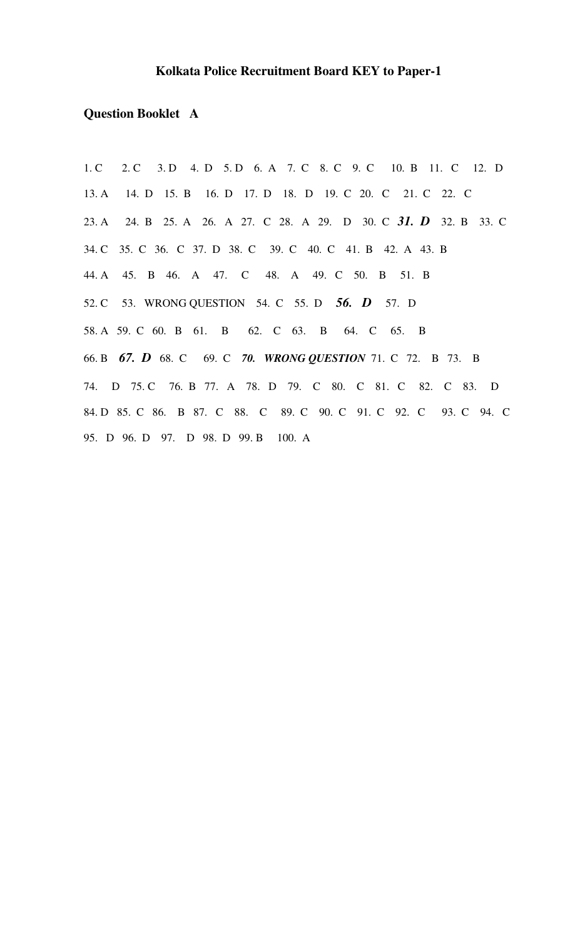### **Kolkata Police Recruitment Board KEY to Paper-1**

## **Question Booklet A**

1. C 2. C 3. D 4. D 5. D 6. A 7. C 8. C 9. C 10. B 11. C 12. D 13. A 14. D 15. B 16. D 17. D 18. D 19. C 20. C 21. C 22. C 23. A 24. B 25. A 26. A 27. C 28. A 29. D 30. C *31. D* 32. B 33. C 34. C 35. C 36. C 37. D 38. C 39. C 40. C 41. B 42. A 43. B 44. A 45. B 46. A 47. C 48. A 49. C 50. B 51. B 52. C 53. WRONG QUESTION 54. C 55. D *56. D* 57. D 58. A 59. C 60. B 61. B 62. C 63. B 64. C 65. B 66. B *67. D* 68. C 69. C *70. WRONG QUESTION* 71. C 72. B 73. B 74. D 75. C 76. B 77. A 78. D 79. C 80. C 81. C 82. C 83. D 84. D 85. C 86. B 87. C 88. C 89. C 90. C 91. C 92. C 93. C 94. C 95. D 96. D 97. D 98. D 99. B 100. A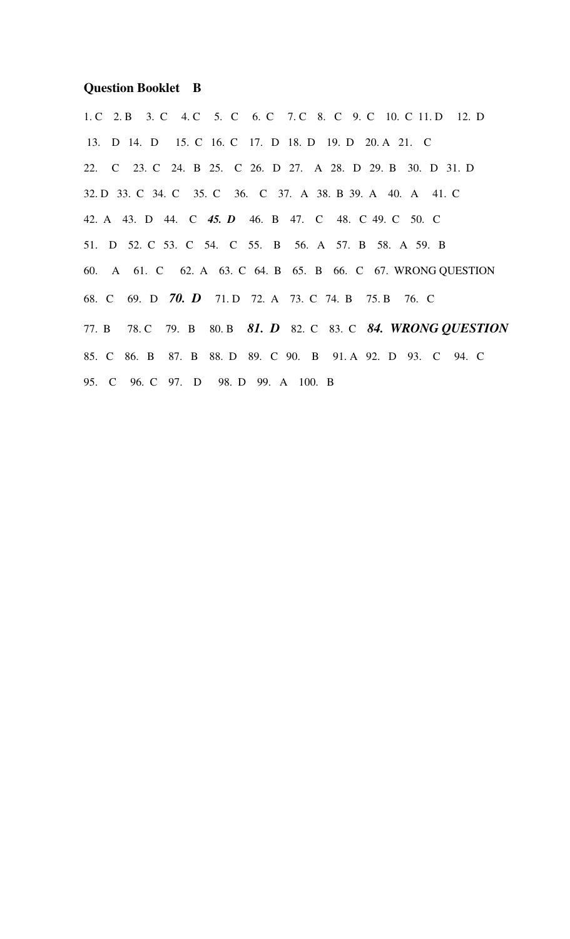#### **Question Booklet B**

1. C 2. B 3. C 4. C 5. C 6. C 7. C 8. C 9. C 10. C 11. D 12. D 13. D 14. D 15. C 16. C 17. D 18. D 19. D 20. A 21. C 22. C 23. C 24. B 25. C 26. D 27. A 28. D 29. B 30. D 31. D 32. D 33. C 34. C 35. C 36. C 37. A 38. B 39. A 40. A 41. C 42. A 43. D 44. C *45. D* 46. B 47. C 48. C 49. C 50. C 51. D 52. C 53. C 54. C 55. B 56. A 57. B 58. A 59. B 60. A 61. C 62. A 63. C 64. B 65. B 66. C 67. WRONG QUESTION 68. C 69. D *70. D* 71. D 72. A 73. C 74. B 75. B 76. C 77. B 78. C 79. B 80. B *81. D* 82. C 83. C *84. WRONG QUESTION* 85. C 86. B 87. B 88. D 89. C 90. B 91. A 92. D 93. C 94. C 95. C 96. C 97. D 98. D 99. A 100. B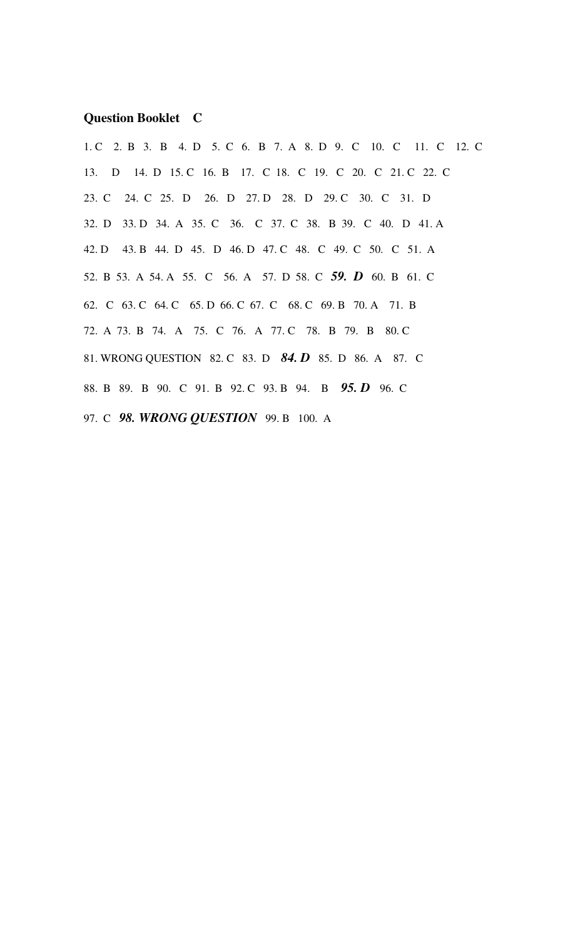#### **Question Booklet C**

1. C 2. B 3. B 4. D 5. C 6. B 7. A 8. D 9. C 10. C 11. C 12. C 13. D 14. D 15. C 16. B 17. C 18. C 19. C 20. C 21. C 22. C 23. C 24. C 25. D 26. D 27. D 28. D 29. C 30. C 31. D 32. D 33. D 34. A 35. C 36. C 37. C 38. B 39. C 40. D 41. A 42. D 43. B 44. D 45. D 46. D 47. C 48. C 49. C 50. C 51. A 52. B 53. A 54. A 55. C 56. A 57. D 58. C *59. D* 60. B 61. C 62. C 63. C 64. C 65. D 66. C 67. C 68. C 69. B 70. A 71. B 72. A 73. B 74. A 75. C 76. A 77. C 78. B 79. B 80. C 81. WRONG QUESTION 82. C 83. D *84. D* 85. D 86. A 87. C 88. B 89. B 90. C 91. B 92. C 93. B 94. B *95. D* 96. C 97. C *98. WRONG QUESTION* 99. B 100. A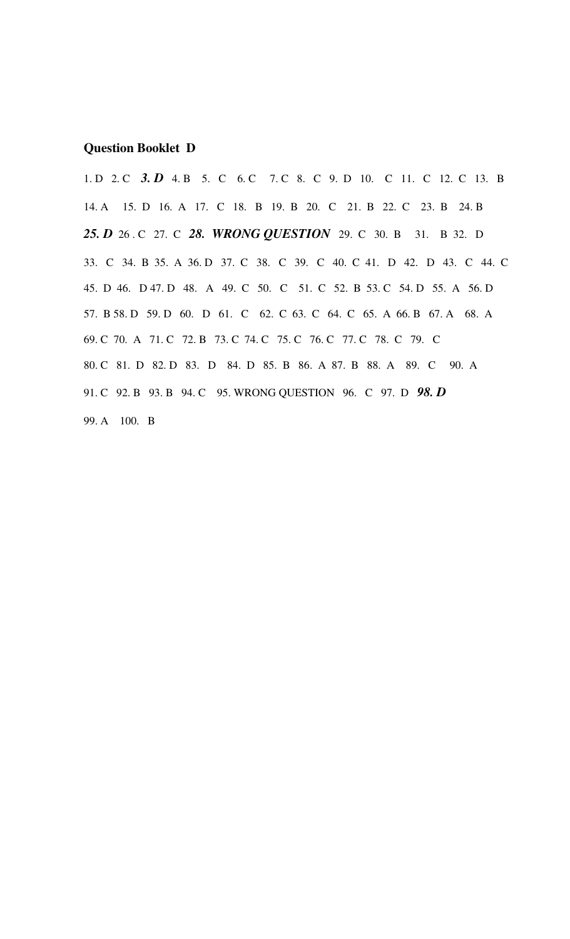#### **Question Booklet D**

1. D 2. C 3. D 4. B 5. C 6. C 7. C 8. C 9. D 10. C 11. C 12. C 13. B 14. A 15. D 16. A 17. C 18. B 19. B 20. C 21. B 22. C 23. B 24. B *25. D* 26 . C 27. C *28. WRONG QUESTION* 29. C 30. B 31. B 32. D 33. C 34. B 35. A 36. D 37. C 38. C 39. C 40. C 41. D 42. D 43. C 44. C 45. D 46. D 47. D 48. A 49. C 50. C 51. C 52. B 53. C 54. D 55. A 56. D 57. B 58. D 59. D 60. D 61. C 62. C 63. C 64. C 65. A 66. B 67. A 68. A 69. C 70. A 71. C 72. B 73. C 74. C 75. C 76. C 77. C 78. C 79. C 80. C 81. D 82. D 83. D 84. D 85. B 86. A 87. B 88. A 89. C 90. A 91. C 92. B 93. B 94. C 95. WRONG QUESTION 96. C 97. D *98. D* 99. A 100. B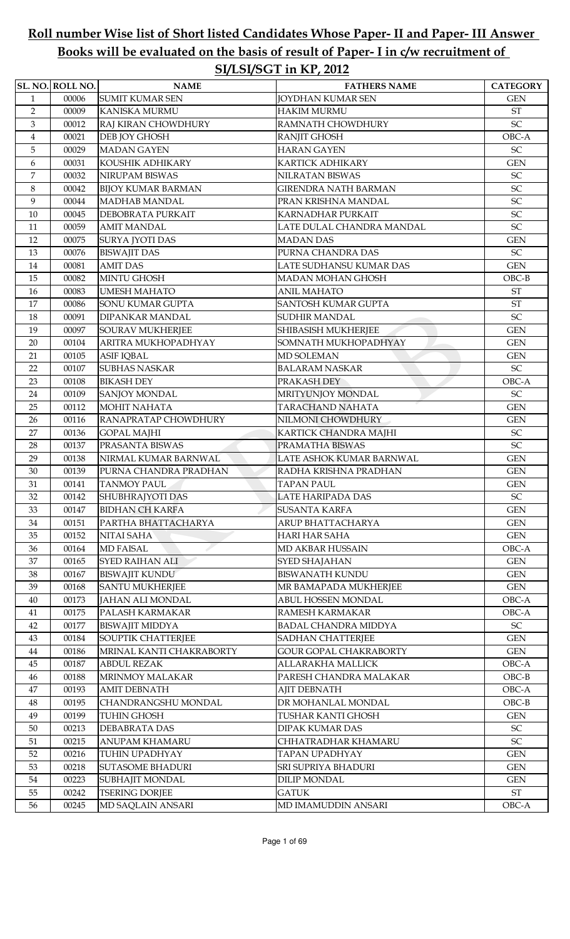# Roll number Wise list of Short listed Candidates Whose Paper- II and Paper- III Answer Books will be evaluated on the basis of result of Paper- I in c/w recruitment of SI/LSI/SGT in KP, 2012

|                | SL. NO. ROLL NO. | <b>NAME</b>                                  | <b>FATHERS NAME</b>                          | <b>CATEGORY</b>                     |
|----------------|------------------|----------------------------------------------|----------------------------------------------|-------------------------------------|
| $\mathbf{1}$   | 00006            | <b>SUMIT KUMAR SEN</b>                       | <b>JOYDHAN KUMAR SEN</b>                     | <b>GEN</b>                          |
| $\overline{2}$ | 00009            | <b>KANISKA MURMU</b>                         | <b>HAKIM MURMU</b>                           | <b>ST</b>                           |
| $\mathfrak{Z}$ | 00012            | RAJ KIRAN CHOWDHURY                          | RAMNATH CHOWDHURY                            | SC                                  |
| $\overline{4}$ | 00021            | DEB JOY GHOSH                                | <b>RANJIT GHOSH</b>                          | OBC-A                               |
| $\overline{5}$ | 00029            | <b>MADAN GAYEN</b>                           | <b>HARAN GAYEN</b>                           | SC                                  |
| 6              | 00031            | KOUSHIK ADHIKARY                             | <b>KARTICK ADHIKARY</b>                      | <b>GEN</b>                          |
| $\overline{7}$ | 00032            | NIRUPAM BISWAS                               | NILRATAN BISWAS                              | SC                                  |
| 8              | 00042            | <b>BIJOY KUMAR BARMAN</b>                    | <b>GIRENDRA NATH BARMAN</b>                  | SC                                  |
| 9              | 00044            | <b>MADHAB MANDAL</b>                         | PRAN KRISHNA MANDAL                          | SC                                  |
| 10             | 00045            | DEBOBRATA PURKAIT                            | KARNADHAR PURKAIT                            | SC                                  |
| 11             | 00059            | <b>AMIT MANDAL</b>                           | LATE DULAL CHANDRA MANDAL                    | SC                                  |
| 12             | 00075            | SURYA JYOTI DAS                              | <b>MADAN DAS</b>                             | <b>GEN</b>                          |
| 13             | 00076            | <b>BISWAJIT DAS</b>                          | PURNA CHANDRA DAS                            | SC                                  |
| 14             | 00081            | <b>AMIT DAS</b>                              | LATE SUDHANSU KUMAR DAS                      | <b>GEN</b>                          |
| 15             | 00082            | <b>MINTU GHOSH</b>                           | <b>MADAN MOHAN GHOSH</b>                     | $OBC-B$                             |
| 16             | 00083            | <b>UMESH MAHATO</b>                          | <b>ANIL MAHATO</b>                           | <b>ST</b>                           |
| 17             | 00086            | <b>SONU KUMAR GUPTA</b>                      | <b>SANTOSH KUMAR GUPTA</b>                   | <b>ST</b>                           |
| 18             | 00091            | DIPANKAR MANDAL                              | <b>SUDHIR MANDAL</b>                         | SC                                  |
| 19             | 00097            | <b>SOURAV MUKHERJEE</b>                      | SHIBASISH MUKHERJEE                          | <b>GEN</b>                          |
| $20\,$         | 00104            | ARITRA MUKHOPADHYAY                          | SOMNATH MUKHOPADHYAY                         | <b>GEN</b>                          |
| 21             | 00105            | <b>ASIF IQBAL</b>                            | <b>MD SOLEMAN</b>                            | <b>GEN</b>                          |
| 22             | 00107            | <b>SUBHAS NASKAR</b>                         | <b>BALARAM NASKAR</b>                        | SC                                  |
| 23             | 00108            | <b>BIKASH DEY</b>                            | PRAKASH DEY                                  | OBC-A                               |
| 24             | 00109            | <b>SANJOY MONDAL</b>                         | MRITYUNJOY MONDAL                            | SC                                  |
| 25             | 00112            | <b>MOHIT NAHATA</b>                          | TARACHAND NAHATA                             | <b>GEN</b>                          |
| 26             | 00116            | RANAPRATAP CHOWDHURY                         | NILMONI CHOWDHURY                            | <b>GEN</b>                          |
| 27             | 00136            | <b>GOPAL MAJHI</b>                           | KARTICK CHANDRA MAJHI                        | $\ensuremath{\mathsf{SC}}$          |
| 28             | 00137            | PRASANTA BISWAS                              | PRAMATHA BISWAS                              | SC                                  |
| 29             | 00138            | NIRMAL KUMAR BARNWAL                         | LATE ASHOK KUMAR BARNWAL                     | <b>GEN</b>                          |
| $30\,$         | 00139            | PURNA CHANDRA PRADHAN                        | RADHA KRISHNA PRADHAN                        | <b>GEN</b>                          |
| 31             | 00141            | <b>TANMOY PAUL</b>                           | <b>TAPAN PAUL</b>                            | <b>GEN</b>                          |
| 32             | 00142            | SHUBHRAJYOTI DAS                             | <b>LATE HARIPADA DAS</b>                     | $\ensuremath{\mathsf{SC}}$          |
| 33             | 00147            | <b>BIDHAN CH KARFA</b>                       | <b>SUSANTA KARFA</b>                         | <b>GEN</b>                          |
| 34             | 00151            | PARTHA BHATTACHARYA                          | ARUP BHATTACHARYA                            | <b>GEN</b>                          |
| 35             | 00152            | NITAI SAHA                                   | HARI HAR SAHA                                | <b>GEN</b>                          |
| 36             | 00164            | <b>MD FAISAL</b>                             | MD AKBAR HUSSAIN                             | OBC-A                               |
| 37             | 00165            | <b>SYED RAIHAN ALI</b>                       | SYED SHAJAHAN                                | <b>GEN</b>                          |
| 38             | 00167            | <b>BISWAJIT KUNDU</b>                        | <b>BISWANATH KUNDU</b>                       | <b>GEN</b>                          |
| 39             | 00168            | <b>SANTU MUKHERJEE</b>                       | MR BAMAPADA MUKHERJEE                        | <b>GEN</b>                          |
| 40             | 00173            | <b>JAHAN ALI MONDAL</b>                      | ABUL HOSSEN MONDAL<br><b>RAMESH KARMAKAR</b> | OBC-A                               |
| 41             | 00175<br>00177   | PALASH KARMAKAR                              | <b>BADAL CHANDRA MIDDYA</b>                  | OBC-A<br>$\ensuremath{\mathsf{SC}}$ |
| 42<br>43       | 00184            | <b>BISWAJIT MIDDYA</b><br>SOUPTIK CHATTERJEE | <b>SADHAN CHATTERJEE</b>                     | <b>GEN</b>                          |
| 44             | 00186            | MRINAL KANTI CHAKRABORTY                     | <b>GOUR GOPAL CHAKRABORTY</b>                | <b>GEN</b>                          |
| 45             | 00187            | <b>ABDUL REZAK</b>                           | ALLARAKHA MALLICK                            | OBC-A                               |
| 46             | 00188            | <b>MRINMOY MALAKAR</b>                       | PARESH CHANDRA MALAKAR                       | $OBC-B$                             |
| 47             | 00193            | <b>AMIT DEBNATH</b>                          | <b>AJIT DEBNATH</b>                          | OBC-A                               |
| 48             | 00195            | CHANDRANGSHU MONDAL                          | DR MOHANLAL MONDAL                           | $OBC-B$                             |
| 49             | 00199            | <b>TUHIN GHOSH</b>                           | TUSHAR KANTI GHOSH                           | <b>GEN</b>                          |
| $50\,$         | 00213            | <b>DEBABRATA DAS</b>                         | <b>DIPAK KUMAR DAS</b>                       | ${\rm SC}$                          |
| 51             | 00215            | ANUPAM KHAMARU                               | CHHATRADHAR KHAMARU                          | SC                                  |
| 52             | 00216            | TUHIN UPADHYAY                               | TAPAN UPADHYAY                               | <b>GEN</b>                          |
| 53             | 00218            | <b>SUTASOME BHADURI</b>                      | SRI SUPRIYA BHADURI                          | <b>GEN</b>                          |
| 54             | 00223            | SUBHAJIT MONDAL                              | DILIP MONDAL                                 | <b>GEN</b>                          |
| 55             | 00242            | <b>TSERING DORJEE</b>                        | <b>GATUK</b>                                 | $\operatorname{ST}$                 |
| 56             | 00245            | MD SAQLAIN ANSARI                            | MD IMAMUDDIN ANSARI                          | OBC-A                               |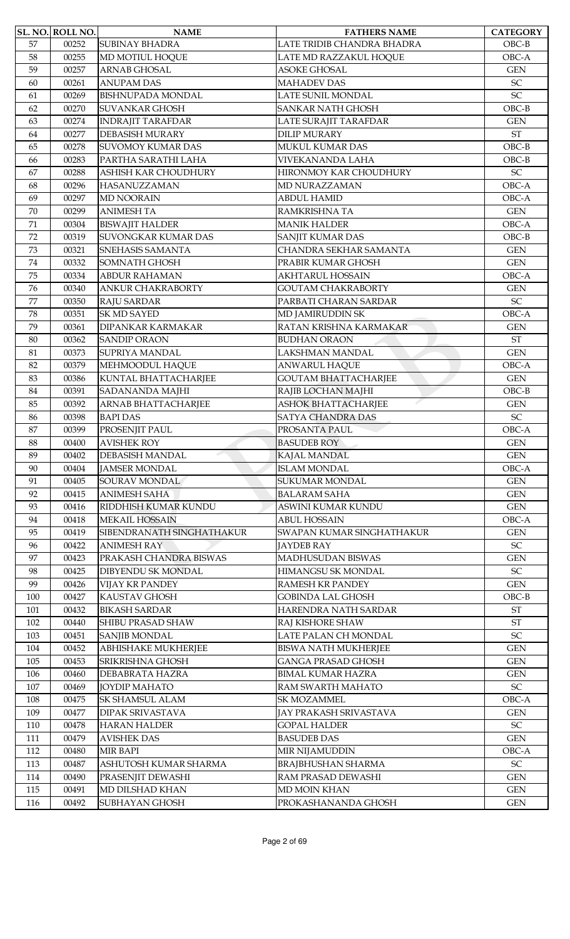|     | SL. NO. ROLL NO. | <b>NAME</b>                | <b>FATHERS NAME</b>         | <b>CATEGORY</b>            |
|-----|------------------|----------------------------|-----------------------------|----------------------------|
| 57  | 00252            | <b>SUBINAY BHADRA</b>      | LATE TRIDIB CHANDRA BHADRA  | $OBC-B$                    |
| 58  | 00255            | MD MOTIUL HOQUE            | LATE MD RAZZAKUL HOQUE      | OBC-A                      |
| 59  | 00257            | <b>ARNAB GHOSAL</b>        | <b>ASOKE GHOSAL</b>         | <b>GEN</b>                 |
| 60  | 00261            | <b>ANUPAM DAS</b>          | <b>MAHADEV DAS</b>          | SC                         |
| 61  | 00269            | <b>BISHNUPADA MONDAL</b>   | <b>LATE SUNIL MONDAL</b>    | $\ensuremath{\mathsf{SC}}$ |
| 62  | 00270            | <b>SUVANKAR GHOSH</b>      | SANKAR NATH GHOSH           | $OBC-B$                    |
| 63  | 00274            | <b>INDRAJIT TARAFDAR</b>   | LATE SURAJIT TARAFDAR       | <b>GEN</b>                 |
| 64  | 00277            | <b>DEBASISH MURARY</b>     | <b>DILIP MURARY</b>         | <b>ST</b>                  |
| 65  | 00278            | <b>SUVOMOY KUMAR DAS</b>   | MUKUL KUMAR DAS             | $OBC-B$                    |
| 66  | 00283            | PARTHA SARATHI LAHA        | VIVEKANANDA LAHA            | $OBC-B$                    |
| 67  | 00288            | ASHISH KAR CHOUDHURY       | HIRONMOY KAR CHOUDHURY      | $\ensuremath{\mathsf{SC}}$ |
| 68  | 00296            | <b>HASANUZZAMAN</b>        | MD NURAZZAMAN               | OBC-A                      |
| 69  | 00297            | <b>MD NOORAIN</b>          | <b>ABDUL HAMID</b>          | OBC-A                      |
| 70  | 00299            | <b>ANIMESH TA</b>          | RAMKRISHNA TA               | <b>GEN</b>                 |
| 71  | 00304            | <b>BISWAJIT HALDER</b>     | <b>MANIK HALDER</b>         | OBC-A                      |
| 72  | 00319            | <b>SUVONGKAR KUMAR DAS</b> | SANJIT KUMAR DAS            | $OBC-B$                    |
| 73  | 00321            | SNEHASIS SAMANTA           | CHANDRA SEKHAR SAMANTA      | $\mbox{GEN}$               |
| 74  | 00332            | <b>SOMNATH GHOSH</b>       | PRABIR KUMAR GHOSH          | <b>GEN</b>                 |
| 75  | 00334            | <b>ABDUR RAHAMAN</b>       | <b>AKHTARUL HOSSAIN</b>     | OBC-A                      |
| 76  | 00340            | <b>ANKUR CHAKRABORTY</b>   | <b>GOUTAM CHAKRABORTY</b>   | <b>GEN</b>                 |
| 77  | 00350            | <b>RAJU SARDAR</b>         | PARBATI CHARAN SARDAR       | $\ensuremath{\mathsf{SC}}$ |
| 78  | 00351            | <b>SK MD SAYED</b>         | MD JAMIRUDDIN SK            | OBC-A                      |
| 79  | 00361            | DIPANKAR KARMAKAR          | RATAN KRISHNA KARMAKAR      | <b>GEN</b>                 |
| 80  | 00362            | <b>SANDIP ORAON</b>        | <b>BUDHAN ORAON</b>         | <b>ST</b>                  |
| 81  | 00373            | SUPRIYA MANDAL             | LAKSHMAN MANDAL             | <b>GEN</b>                 |
| 82  | 00379            | MEHMOODUL HAQUE            | <b>ANWARUL HAQUE</b>        | OBC-A                      |
| 83  | 00386            | KUNTAL BHATTACHARJEE       | <b>GOUTAM BHATTACHARJEE</b> | <b>GEN</b>                 |
| 84  | 00391            | SADANANDA MAJHI            | RAJIB LOCHAN MAJHI          | $OBC-B$                    |
| 85  | 00392            | ARNAB BHATTACHARJEE        | <b>ASHOK BHATTACHARJEE</b>  | <b>GEN</b>                 |
| 86  | 00398            | <b>BAPI DAS</b>            | SATYA CHANDRA DAS           | SC                         |
| 87  | 00399            | PROSENJIT PAUL             | PROSANTA PAUL               | OBC-A                      |
| 88  | 00400            | <b>AVISHEK ROY</b>         | <b>BASUDEB ROY</b>          | <b>GEN</b>                 |
| 89  | 00402            | <b>DEBASISH MANDAL</b>     | KAJAL MANDAL                | <b>GEN</b>                 |
| 90  | 00404            | <b>JAMSER MONDAL</b>       | <b>ISLAM MONDAL</b>         | OBC-A                      |
| 91  | 00405            | SOURAV MONDAL              | SUKUMAR MONDAL              | <b>GEN</b>                 |
| 92  | 00415            | <b>ANIMESH SAHA</b>        | <b>BALARAM SAHA</b>         | <b>GEN</b>                 |
| 93  | 00416            | RIDDHISH KUMAR KUNDU       | ASWINI KUMAR KUNDU          | <b>GEN</b>                 |
| 94  | 00418            | <b>MEKAIL HOSSAIN</b>      | <b>ABUL HOSSAIN</b>         | OBC-A                      |
| 95  | 00419            | SIBENDRANATH SINGHATHAKUR  | SWAPAN KUMAR SINGHATHAKUR   | <b>GEN</b>                 |
| 96  | 00422            | <b>ANIMESH RAY</b>         | JAYDEB RAY                  | SC                         |
| 97  | 00423            | PRAKASH CHANDRA BISWAS     | MADHUSUDAN BISWAS           | <b>GEN</b>                 |
| 98  | 00425            | DIBYENDU SK MONDAL         | HIMANGSU SK MONDAL          | SC                         |
| 99  | 00426            | <b>VIJAY KR PANDEY</b>     | RAMESH KR PANDEY            | <b>GEN</b>                 |
| 100 | 00427            | KAUSTAV GHOSH              | <b>GOBINDA LAL GHOSH</b>    | $OBC-B$                    |
| 101 | 00432            | <b>BIKASH SARDAR</b>       | HARENDRA NATH SARDAR        | ST                         |
| 102 | 00440            | SHIBU PRASAD SHAW          | RAJ KISHORE SHAW            | $\operatorname{ST}$        |
| 103 | 00451            | <b>SANJIB MONDAL</b>       | LATE PALAN CH MONDAL        | $\ensuremath{\mathsf{SC}}$ |
| 104 | 00452            | ABHISHAKE MUKHERJEE        | <b>BISWA NATH MUKHERJEE</b> | <b>GEN</b>                 |
| 105 | 00453            | SRIKRISHNA GHOSH           | <b>GANGA PRASAD GHOSH</b>   | <b>GEN</b>                 |
| 106 | 00460            | DEBABRATA HAZRA            | <b>BIMAL KUMAR HAZRA</b>    | <b>GEN</b>                 |
| 107 | 00469            | <b>JOYDIP MAHATO</b>       | RAM SWARTH MAHATO           | ${\rm SC}$                 |
| 108 | 00475            | SK SHAMSUL ALAM            | <b>SK MOZAMMEL</b>          | OBC-A                      |
| 109 | 00477            | <b>DIPAK SRIVASTAVA</b>    | JAY PRAKASH SRIVASTAVA      | <b>GEN</b>                 |
| 110 | 00478            | <b>HARAN HALDER</b>        | <b>GOPAL HALDER</b>         | ${\rm SC}$                 |
| 111 | 00479            | <b>AVISHEK DAS</b>         | <b>BASUDEB DAS</b>          | <b>GEN</b>                 |
| 112 | 00480            | <b>MIR BAPI</b>            | MIR NIJAMUDDIN              | OBC-A                      |
| 113 | 00487            | ASHUTOSH KUMAR SHARMA      | <b>BRAJBHUSHAN SHARMA</b>   | $\ensuremath{\mathsf{SC}}$ |
| 114 | 00490            | PRASENJIT DEWASHI          | RAM PRASAD DEWASHI          | <b>GEN</b>                 |
| 115 | 00491            | MD DILSHAD KHAN            | <b>MD MOIN KHAN</b>         | <b>GEN</b>                 |
| 116 | 00492            | SUBHAYAN GHOSH             | PROKASHANANDA GHOSH         | <b>GEN</b>                 |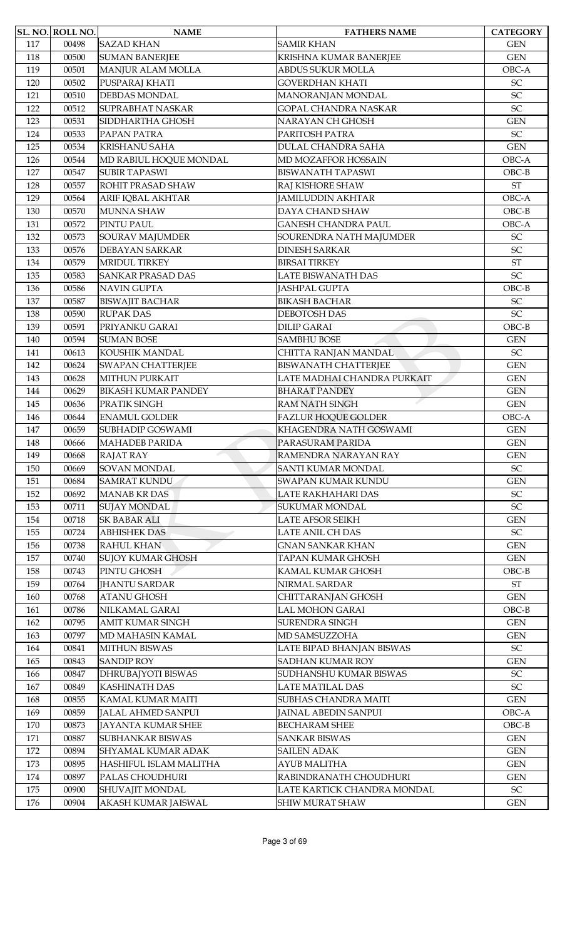|     | SL. NO. ROLL NO. | <b>NAME</b>                | <b>FATHERS NAME</b>         | <b>CATEGORY</b>            |
|-----|------------------|----------------------------|-----------------------------|----------------------------|
| 117 | 00498            | <b>SAZAD KHAN</b>          | <b>SAMIR KHAN</b>           | <b>GEN</b>                 |
| 118 | 00500            | <b>SUMAN BANERJEE</b>      | KRISHNA KUMAR BANERJEE      | <b>GEN</b>                 |
| 119 | 00501            | MANJUR ALAM MOLLA          | ABDUS SUKUR MOLLA           | OBC-A                      |
| 120 | 00502            | PUSPARAJ KHATI             | <b>GOVERDHAN KHATI</b>      | SC                         |
| 121 | 00510            | <b>DEBDAS MONDAL</b>       | MANORANJAN MONDAL           | SC                         |
| 122 | 00512            | <b>SUPRABHAT NASKAR</b>    | <b>GOPAL CHANDRA NASKAR</b> | SC                         |
| 123 | 00531            | SIDDHARTHA GHOSH           | NARAYAN CH GHOSH            | <b>GEN</b>                 |
| 124 | 00533            | PAPAN PATRA                | PARITOSH PATRA              | SC                         |
| 125 | 00534            | <b>KRISHANU SAHA</b>       | DULAL CHANDRA SAHA          | <b>GEN</b>                 |
| 126 | 00544            | MD RABIUL HOQUE MONDAL     | MD MOZAFFOR HOSSAIN         | OBC-A                      |
| 127 | 00547            | <b>SUBIR TAPASWI</b>       | <b>BISWANATH TAPASWI</b>    | $OBC-B$                    |
| 128 | 00557            | ROHIT PRASAD SHAW          | RAJ KISHORE SHAW            | $\operatorname{ST}$        |
| 129 | 00564            | ARIF IQBAL AKHTAR          | <b>JAMILUDDIN AKHTAR</b>    | OBC-A                      |
| 130 | 00570            | <b>MUNNA SHAW</b>          | DAYA CHAND SHAW             | $OBC-B$                    |
| 131 | 00572            | PINTU PAUL                 | <b>GANESH CHANDRA PAUL</b>  | OBC-A                      |
| 132 | 00573            | SOURAV MAJUMDER            | SOURENDRA NATH MAJUMDER     | SC                         |
| 133 | 00576            | <b>DEBAYAN SARKAR</b>      | <b>DINESH SARKAR</b>        | SC                         |
| 134 | 00579            | MRIDUL TIRKEY              | <b>BIRSAI TIRKEY</b>        | $\operatorname{ST}$        |
| 135 | 00583            | <b>SANKAR PRASAD DAS</b>   | <b>LATE BISWANATH DAS</b>   | $\ensuremath{\mathsf{SC}}$ |
| 136 | 00586            | <b>NAVIN GUPTA</b>         | <b>JASHPAL GUPTA</b>        | $OBC-B$                    |
| 137 | 00587            | <b>BISWAJIT BACHAR</b>     | <b>BIKASH BACHAR</b>        | SC                         |
| 138 | 00590            | <b>RUPAK DAS</b>           | DEBOTOSH DAS                | SC                         |
| 139 | 00591            | PRIYANKU GARAI             | <b>DILIP GARAI</b>          | $OBC-B$                    |
| 140 | 00594            | <b>SUMAN BOSE</b>          | <b>SAMBHU BOSE</b>          | <b>GEN</b>                 |
| 141 | 00613            | KOUSHIK MANDAL             | CHITTA RANJAN MANDAL        | $\ensuremath{\mathsf{SC}}$ |
| 142 | 00624            | <b>SWAPAN CHATTERJEE</b>   | <b>BISWANATH CHATTERJEE</b> | <b>GEN</b>                 |
| 143 | 00628            | <b>MITHUN PURKAIT</b>      | LATE MADHAI CHANDRA PURKAIT | <b>GEN</b>                 |
| 144 | 00629            | <b>BIKASH KUMAR PANDEY</b> | <b>BHARAT PANDEY</b>        | <b>GEN</b>                 |
| 145 | 00636            | PRATIK SINGH               | <b>RAM NATH SINGH</b>       | <b>GEN</b>                 |
| 146 | 00644            | <b>ENAMUL GOLDER</b>       | <b>FAZLUR HOQUE GOLDER</b>  | OBC-A                      |
| 147 | 00659            | <b>SUBHADIP GOSWAMI</b>    | KHAGENDRA NATH GOSWAMI      | <b>GEN</b>                 |
| 148 | 00666            | <b>MAHADEB PARIDA</b>      | PARASURAM PARIDA            | <b>GEN</b>                 |
| 149 | 00668            | <b>RAJAT RAY</b>           | RAMENDRA NARAYAN RAY        | <b>GEN</b>                 |
| 150 | 00669            | SOVAN MONDAL               | <b>SANTI KUMAR MONDAL</b>   | $\ensuremath{\mathsf{SC}}$ |
| 151 | 00684            | <b>SAMRAT KUNDU</b>        | SWAPAN KUMAR KUNDU          | $\mbox{GEN}$               |
| 152 | 00692            | <b>MANAB KR DAS</b>        | LATE RAKHAHARI DAS          | SC                         |
| 153 | 00711            | <b>SUJAY MONDAL</b>        | <b>SUKUMAR MONDAL</b>       | SC                         |
| 154 | 00718            | <b>SK BABAR ALI</b>        | <b>LATE AFSOR SEIKH</b>     | <b>GEN</b>                 |
| 155 | 00724            | <b>ABHISHEK DAS</b>        | LATE ANIL CH DAS            | SC                         |
| 156 | 00738            | <b>RAHUL KHAN</b>          | <b>GNAN SANKAR KHAN</b>     | <b>GEN</b>                 |
| 157 | 00740            | <b>SUJOY KUMAR GHOSH</b>   | <b>TAPAN KUMAR GHOSH</b>    | $\mbox{GEN}$               |
| 158 | 00743            | PINTU GHOSH                | KAMAL KUMAR GHOSH           | $OBC-B$                    |
| 159 | 00764            | <b>IHANTU SARDAR</b>       | NIRMAL SARDAR               | $\operatorname{ST}$        |
| 160 | 00768            | <b>ATANU GHOSH</b>         | CHITTARANJAN GHOSH          | <b>GEN</b>                 |
| 161 | 00786            | NILKAMAL GARAI             | LAL MOHON GARAI             | $OBC-B$                    |
| 162 | 00795            | <b>AMIT KUMAR SINGH</b>    | <b>SURENDRA SINGH</b>       | <b>GEN</b>                 |
| 163 | 00797            | MD MAHASIN KAMAL           | MD SAMSUZZOHA               | <b>GEN</b>                 |
| 164 | 00841            | <b>MITHUN BISWAS</b>       | LATE BIPAD BHANJAN BISWAS   | $\ensuremath{\mathsf{SC}}$ |
| 165 | 00843            | <b>SANDIP ROY</b>          | <b>SADHAN KUMAR ROY</b>     | <b>GEN</b>                 |
| 166 | 00847            | DHRUBAJYOTI BISWAS         | SUDHANSHU KUMAR BISWAS      | SC                         |
| 167 | 00849            | <b>KASHINATH DAS</b>       | LATE MATILAL DAS            | SC                         |
| 168 | 00855            | KAMAL KUMAR MAITI          | <b>SUBHAS CHANDRA MAITI</b> | <b>GEN</b>                 |
| 169 | 00859            | <b>JALAL AHMED SANPUI</b>  | <b>JAINAL ABEDIN SANPUI</b> | OBC-A                      |
| 170 | 00873            | JAYANTA KUMAR SHEE         | <b>BECHARAM SHEE</b>        | $OBC-B$                    |
| 171 | 00887            | SUBHANKAR BISWAS           | <b>SANKAR BISWAS</b>        | <b>GEN</b>                 |
| 172 | 00894            | SHYAMAL KUMAR ADAK         | <b>SAILEN ADAK</b>          | <b>GEN</b>                 |
| 173 | 00895            | HASHIFUL ISLAM MALITHA     | AYUB MALITHA                | <b>GEN</b>                 |
| 174 | 00897            | PALAS CHOUDHURI            | RABINDRANATH CHOUDHURI      | <b>GEN</b>                 |
| 175 | 00900            | SHUVAJIT MONDAL            | LATE KARTICK CHANDRA MONDAL | ${\rm SC}$                 |
| 176 | 00904            | AKASH KUMAR JAISWAL        | <b>SHIW MURAT SHAW</b>      | <b>GEN</b>                 |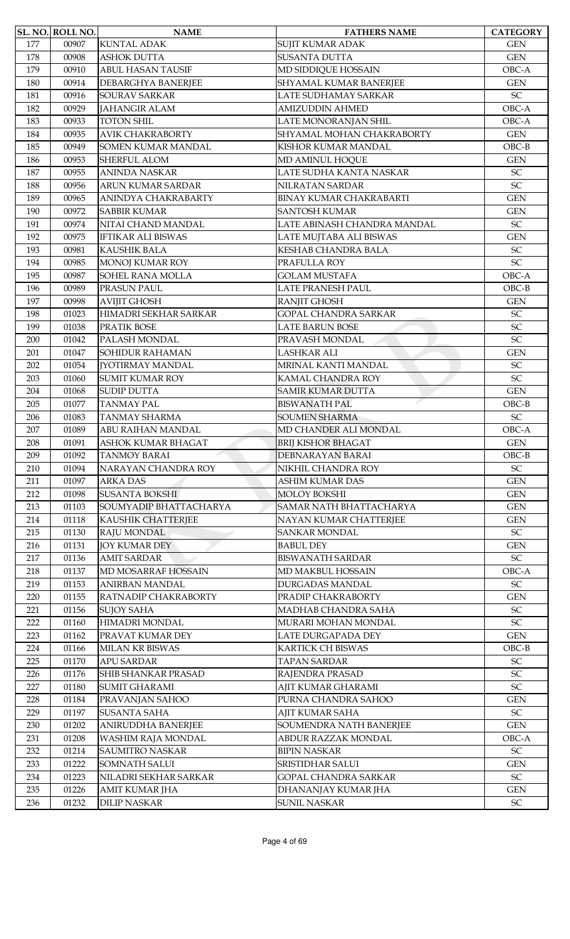|     | SL. NO. ROLL NO. | <b>NAME</b>                | <b>FATHERS NAME</b>            | <b>CATEGORY</b>                          |
|-----|------------------|----------------------------|--------------------------------|------------------------------------------|
| 177 | 00907            | <b>KUNTAL ADAK</b>         | SUJIT KUMAR ADAK               | <b>GEN</b>                               |
| 178 | 00908            | <b>ASHOK DUTTA</b>         | <b>SUSANTA DUTTA</b>           | <b>GEN</b>                               |
| 179 | 00910            | <b>ABUL HASAN TAUSIF</b>   | MD SIDDIQUE HOSSAIN            | OBC-A                                    |
| 180 | 00914            | <b>DEBARGHYA BANERJEE</b>  | SHYAMAL KUMAR BANERJEE         | <b>GEN</b>                               |
| 181 | 00916            | <b>SOURAV SARKAR</b>       | LATE SUDHAMAY SARKAR           | $\ensuremath{\mathsf{SC}}$               |
| 182 | 00929            | <b>JAHANGIR ALAM</b>       | <b>AMIZUDDIN AHMED</b>         | OBC-A                                    |
| 183 | 00933            | <b>TOTON SHIL</b>          | LATE MONORANJAN SHIL           | OBC-A                                    |
| 184 | 00935            | <b>AVIK CHAKRABORTY</b>    | SHYAMAL MOHAN CHAKRABORTY      | <b>GEN</b>                               |
| 185 | 00949            | SOMEN KUMAR MANDAL         | KISHOR KUMAR MANDAL            | $OBC-B$                                  |
| 186 | 00953            | <b>SHERFUL ALOM</b>        | MD AMINUL HOQUE                | <b>GEN</b>                               |
| 187 | 00955            | <b>ANINDA NASKAR</b>       | LATE SUDHA KANTA NASKAR        | $\ensuremath{\mathsf{SC}}$               |
| 188 | 00956            | ARUN KUMAR SARDAR          | NILRATAN SARDAR                | SC                                       |
| 189 | 00965            | ANINDYA CHAKRABARTY        | <b>BINAY KUMAR CHAKRABARTI</b> | <b>GEN</b>                               |
| 190 | 00972            | <b>SABBIR KUMAR</b>        | <b>SANTOSH KUMAR</b>           | <b>GEN</b>                               |
| 191 | 00974            | NITAI CHAND MANDAL         | LATE ABINASH CHANDRA MANDAL    | $\ensuremath{\mathsf{SC}}$               |
| 192 | 00975            | <b>IFTIKAR ALI BISWAS</b>  | LATE MUJTABA ALI BISWAS        | <b>GEN</b>                               |
| 193 | 00981            | <b>KAUSHIK BALA</b>        | KESHAB CHANDRA BALA            | $\ensuremath{\mathsf{SC}}$               |
| 194 | 00985            | <b>MONOJ KUMAR ROY</b>     | PRAFULLA ROY                   | $\ensuremath{\mathsf{SC}}$               |
| 195 | 00987            | SOHEL RANA MOLLA           | <b>GOLAM MUSTAFA</b>           | OBC-A                                    |
| 196 | 00989            | PRASUN PAUL                | LATE PRANESH PAUL              | $OBC-B$                                  |
| 197 | 00998            | <b>AVIJIT GHOSH</b>        | <b>RANJIT GHOSH</b>            | <b>GEN</b>                               |
| 198 | 01023            | HIMADRI SEKHAR SARKAR      | <b>GOPAL CHANDRA SARKAR</b>    | SC                                       |
| 199 | 01038            | PRATIK BOSE                | <b>LATE BARUN BOSE</b>         | SC                                       |
| 200 | 01042            | PALASH MONDAL              | PRAVASH MONDAL                 | SC                                       |
|     |                  | <b>SOHIDUR RAHAMAN</b>     | LASHKAR ALI                    |                                          |
| 201 | 01047<br>01054   | <b>[YOTIRMAY MANDAL</b>    | MRINAL KANTI MANDAL            | <b>GEN</b><br>$\ensuremath{\mathsf{SC}}$ |
| 202 | 01060            | <b>SUMIT KUMAR ROY</b>     | KAMAL CHANDRA ROY              | SC                                       |
| 203 |                  |                            |                                |                                          |
| 204 | 01068            | <b>SUDIP DUTTA</b>         | <b>SAMIR KUMAR DUTTA</b>       | <b>GEN</b>                               |
| 205 | 01077            | <b>TANMAY PAL</b>          | <b>BISWANATH PAL</b>           | $OBC-B$                                  |
| 206 | 01083            | <b>TANMAY SHARMA</b>       | <b>SOUMEN SHARMA</b>           | SC                                       |
| 207 | 01089            | ABU RAIHAN MANDAL          | MD CHANDER ALI MONDAL          | OBC-A                                    |
| 208 | 01091            | ASHOK KUMAR BHAGAT         | <b>BRIJ KISHOR BHAGAT</b>      | <b>GEN</b>                               |
| 209 | 01092            | <b>TANMOY BARAI</b>        | <b>DEBNARAYAN BARAI</b>        | $OBC-B$                                  |
| 210 | 01094            | NARAYAN CHANDRA ROY        | NIKHIL CHANDRA ROY             | $\ensuremath{\mathsf{SC}}$               |
| 211 | 01097            | <b>ARKA DAS</b>            | <b>ASHIM KUMAR DAS</b>         | <b>GEN</b>                               |
| 212 | 01098            | <b>SUSANTA BOKSHI</b>      | <b>MOLOY BOKSHI</b>            | <b>GEN</b>                               |
| 213 | 01103            | SOUMYADIP BHATTACHARYA     | SAMAR NATH BHATTACHARYA        | <b>GEN</b>                               |
| 214 | 01118            | KAUSHIK CHATTERJEE         | NAYAN KUMAR CHATTERJEE         | <b>GEN</b>                               |
| 215 | 01130            | RAJU MONDAL                | <b>SANKAR MONDAL</b>           | SC                                       |
| 216 | 01131            | <b>JOY KUMAR DEY</b>       | <b>BABUL DEY</b>               | <b>GEN</b>                               |
| 217 | 01136            | <b>AMIT SARDAR</b>         | <b>BISWANATH SARDAR</b>        | $\ensuremath{\mathsf{SC}}$               |
| 218 | 01137            | MD MOSARRAF HOSSAIN        | MD MAKBUL HOSSAIN              | OBC-A                                    |
| 219 | 01153            | <b>ANIRBAN MANDAL</b>      | DURGADAS MANDAL                | $\ensuremath{\mathsf{SC}}$               |
| 220 | 01155            | RATNADIP CHAKRABORTY       | PRADIP CHAKRABORTY             | <b>GEN</b>                               |
| 221 | 01156            | <b>SUJOY SAHA</b>          | MADHAB CHANDRA SAHA            | $\ensuremath{\mathsf{SC}}$               |
| 222 | 01160            | HIMADRI MONDAL             | MURARI MOHAN MONDAL            | $\ensuremath{\mathsf{SC}}$               |
| 223 | 01162            | PRAVAT KUMAR DEY           | LATE DURGAPADA DEY             | <b>GEN</b>                               |
| 224 | 01166            | MILAN KR BISWAS            | KARTICK CH BISWAS              | $OBC-B$                                  |
| 225 | 01170            | <b>APU SARDAR</b>          | <b>TAPAN SARDAR</b>            | $\ensuremath{\mathsf{SC}}$               |
| 226 | 01176            | <b>SHIB SHANKAR PRASAD</b> | RAJENDRA PRASAD                | $\ensuremath{\mathsf{SC}}$               |
| 227 | 01180            | <b>SUMIT GHARAMI</b>       | AJIT KUMAR GHARAMI             | SC                                       |
| 228 | 01184            | PRAVANJAN SAHOO            | PURNA CHANDRA SAHOO            | <b>GEN</b>                               |
| 229 | 01197            | <b>SUSANTA SAHA</b>        | AJIT KUMAR SAHA                | SC                                       |
| 230 | 01202            | ANIRUDDHA BANERJEE         | SOUMENDRA NATH BANERJEE        | <b>GEN</b>                               |
| 231 | 01208            | WASHIM RAJA MONDAL         | ABDUR RAZZAK MONDAL            | OBC-A                                    |
| 232 | 01214            | <b>SAUMITRO NASKAR</b>     | <b>BIPIN NASKAR</b>            | $\ensuremath{\mathsf{SC}}$               |
| 233 | 01222            | <b>SOMNATH SALUI</b>       | SRISTIDHAR SALUI               | <b>GEN</b>                               |
| 234 | 01223            | NILADRI SEKHAR SARKAR      | GOPAL CHANDRA SARKAR           | $\ensuremath{\mathsf{SC}}$               |
| 235 | 01226            | AMIT KUMAR JHA             | DHANANJAY KUMAR JHA            | <b>GEN</b>                               |
| 236 | 01232            | <b>DILIP NASKAR</b>        | <b>SUNIL NASKAR</b>            | ${\rm SC}$                               |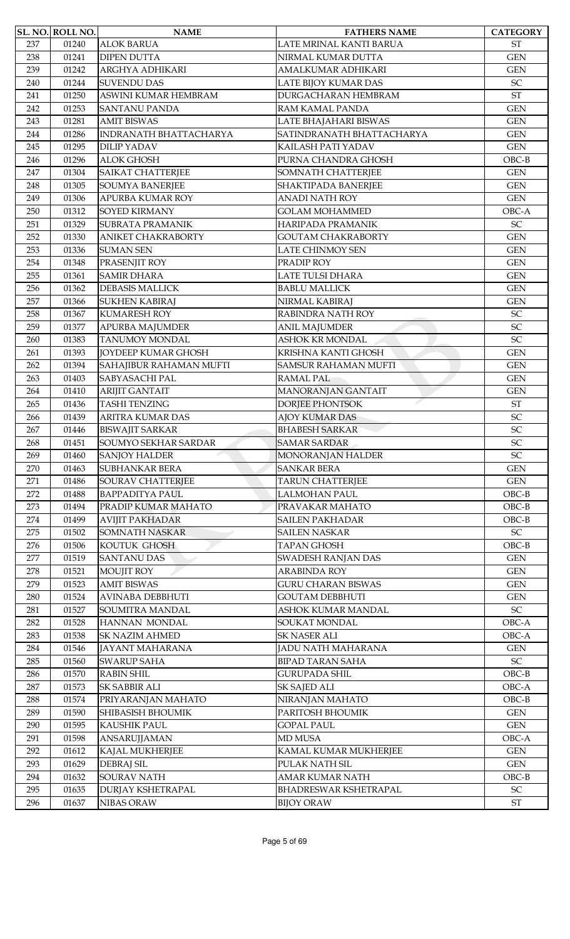|     | <b>SL. NO. ROLL NO.</b> | <b>NAME</b>                | <b>FATHERS NAME</b>         | <b>CATEGORY</b>            |
|-----|-------------------------|----------------------------|-----------------------------|----------------------------|
| 237 | 01240                   | <b>ALOK BARUA</b>          | LATE MRINAL KANTI BARUA     | <b>ST</b>                  |
| 238 | 01241                   | <b>DIPEN DUTTA</b>         | NIRMAL KUMAR DUTTA          | <b>GEN</b>                 |
| 239 | 01242                   | ARGHYA ADHIKARI            | AMALKUMAR ADHIKARI          | <b>GEN</b>                 |
| 240 | 01244                   | <b>SUVENDU DAS</b>         | LATE BIJOY KUMAR DAS        | SC                         |
| 241 | 01250                   | ASWINI KUMAR HEMBRAM       | DURGACHARAN HEMBRAM         | $\operatorname{ST}$        |
| 242 | 01253                   | <b>SANTANU PANDA</b>       | RAM KAMAL PANDA             | <b>GEN</b>                 |
| 243 | 01281                   | <b>AMIT BISWAS</b>         | LATE BHAJAHARI BISWAS       | <b>GEN</b>                 |
| 244 | 01286                   | INDRANATH BHATTACHARYA     | SATINDRANATH BHATTACHARYA   | <b>GEN</b>                 |
| 245 | 01295                   | <b>DILIP YADAV</b>         | KAILASH PATI YADAV          | <b>GEN</b>                 |
| 246 | 01296                   | <b>ALOK GHOSH</b>          | PURNA CHANDRA GHOSH         | $OBC-B$                    |
| 247 | 01304                   | <b>SAIKAT CHATTERJEE</b>   | SOMNATH CHATTERJEE          | <b>GEN</b>                 |
| 248 | 01305                   | <b>SOUMYA BANERJEE</b>     | SHAKTIPADA BANERJEE         | <b>GEN</b>                 |
| 249 | 01306                   | <b>APURBA KUMAR ROY</b>    | <b>ANADI NATH ROY</b>       | <b>GEN</b>                 |
| 250 | 01312                   | <b>SOYED KIRMANY</b>       | <b>GOLAM MOHAMMED</b>       | OBC-A                      |
| 251 | 01329                   | <b>SUBRATA PRAMANIK</b>    | HARIPADA PRAMANIK           | SC                         |
| 252 | 01330                   | <b>ANIKET CHAKRABORTY</b>  | <b>GOUTAM CHAKRABORTY</b>   | <b>GEN</b>                 |
| 253 | 01336                   | <b>SUMAN SEN</b>           | <b>LATE CHINMOY SEN</b>     | <b>GEN</b>                 |
| 254 | 01348                   | PRASENJIT ROY              | PRADIP ROY                  | <b>GEN</b>                 |
| 255 | 01361                   | <b>SAMIR DHARA</b>         | LATE TULSI DHARA            | <b>GEN</b>                 |
| 256 | 01362                   | <b>DEBASIS MALLICK</b>     | <b>BABLU MALLICK</b>        | <b>GEN</b>                 |
| 257 | 01366                   | <b>SUKHEN KABIRAJ</b>      | NIRMAL KABIRAJ              | <b>GEN</b>                 |
| 258 | 01367                   | <b>KUMARESH ROY</b>        | RABINDRA NATH ROY           | $\ensuremath{\mathsf{SC}}$ |
| 259 | 01377                   | <b>APURBA MAJUMDER</b>     | <b>ANIL MAJUMDER</b>        | SC                         |
| 260 | 01383                   | TANUMOY MONDAL             | <b>ASHOK KR MONDAL</b>      | SC                         |
| 261 | 01393                   | <b>JOYDEEP KUMAR GHOSH</b> | KRISHNA KANTI GHOSH         | <b>GEN</b>                 |
| 262 | 01394                   | SAHAJIBUR RAHAMAN MUFTI    | <b>SAMSUR RAHAMAN MUFTI</b> | <b>GEN</b>                 |
| 263 | 01403                   | SABYASACHI PAL             | <b>RAMAL PAL</b>            | <b>GEN</b>                 |
| 264 | 01410                   | <b>ARIJIT GANTAIT</b>      | MANORANJAN GANTAIT          | <b>GEN</b>                 |
| 265 | 01436                   | <b>TASHI TENZING</b>       | <b>DORJEE PHONTSOK</b>      | ST                         |
| 266 | 01439                   | <b>ARITRA KUMAR DAS</b>    | <b>AJOY KUMAR DAS</b>       | SC                         |
| 267 | 01446                   | <b>BISWAJIT SARKAR</b>     | <b>BHABESH SARKAR</b>       | SC                         |
| 268 | 01451                   | SOUMYO SEKHAR SARDAR       | <b>SAMAR SARDAR</b>         | $\ensuremath{\mathsf{SC}}$ |
| 269 | 01460                   | <b>SANJOY HALDER</b>       | MONORANJAN HALDER           | SC                         |
| 270 | 01463                   | <b>SUBHANKAR BERA</b>      | <b>SANKAR BERA</b>          | <b>GEN</b>                 |
| 271 | 01486                   | <b>SOURAV CHATTERJEE</b>   | <b>TARUN CHATTERJEE</b>     | <b>GEN</b>                 |
| 272 | 01488                   | <b>BAPPADITYA PAUL</b>     | <b>LALMOHAN PAUL</b>        | $OBC-B$                    |
| 273 | 01494                   | PRADIP KUMAR MAHATO        | PRAVAKAR MAHATO             | $OBC-B$                    |
| 274 | 01499                   | <b>AVIJIT PAKHADAR</b>     | <b>SAILEN PAKHADAR</b>      | $OBC-B$                    |
| 275 | 01502                   | <b>SOMNATH NASKAR</b>      | <b>SAILEN NASKAR</b>        | $\ensuremath{\mathsf{SC}}$ |
| 276 | 01506                   | KOUTUK GHOSH               | <b>TAPAN GHOSH</b>          | $OBC-B$                    |
| 277 | 01519                   | <b>SANTANU DAS</b>         | <b>SWADESH RANJAN DAS</b>   | <b>GEN</b>                 |
| 278 | 01521                   | <b>MOUJIT ROY</b>          | <b>ARABINDA ROY</b>         | <b>GEN</b>                 |
| 279 | 01523                   | <b>AMIT BISWAS</b>         | <b>GURU CHARAN BISWAS</b>   | <b>GEN</b>                 |
| 280 | 01524                   | <b>AVINABA DEBBHUTI</b>    | <b>GOUTAM DEBBHUTI</b>      | <b>GEN</b>                 |
| 281 | 01527                   | <b>SOUMITRA MANDAL</b>     | ASHOK KUMAR MANDAL          | $\ensuremath{\mathsf{SC}}$ |
| 282 | 01528                   | HANNAN MONDAL              | SOUKAT MONDAL               | OBC-A                      |
| 283 | 01538                   | <b>SK NAZIM AHMED</b>      | <b>SK NASER ALI</b>         | OBC-A                      |
| 284 | 01546                   | JAYANT MAHARANA            | JADU NATH MAHARANA          | <b>GEN</b>                 |
| 285 | 01560                   | <b>SWARUP SAHA</b>         | <b>BIPAD TARAN SAHA</b>     | $\ensuremath{\mathsf{SC}}$ |
| 286 | 01570                   | <b>RABIN SHIL</b>          | <b>GURUPADA SHIL</b>        | $OBC-B$                    |
| 287 | 01573                   | <b>SK SABBIR ALI</b>       | SK SAJED ALI                | OBC-A                      |
| 288 | 01574                   | PRIYARANJAN MAHATO         | NIRANJAN MAHATO             | $OBC-B$                    |
| 289 | 01590                   | <b>SHIBASISH BHOUMIK</b>   | PARITOSH BHOUMIK            | <b>GEN</b>                 |
| 290 | 01595                   | KAUSHIK PAUL               | <b>GOPAL PAUL</b>           | <b>GEN</b>                 |
| 291 | 01598                   | ANSARUJJAMAN               | <b>MD MUSA</b>              | OBC-A                      |
| 292 | 01612                   | KAJAL MUKHERJEE            | KAMAL KUMAR MUKHERJEE       | <b>GEN</b>                 |
| 293 | 01629                   | <b>DEBRAJ SIL</b>          | PULAK NATH SIL              | <b>GEN</b>                 |
| 294 | 01632                   | <b>SOURAV NATH</b>         | <b>AMAR KUMAR NATH</b>      | $OBC-B$                    |
| 295 | 01635                   | <b>DURJAY KSHETRAPAL</b>   | BHADRESWAR KSHETRAPAL       | $\ensuremath{\mathsf{SC}}$ |
| 296 | 01637                   | NIBAS ORAW                 | <b>BIJOY ORAW</b>           | $\operatorname{ST}$        |
|     |                         |                            |                             |                            |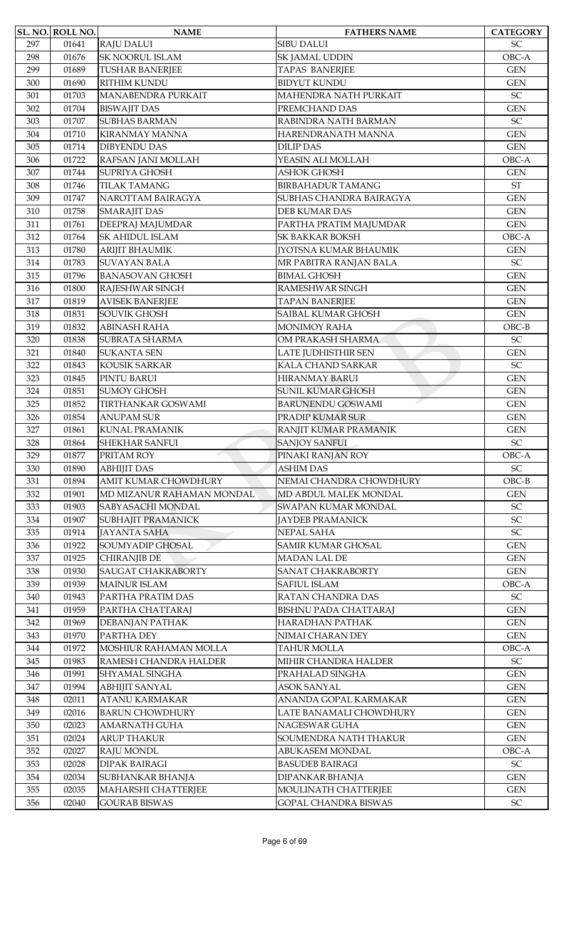|     | <b>SL. NO. ROLL NO.</b> | <b>NAME</b>                                       | <b>FATHERS NAME</b>                              | <b>CATEGORY</b>            |
|-----|-------------------------|---------------------------------------------------|--------------------------------------------------|----------------------------|
| 297 | 01641                   | <b>RAJU DALUI</b>                                 | <b>SIBU DALUI</b>                                | SC                         |
| 298 | 01676                   | <b>SK NOORUL ISLAM</b>                            | <b>SK JAMAL UDDIN</b>                            | OBC-A                      |
| 299 | 01689                   | <b>TUSHAR BANERJEE</b>                            | <b>TAPAS BANERJEE</b>                            | <b>GEN</b>                 |
| 300 | 01690                   | <b>RITHIM KUNDU</b>                               | <b>BIDYUT KUNDU</b>                              | <b>GEN</b>                 |
| 301 | 01703                   | MANABENDRA PURKAIT                                | MAHENDRA NATH PURKAIT                            | $\ensuremath{\mathsf{SC}}$ |
| 302 | 01704                   | <b>BISWAJIT DAS</b>                               | PREMCHAND DAS                                    | <b>GEN</b>                 |
| 303 | 01707                   | <b>SUBHAS BARMAN</b>                              | RABINDRA NATH BARMAN                             | SC                         |
| 304 | 01710                   | <b>KIRANMAY MANNA</b>                             | HARENDRANATH MANNA                               | <b>GEN</b>                 |
| 305 | 01714                   | <b>DIBYENDU DAS</b>                               | <b>DILIP DAS</b>                                 | <b>GEN</b>                 |
| 306 | 01722                   | RAFSAN JANI MOLLAH                                | YEASIN ALI MOLLAH                                | OBC-A                      |
| 307 | 01744                   | <b>SUPRIYA GHOSH</b>                              | <b>ASHOK GHOSH</b>                               | <b>GEN</b>                 |
| 308 | 01746                   | <b>TILAK TAMANG</b>                               | <b>BIRBAHADUR TAMANG</b>                         | <b>ST</b>                  |
| 309 | 01747                   | NAROTTAM BAIRAGYA                                 | SUBHAS CHANDRA BAIRAGYA                          | <b>GEN</b>                 |
| 310 | 01758                   | <b>SMARAJIT DAS</b>                               | <b>DEB KUMAR DAS</b>                             | <b>GEN</b>                 |
| 311 | 01761                   | DEEPRAJ MAJUMDAR                                  | PARTHA PRATIM MAJUMDAR                           | <b>GEN</b>                 |
| 312 | 01764                   | <b>SK AHIDUL ISLAM</b>                            | <b>SK BAKKAR BOKSH</b>                           | OBC-A                      |
| 313 | 01780                   | <b>ARIJIT BHAUMIK</b>                             | <b>JYOTSNA KUMAR BHAUMIK</b>                     | <b>GEN</b>                 |
| 314 | 01783                   | <b>SUVAYAN BALA</b>                               | MR PABITRA RANJAN BALA                           | $\ensuremath{\mathsf{SC}}$ |
| 315 | 01796                   | <b>BANASOVAN GHOSH</b>                            | <b>BIMAL GHOSH</b>                               | <b>GEN</b>                 |
| 316 | 01800                   | RAJESHWAR SINGH                                   | RAMESHWAR SINGH                                  | <b>GEN</b>                 |
| 317 | 01819                   | <b>AVISEK BANERJEE</b>                            | <b>TAPAN BANERJEE</b>                            | <b>GEN</b>                 |
| 318 | 01831                   | <b>SOUVIK GHOSH</b>                               | SAIBAL KUMAR GHOSH                               | <b>GEN</b>                 |
| 319 | 01832                   | <b>ABINASH RAHA</b>                               | <b>MONIMOY RAHA</b>                              | $OBC-B$                    |
| 320 | 01838                   | <b>SUBRATA SHARMA</b>                             | OM PRAKASH SHARMA                                | SC                         |
| 321 | 01840                   | <b>SUKANTA SEN</b>                                | LATE JUDHISTHIR SEN                              | <b>GEN</b>                 |
| 322 | 01843                   | KOUSIK SARKAR                                     | KALA CHAND SARKAR                                | $\ensuremath{\mathsf{SC}}$ |
| 323 | 01845                   | PINTU BARUI                                       | <b>HIRANMAY BARUI</b>                            | <b>GEN</b>                 |
| 324 | 01851                   | <b>SUMOY GHOSH</b>                                | <b>SUNIL KUMAR GHOSH</b>                         | <b>GEN</b>                 |
| 325 | 01852                   | TIRTHANKAR GOSWAMI                                | <b>BARUNENDU GOSWAMI</b>                         | <b>GEN</b>                 |
| 326 | 01854                   | <b>ANUPAM SUR</b>                                 | PRADIP KUMAR SUR                                 | <b>GEN</b>                 |
| 327 | 01861                   | <b>KUNAL PRAMANIK</b>                             | RANJIT KUMAR PRAMANIK                            | <b>GEN</b>                 |
| 328 | 01864                   | <b>SHEKHAR SANFUI</b>                             | <b>SANJOY SANFUI</b>                             | $\ensuremath{\mathsf{SC}}$ |
| 329 | 01877                   | PRITAM ROY                                        | PINAKI RANJAN ROY                                | OBC-A                      |
|     |                         | <b>ABHIJIT DAS</b>                                | <b>ASHIM DAS</b>                                 | $\ensuremath{\mathsf{SC}}$ |
| 330 | 01890                   |                                                   |                                                  |                            |
| 331 | 01894                   | AMIT KUMAR CHOWDHURY<br>MD MIZANUR RAHAMAN MONDAL | NEMAI CHANDRA CHOWDHURY<br>MD ABDUL MALEK MONDAL | $OBC-B$                    |
| 332 | 01901                   | <b>SABYASACHI MONDAL</b>                          |                                                  | <b>GEN</b>                 |
| 333 | 01903                   |                                                   | SWAPAN KUMAR MONDAL                              | SC                         |
| 334 | 01907                   | SUBHAJIT PRAMANICK                                | <b>JAYDEB PRAMANICK</b>                          | $\ensuremath{\mathsf{SC}}$ |
| 335 | 01914                   | JAYANTA SAHA                                      | NEPAL SAHA                                       | $\ensuremath{\mathsf{SC}}$ |
| 336 | 01922                   | SOUMYADIP GHOSAL                                  | <b>SAMIR KUMAR GHOSAL</b>                        | <b>GEN</b>                 |
| 337 | 01925                   | <b>CHIRANJIB DE</b>                               | MADAN LAL DE                                     | <b>GEN</b>                 |
| 338 | 01930                   | <b>SAUGAT CHAKRABORTY</b>                         | <b>SANAT CHAKRABORTY</b>                         | <b>GEN</b>                 |
| 339 | 01939                   | <b>MAINUR ISLAM</b>                               | <b>SAFIUL ISLAM</b>                              | OBC-A                      |
| 340 | 01943                   | PARTHA PRATIM DAS                                 | RATAN CHANDRA DAS                                | $\ensuremath{\mathsf{SC}}$ |
| 341 | 01959                   | PARTHA CHATTARAJ                                  | <b>BISHNU PADA CHATTARAJ</b>                     | <b>GEN</b>                 |
| 342 | 01969                   | DEBANJAN PATHAK                                   | <b>HARADHAN PATHAK</b>                           | <b>GEN</b>                 |
| 343 | 01970                   | PARTHA DEY                                        | NIMAI CHARAN DEY                                 | <b>GEN</b>                 |
| 344 | 01972                   | MOSHIUR RAHAMAN MOLLA                             | <b>TAHUR MOLLA</b>                               | OBC-A                      |
| 345 | 01983                   | RAMESH CHANDRA HALDER                             | MIHIR CHANDRA HALDER                             | $\ensuremath{\mathsf{SC}}$ |
| 346 | 01991                   | SHYAMAL SINGHA                                    | PRAHALAD SINGHA                                  | <b>GEN</b>                 |
| 347 | 01994                   | <b>ABHIJIT SANYAL</b>                             | <b>ASOK SANYAL</b>                               | <b>GEN</b>                 |
| 348 | 02011                   | <b>ATANU KARMAKAR</b>                             | ANANDA GOPAL KARMAKAR                            | <b>GEN</b>                 |
| 349 | 02016                   | <b>BARUN CHOWDHURY</b>                            | LATE BANAMALI CHOWDHURY                          | <b>GEN</b>                 |
| 350 | 02023                   | AMARNATH GUHA                                     | NAGESWAR GUHA                                    | <b>GEN</b>                 |
| 351 | 02024                   | <b>ARUP THAKUR</b>                                | SOUMENDRA NATH THAKUR                            | <b>GEN</b>                 |
| 352 | 02027                   | RAJU MONDL                                        | ABUKASEM MONDAL                                  | OBC-A                      |
| 353 | 02028                   | <b>DIPAK BAIRAGI</b>                              | <b>BASUDEB BAIRAGI</b>                           | SC                         |
| 354 | 02034                   | SUBHANKAR BHANJA                                  | DIPANKAR BHANJA                                  | <b>GEN</b>                 |
| 355 | 02035                   | MAHARSHI CHATTERJEE                               | MOULINATH CHATTERJEE                             | <b>GEN</b>                 |
| 356 | 02040                   | <b>GOURAB BISWAS</b>                              | <b>GOPAL CHANDRA BISWAS</b>                      | ${\rm SC}$                 |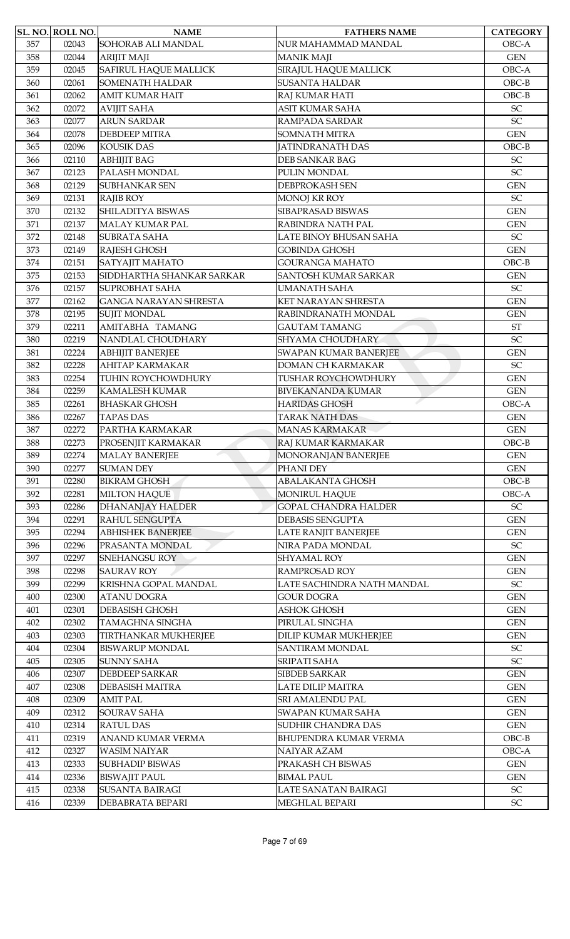|     | SL. NO. ROLL NO. | <b>NAME</b>                  | <b>FATHERS NAME</b>          | <b>CATEGORY</b>            |
|-----|------------------|------------------------------|------------------------------|----------------------------|
| 357 | 02043            | SOHORAB ALI MANDAL           | NUR MAHAMMAD MANDAL          | OBC-A                      |
| 358 | 02044            | <b>ARIJIT MAJI</b>           | <b>MANIK MAJI</b>            | <b>GEN</b>                 |
| 359 | 02045            | <b>SAFIRUL HAQUE MALLICK</b> | SIRAJUL HAQUE MALLICK        | OBC-A                      |
| 360 | 02061            | <b>SOMENATH HALDAR</b>       | <b>SUSANTA HALDAR</b>        | $OBC-B$                    |
| 361 | 02062            | <b>AMIT KUMAR HAIT</b>       | RAJ KUMAR HATI               | $OBC-B$                    |
| 362 | 02072            | <b>AVIJIT SAHA</b>           | <b>ASIT KUMAR SAHA</b>       | SC                         |
| 363 | 02077            | <b>ARUN SARDAR</b>           | RAMPADA SARDAR               | SC                         |
| 364 | 02078            | <b>DEBDEEP MITRA</b>         | SOMNATH MITRA                | <b>GEN</b>                 |
| 365 | 02096            | <b>KOUSIK DAS</b>            | <b>JATINDRANATH DAS</b>      | $OBC-B$                    |
| 366 | 02110            | <b>ABHIJIT BAG</b>           | <b>DEB SANKAR BAG</b>        | SC                         |
| 367 | 02123            | PALASH MONDAL                | PULIN MONDAL                 | SC                         |
| 368 | 02129            | <b>SUBHANKAR SEN</b>         | <b>DEBPROKASH SEN</b>        | <b>GEN</b>                 |
| 369 | 02131            | <b>RAJIB ROY</b>             | <b>MONOJ KR ROY</b>          | SC                         |
| 370 | 02132            | SHILADITYA BISWAS            | SIBAPRASAD BISWAS            | <b>GEN</b>                 |
| 371 | 02137            | <b>MALAY KUMAR PAL</b>       | RABINDRA NATH PAL            | <b>GEN</b>                 |
| 372 | 02148            | <b>SUBRATA SAHA</b>          | LATE BINOY BHUSAN SAHA       | <b>SC</b>                  |
| 373 | 02149            | RAJESH GHOSH                 | <b>GOBINDA GHOSH</b>         | <b>GEN</b>                 |
| 374 | 02151            | SATYAJIT MAHATO              | <b>GOURANGA MAHATO</b>       | $OBC-B$                    |
| 375 | 02153            | SIDDHARTHA SHANKAR SARKAR    | SANTOSH KUMAR SARKAR         | <b>GEN</b>                 |
| 376 | 02157            | <b>SUPROBHAT SAHA</b>        | <b>UMANATH SAHA</b>          | SC                         |
| 377 | 02162            | <b>GANGA NARAYAN SHRESTA</b> | KET NARAYAN SHRESTA          | <b>GEN</b>                 |
| 378 |                  |                              |                              | <b>GEN</b>                 |
|     | 02195            | <b>SUJIT MONDAL</b>          | RABINDRANATH MONDAL          |                            |
| 379 | 02211            | AMITABHA TAMANG              | <b>GAUTAM TAMANG</b>         | $\operatorname{ST}$        |
| 380 | 02219            | NANDLAL CHOUDHARY            | SHYAMA CHOUDHARY             | SC                         |
| 381 | 02224            | <b>ABHIJIT BANERJEE</b>      | SWAPAN KUMAR BANERJEE        | <b>GEN</b>                 |
| 382 | 02228            | <b>AHITAP KARMAKAR</b>       | <b>DOMAN CH KARMAKAR</b>     | SC                         |
| 383 | 02254            | TUHIN ROYCHOWDHURY           | TUSHAR ROYCHOWDHURY          | <b>GEN</b>                 |
| 384 | 02259            | <b>KAMALESH KUMAR</b>        | <b>BIVEKANANDA KUMAR</b>     | <b>GEN</b>                 |
| 385 | 02261            | <b>BHASKAR GHOSH</b>         | <b>HARIDAS GHOSH</b>         | OBC-A                      |
| 386 | 02267            | <b>TAPAS DAS</b>             | <b>TARAK NATH DAS</b>        | <b>GEN</b>                 |
| 387 | 02272            | PARTHA KARMAKAR              | <b>MANAS KARMAKAR</b>        | <b>GEN</b>                 |
| 388 | 02273            | PROSENJIT KARMAKAR           | RAJ KUMAR KARMAKAR           | $OBC-B$                    |
| 389 | 02274            | <b>MALAY BANERJEE</b>        | MONORANJAN BANERJEE          | <b>GEN</b>                 |
| 390 | 02277            | <b>SUMAN DEY</b>             | PHANI DEY                    | <b>GEN</b>                 |
| 391 | 02280            | <b>BIKRAM GHOSH</b>          | <b>ABALAKANTA GHOSH</b>      | $OBC-B$                    |
| 392 | 02281            | <b>MILTON HAQUE</b>          | <b>MONIRUL HAQUE</b>         | OBC-A                      |
| 393 | 02286            | <b>DHANANJAY HALDER</b>      | <b>GOPAL CHANDRA HALDER</b>  | $\ensuremath{\mathsf{SC}}$ |
| 394 | 02291            | <b>RAHUL SENGUPTA</b>        | <b>DEBASIS SENGUPTA</b>      | <b>GEN</b>                 |
| 395 | 02294            | <b>ABHISHEK BANERJEE</b>     | <b>LATE RANJIT BANERJEE</b>  | <b>GEN</b>                 |
| 396 | 02296            | PRASANTA MONDAL              | NIRA PADA MONDAL             | $\ensuremath{\mathsf{SC}}$ |
| 397 | 02297            | <b>SNEHANGSU ROY</b>         | SHYAMAL ROY                  | <b>GEN</b>                 |
| 398 | 02298            | <b>SAURAV ROY</b>            | RAMPROSAD ROY                | <b>GEN</b>                 |
| 399 | 02299            | KRISHNA GOPAL MANDAL         | LATE SACHINDRA NATH MANDAL   | SC                         |
| 400 | 02300            | <b>ATANU DOGRA</b>           | <b>GOUR DOGRA</b>            | <b>GEN</b>                 |
| 401 | 02301            | <b>DEBASISH GHOSH</b>        | <b>ASHOK GHOSH</b>           | <b>GEN</b>                 |
| 402 | 02302            | <b>TAMAGHNA SINGHA</b>       | PIRULAL SINGHA               | <b>GEN</b>                 |
| 403 | 02303            | TIRTHANKAR MUKHERJEE         | DILIP KUMAR MUKHERJEE        | <b>GEN</b>                 |
| 404 | 02304            | <b>BISWARUP MONDAL</b>       | SANTIRAM MONDAL              | $\ensuremath{\mathsf{SC}}$ |
| 405 | 02305            | <b>SUNNY SAHA</b>            | SRIPATI SAHA                 | SC                         |
| 406 | 02307            | <b>DEBDEEP SARKAR</b>        | <b>SIBDEB SARKAR</b>         | <b>GEN</b>                 |
| 407 | 02308            | <b>DEBASISH MAITRA</b>       | LATE DILIP MAITRA            | <b>GEN</b>                 |
| 408 | 02309            | <b>AMIT PAL</b>              | SRI AMALENDU PAL             | <b>GEN</b>                 |
| 409 | 02312            | <b>SOURAV SAHA</b>           | SWAPAN KUMAR SAHA            | $\mbox{GEN}$               |
| 410 | 02314            | <b>RATUL DAS</b>             | SUDHIR CHANDRA DAS           | <b>GEN</b>                 |
| 411 | 02319            | ANAND KUMAR VERMA            | <b>BHUPENDRA KUMAR VERMA</b> | $OBC-B$                    |
| 412 | 02327            | <b>WASIM NAIYAR</b>          | NAIYAR AZAM                  | OBC-A                      |
| 413 | 02333            | <b>SUBHADIP BISWAS</b>       | PRAKASH CH BISWAS            | <b>GEN</b>                 |
| 414 | 02336            | <b>BISWAJIT PAUL</b>         | <b>BIMAL PAUL</b>            | <b>GEN</b>                 |
| 415 | 02338            | <b>SUSANTA BAIRAGI</b>       | LATE SANATAN BAIRAGI         | ${\rm SC}$                 |
| 416 | 02339            | DEBABRATA BEPARI             | MEGHLAL BEPARI               | ${\rm SC}$                 |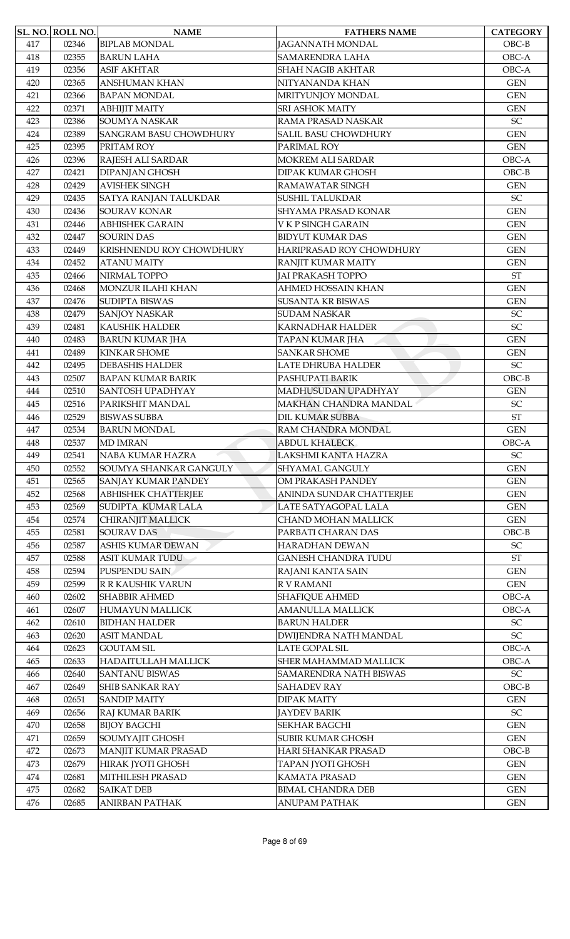|     | SL. NO. ROLL NO. | <b>NAME</b>                                   | <b>FATHERS NAME</b>          | <b>CATEGORY</b>                          |
|-----|------------------|-----------------------------------------------|------------------------------|------------------------------------------|
| 417 | 02346            | <b>BIPLAB MONDAL</b>                          | <b>JAGANNATH MONDAL</b>      | $OBC-B$                                  |
| 418 | 02355            | <b>BARUN LAHA</b>                             | SAMARENDRA LAHA              | OBC-A                                    |
| 419 | 02356            | <b>ASIF AKHTAR</b>                            | <b>SHAH NAGIB AKHTAR</b>     | OBC-A                                    |
| 420 | 02365            | <b>ANSHUMAN KHAN</b>                          | NITYANANDA KHAN              | <b>GEN</b>                               |
| 421 | 02366            | <b>BAPAN MONDAL</b>                           | MRITYUNJOY MONDAL            | <b>GEN</b>                               |
| 422 | 02371            | <b>ABHIJIT MAITY</b>                          | <b>SRI ASHOK MAITY</b>       | <b>GEN</b>                               |
| 423 | 02386            | <b>SOUMYA NASKAR</b>                          | RAMA PRASAD NASKAR           | $\ensuremath{\mathsf{SC}}$               |
| 424 | 02389            | <b>SANGRAM BASU CHOWDHURY</b>                 | SALIL BASU CHOWDHURY         | <b>GEN</b>                               |
| 425 | 02395            | PRITAM ROY                                    | PARIMAL ROY                  | <b>GEN</b>                               |
| 426 | 02396            | RAJESH ALI SARDAR                             | MOKREM ALI SARDAR            | OBC-A                                    |
| 427 | 02421            | <b>DIPANJAN GHOSH</b>                         | DIPAK KUMAR GHOSH            | $OBC-B$                                  |
| 428 | 02429            | <b>AVISHEK SINGH</b>                          | RAMAWATAR SINGH              | <b>GEN</b>                               |
| 429 | 02435            | SATYA RANJAN TALUKDAR                         | <b>SUSHIL TALUKDAR</b>       | $\ensuremath{\mathsf{SC}}$               |
| 430 | 02436            | <b>SOURAV KONAR</b>                           | SHYAMA PRASAD KONAR          | <b>GEN</b>                               |
| 431 | 02446            | <b>ABHISHEK GARAIN</b>                        | V K P SINGH GARAIN           | <b>GEN</b>                               |
| 432 | 02447            | <b>SOURIN DAS</b>                             | <b>BIDYUT KUMAR DAS</b>      | <b>GEN</b>                               |
| 433 | 02449            | KRISHNENDU ROY CHOWDHURY                      | HARIPRASAD ROY CHOWDHURY     | <b>GEN</b>                               |
| 434 | 02452            | <b>ATANU MAITY</b>                            | RANJIT KUMAR MAITY           | <b>GEN</b>                               |
| 435 | 02466            | NIRMAL TOPPO                                  | <b>JAI PRAKASH TOPPO</b>     | <b>ST</b>                                |
| 436 | 02468            | MONZUR ILAHI KHAN                             | <b>AHMED HOSSAIN KHAN</b>    | <b>GEN</b>                               |
| 437 | 02476            | <b>SUDIPTA BISWAS</b>                         | <b>SUSANTA KR BISWAS</b>     | <b>GEN</b>                               |
| 438 | 02479            | <b>SANJOY NASKAR</b>                          | <b>SUDAM NASKAR</b>          | $\ensuremath{\mathsf{SC}}$               |
| 439 | 02481            | <b>KAUSHIK HALDER</b>                         | <b>KARNADHAR HALDER</b>      | SC                                       |
| 440 | 02483            | <b>BARUN KUMAR JHA</b>                        | TAPAN KUMAR JHA              | <b>GEN</b>                               |
| 441 | 02489            | <b>KINKAR SHOME</b>                           | <b>SANKAR SHOME</b>          | <b>GEN</b>                               |
| 442 | 02495            | <b>DEBASHIS HALDER</b>                        | LATE DHRUBA HALDER           | SC                                       |
| 443 | 02507            | <b>BAPAN KUMAR BARIK</b>                      | PASHUPATI BARIK              | $OBC-B$                                  |
| 444 | 02510            | SANTOSH UPADHYAY                              | MADHUSUDAN UPADHYAY          | <b>GEN</b>                               |
| 445 | 02516            | PARIKSHIT MANDAL                              | MAKHAN CHANDRA MANDAL        | $\ensuremath{\mathsf{SC}}$               |
| 446 | 02529            | <b>BISWAS SUBBA</b>                           | <b>DIL KUMAR SUBBA</b>       | <b>ST</b>                                |
| 447 | 02534            | <b>BARUN MONDAL</b>                           | RAM CHANDRA MONDAL           | <b>GEN</b>                               |
| 448 | 02537            | <b>MD IMRAN</b>                               | <b>ABDUL KHALECK</b>         | OBC-A                                    |
| 449 | 02541            | <b>NABA KUMAR HAZRA</b>                       | LAKSHMI KANTA HAZRA          | SC                                       |
| 450 | 02552            | SOUMYA SHANKAR GANGULY                        | SHYAMAL GANGULY              | <b>GEN</b>                               |
| 451 | 02565            | SANJAY KUMAR PANDEY                           | OM PRAKASH PANDEY            | <b>GEN</b>                               |
| 452 | 02568            | <b>ABHISHEK CHATTERJEE</b>                    | ANINDA SUNDAR CHATTERJEE     | <b>GEN</b>                               |
| 453 | 02569            | SUDIPTA KUMAR LALA                            | LATE SATYAGOPAL LALA         | <b>GEN</b>                               |
| 454 | 02574            | CHIRANJIT MALLICK                             | CHAND MOHAN MALLICK          | <b>GEN</b>                               |
| 455 | 02581            | <b>SOURAV DAS</b>                             | PARBATI CHARAN DAS           | $OBC-B$                                  |
| 456 | 02587            | <b>ASHIS KUMAR DEWAN</b>                      | HARADHAN DEWAN               | $\ensuremath{\mathsf{SC}}$               |
| 457 | 02588            | ASIT KUMAR TUDU                               | <b>GANESH CHANDRA TUDU</b>   | $\operatorname{ST}$                      |
| 458 | 02594            | PUSPENDU SAIN                                 | RAJANI KANTA SAIN            | <b>GEN</b>                               |
| 459 | 02599            | <b>R R KAUSHIK VARUN</b>                      | R V RAMANI                   | <b>GEN</b>                               |
| 460 | 02602            | <b>SHABBIR AHMED</b>                          | <b>SHAFIQUE AHMED</b>        | OBC-A                                    |
| 461 | 02607            | <b>HUMAYUN MALLICK</b>                        | <b>AMANULLA MALLICK</b>      | OBC-A                                    |
| 462 | 02610            | <b>BIDHAN HALDER</b>                          | <b>BARUN HALDER</b>          | ${\rm SC}$                               |
| 463 | 02620            | <b>ASIT MANDAL</b>                            | <b>DWIJENDRA NATH MANDAL</b> | SC                                       |
| 464 | 02623            | <b>GOUTAM SIL</b>                             | LATE GOPAL SIL               | OBC-A                                    |
| 465 | 02633            | <b>HADAITULLAH MALLICK</b>                    | SHER MAHAMMAD MALLICK        | OBC-A                                    |
| 466 | 02640            | <b>SANTANU BISWAS</b>                         | SAMARENDRA NATH BISWAS       | SC                                       |
|     |                  |                                               |                              | $OBC-B$                                  |
| 467 | 02649            | <b>SHIB SANKAR RAY</b><br><b>SANDIP MAITY</b> | <b>SAHADEV RAY</b>           |                                          |
| 468 | 02651            |                                               | <b>DIPAK MAITY</b>           | <b>GEN</b><br>$\ensuremath{\mathsf{SC}}$ |
| 469 | 02656            | RAJ KUMAR BARIK                               | JAYDEV BARIK                 |                                          |
| 470 | 02658            | <b>BIJOY BAGCHI</b>                           | <b>SEKHAR BAGCHI</b>         | <b>GEN</b>                               |
| 471 | 02659            | SOUMYAJIT GHOSH                               | SUBIR KUMAR GHOSH            | <b>GEN</b>                               |
| 472 | 02673            | MANJIT KUMAR PRASAD                           | HARI SHANKAR PRASAD          | $OBC-B$                                  |
| 473 | 02679            | <b>HIRAK JYOTI GHOSH</b>                      | TAPAN JYOTI GHOSH            | <b>GEN</b>                               |
| 474 | 02681            | MITHILESH PRASAD                              | <b>KAMATA PRASAD</b>         | <b>GEN</b>                               |
| 475 | 02682            | <b>SAIKAT DEB</b>                             | <b>BIMAL CHANDRA DEB</b>     | <b>GEN</b>                               |
| 476 | 02685            | <b>ANIRBAN PATHAK</b>                         | <b>ANUPAM PATHAK</b>         | <b>GEN</b>                               |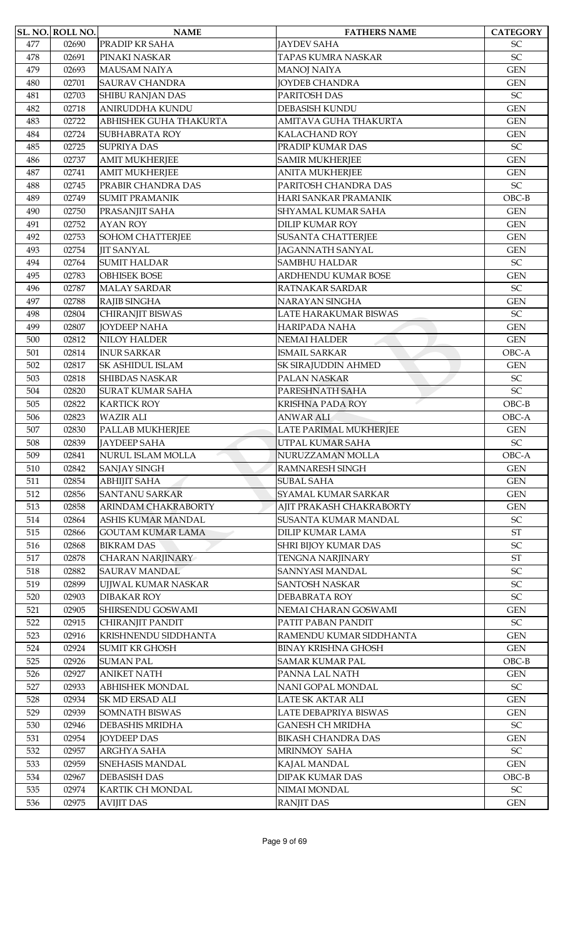|     | SL. NO. ROLL NO. | <b>NAME</b>                | <b>FATHERS NAME</b>                      | <b>CATEGORY</b>            |
|-----|------------------|----------------------------|------------------------------------------|----------------------------|
| 477 | 02690            | PRADIP KR SAHA             | <b>JAYDEV SAHA</b>                       | <b>SC</b>                  |
| 478 | 02691            | PINAKI NASKAR              | TAPAS KUMRA NASKAR                       | SC                         |
| 479 | 02693            | <b>MAUSAM NAIYA</b>        | <b>MANOJ NAIYA</b>                       | <b>GEN</b>                 |
| 480 | 02701            | <b>SAURAV CHANDRA</b>      | <b>JOYDEB CHANDRA</b>                    | <b>GEN</b>                 |
| 481 | 02703            | <b>SHIBU RANJAN DAS</b>    | PARITOSH DAS                             | SC                         |
| 482 | 02718            | <b>ANIRUDDHA KUNDU</b>     | <b>DEBASISH KUNDU</b>                    | <b>GEN</b>                 |
| 483 | 02722            | ABHISHEK GUHA THAKURTA     | AMITAVA GUHA THAKURTA                    | <b>GEN</b>                 |
| 484 | 02724            | <b>SUBHABRATA ROY</b>      | <b>KALACHAND ROY</b>                     | <b>GEN</b>                 |
| 485 | 02725            | <b>SUPRIYA DAS</b>         | PRADIP KUMAR DAS                         | SC                         |
| 486 | 02737            | <b>AMIT MUKHERJEE</b>      | <b>SAMIR MUKHERJEE</b>                   | <b>GEN</b>                 |
| 487 | 02741            | <b>AMIT MUKHERJEE</b>      | <b>ANITA MUKHERJEE</b>                   | <b>GEN</b>                 |
| 488 | 02745            | PRABIR CHANDRA DAS         | PARITOSH CHANDRA DAS                     | SC                         |
| 489 | 02749            | <b>SUMIT PRAMANIK</b>      | HARI SANKAR PRAMANIK                     | $OBC-B$                    |
| 490 | 02750            | PRASANJIT SAHA             | SHYAMAL KUMAR SAHA                       | <b>GEN</b>                 |
| 491 | 02752            | <b>AYAN ROY</b>            | <b>DILIP KUMAR ROY</b>                   | <b>GEN</b>                 |
| 492 | 02753            | <b>SOHOM CHATTERJEE</b>    | <b>SUSANTA CHATTERJEE</b>                | <b>GEN</b>                 |
| 493 | 02754            | <b>JIT SANYAL</b>          | <b>JAGANNATH SANYAL</b>                  | <b>GEN</b>                 |
| 494 | 02764            | <b>SUMIT HALDAR</b>        | <b>SAMBHU HALDAR</b>                     | $\ensuremath{\mathsf{SC}}$ |
| 495 | 02783            | <b>OBHISEK BOSE</b>        | ARDHENDU KUMAR BOSE                      | <b>GEN</b>                 |
| 496 | 02787            | <b>MALAY SARDAR</b>        | RATNAKAR SARDAR                          | $\ensuremath{\mathsf{SC}}$ |
| 497 | 02788            | RAJIB SINGHA               | NARAYAN SINGHA                           | <b>GEN</b>                 |
| 498 | 02804            | CHIRANJIT BISWAS           | LATE HARAKUMAR BISWAS                    | $\ensuremath{\mathsf{SC}}$ |
| 499 | 02807            | <b>JOYDEEP NAHA</b>        | <b>HARIPADA NAHA</b>                     | <b>GEN</b>                 |
| 500 | 02812            | <b>NILOY HALDER</b>        | <b>NEMAI HALDER</b>                      | <b>GEN</b>                 |
| 501 | 02814            | <b>INUR SARKAR</b>         | <b>ISMAIL SARKAR</b>                     | OBC-A                      |
| 502 | 02817            | <b>SK ASHIDUL ISLAM</b>    | SK SIRAJUDDIN AHMED                      | <b>GEN</b>                 |
| 503 | 02818            | <b>SHIBDAS NASKAR</b>      | PALAN NASKAR                             | SC                         |
| 504 | 02820            | <b>SURAT KUMAR SAHA</b>    | PARESHNATH SAHA                          | SC                         |
| 505 | 02822            | <b>KARTICK ROY</b>         | <b>KRISHNA PADA ROY</b>                  | $OBC-B$                    |
| 506 | 02823            | <b>WAZIR ALI</b>           | <b>ANWAR ALI</b>                         | OBC-A                      |
| 507 | 02830            | PALLAB MUKHERJEE           | LATE PARIMAL MUKHERJEE                   | <b>GEN</b>                 |
| 508 | 02839            | <b>JAYDEEP SAHA</b>        | UTPAL KUMAR SAHA                         | ${\rm SC}$                 |
| 509 | 02841            | NURUL ISLAM MOLLA          | NURUZZAMAN MOLLA                         | OBC-A                      |
|     |                  |                            |                                          |                            |
| 510 | 02842            | <b>SANJAY SINGH</b>        | RAMNARESH SINGH                          | <b>GEN</b>                 |
| 511 | 02854            | <b>ABHIJIT SAHA</b>        | <b>SUBAL SAHA</b><br>SYAMAL KUMAR SARKAR | <b>GEN</b>                 |
| 512 | 02856            | <b>SANTANU SARKAR</b>      |                                          | <b>GEN</b>                 |
| 513 | 02858            | <b>ARINDAM CHAKRABORTY</b> | AJIT PRAKASH CHAKRABORTY                 | <b>GEN</b>                 |
| 514 | 02864            | <b>ASHIS KUMAR MANDAL</b>  | SUSANTA KUMAR MANDAL                     | $\ensuremath{\mathsf{SC}}$ |
| 515 | 02866            | <b>GOUTAM KUMAR LAMA</b>   | <b>DILIP KUMAR LAMA</b>                  | ST                         |
| 516 | 02868            | <b>BIKRAM DAS</b>          | SHRI BIJOY KUMAR DAS                     | $\ensuremath{\mathsf{SC}}$ |
| 517 | 02878            | <b>CHARAN NARJINARY</b>    | <b>TENGNA NARJINARY</b>                  | $\operatorname{ST}$        |
| 518 | 02882            | <b>SAURAV MANDAL</b>       | SANNYASI MANDAL                          | SC                         |
| 519 | 02899            | UJJWAL KUMAR NASKAR        | <b>SANTOSH NASKAR</b>                    | $\ensuremath{\mathsf{SC}}$ |
| 520 | 02903            | <b>DIBAKAR ROY</b>         | DEBABRATA ROY                            | $\ensuremath{\mathsf{SC}}$ |
| 521 | 02905            | SHIRSENDU GOSWAMI          | NEMAI CHARAN GOSWAMI                     | <b>GEN</b>                 |
| 522 | 02915            | <b>CHIRANJIT PANDIT</b>    | PATIT PABAN PANDIT                       | $\ensuremath{\mathsf{SC}}$ |
| 523 | 02916            | KRISHNENDU SIDDHANTA       | RAMENDU KUMAR SIDDHANTA                  | <b>GEN</b>                 |
| 524 | 02924            | <b>SUMIT KR GHOSH</b>      | <b>BINAY KRISHNA GHOSH</b>               | <b>GEN</b>                 |
| 525 | 02926            | <b>SUMAN PAL</b>           | <b>SAMAR KUMAR PAL</b>                   | $OBC-B$                    |
| 526 | 02927            | <b>ANIKET NATH</b>         | PANNA LAL NATH                           | <b>GEN</b>                 |
| 527 | 02933            | <b>ABHISHEK MONDAL</b>     | NANI GOPAL MONDAL                        | $\ensuremath{\mathsf{SC}}$ |
| 528 | 02934            | <b>SK MD ERSAD ALI</b>     | LATE SK AKTAR ALI                        | <b>GEN</b>                 |
| 529 | 02939            | <b>SOMNATH BISWAS</b>      | LATE DEBAPRIYA BISWAS                    | <b>GEN</b>                 |
| 530 | 02946            | <b>DEBASHIS MRIDHA</b>     | <b>GANESH CH MRIDHA</b>                  | $\ensuremath{\mathsf{SC}}$ |
| 531 | 02954            | <b>JOYDEEP DAS</b>         | <b>BIKASH CHANDRA DAS</b>                | <b>GEN</b>                 |
| 532 | 02957            | ARGHYA SAHA                | MRINMOY SAHA                             | $\ensuremath{\mathsf{SC}}$ |
| 533 | 02959            | <b>SNEHASIS MANDAL</b>     | KAJAL MANDAL                             | <b>GEN</b>                 |
| 534 | 02967            | <b>DEBASISH DAS</b>        | <b>DIPAK KUMAR DAS</b>                   | $OBC-B$                    |
| 535 | 02974            | KARTIK CH MONDAL           | NIMAI MONDAL                             | $\ensuremath{\mathsf{SC}}$ |
| 536 | 02975            | <b>AVIJIT DAS</b>          | <b>RANJIT DAS</b>                        | <b>GEN</b>                 |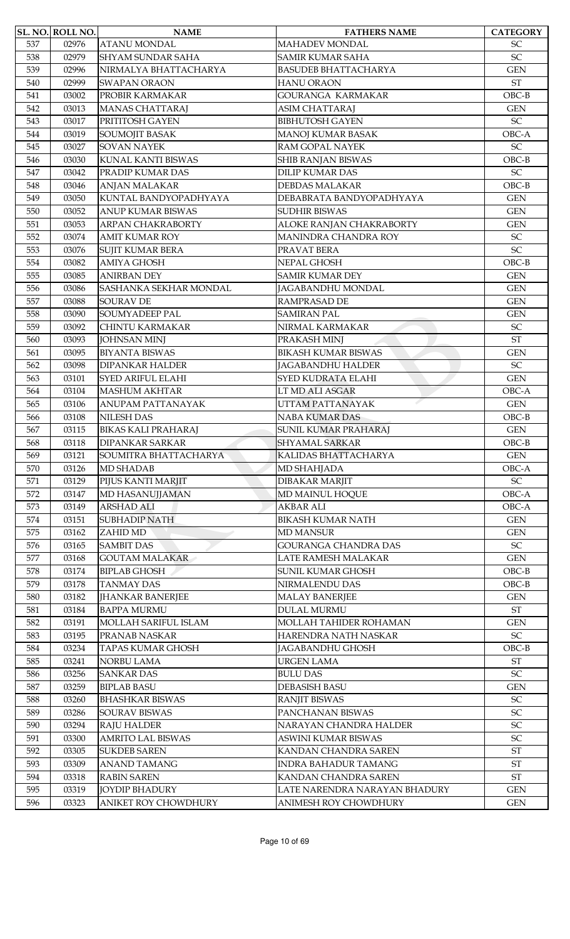|     | SL. NO. ROLL NO. | <b>NAME</b>                           | <b>FATHERS NAME</b>           | <b>CATEGORY</b>            |
|-----|------------------|---------------------------------------|-------------------------------|----------------------------|
| 537 | 02976            | <b>ATANU MONDAL</b>                   | <b>MAHADEV MONDAL</b>         | <b>SC</b>                  |
| 538 | 02979            | <b>SHYAM SUNDAR SAHA</b>              | <b>SAMIR KUMAR SAHA</b>       | $\ensuremath{\mathsf{SC}}$ |
| 539 | 02996            | NIRMALYA BHATTACHARYA                 | <b>BASUDEB BHATTACHARYA</b>   | <b>GEN</b>                 |
| 540 | 02999            | <b>SWAPAN ORAON</b>                   | <b>HANU ORAON</b>             | $\operatorname{ST}$        |
| 541 | 03002            | PROBIR KARMAKAR                       | GOURANGA KARMAKAR             | $OBC-B$                    |
| 542 | 03013            | <b>MANAS CHATTARAJ</b>                | <b>ASIM CHATTARAJ</b>         | <b>GEN</b>                 |
| 543 | 03017            | PRITITOSH GAYEN                       | <b>BIBHUTOSH GAYEN</b>        | $\ensuremath{\mathsf{SC}}$ |
| 544 | 03019            | SOUMOJIT BASAK                        | MANOJ KUMAR BASAK             | OBC-A                      |
| 545 | 03027            | <b>SOVAN NAYEK</b>                    | <b>RAM GOPAL NAYEK</b>        | SC                         |
| 546 | 03030            | <b>KUNAL KANTI BISWAS</b>             | <b>SHIB RANJAN BISWAS</b>     | $OBC-B$                    |
| 547 | 03042            | PRADIP KUMAR DAS                      | <b>DILIP KUMAR DAS</b>        | SC                         |
| 548 | 03046            | ANJAN MALAKAR                         | <b>DEBDAS MALAKAR</b>         | $OBC-B$                    |
| 549 | 03050            | KUNTAL BANDYOPADHYAYA                 | DEBABRATA BANDYOPADHYAYA      | <b>GEN</b>                 |
| 550 | 03052            | <b>ANUP KUMAR BISWAS</b>              | <b>SUDHIR BISWAS</b>          | <b>GEN</b>                 |
| 551 | 03053            | ARPAN CHAKRABORTY                     | ALOKE RANJAN CHAKRABORTY      | <b>GEN</b>                 |
| 552 | 03074            | <b>AMIT KUMAR ROY</b>                 | MANINDRA CHANDRA ROY          | $\ensuremath{\mathsf{SC}}$ |
| 553 | 03076            | <b>SUJIT KUMAR BERA</b>               | PRAVAT BERA                   | $\ensuremath{\mathsf{SC}}$ |
| 554 | 03082            | <b>AMIYA GHOSH</b>                    | NEPAL GHOSH                   | $OBC-B$                    |
| 555 | 03085            | <b>ANIRBAN DEY</b>                    | <b>SAMIR KUMAR DEY</b>        | <b>GEN</b>                 |
| 556 | 03086            | SASHANKA SEKHAR MONDAL                | JAGABANDHU MONDAL             | <b>GEN</b>                 |
| 557 | 03088            | <b>SOURAV DE</b>                      | <b>RAMPRASAD DE</b>           | <b>GEN</b>                 |
| 558 | 03090            | SOUMYADEEP PAL                        | <b>SAMIRAN PAL</b>            | <b>GEN</b>                 |
| 559 | 03092            | <b>CHINTU KARMAKAR</b>                | NIRMAL KARMAKAR               | $\ensuremath{\mathsf{SC}}$ |
| 560 | 03093            | <b>JOHNSAN MINJ</b>                   | PRAKASH MINJ                  | <b>ST</b>                  |
| 561 | 03095            | <b>BIYANTA BISWAS</b>                 | <b>BIKASH KUMAR BISWAS</b>    | <b>GEN</b>                 |
| 562 | 03098            | <b>DIPANKAR HALDER</b>                | <b>JAGABANDHU HALDER</b>      | $\ensuremath{\mathsf{SC}}$ |
| 563 | 03101            | <b>SYED ARIFUL ELAHI</b>              | <b>SYED KUDRATA ELAHI</b>     | <b>GEN</b>                 |
| 564 | 03104            | <b>MASHUM AKHTAR</b>                  | LT MD ALI ASGAR               | OBC-A                      |
| 565 | 03106            | ANUPAM PATTANAYAK                     | UTTAM PATTANAYAK              | <b>GEN</b>                 |
| 566 | 03108            | <b>NILESH DAS</b>                     | <b>NABA KUMAR DAS</b>         | $OBC-B$                    |
| 567 | 03115            | <b>BIKAS KALI PRAHARAJ</b>            | SUNIL KUMAR PRAHARAJ          | <b>GEN</b>                 |
| 568 | 03118            | <b>DIPANKAR SARKAR</b>                | <b>SHYAMAL SARKAR</b>         | $OBC-B$                    |
| 569 | 03121            | SOUMITRA BHATTACHARYA                 | KALIDAS BHATTACHARYA          | <b>GEN</b>                 |
| 570 | 03126            | MD SHADAB                             | MD SHAHJADA                   | OBC-A                      |
| 571 |                  |                                       | DIBAKAR MARJIT                | $\ensuremath{\mathsf{SC}}$ |
| 572 | 03129<br>03147   | PIJUS KANTI MARJIT<br>MD HASANUJJAMAN | MD MAINUL HOQUE               | OBC-A                      |
| 573 | 03149            | <b>ARSHAD ALI</b>                     | <b>AKBAR ALI</b>              | OBC-A                      |
| 574 |                  | <b>SUBHADIP NATH</b>                  | <b>BIKASH KUMAR NATH</b>      | <b>GEN</b>                 |
|     | 03151            |                                       | <b>MD MANSUR</b>              |                            |
| 575 | 03162            | ZAHID MD                              |                               | <b>GEN</b>                 |
| 576 | 03165            | <b>SAMBIT DAS</b>                     | <b>GOURANGA CHANDRA DAS</b>   | ${\rm SC}$                 |
| 577 | 03168            | <b>GOUTAM MALAKAR</b>                 | LATE RAMESH MALAKAR           | <b>GEN</b>                 |
| 578 | 03174            | <b>BIPLAB GHOSH</b>                   | SUNIL KUMAR GHOSH             | $OBC-B$                    |
| 579 | 03178            | <b>TANMAY DAS</b>                     | NIRMALENDU DAS                | $OBC-B$                    |
| 580 | 03182            | <b>JHANKAR BANERJEE</b>               | <b>MALAY BANERJEE</b>         | <b>GEN</b>                 |
| 581 | 03184            | <b>BAPPA MURMU</b>                    | <b>DULAL MURMU</b>            | <b>ST</b>                  |
| 582 | 03191            | MOLLAH SARIFUL ISLAM                  | MOLLAH TAHIDER ROHAMAN        | <b>GEN</b>                 |
| 583 | 03195            | PRANAB NASKAR                         | HARENDRA NATH NASKAR          | SC                         |
| 584 | 03234            | TAPAS KUMAR GHOSH                     | JAGABANDHU GHOSH              | $OBC-B$                    |
| 585 | 03241            | NORBU LAMA                            | <b>URGEN LAMA</b>             | $\operatorname{ST}$        |
| 586 | 03256            | <b>SANKAR DAS</b>                     | <b>BULU DAS</b>               | SC                         |
| 587 | 03259            | <b>BIPLAB BASU</b>                    | DEBASISH BASU                 | <b>GEN</b>                 |
| 588 | 03260            | <b>BHASHKAR BISWAS</b>                | <b>RANJIT BISWAS</b>          | $\ensuremath{\mathsf{SC}}$ |
| 589 | 03286            | SOURAV BISWAS                         | PANCHANAN BISWAS              | SC                         |
| 590 | 03294            | <b>RAJU HALDER</b>                    | NARAYAN CHANDRA HALDER        | SC                         |
| 591 | 03300            | <b>AMRITO LAL BISWAS</b>              | ASWINI KUMAR BISWAS           | SC                         |
| 592 | 03305            | <b>SUKDEB SAREN</b>                   | KANDAN CHANDRA SAREN          | <b>ST</b>                  |
| 593 | 03309            | <b>ANAND TAMANG</b>                   | <b>INDRA BAHADUR TAMANG</b>   | <b>ST</b>                  |
| 594 | 03318            | <b>RABIN SAREN</b>                    | KANDAN CHANDRA SAREN          | $\operatorname{ST}$        |
| 595 | 03319            | <b>JOYDIP BHADURY</b>                 | LATE NARENDRA NARAYAN BHADURY | <b>GEN</b>                 |
| 596 | 03323            | ANIKET ROY CHOWDHURY                  | ANIMESH ROY CHOWDHURY         | <b>GEN</b>                 |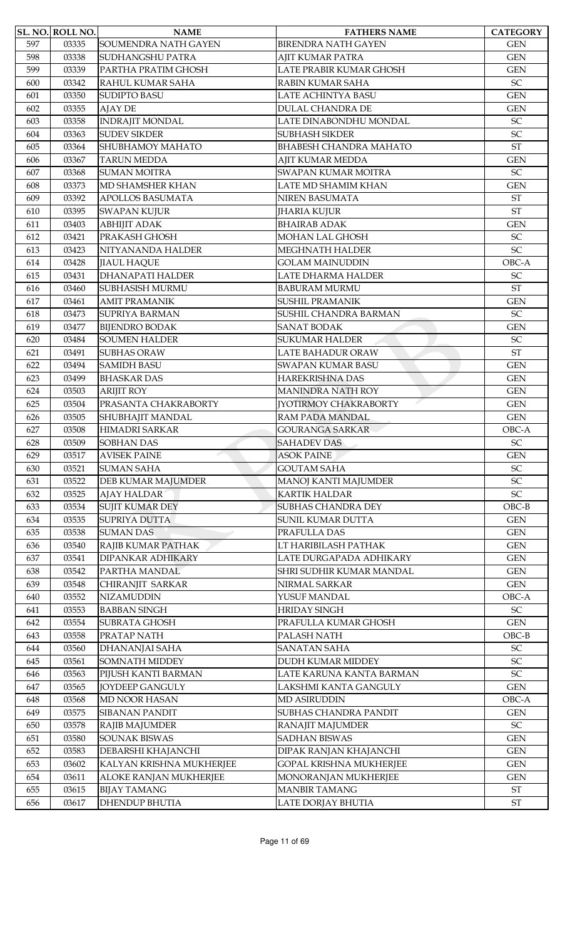|     | SL. NO. ROLL NO. | <b>NAME</b>              | <b>FATHERS NAME</b>           | <b>CATEGORY</b>            |
|-----|------------------|--------------------------|-------------------------------|----------------------------|
| 597 | 03335            | SOUMENDRA NATH GAYEN     | <b>BIRENDRA NATH GAYEN</b>    | <b>GEN</b>                 |
| 598 | 03338            | <b>SUDHANGSHU PATRA</b>  | AJIT KUMAR PATRA              | <b>GEN</b>                 |
| 599 | 03339            | PARTHA PRATIM GHOSH      | LATE PRABIR KUMAR GHOSH       | <b>GEN</b>                 |
| 600 | 03342            | RAHUL KUMAR SAHA         | RABIN KUMAR SAHA              | SC                         |
| 601 | 03350            | <b>SUDIPTO BASU</b>      | <b>LATE ACHINTYA BASU</b>     | <b>GEN</b>                 |
| 602 | 03355            | <b>AJAY DE</b>           | <b>DULAL CHANDRA DE</b>       | <b>GEN</b>                 |
| 603 | 03358            | <b>INDRAJIT MONDAL</b>   | LATE DINABONDHU MONDAL        | SC                         |
| 604 | 03363            | <b>SUDEV SIKDER</b>      | <b>SUBHASH SIKDER</b>         | SC                         |
| 605 | 03364            | SHUBHAMOY MAHATO         | <b>BHABESH CHANDRA MAHATO</b> | <b>ST</b>                  |
| 606 | 03367            | <b>TARUN MEDDA</b>       | AJIT KUMAR MEDDA              | <b>GEN</b>                 |
| 607 | 03368            | <b>SUMAN MOITRA</b>      | SWAPAN KUMAR MOITRA           | SC                         |
| 608 | 03373            | MD SHAMSHER KHAN         | LATE MD SHAMIM KHAN           | <b>GEN</b>                 |
| 609 | 03392            | <b>APOLLOS BASUMATA</b>  | NIREN BASUMATA                | <b>ST</b>                  |
| 610 | 03395            | <b>SWAPAN KUJUR</b>      | <b>IHARIA KUJUR</b>           | <b>ST</b>                  |
| 611 | 03403            | <b>ABHIJIT ADAK</b>      | <b>BHAIRAB ADAK</b>           | <b>GEN</b>                 |
| 612 | 03421            | PRAKASH GHOSH            | MOHAN LAL GHOSH               | SC                         |
| 613 | 03423            | NITYANANDA HALDER        | MEGHNATH HALDER               | SC                         |
| 614 | 03428            | <b>JIAUL HAQUE</b>       | <b>GOLAM MAINUDDIN</b>        | OBC-A                      |
| 615 | 03431            | <b>DHANAPATI HALDER</b>  | <b>LATE DHARMA HALDER</b>     | SC                         |
| 616 | 03460            | <b>SUBHASISH MURMU</b>   | <b>BABURAM MURMU</b>          | <b>ST</b>                  |
| 617 | 03461            | <b>AMIT PRAMANIK</b>     | <b>SUSHIL PRAMANIK</b>        | <b>GEN</b>                 |
| 618 | 03473            | <b>SUPRIYA BARMAN</b>    | SUSHIL CHANDRA BARMAN         | $\ensuremath{\mathsf{SC}}$ |
| 619 | 03477            | <b>BIJENDRO BODAK</b>    | <b>SANAT BODAK</b>            | <b>GEN</b>                 |
| 620 | 03484            | <b>SOUMEN HALDER</b>     | <b>SUKUMAR HALDER</b>         | SC                         |
| 621 | 03491            | <b>SUBHAS ORAW</b>       | LATE BAHADUR ORAW             | <b>ST</b>                  |
| 622 | 03494            | <b>SAMIDH BASU</b>       | <b>SWAPAN KUMAR BASU</b>      | <b>GEN</b>                 |
| 623 | 03499            | <b>BHASKAR DAS</b>       | <b>HAREKRISHNA DAS</b>        | <b>GEN</b>                 |
| 624 | 03503            | <b>ARIJIT ROY</b>        | <b>MANINDRA NATH ROY</b>      | <b>GEN</b>                 |
| 625 | 03504            | PRASANTA CHAKRABORTY     | <b>[YOTIRMOY CHAKRABORTY</b>  | <b>GEN</b>                 |
| 626 | 03505            | SHUBHAJIT MANDAL         | RAM PADA MANDAL               | <b>GEN</b>                 |
| 627 | 03508            | HIMADRI SARKAR           | <b>GOURANGA SARKAR</b>        | OBC-A                      |
| 628 | 03509            | <b>SOBHAN DAS</b>        | <b>SAHADEV DAS</b>            | SC                         |
| 629 | 03517            | <b>AVISEK PAINE</b>      | <b>ASOK PAINE</b>             | <b>GEN</b>                 |
| 630 | 03521            | <b>SUMAN SAHA</b>        | <b>GOUTAM SAHA</b>            | SC                         |
| 631 | 03522            | DEB KUMAR MAJUMDER       | <b>MANOJ KANTI MAJUMDER</b>   | SC                         |
| 632 | 03525            | <b>AJAY HALDAR</b>       | <b>KARTIK HALDAR</b>          | SC                         |
| 633 | 03534            | <b>SUJIT KUMAR DEY</b>   | <b>SUBHAS CHANDRA DEY</b>     | $OBC-B$                    |
| 634 | 03535            | SUPRIYA DUTTA            | SUNIL KUMAR DUTTA             | <b>GEN</b>                 |
| 635 | 03538            | <b>SUMAN DAS</b>         | PRAFULLA DAS                  | <b>GEN</b>                 |
| 636 | 03540            | RAJIB KUMAR PATHAK       | LT HARIBILASH PATHAK          | <b>GEN</b>                 |
| 637 | 03541            | <b>DIPANKAR ADHIKARY</b> | LATE DURGAPADA ADHIKARY       | <b>GEN</b>                 |
| 638 | 03542            | PARTHA MANDAL            | SHRI SUDHIR KUMAR MANDAL      | <b>GEN</b>                 |
| 639 | 03548            | CHIRANJIT SARKAR         | NIRMAL SARKAR                 | <b>GEN</b>                 |
| 640 | 03552            | <b>NIZAMUDDIN</b>        | YUSUF MANDAL                  | OBC-A                      |
| 641 | 03553            | <b>BABBAN SINGH</b>      | <b>HRIDAY SINGH</b>           | SC                         |
| 642 | 03554            | <b>SUBRATA GHOSH</b>     | PRAFULLA KUMAR GHOSH          | <b>GEN</b>                 |
| 643 | 03558            | PRATAP NATH              | PALASH NATH                   | $OBC-B$                    |
| 644 | 03560            | DHANANJAI SAHA           | <b>SANATAN SAHA</b>           | SC                         |
| 645 | 03561            | <b>SOMNATH MIDDEY</b>    | <b>DUDH KUMAR MIDDEY</b>      | SC                         |
| 646 | 03563            | PIJUSH KANTI BARMAN      | LATE KARUNA KANTA BARMAN      | SC                         |
| 647 | 03565            | <b>JOYDEEP GANGULY</b>   | LAKSHMI KANTA GANGULY         | <b>GEN</b>                 |
| 648 | 03568            | MD NOOR HASAN            | <b>MD ASIRUDDIN</b>           | OBC-A                      |
| 649 | 03575            | <b>SIBANAN PANDIT</b>    | SUBHAS CHANDRA PANDIT         | <b>GEN</b>                 |
| 650 | 03578            | <b>RAJIB MAJUMDER</b>    | RANAJIT MAJUMDER              | $\ensuremath{\mathsf{SC}}$ |
| 651 | 03580            | <b>SOUNAK BISWAS</b>     | <b>SADHAN BISWAS</b>          | <b>GEN</b>                 |
| 652 | 03583            | DEBARSHI KHAJANCHI       | DIPAK RANJAN KHAJANCHI        | <b>GEN</b>                 |
| 653 | 03602            | KALYAN KRISHNA MUKHERJEE | GOPAL KRISHNA MUKHERJEE       | <b>GEN</b>                 |
| 654 | 03611            | ALOKE RANJAN MUKHERJEE   | MONORANJAN MUKHERJEE          | <b>GEN</b>                 |
| 655 | 03615            | <b>BIJAY TAMANG</b>      | <b>MANBIR TAMANG</b>          | ST                         |
| 656 | 03617            | <b>DHENDUP BHUTIA</b>    | LATE DORJAY BHUTIA            | <b>ST</b>                  |
|     |                  |                          |                               |                            |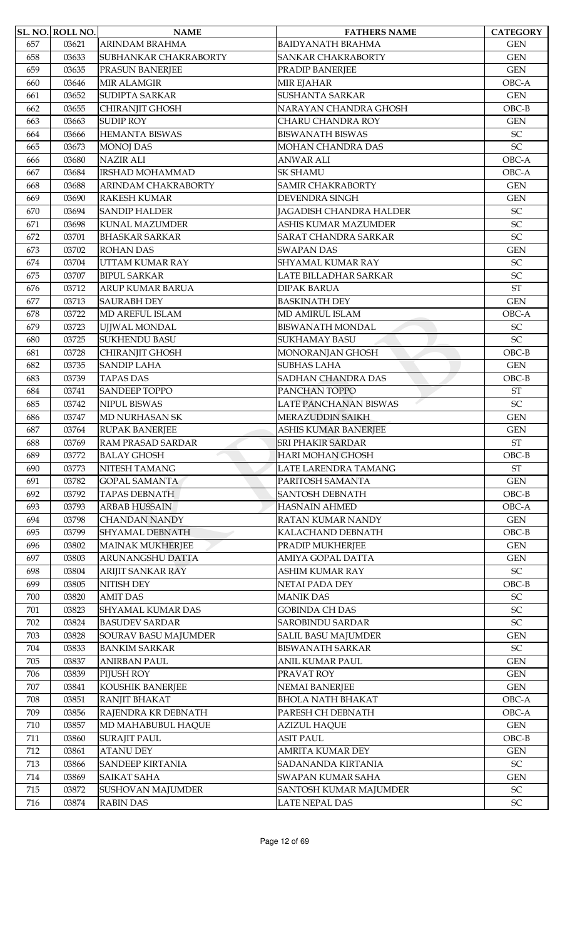|     | SL. NO. ROLL NO. | <b>NAME</b>             | <b>FATHERS NAME</b>            | <b>CATEGORY</b>            |
|-----|------------------|-------------------------|--------------------------------|----------------------------|
| 657 | 03621            | ARINDAM BRAHMA          | <b>BAIDYANATH BRAHMA</b>       | <b>GEN</b>                 |
| 658 | 03633            | SUBHANKAR CHAKRABORTY   | <b>SANKAR CHAKRABORTY</b>      | <b>GEN</b>                 |
| 659 | 03635            | PRASUN BANERJEE         | PRADIP BANERJEE                | <b>GEN</b>                 |
| 660 | 03646            | <b>MIR ALAMGIR</b>      | MIR EJAHAR                     | OBC-A                      |
| 661 | 03652            | <b>SUDIPTA SARKAR</b>   | <b>SUSHANTA SARKAR</b>         | <b>GEN</b>                 |
| 662 | 03655            | CHIRANJIT GHOSH         | NARAYAN CHANDRA GHOSH          | $OBC-B$                    |
| 663 | 03663            | <b>SUDIP ROY</b>        | CHARU CHANDRA ROY              | <b>GEN</b>                 |
| 664 | 03666            | <b>HEMANTA BISWAS</b>   | <b>BISWANATH BISWAS</b>        | SC                         |
| 665 | 03673            | <b>MONOJ DAS</b>        | MOHAN CHANDRA DAS              | SC                         |
| 666 | 03680            | <b>NAZIR ALI</b>        | <b>ANWAR ALI</b>               | OBC-A                      |
| 667 | 03684            | <b>IRSHAD MOHAMMAD</b>  | <b>SK SHAMU</b>                | OBC-A                      |
| 668 | 03688            | ARINDAM CHAKRABORTY     | <b>SAMIR CHAKRABORTY</b>       | <b>GEN</b>                 |
| 669 | 03690            | <b>RAKESH KUMAR</b>     | <b>DEVENDRA SINGH</b>          | <b>GEN</b>                 |
| 670 | 03694            | <b>SANDIP HALDER</b>    | <b>JAGADISH CHANDRA HALDER</b> | $\ensuremath{\mathsf{SC}}$ |
| 671 | 03698            | <b>KUNAL MAZUMDER</b>   | ASHIS KUMAR MAZUMDER           | SC                         |
| 672 | 03701            | <b>BHASKAR SARKAR</b>   | <b>SARAT CHANDRA SARKAR</b>    | SC                         |
| 673 | 03702            | <b>ROHAN DAS</b>        | <b>SWAPAN DAS</b>              | <b>GEN</b>                 |
| 674 | 03704            | UTTAM KUMAR RAY         | <b>SHYAMAL KUMAR RAY</b>       | SC                         |
| 675 | 03707            | <b>BIPUL SARKAR</b>     | LATE BILLADHAR SARKAR          | SC                         |
| 676 | 03712            | ARUP KUMAR BARUA        | <b>DIPAK BARUA</b>             | <b>ST</b>                  |
| 677 | 03713            | <b>SAURABH DEY</b>      | <b>BASKINATH DEY</b>           | <b>GEN</b>                 |
| 678 | 03722            | MD AREFUL ISLAM         | MD AMIRUL ISLAM                | OBC-A                      |
| 679 | 03723            | UJJWAL MONDAL           | <b>BISWANATH MONDAL</b>        | SC                         |
| 680 | 03725            | <b>SUKHENDU BASU</b>    | <b>SUKHAMAY BASU</b>           | SC                         |
| 681 | 03728            | CHIRANJIT GHOSH         | MONORANJAN GHOSH               | $OBC-B$                    |
| 682 | 03735            | <b>SANDIP LAHA</b>      | <b>SUBHAS LAHA</b>             | <b>GEN</b>                 |
| 683 | 03739            | <b>TAPAS DAS</b>        | <b>SADHAN CHANDRA DAS</b>      | $OBC-B$                    |
| 684 | 03741            | <b>SANDEEP TOPPO</b>    | PANCHAN TOPPO                  | <b>ST</b>                  |
| 685 | 03742            | NIPUL BISWAS            | LATE PANCHANAN BISWAS          | SC                         |
| 686 | 03747            | <b>MD NURHASAN SK</b>   | <b>MERAZUDDIN SAIKH</b>        | <b>GEN</b>                 |
| 687 | 03764            | <b>RUPAK BANERJEE</b>   | ASHIS KUMAR BANERJEE           | <b>GEN</b>                 |
| 688 | 03769            | RAM PRASAD SARDAR       | <b>SRI PHAKIR SARDAR</b>       | $\operatorname{ST}$        |
| 689 | 03772            | <b>BALAY GHOSH</b>      | <b>HARI MOHAN GHOSH</b>        | $OBC-B$                    |
| 690 | 03773            | NITESH TAMANG           | LATE LARENDRA TAMANG           | $\operatorname{ST}$        |
| 691 | 03782            | <b>GOPAL SAMANTA</b>    | PARITOSH SAMANTA               | <b>GEN</b>                 |
| 692 | 03792            | <b>TAPAS DEBNATH</b>    | <b>SANTOSH DEBNATH</b>         | $OBC-B$                    |
| 693 | 03793            | <b>ARBAB HUSSAIN</b>    | <b>HASNAIN AHMED</b>           | OBC-A                      |
| 694 | 03798            | <b>CHANDAN NANDY</b>    | RATAN KUMAR NANDY              | <b>GEN</b>                 |
| 695 | 03799            | <b>SHYAMAL DEBNATH</b>  | KALACHAND DEBNATH              | $OBC-B$                    |
| 696 | 03802            | <b>MAINAK MUKHERJEE</b> | PRADIP MUKHERJEE               | <b>GEN</b>                 |
| 697 | 03803            | ARUNANGSHU DATTA        | AMIYA GOPAL DATTA              | <b>GEN</b>                 |
| 698 | 03804            | ARIJIT SANKAR RAY       | <b>ASHIM KUMAR RAY</b>         | $\ensuremath{\mathsf{SC}}$ |
| 699 | 03805            | NITISH DEY              | <b>NETAI PADA DEY</b>          | $OBC-B$                    |
| 700 | 03820            | <b>AMIT DAS</b>         | <b>MANIK DAS</b>               | SC                         |
| 701 | 03823            | SHYAMAL KUMAR DAS       | <b>GOBINDA CH DAS</b>          | SC                         |
| 702 | 03824            | <b>BASUDEV SARDAR</b>   | <b>SAROBINDU SARDAR</b>        | $\ensuremath{\mathsf{SC}}$ |
| 703 | 03828            | SOURAV BASU MAJUMDER    | <b>SALIL BASU MAJUMDER</b>     | <b>GEN</b>                 |
| 704 | 03833            | <b>BANKIM SARKAR</b>    | <b>BISWANATH SARKAR</b>        | ${\rm SC}$                 |
| 705 | 03837            | <b>ANIRBAN PAUL</b>     | ANIL KUMAR PAUL                | <b>GEN</b>                 |
| 706 | 03839            | PIJUSH ROY              | PRAVAT ROY                     | <b>GEN</b>                 |
| 707 | 03841            | KOUSHIK BANERJEE        | <b>NEMAI BANERJEE</b>          | <b>GEN</b>                 |
| 708 | 03851            | RANJIT BHAKAT           | <b>BHOLA NATH BHAKAT</b>       | OBC-A                      |
| 709 | 03856            | RAJENDRA KR DEBNATH     | PARESH CH DEBNATH              | OBC-A                      |
| 710 | 03857            | MD MAHABUBUL HAQUE      | <b>AZIZUL HAQUE</b>            | <b>GEN</b>                 |
| 711 | 03860            | <b>SURAJIT PAUL</b>     | <b>ASIT PAUL</b>               | $OBC-B$                    |
| 712 | 03861            | <b>ATANU DEY</b>        | <b>AMRITA KUMAR DEY</b>        | <b>GEN</b>                 |
| 713 | 03866            | <b>SANDEEP KIRTANIA</b> | <b>SADANANDA KIRTANIA</b>      | ${\rm SC}$                 |
| 714 | 03869            | <b>SAIKAT SAHA</b>      | <b>SWAPAN KUMAR SAHA</b>       | <b>GEN</b>                 |
| 715 | 03872            | SUSHOVAN MAJUMDER       | SANTOSH KUMAR MAJUMDER         | $\ensuremath{\mathsf{SC}}$ |
| 716 | 03874            | <b>RABIN DAS</b>        | <b>LATE NEPAL DAS</b>          | $\ensuremath{\mathsf{SC}}$ |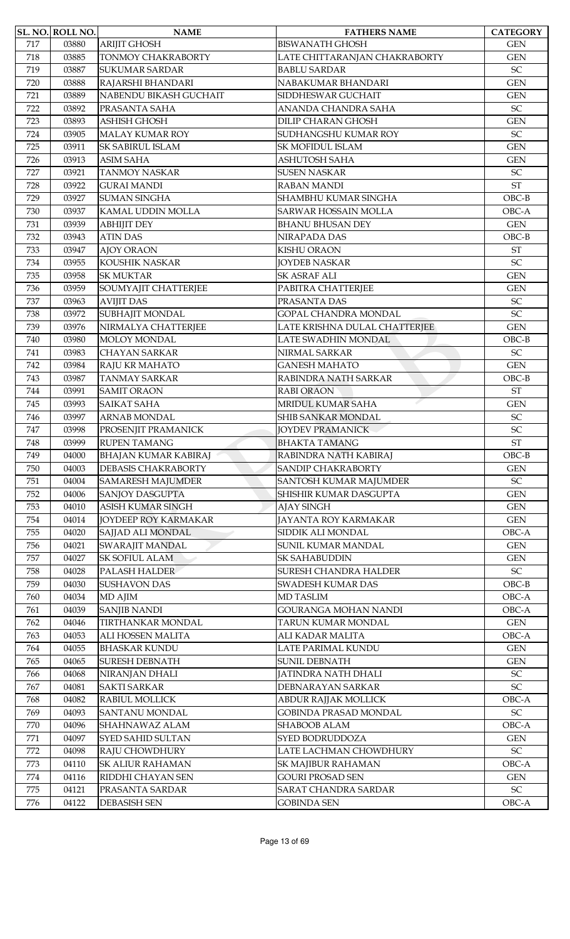|     | SL. NO. ROLL NO. | <b>NAME</b>                 | <b>FATHERS NAME</b>           | <b>CATEGORY</b>            |
|-----|------------------|-----------------------------|-------------------------------|----------------------------|
| 717 | 03880            | <b>ARIJIT GHOSH</b>         | <b>BISWANATH GHOSH</b>        | <b>GEN</b>                 |
| 718 | 03885            | <b>TONMOY CHAKRABORTY</b>   | LATE CHITTARANJAN CHAKRABORTY | <b>GEN</b>                 |
| 719 | 03887            | <b>SUKUMAR SARDAR</b>       | <b>BABLU SARDAR</b>           | $\ensuremath{\mathsf{SC}}$ |
| 720 | 03888            | RAJARSHI BHANDARI           | NABAKUMAR BHANDARI            | <b>GEN</b>                 |
| 721 | 03889            | NABENDU BIKASH GUCHAIT      | SIDDHESWAR GUCHAIT            | <b>GEN</b>                 |
| 722 | 03892            | PRASANTA SAHA               | ANANDA CHANDRA SAHA           | $\ensuremath{\mathsf{SC}}$ |
| 723 | 03893            | <b>ASHISH GHOSH</b>         | <b>DILIP CHARAN GHOSH</b>     | <b>GEN</b>                 |
| 724 | 03905            | <b>MALAY KUMAR ROY</b>      | SUDHANGSHU KUMAR ROY          | $\ensuremath{\mathsf{SC}}$ |
| 725 | 03911            | <b>SK SABIRUL ISLAM</b>     | SK MOFIDUL ISLAM              | <b>GEN</b>                 |
| 726 | 03913            | <b>ASIM SAHA</b>            | <b>ASHUTOSH SAHA</b>          | <b>GEN</b>                 |
| 727 | 03921            | <b>TANMOY NASKAR</b>        | <b>SUSEN NASKAR</b>           | SC                         |
| 728 | 03922            | <b>GURAI MANDI</b>          | <b>RABAN MANDI</b>            | <b>ST</b>                  |
| 729 | 03927            | <b>SUMAN SINGHA</b>         | SHAMBHU KUMAR SINGHA          | $OBC-B$                    |
| 730 | 03937            | KAMAL UDDIN MOLLA           | <b>SARWAR HOSSAIN MOLLA</b>   | OBC-A                      |
| 731 | 03939            | <b>ABHIJIT DEY</b>          | <b>BHANU BHUSAN DEY</b>       | <b>GEN</b>                 |
| 732 | 03943            | <b>ATIN DAS</b>             | NIRAPADA DAS                  | $OBC-B$                    |
| 733 | 03947            | <b>AJOY ORAON</b>           | <b>KISHU ORAON</b>            | <b>ST</b>                  |
| 734 | 03955            | KOUSHIK NASKAR              | <b>JOYDEB NASKAR</b>          | SC                         |
| 735 | 03958            | <b>SK MUKTAR</b>            | SK ASRAF ALI                  | <b>GEN</b>                 |
| 736 | 03959            | SOUMYAJIT CHATTERJEE        | PABITRA CHATTERJEE            | <b>GEN</b>                 |
| 737 | 03963            | <b>AVIJIT DAS</b>           | PRASANTA DAS                  | SC                         |
|     |                  |                             |                               | SC                         |
| 738 | 03972            | SUBHAJIT MONDAL             | GOPAL CHANDRA MONDAL          |                            |
| 739 | 03976            | NIRMALYA CHATTERJEE         | LATE KRISHNA DULAL CHATTERJEE | <b>GEN</b>                 |
| 740 | 03980            | <b>MOLOY MONDAL</b>         | LATE SWADHIN MONDAL           | $OBC-B$                    |
| 741 | 03983            | <b>CHAYAN SARKAR</b>        | NIRMAL SARKAR                 | SC                         |
| 742 | 03984            | <b>RAJU KR MAHATO</b>       | <b>GANESH MAHATO</b>          | <b>GEN</b>                 |
| 743 | 03987            | <b>TANMAY SARKAR</b>        | RABINDRA NATH SARKAR          | $OBC-B$                    |
| 744 | 03991            | <b>SAMIT ORAON</b>          | <b>RABI ORAON</b>             | <b>ST</b>                  |
| 745 | 03993            | <b>SAIKAT SAHA</b>          | MRIDUL KUMAR SAHA             | <b>GEN</b>                 |
| 746 | 03997            | <b>ARNAB MONDAL</b>         | SHIB SANKAR MONDAL            | SC                         |
| 747 | 03998            | PROSENJIT PRAMANICK         | <b>JOYDEV PRAMANICK</b>       | SC                         |
| 748 | 03999            | <b>RUPEN TAMANG</b>         | <b>BHAKTA TAMANG</b>          | $\operatorname{ST}$        |
| 749 | 04000            | <b>BHAJAN KUMAR KABIRAJ</b> | RABINDRA NATH KABIRAJ         | $OBC-B$                    |
| 750 | 04003            | <b>DEBASIS CHAKRABORTY</b>  | SANDIP CHAKRABORTY            | <b>GEN</b>                 |
| 751 | 04004            | <b>SAMARESH MAJUMDER</b>    | SANTOSH KUMAR MAJUMDER        | $\ensuremath{\mathsf{SC}}$ |
| 752 | 04006            | <b>SANJOY DASGUPTA</b>      | SHISHIR KUMAR DASGUPTA        | <b>GEN</b>                 |
| 753 | 04010            | <b>ASISH KUMAR SINGH</b>    | <b>AJAY SINGH</b>             | <b>GEN</b>                 |
| 754 | 04014            | <b>JOYDEEP ROY KARMAKAR</b> | JAYANTA ROY KARMAKAR          | <b>GEN</b>                 |
| 755 | 04020            | SAJJAD ALI MONDAL           | SIDDIK ALI MONDAL             | OBC-A                      |
| 756 | 04021            | SWARAJIT MANDAL             | SUNIL KUMAR MANDAL            | <b>GEN</b>                 |
| 757 | 04027            | <b>SK SOFIUL ALAM</b>       | SK SAHABUDDIN                 | <b>GEN</b>                 |
| 758 | 04028            | PALASH HALDER               | SURESH CHANDRA HALDER         | $\ensuremath{\mathsf{SC}}$ |
| 759 | 04030            | <b>SUSHAVON DAS</b>         | SWADESH KUMAR DAS             | $OBC-B$                    |
| 760 | 04034            | MD AJIM                     | <b>MD TASLIM</b>              | OBC-A                      |
| 761 | 04039            | <b>SANJIB NANDI</b>         | GOURANGA MOHAN NANDI          | OBC-A                      |
| 762 | 04046            | TIRTHANKAR MONDAL           | TARUN KUMAR MONDAL            | <b>GEN</b>                 |
| 763 | 04053            | ALI HOSSEN MALITA           | ALI KADAR MALITA              | OBC-A                      |
| 764 | 04055            | <b>BHASKAR KUNDU</b>        | LATE PARIMAL KUNDU            | <b>GEN</b>                 |
| 765 | 04065            | <b>SURESH DEBNATH</b>       | <b>SUNIL DEBNATH</b>          | <b>GEN</b>                 |
| 766 | 04068            | NIRANJAN DHALI              | <b>JATINDRA NATH DHALI</b>    | $\ensuremath{\mathsf{SC}}$ |
| 767 | 04081            | <b>SAKTI SARKAR</b>         | DEBNARAYAN SARKAR             | SC                         |
| 768 | 04082            | <b>RABIUL MOLLICK</b>       | ABDUR RAJJAK MOLLICK          | OBC-A                      |
| 769 | 04093            | <b>SANTANU MONDAL</b>       | <b>GOBINDA PRASAD MONDAL</b>  | $\ensuremath{\mathsf{SC}}$ |
| 770 | 04096            | SHAHNAWAZ ALAM              | SHABOOB ALAM                  | OBC-A                      |
| 771 | 04097            | <b>SYED SAHID SULTAN</b>    | SYED BODRUDDOZA               | <b>GEN</b>                 |
| 772 | 04098            | RAJU CHOWDHURY              | LATE LACHMAN CHOWDHURY        | $\ensuremath{\mathsf{SC}}$ |
| 773 | 04110            | <b>SK ALIUR RAHAMAN</b>     | SK MAJIBUR RAHAMAN            | OBC-A                      |
| 774 | 04116            | RIDDHI CHAYAN SEN           | <b>GOURI PROSAD SEN</b>       | <b>GEN</b>                 |
| 775 | 04121            | PRASANTA SARDAR             | SARAT CHANDRA SARDAR          | $\ensuremath{\mathsf{SC}}$ |
| 776 | 04122            | <b>DEBASISH SEN</b>         | <b>GOBINDA SEN</b>            | $OBC-A$                    |
|     |                  |                             |                               |                            |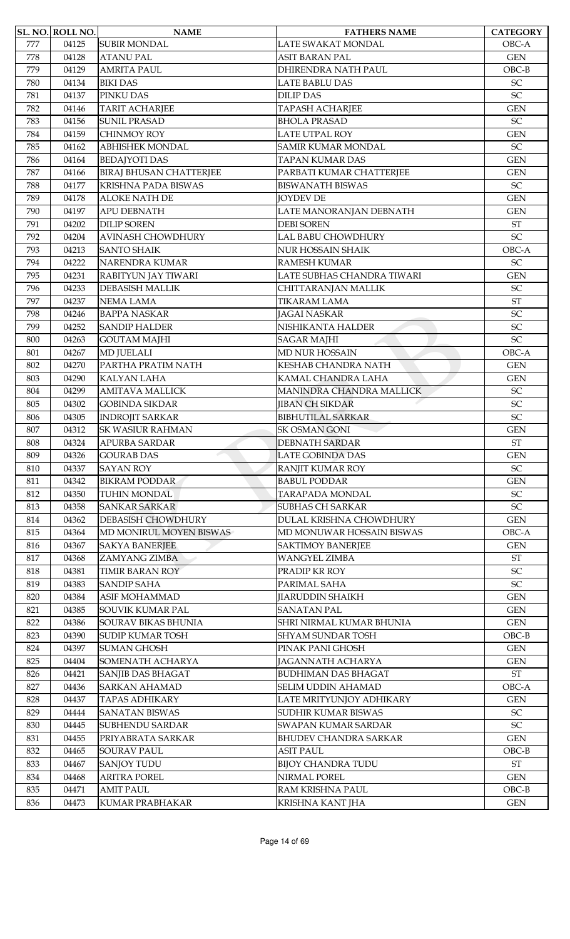|     | SL. NO. ROLL NO. | <b>NAME</b>                    | <b>FATHERS NAME</b>          | <b>CATEGORY</b>            |
|-----|------------------|--------------------------------|------------------------------|----------------------------|
| 777 | 04125            | <b>SUBIR MONDAL</b>            | LATE SWAKAT MONDAL           | OBC-A                      |
| 778 | 04128            | <b>ATANU PAL</b>               | ASIT BARAN PAL               | <b>GEN</b>                 |
| 779 | 04129            | <b>AMRITA PAUL</b>             | DHIRENDRA NATH PAUL          | $OBC-B$                    |
| 780 | 04134            | <b>BIKI DAS</b>                | <b>LATE BABLU DAS</b>        | SC                         |
| 781 | 04137            | PINKU DAS                      | <b>DILIP DAS</b>             | SC                         |
| 782 | 04146            | <b>TARIT ACHARJEE</b>          | <b>TAPASH ACHARJEE</b>       | <b>GEN</b>                 |
| 783 | 04156            | <b>SUNIL PRASAD</b>            | <b>BHOLA PRASAD</b>          | SC                         |
| 784 | 04159            | CHINMOY ROY                    | <b>LATE UTPAL ROY</b>        | <b>GEN</b>                 |
| 785 | 04162            | <b>ABHISHEK MONDAL</b>         | <b>SAMIR KUMAR MONDAL</b>    | $\ensuremath{\mathsf{SC}}$ |
| 786 | 04164            | <b>BEDAJYOTI DAS</b>           | <b>TAPAN KUMAR DAS</b>       | <b>GEN</b>                 |
| 787 | 04166            | <b>BIRAJ BHUSAN CHATTERJEE</b> | PARBATI KUMAR CHATTERJEE     | <b>GEN</b>                 |
| 788 | 04177            | <b>KRISHNA PADA BISWAS</b>     | <b>BISWANATH BISWAS</b>      | $\ensuremath{\mathsf{SC}}$ |
| 789 | 04178            | <b>ALOKE NATH DE</b>           | <b>JOYDEV DE</b>             | <b>GEN</b>                 |
| 790 | 04197            | <b>APU DEBNATH</b>             | LATE MANORANJAN DEBNATH      | <b>GEN</b>                 |
| 791 | 04202            | <b>DILIP SOREN</b>             | <b>DEBI SOREN</b>            | $\operatorname{ST}$        |
| 792 | 04204            | <b>AVINASH CHOWDHURY</b>       | <b>LAL BABU CHOWDHURY</b>    | $\ensuremath{\mathsf{SC}}$ |
| 793 | 04213            | <b>SANTO SHAIK</b>             | <b>NUR HOSSAIN SHAIK</b>     | OBC-A                      |
| 794 | 04222            | <b>NARENDRA KUMAR</b>          | <b>RAMESH KUMAR</b>          | SC                         |
| 795 | 04231            | RABITYUN JAY TIWARI            | LATE SUBHAS CHANDRA TIWARI   | <b>GEN</b>                 |
| 796 | 04233            | <b>DEBASISH MALLIK</b>         | CHITTARANJAN MALLIK          | SC                         |
| 797 | 04237            | <b>NEMA LAMA</b>               | <b>TIKARAM LAMA</b>          | <b>ST</b>                  |
| 798 | 04246            | <b>BAPPA NASKAR</b>            | <b>JAGAI NASKAR</b>          | SC                         |
| 799 | 04252            | <b>SANDIP HALDER</b>           | NISHIKANTA HALDER            | SC                         |
| 800 | 04263            | <b>GOUTAM MAJHI</b>            | <b>SAGAR MAJHI</b>           | SC                         |
| 801 | 04267            | <b>MD JUELALI</b>              | <b>MD NUR HOSSAIN</b>        | OBC-A                      |
| 802 | 04270            | PARTHA PRATIM NATH             | <b>KESHAB CHANDRA NATH</b>   | <b>GEN</b>                 |
| 803 | 04290            | <b>KALYAN LAHA</b>             | KAMAL CHANDRA LAHA           | <b>GEN</b>                 |
| 804 | 04299            | <b>AMITAVA MALLICK</b>         | MANINDRA CHANDRA MALLICK     | <b>SC</b>                  |
| 805 | 04302            | <b>GOBINDA SIKDAR</b>          | <b>JIBAN CH SIKDAR</b>       | SC                         |
| 806 | 04305            | <b>INDROJIT SARKAR</b>         | <b>BIBHUTILAL SARKAR</b>     | SC                         |
| 807 | 04312            | <b>SK WASIUR RAHMAN</b>        | <b>SK OSMAN GONI</b>         | <b>GEN</b>                 |
| 808 | 04324            | APURBA SARDAR                  | <b>DEBNATH SARDAR</b>        | <b>ST</b>                  |
| 809 | 04326            | <b>GOURAB DAS</b>              | <b>LATE GOBINDA DAS</b>      | <b>GEN</b>                 |
| 810 | 04337            | <b>SAYAN ROY</b>               | RANJIT KUMAR ROY             | $\ensuremath{\mathsf{SC}}$ |
| 811 | 04342            | <b>BIKRAM PODDAR</b>           | <b>BABUL PODDAR</b>          | <b>GEN</b>                 |
| 812 | 04350            | TUHIN MONDAL                   | TARAPADA MONDAL              | $\ensuremath{\mathsf{SC}}$ |
| 813 | 04358            | <b>SANKAR SARKAR</b>           | <b>SUBHAS CH SARKAR</b>      | $\ensuremath{\mathsf{SC}}$ |
| 814 | 04362            | DEBASISH CHOWDHURY             | DULAL KRISHNA CHOWDHURY      | <b>GEN</b>                 |
| 815 | 04364            | MD MONIRUL MOYEN BISWAS        | MD MONUWAR HOSSAIN BISWAS    | OBC-A                      |
| 816 | 04367            | <b>SAKYA BANERJEE</b>          | <b>SAKTIMOY BANERJEE</b>     | <b>GEN</b>                 |
| 817 | 04368            | ZAMYANG ZIMBA                  | <b>WANGYEL ZIMBA</b>         | $\operatorname{ST}$        |
| 818 | 04381            | <b>TIMIR BARAN ROY</b>         | PRADIP KR ROY                | SC                         |
| 819 | 04383            | <b>SANDIP SAHA</b>             | PARIMAL SAHA                 | SC                         |
| 820 | 04384            | <b>ASIF MOHAMMAD</b>           | <b>JIARUDDIN SHAIKH</b>      | <b>GEN</b>                 |
| 821 | 04385            | SOUVIK KUMAR PAL               | <b>SANATAN PAL</b>           | <b>GEN</b>                 |
| 822 | 04386            | SOURAV BIKAS BHUNIA            | SHRI NIRMAL KUMAR BHUNIA     | <b>GEN</b>                 |
| 823 | 04390            | <b>SUDIP KUMAR TOSH</b>        | SHYAM SUNDAR TOSH            | $OBC-B$                    |
| 824 | 04397            | <b>SUMAN GHOSH</b>             | PINAK PANI GHOSH             | <b>GEN</b>                 |
| 825 | 04404            | SOMENATH ACHARYA               | JAGANNATH ACHARYA            | <b>GEN</b>                 |
| 826 | 04421            | <b>SANJIB DAS BHAGAT</b>       | <b>BUDHIMAN DAS BHAGAT</b>   | $\operatorname{ST}$        |
| 827 | 04436            | <b>SARKAN AHAMAD</b>           | SELIM UDDIN AHAMAD           | OBC-A                      |
| 828 | 04437            | <b>TAPAS ADHIKARY</b>          | LATE MRITYUNJOY ADHIKARY     | <b>GEN</b>                 |
| 829 | 04444            | <b>SANATAN BISWAS</b>          | SUDHIR KUMAR BISWAS          | $\ensuremath{\mathsf{SC}}$ |
| 830 | 04445            | <b>SUBHENDU SARDAR</b>         | SWAPAN KUMAR SARDAR          | $\ensuremath{\mathsf{SC}}$ |
| 831 | 04455            | PRIYABRATA SARKAR              | <b>BHUDEV CHANDRA SARKAR</b> | <b>GEN</b>                 |
| 832 | 04465            | <b>SOURAV PAUL</b>             | <b>ASIT PAUL</b>             | $OBC-B$                    |
| 833 | 04467            | <b>SANJOY TUDU</b>             | <b>BIJOY CHANDRA TUDU</b>    | $\operatorname{ST}$        |
| 834 | 04468            | <b>ARITRA POREL</b>            | NIRMAL POREL                 | <b>GEN</b>                 |
| 835 | 04471            | <b>AMIT PAUL</b>               | RAM KRISHNA PAUL             | $OBC-B$                    |
| 836 | 04473            | KUMAR PRABHAKAR                | KRISHNA KANT JHA             | <b>GEN</b>                 |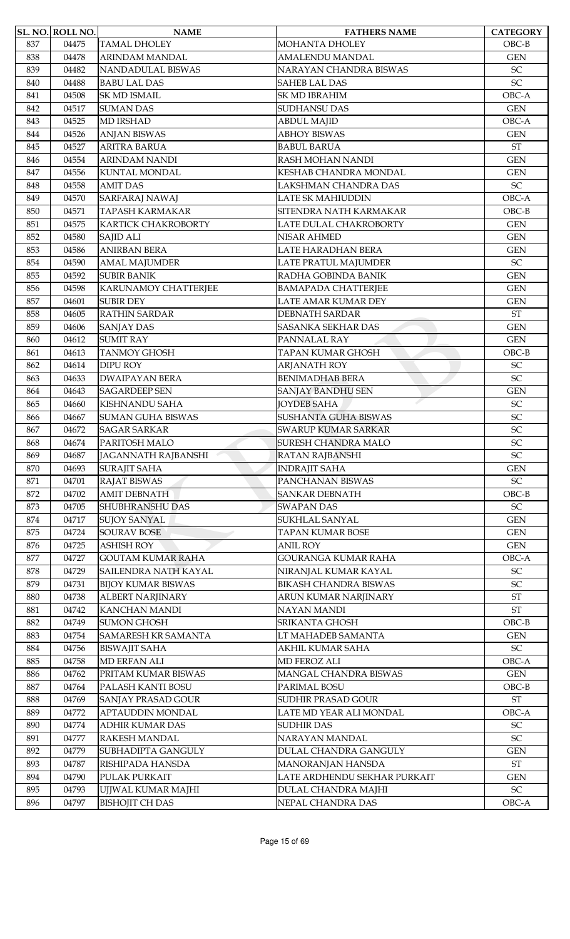|     | <b>SL. NO. ROLL NO.</b> | <b>NAME</b>                                     | <b>FATHERS NAME</b>          | <b>CATEGORY</b>            |
|-----|-------------------------|-------------------------------------------------|------------------------------|----------------------------|
| 837 | 04475                   | <b>TAMAL DHOLEY</b>                             | MOHANTA DHOLEY               | $OBC-B$                    |
| 838 | 04478                   | ARINDAM MANDAL                                  | <b>AMALENDU MANDAL</b>       | <b>GEN</b>                 |
| 839 | 04482                   | NANDADULAL BISWAS                               | NARAYAN CHANDRA BISWAS       | SC                         |
| 840 | 04488                   | <b>BABU LAL DAS</b>                             | <b>SAHEB LAL DAS</b>         | SC                         |
| 841 | 04508                   | <b>SK MD ISMAIL</b>                             | SK MD IBRAHIM                | OBC-A                      |
| 842 | 04517                   | <b>SUMAN DAS</b>                                | SUDHANSU DAS                 | <b>GEN</b>                 |
| 843 | 04525                   | <b>MD IRSHAD</b>                                | <b>ABDUL MAJID</b>           | OBC-A                      |
| 844 | 04526                   | <b>ANJAN BISWAS</b>                             | <b>ABHOY BISWAS</b>          | <b>GEN</b>                 |
| 845 | 04527                   | <b>ARITRA BARUA</b>                             | <b>BABUL BARUA</b>           | <b>ST</b>                  |
| 846 | 04554                   | <b>ARINDAM NANDI</b>                            | RASH MOHAN NANDI             | <b>GEN</b>                 |
| 847 | 04556                   | <b>KUNTAL MONDAL</b>                            | KESHAB CHANDRA MONDAL        | <b>GEN</b>                 |
| 848 | 04558                   | <b>AMIT DAS</b>                                 | LAKSHMAN CHANDRA DAS         | $\ensuremath{\mathsf{SC}}$ |
| 849 | 04570                   | <b>SARFARAJ NAWAJ</b>                           | <b>LATE SK MAHIUDDIN</b>     | OBC-A                      |
| 850 | 04571                   | <b>TAPASH KARMAKAR</b>                          | SITENDRA NATH KARMAKAR       | $OBC-B$                    |
| 851 | 04575                   | KARTICK CHAKROBORTY                             | LATE DULAL CHAKROBORTY       | <b>GEN</b>                 |
| 852 | 04580                   | SAJID ALI                                       | NISAR AHMED                  | <b>GEN</b>                 |
| 853 | 04586                   | <b>ANIRBAN BERA</b>                             | LATE HARADHAN BERA           | <b>GEN</b>                 |
| 854 | 04590                   | <b>AMAL MAJUMDER</b>                            | LATE PRATUL MAJUMDER         | SC                         |
| 855 | 04592                   | <b>SUBIR BANIK</b>                              | RADHA GOBINDA BANIK          | <b>GEN</b>                 |
| 856 | 04598                   | <b>KARUNAMOY CHATTERJEE</b>                     | <b>BAMAPADA CHATTERJEE</b>   | <b>GEN</b>                 |
| 857 | 04601                   | <b>SUBIR DEY</b>                                | LATE AMAR KUMAR DEY          | <b>GEN</b>                 |
| 858 | 04605                   | <b>RATHIN SARDAR</b>                            | <b>DEBNATH SARDAR</b>        | $\operatorname{ST}$        |
| 859 | 04606                   | <b>SANJAY DAS</b>                               | SASANKA SEKHAR DAS           | <b>GEN</b>                 |
| 860 | 04612                   | <b>SUMIT RAY</b>                                | PANNALAL RAY                 | <b>GEN</b>                 |
| 861 | 04613                   | <b>TANMOY GHOSH</b>                             | TAPAN KUMAR GHOSH            | $OBC-B$                    |
| 862 | 04614                   | <b>DIPU ROY</b>                                 | <b>ARJANATH ROY</b>          | SC                         |
|     | 04633                   | <b>DWAIPAYAN BERA</b>                           | <b>BENIMADHAB BERA</b>       | SC                         |
| 863 |                         |                                                 |                              |                            |
| 864 | 04643                   | <b>SAGARDEEP SEN</b><br><b>KISHNANDU SAHA</b>   | SANJAY BANDHU SEN            | <b>GEN</b>                 |
| 865 | 04660                   |                                                 | <b>JOYDEB SAHA</b>           | SC<br>SC                   |
| 866 | 04667                   | <b>SUMAN GUHA BISWAS</b><br><b>SAGAR SARKAR</b> | <b>SUSHANTA GUHA BISWAS</b>  | SC                         |
| 867 | 04672                   |                                                 | <b>SWARUP KUMAR SARKAR</b>   |                            |
| 868 | 04674                   | PARITOSH MALO                                   | <b>SURESH CHANDRA MALO</b>   | SC                         |
| 869 | 04687                   | JAGANNATH RAJBANSHI                             | <b>RATAN RAJBANSHI</b>       | <b>SC</b>                  |
| 870 | 04693                   | <b>SURAJIT SAHA</b>                             | <b>INDRAJIT SAHA</b>         | <b>GEN</b>                 |
| 871 | 04701                   | <b>RAJAT BISWAS</b>                             | PANCHANAN BISWAS             | $\ensuremath{\mathsf{SC}}$ |
| 872 | 04702                   | <b>AMIT DEBNATH</b>                             | <b>SANKAR DEBNATH</b>        | $OBC-B$                    |
| 873 | 04705                   | <b>SHUBHRANSHU DAS</b>                          | <b>SWAPAN DAS</b>            | SC                         |
| 874 | 04717                   | <b>SUJOY SANYAL</b>                             | SUKHLAL SANYAL               | <b>GEN</b>                 |
| 875 | 04724                   | <b>SOURAV BOSE</b>                              | <b>TAPAN KUMAR BOSE</b>      | <b>GEN</b>                 |
| 876 | 04725                   | <b>ASHISH ROY</b>                               | <b>ANIL ROY</b>              | <b>GEN</b>                 |
| 877 | 04727                   | <b>GOUTAM KUMAR RAHA</b>                        | GOURANGA KUMAR RAHA          | OBC-A                      |
| 878 | 04729                   | SAILENDRA NATH KAYAL                            | NIRANJAL KUMAR KAYAL         | $\ensuremath{\mathsf{SC}}$ |
| 879 | 04731                   | <b>BIJOY KUMAR BISWAS</b>                       | <b>BIKASH CHANDRA BISWAS</b> | $\ensuremath{\mathsf{SC}}$ |
| 880 | 04738                   | <b>ALBERT NARJINARY</b>                         | ARUN KUMAR NARJINARY         | $\operatorname{ST}$        |
| 881 | 04742                   | <b>KANCHAN MANDI</b>                            | NAYAN MANDI                  | $\operatorname{ST}$        |
| 882 | 04749                   | <b>SUMON GHOSH</b>                              | SRIKANTA GHOSH               | $OBC-B$                    |
| 883 | 04754                   | SAMARESH KR SAMANTA                             | LT MAHADEB SAMANTA           | <b>GEN</b>                 |
| 884 | 04756                   | <b>BISWAJIT SAHA</b>                            | AKHIL KUMAR SAHA             | $\ensuremath{\mathsf{SC}}$ |
| 885 | 04758                   | <b>MD ERFAN ALI</b>                             | MD FEROZ ALI                 | OBC-A                      |
| 886 | 04762                   | PRITAM KUMAR BISWAS                             | MANGAL CHANDRA BISWAS        | <b>GEN</b>                 |
| 887 | 04764                   | PALASH KANTI BOSU                               | PARIMAL BOSU                 | $OBC-B$                    |
| 888 | 04769                   | <b>SANJAY PRASAD GOUR</b>                       | SUDHIR PRASAD GOUR           | $\operatorname{ST}$        |
| 889 | 04772                   | APTAUDDIN MONDAL                                | LATE MD YEAR ALI MONDAL      | OBC-A                      |
| 890 | 04774                   | <b>ADHIR KUMAR DAS</b>                          | <b>SUDHIR DAS</b>            | ${\rm SC}$                 |
| 891 | 04777                   | <b>RAKESH MANDAL</b>                            | NARAYAN MANDAL               | SC                         |
| 892 | 04779                   | SUBHADIPTA GANGULY                              | <b>DULAL CHANDRA GANGULY</b> | <b>GEN</b>                 |
| 893 | 04787                   | RISHIPADA HANSDA                                | MANORANJAN HANSDA            | $\operatorname{ST}$        |
| 894 | 04790                   | PULAK PURKAIT                                   | LATE ARDHENDU SEKHAR PURKAIT | <b>GEN</b>                 |
| 895 | 04793                   | UJJWAL KUMAR MAJHI                              | DULAL CHANDRA MAJHI          | $\ensuremath{\mathsf{SC}}$ |
| 896 | 04797                   | <b>BISHOJIT CH DAS</b>                          | NEPAL CHANDRA DAS            | OBC-A                      |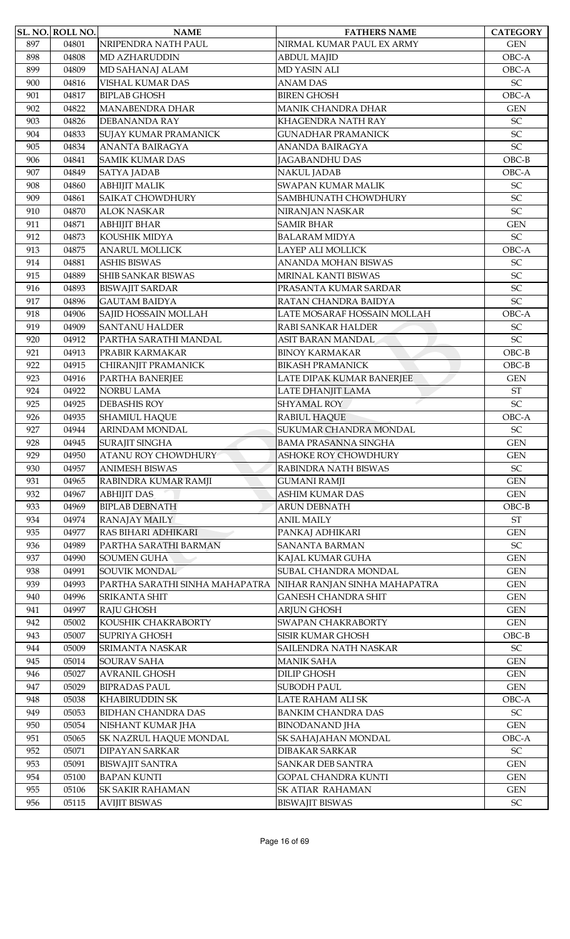|     | <b>SL. NO. ROLL NO.</b> | <b>NAME</b>                    | <b>FATHERS NAME</b>          | <b>CATEGORY</b>            |
|-----|-------------------------|--------------------------------|------------------------------|----------------------------|
| 897 | 04801                   | NRIPENDRA NATH PAUL            | NIRMAL KUMAR PAUL EX ARMY    | <b>GEN</b>                 |
| 898 | 04808                   | <b>MD AZHARUDDIN</b>           | <b>ABDUL MAJID</b>           | OBC-A                      |
| 899 | 04809                   | MD SAHANAJ ALAM                | <b>MD YASIN ALI</b>          | OBC-A                      |
| 900 | 04816                   | VISHAL KUMAR DAS               | <b>ANAM DAS</b>              | SC                         |
| 901 | 04817                   | <b>BIPLAB GHOSH</b>            | <b>BIREN GHOSH</b>           | OBC-A                      |
| 902 | 04822                   | <b>MANABENDRA DHAR</b>         | <b>MANIK CHANDRA DHAR</b>    | <b>GEN</b>                 |
| 903 | 04826                   | <b>DEBANANDA RAY</b>           | <b>KHAGENDRA NATH RAY</b>    | SC                         |
| 904 | 04833                   | <b>SUJAY KUMAR PRAMANICK</b>   | <b>GUNADHAR PRAMANICK</b>    | SC                         |
| 905 | 04834                   | <b>ANANTA BAIRAGYA</b>         | <b>ANANDA BAIRAGYA</b>       | <b>SC</b>                  |
| 906 | 04841                   | <b>SAMIK KUMAR DAS</b>         | <b>JAGABANDHU DAS</b>        | $OBC-B$                    |
| 907 | 04849                   | <b>SATYA JADAB</b>             | <b>NAKUL JADAB</b>           | OBC-A                      |
| 908 | 04860                   | <b>ABHIJIT MALIK</b>           | SWAPAN KUMAR MALIK           | $\ensuremath{\mathsf{SC}}$ |
| 909 | 04861                   | <b>SAIKAT CHOWDHURY</b>        | SAMBHUNATH CHOWDHURY         | <b>SC</b>                  |
| 910 | 04870                   | <b>ALOK NASKAR</b>             | NIRANJAN NASKAR              | SC                         |
| 911 | 04871                   | <b>ABHIJIT BHAR</b>            | <b>SAMIR BHAR</b>            | <b>GEN</b>                 |
| 912 | 04873                   | KOUSHIK MIDYA                  | <b>BALARAM MIDYA</b>         | $\ensuremath{\mathsf{SC}}$ |
| 913 | 04875                   | <b>ANARUL MOLLICK</b>          | LAYEP ALI MOLLICK            | OBC-A                      |
| 914 | 04881                   | <b>ASHIS BISWAS</b>            | ANANDA MOHAN BISWAS          | SC                         |
| 915 | 04889                   | <b>SHIB SANKAR BISWAS</b>      | MRINAL KANTI BISWAS          | SC                         |
| 916 | 04893                   | <b>BISWAJIT SARDAR</b>         | PRASANTA KUMAR SARDAR        | SC                         |
| 917 | 04896                   | <b>GAUTAM BAIDYA</b>           | RATAN CHANDRA BAIDYA         | SC                         |
| 918 | 04906                   | SAJID HOSSAIN MOLLAH           | LATE MOSARAF HOSSAIN MOLLAH  | OBC-A                      |
| 919 | 04909                   | <b>SANTANU HALDER</b>          | RABI SANKAR HALDER           | SC                         |
| 920 | 04912                   | PARTHA SARATHI MANDAL          | ASIT BARAN MANDAL            | SC                         |
| 921 | 04913                   | PRABIR KARMAKAR                | <b>BINOY KARMAKAR</b>        | $OBC-B$                    |
| 922 | 04915                   | CHIRANJIT PRAMANICK            | <b>BIKASH PRAMANICK</b>      | $OBC-B$                    |
| 923 | 04916                   | PARTHA BANERJEE                | LATE DIPAK KUMAR BANERJEE    | <b>GEN</b>                 |
| 924 | 04922                   | <b>NORBU LAMA</b>              | LATE DHANJIT LAMA            | <b>ST</b>                  |
| 925 | 04925                   | <b>DEBASHIS ROY</b>            | <b>SHYAMAL ROY</b>           | <b>SC</b>                  |
| 926 | 04935                   | <b>SHAMIUL HAQUE</b>           | RABIUL HAQUE                 | OBC-A                      |
| 927 | 04944                   | <b>ARINDAM MONDAL</b>          | SUKUMAR CHANDRA MONDAL       | SC                         |
| 928 | 04945                   | <b>SURAJIT SINGHA</b>          | <b>BAMA PRASANNA SINGHA</b>  | <b>GEN</b>                 |
| 929 | 04950                   | <b>ATANU ROY CHOWDHURY</b>     | ASHOKE ROY CHOWDHURY         | <b>GEN</b>                 |
| 930 | 04957                   | <b>ANIMESH BISWAS</b>          | RABINDRA NATH BISWAS         | SC                         |
| 931 | 04965                   | RABINDRA KUMAR RAMJI           | <b>GUMANI RAMJI</b>          | <b>GEN</b>                 |
| 932 | 04967                   | <b>ABHIJIT DAS</b>             | <b>ASHIM KUMAR DAS</b>       | <b>GEN</b>                 |
| 933 | 04969                   | <b>BIPLAB DEBNATH</b>          | <b>ARUN DEBNATH</b>          | $OBC-B$                    |
| 934 | 04974                   | RANAJAY MAILY                  | <b>ANIL MAILY</b>            | <b>ST</b>                  |
| 935 | 04977                   | RAS BIHARI ADHIKARI            | PANKAJ ADHIKARI              | <b>GEN</b>                 |
| 936 | 04989                   | PARTHA SARATHI BARMAN          | <b>SANANTA BARMAN</b>        | $\ensuremath{\mathsf{SC}}$ |
| 937 | 04990                   | <b>SOUMEN GUHA</b>             | KAJAL KUMAR GUHA             | <b>GEN</b>                 |
| 938 | 04991                   | <b>SOUVIK MONDAL</b>           | SUBAL CHANDRA MONDAL         | <b>GEN</b>                 |
| 939 | 04993                   | PARTHA SARATHI SINHA MAHAPATRA | NIHAR RANJAN SINHA MAHAPATRA | <b>GEN</b>                 |
| 940 | 04996                   | <b>SRIKANTA SHIT</b>           | <b>GANESH CHANDRA SHIT</b>   | <b>GEN</b>                 |
| 941 | 04997                   | RAJU GHOSH                     | <b>ARJUN GHOSH</b>           | <b>GEN</b>                 |
| 942 | 05002                   | KOUSHIK CHAKRABORTY            | SWAPAN CHAKRABORTY           | <b>GEN</b>                 |
| 943 | 05007                   | SUPRIYA GHOSH                  | SISIR KUMAR GHOSH            | $OBC-B$                    |
| 944 | 05009                   | <b>SRIMANTA NASKAR</b>         | SAILENDRA NATH NASKAR        | $\ensuremath{\mathsf{SC}}$ |
| 945 | 05014                   | <b>SOURAV SAHA</b>             | <b>MANIK SAHA</b>            | <b>GEN</b>                 |
| 946 | 05027                   | <b>AVRANIL GHOSH</b>           | <b>DILIP GHOSH</b>           | <b>GEN</b>                 |
| 947 | 05029                   | <b>BIPRADAS PAUL</b>           | <b>SUBODH PAUL</b>           | <b>GEN</b>                 |
| 948 | 05038                   | KHABIRUDDIN SK                 | LATE RAHAM ALI SK            | OBC-A                      |
| 949 | 05053                   | <b>BIDHAN CHANDRA DAS</b>      | <b>BANKIM CHANDRA DAS</b>    | $\ensuremath{\mathsf{SC}}$ |
| 950 | 05054                   | NISHANT KUMAR JHA              | <b>BINODANAND JHA</b>        | <b>GEN</b>                 |
| 951 | 05065                   | SK NAZRUL HAQUE MONDAL         | SK SAHAJAHAN MONDAL          | OBC-A                      |
| 952 | 05071                   | <b>DIPAYAN SARKAR</b>          | <b>DIBAKAR SARKAR</b>        | $\ensuremath{\mathsf{SC}}$ |
| 953 | 05091                   | <b>BISWAJIT SANTRA</b>         | <b>SANKAR DEB SANTRA</b>     | <b>GEN</b>                 |
| 954 | 05100                   | <b>BAPAN KUNTI</b>             | <b>GOPAL CHANDRA KUNTI</b>   | <b>GEN</b>                 |
| 955 | 05106                   | <b>SK SAKIR RAHAMAN</b>        | SK ATIAR RAHAMAN             | <b>GEN</b>                 |
| 956 | 05115                   | <b>AVIJIT BISWAS</b>           | <b>BISWAJIT BISWAS</b>       | ${\rm SC}$                 |
|     |                         |                                |                              |                            |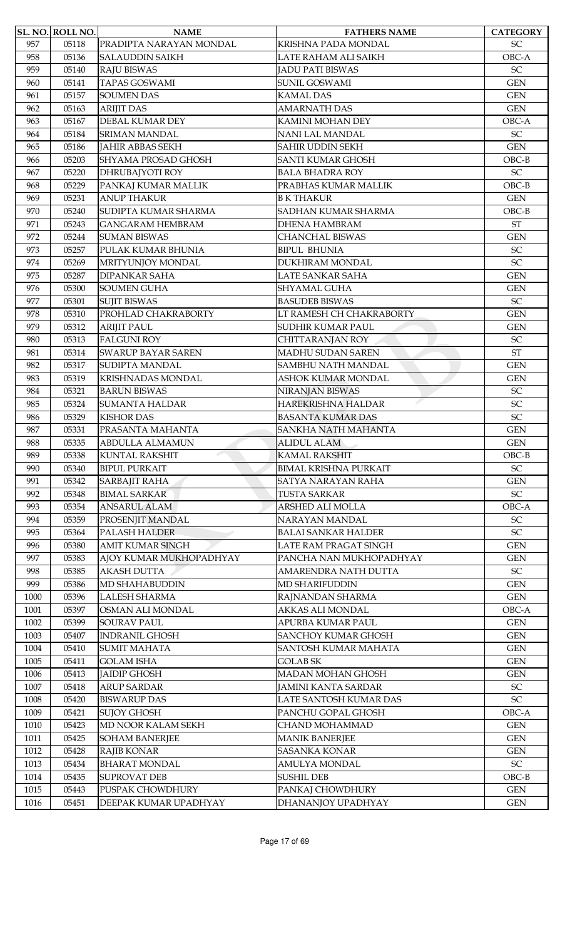|      | SL. NO. ROLL NO. | <b>NAME</b>               | <b>FATHERS NAME</b>          | <b>CATEGORY</b>            |
|------|------------------|---------------------------|------------------------------|----------------------------|
| 957  | 05118            | PRADIPTA NARAYAN MONDAL   | KRISHNA PADA MONDAL          | $\ensuremath{\mathsf{SC}}$ |
| 958  | 05136            | <b>SALAUDDIN SAIKH</b>    | LATE RAHAM ALI SAIKH         | OBC-A                      |
| 959  | 05140            | <b>RAJU BISWAS</b>        | <b>JADU PATI BISWAS</b>      | SC                         |
| 960  | 05141            | <b>TAPAS GOSWAMI</b>      | <b>SUNIL GOSWAMI</b>         | <b>GEN</b>                 |
| 961  | 05157            | <b>SOUMEN DAS</b>         | <b>KAMAL DAS</b>             | <b>GEN</b>                 |
| 962  | 05163            | <b>ARIJIT DAS</b>         | <b>AMARNATH DAS</b>          | <b>GEN</b>                 |
| 963  | 05167            | <b>DEBAL KUMAR DEY</b>    | KAMINI MOHAN DEY             | OBC-A                      |
| 964  | 05184            | <b>SRIMAN MANDAL</b>      | NANI LAL MANDAL              | SC                         |
| 965  | 05186            | <b>JAHIR ABBAS SEKH</b>   | SAHIR UDDIN SEKH             | <b>GEN</b>                 |
| 966  | 05203            | SHYAMA PROSAD GHOSH       | <b>SANTI KUMAR GHOSH</b>     | $OBC-B$                    |
| 967  | 05220            | DHRUBAJYOTI ROY           | <b>BALA BHADRA ROY</b>       | $\ensuremath{\mathsf{SC}}$ |
| 968  | 05229            | PANKAJ KUMAR MALLIK       | PRABHAS KUMAR MALLIK         | $OBC-B$                    |
| 969  | 05231            | <b>ANUP THAKUR</b>        | <b>B K THAKUR</b>            | <b>GEN</b>                 |
| 970  | 05240            | SUDIPTA KUMAR SHARMA      | SADHAN KUMAR SHARMA          | $OBC-B$                    |
| 971  | 05243            | <b>GANGARAM HEMBRAM</b>   | <b>DHENA HAMBRAM</b>         | $\operatorname{ST}$        |
| 972  | 05244            | <b>SUMAN BISWAS</b>       | <b>CHANCHAL BISWAS</b>       | <b>GEN</b>                 |
| 973  | 05257            | PULAK KUMAR BHUNIA        | <b>BIPUL BHUNIA</b>          | SC                         |
| 974  | 05269            | MRITYUNJOY MONDAL         | DUKHIRAM MONDAL              | SC                         |
| 975  | 05287            | <b>DIPANKAR SAHA</b>      | LATE SANKAR SAHA             | <b>GEN</b>                 |
| 976  | 05300            | <b>SOUMEN GUHA</b>        | SHYAMAL GUHA                 | <b>GEN</b>                 |
| 977  | 05301            | <b>SUJIT BISWAS</b>       | <b>BASUDEB BISWAS</b>        | $\ensuremath{\mathsf{SC}}$ |
| 978  | 05310            | PROHLAD CHAKRABORTY       | LT RAMESH CH CHAKRABORTY     | <b>GEN</b>                 |
| 979  | 05312            | <b>ARIJIT PAUL</b>        | SUDHIR KUMAR PAUL            | <b>GEN</b>                 |
| 980  | 05313            | <b>FALGUNI ROY</b>        | CHITTARANJAN ROY             | SC                         |
| 981  | 05314            | <b>SWARUP BAYAR SAREN</b> | MADHU SUDAN SAREN            | <b>ST</b>                  |
| 982  | 05317            | <b>SUDIPTA MANDAL</b>     | SAMBHU NATH MANDAL           | <b>GEN</b>                 |
| 983  | 05319            | KRISHNADAS MONDAL         | ASHOK KUMAR MONDAL           | <b>GEN</b>                 |
| 984  | 05321            | <b>BARUN BISWAS</b>       | NIRANJAN BISWAS              | SC                         |
| 985  | 05324            | <b>SUMANTA HALDAR</b>     | HAREKRISHNA HALDAR           | $\ensuremath{\mathsf{SC}}$ |
| 986  | 05329            | <b>KISHOR DAS</b>         | <b>BASANTA KUMAR DAS</b>     | SC                         |
| 987  | 05331            | PRASANTA MAHANTA          | SANKHA NATH MAHANTA          | <b>GEN</b>                 |
| 988  | 05335            | <b>ABDULLA ALMAMUN</b>    | <b>ALIDUL ALAM</b>           | <b>GEN</b>                 |
| 989  | 05338            | KUNTAL RAKSHIT            | KAMAL RAKSHIT                | $OBC-B$                    |
| 990  | 05340            | <b>BIPUL PURKAIT</b>      | <b>BIMAL KRISHNA PURKAIT</b> | $\ensuremath{\mathsf{SC}}$ |
| 991  | 05342            | <b>SARBAJIT RAHA</b>      | SATYA NARAYAN RAHA           | <b>GEN</b>                 |
| 992  | 05348            | <b>BIMAL SARKAR</b>       | <b>TUSTA SARKAR</b>          | SC                         |
| 993  | 05354            | <b>ANSARUL ALAM</b>       | ARSHED ALI MOLLA             | OBC-A                      |
| 994  | 05359            | PROSENIIT MANDAL          | NARAYAN MANDAL               | SC                         |
| 995  | 05364            | PALASH HALDER             | <b>BALAI SANKAR HALDER</b>   | $\ensuremath{\mathsf{SC}}$ |
| 996  | 05380            | <b>AMIT KUMAR SINGH</b>   | LATE RAM PRAGAT SINGH        | <b>GEN</b>                 |
| 997  | 05383            | AJOY KUMAR MUKHOPADHYAY   | PANCHA NAN MUKHOPADHYAY      | <b>GEN</b>                 |
| 998  | 05385            | <b>AKASH DUTTA</b>        | AMARENDRA NATH DUTTA         | $\ensuremath{\mathsf{SC}}$ |
| 999  | 05386            | MD SHAHABUDDIN            | <b>MD SHARIFUDDIN</b>        | <b>GEN</b>                 |
| 1000 | 05396            | <b>LALESH SHARMA</b>      | RAJNANDAN SHARMA             | $\mbox{GEN}$               |
| 1001 | 05397            | OSMAN ALI MONDAL          | AKKAS ALI MONDAL             | OBC-A                      |
| 1002 | 05399            | <b>SOURAV PAUL</b>        | APURBA KUMAR PAUL            | $\mbox{GEN}$               |
| 1003 | 05407            | <b>INDRANIL GHOSH</b>     | <b>SANCHOY KUMAR GHOSH</b>   | <b>GEN</b>                 |
| 1004 | 05410            | <b>SUMIT MAHATA</b>       | SANTOSH KUMAR MAHATA         | <b>GEN</b>                 |
| 1005 | 05411            | <b>GOLAM ISHA</b>         | <b>GOLAB SK</b>              | <b>GEN</b>                 |
| 1006 | 05413            | <b>JAIDIP GHOSH</b>       | <b>MADAN MOHAN GHOSH</b>     | <b>GEN</b>                 |
| 1007 | 05418            | <b>ARUP SARDAR</b>        | <b>JAMINI KANTA SARDAR</b>   | $\ensuremath{\mathsf{SC}}$ |
| 1008 | 05420            | <b>BISWARUP DAS</b>       | LATE SANTOSH KUMAR DAS       | $\ensuremath{\mathsf{SC}}$ |
| 1009 | 05421            | <b>SUJOY GHOSH</b>        | PANCHU GOPAL GHOSH           | OBC-A                      |
| 1010 | 05423            | MD NOOR KALAM SEKH        | CHAND MOHAMMAD               | <b>GEN</b>                 |
| 1011 | 05425            | <b>SOHAM BANERJEE</b>     | <b>MANIK BANERJEE</b>        | <b>GEN</b>                 |
| 1012 | 05428            | RAJIB KONAR               | <b>SASANKA KONAR</b>         | $\mbox{GEN}$               |
| 1013 | 05434            | <b>BHARAT MONDAL</b>      | <b>AMULYA MONDAL</b>         | SC                         |
| 1014 | 05435            | <b>SUPROVAT DEB</b>       | <b>SUSHIL DEB</b>            | $OBC-B$                    |
| 1015 | 05443            | PUSPAK CHOWDHURY          | PANKAJ CHOWDHURY             | <b>GEN</b>                 |
| 1016 | 05451            | DEEPAK KUMAR UPADHYAY     | DHANANJOY UPADHYAY           | <b>GEN</b>                 |
|      |                  |                           |                              |                            |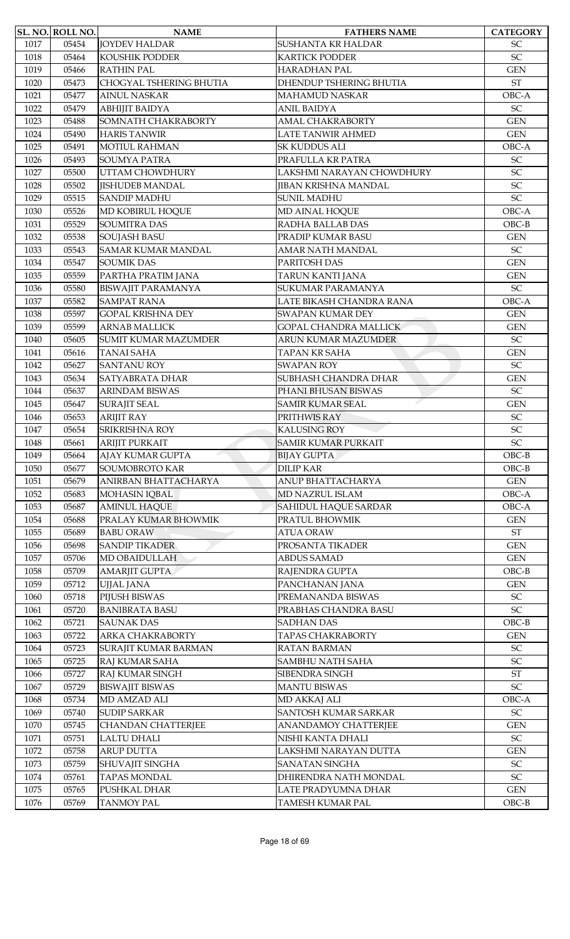|              | SL. NO. ROLL NO. | <b>NAME</b>                 | <b>FATHERS NAME</b>                 | <b>CATEGORY</b>                          |
|--------------|------------------|-----------------------------|-------------------------------------|------------------------------------------|
| 1017         | 05454            | <b>JOYDEV HALDAR</b>        | SUSHANTA KR HALDAR                  | <b>SC</b>                                |
| 1018         | 05464            | <b>KOUSHIK PODDER</b>       | KARTICK PODDER                      | SC                                       |
| 1019         | 05466            | <b>RATHIN PAL</b>           | <b>HARADHAN PAL</b>                 | <b>GEN</b>                               |
| 1020         | 05473            | CHOGYAL TSHERING BHUTIA     | DHENDUP TSHERING BHUTIA             | $\operatorname{ST}$                      |
| 1021         | 05477            | <b>AINUL NASKAR</b>         | MAHAMUD NASKAR                      | OBC-A                                    |
| 1022         | 05479            | АВНІЈІТ ВАІDYА              | <b>ANIL BAIDYA</b>                  | SC                                       |
| 1023         | 05488            | SOMNATH CHAKRABORTY         | <b>AMAL CHAKRABORTY</b>             | <b>GEN</b>                               |
| 1024         | 05490            | <b>HARIS TANWIR</b>         | LATE TANWIR AHMED                   | <b>GEN</b>                               |
| 1025         | 05491            | <b>MOTIUL RAHMAN</b>        | SK KUDDUS ALI                       | OBC-A                                    |
| 1026         | 05493            | SOUMYA PATRA                | PRAFULLA KR PATRA                   | SC                                       |
| 1027         | 05500            | UTTAM CHOWDHURY             | LAKSHMI NARAYAN CHOWDHURY           | SC                                       |
| 1028         | 05502            | <b>JISHUDEB MANDAL</b>      | <b>JIBAN KRISHNA MANDAL</b>         | SC                                       |
| 1029         | 05515            | <b>SANDIP MADHU</b>         | <b>SUNIL MADHU</b>                  | SC                                       |
| 1030         | 05526            | MD KOBIRUL HOOUE            | MD AINAL HOQUE                      | OBC-A                                    |
| 1031         | 05529            | <b>SOUMITRA DAS</b>         | RADHA BALLAB DAS                    | $OBC-B$                                  |
| 1032         | 05538            | <b>SOUJASH BASU</b>         | PRADIP KUMAR BASU                   | <b>GEN</b>                               |
| 1033         | 05543            | <b>SAMAR KUMAR MANDAL</b>   | <b>AMAR NATH MANDAL</b>             | $\ensuremath{\mathsf{SC}}$               |
| 1034         | 05547            | <b>SOUMIK DAS</b>           | PARITOSH DAS                        | <b>GEN</b>                               |
| 1035         | 05559            | PARTHA PRATIM JANA          | TARUN KANTI JANA                    | <b>GEN</b>                               |
| 1036         | 05580            | <b>BISWAJIT PARAMANYA</b>   | SUKUMAR PARAMANYA                   | $\ensuremath{\mathsf{SC}}$               |
| 1037         | 05582            | <b>SAMPAT RANA</b>          | LATE BIKASH CHANDRA RANA            | OBC-A                                    |
| 1038         | 05597            | <b>GOPAL KRISHNA DEY</b>    | SWAPAN KUMAR DEY                    | <b>GEN</b>                               |
| 1039         | 05599            | <b>ARNAB MALLICK</b>        | <b>GOPAL CHANDRA MALLICK</b>        | <b>GEN</b>                               |
| 1040         | 05605            | <b>SUMIT KUMAR MAZUMDER</b> | ARUN KUMAR MAZUMDER                 | $\ensuremath{\mathsf{SC}}$               |
|              | 05616            | <b>TANAI SAHA</b>           | TAPAN KR SAHA                       |                                          |
| 1041<br>1042 | 05627            | <b>SANTANU ROY</b>          | <b>SWAPAN ROY</b>                   | <b>GEN</b><br>$\ensuremath{\mathsf{SC}}$ |
|              | 05634            | <b>SATYABRATA DHAR</b>      | SUBHASH CHANDRA DHAR                | <b>GEN</b>                               |
| 1043         |                  |                             |                                     |                                          |
| 1044         | 05637            | <b>ARINDAM BISWAS</b>       | PHANI BHUSAN BISWAS                 | SC                                       |
| 1045         | 05647            | <b>SURAJIT SEAL</b>         | <b>SAMIR KUMAR SEAL</b>             | <b>GEN</b>                               |
| 1046         | 05653            | <b>ARIJIT RAY</b>           | PRITHWIS RAY<br><b>KALUSING ROY</b> | SC                                       |
| 1047         | 05654            | SRIKRISHNA ROY              |                                     | $\ensuremath{\mathsf{SC}}$               |
| 1048         | 05661            | <b>ARIJIT PURKAIT</b>       | <b>SAMIR KUMAR PURKAIT</b>          | SC                                       |
| 1049         | 05664            | AJAY KUMAR GUPTA            | <b>BIJAY GUPTA</b>                  | $OBC-B$                                  |
| 1050         | 05677            | <b>SOUMOBROTO KAR</b>       | <b>DILIP KAR</b>                    | $OBC-B$                                  |
| 1051         | 05679            | ANIRBAN BHATTACHARYA        | ANUP BHATTACHARYA                   | <b>GEN</b>                               |
| 1052         | 05683            | <b>MOHASIN IQBAL</b>        | <b>MD NAZRUL ISLAM</b>              | OBC-A                                    |
| 1053         | 05687            | <b>AMINUL HAQUE</b>         | SAHIDUL HAQUE SARDAR                | OBC-A                                    |
| 1054         | 05688            | PRALAY KUMAR BHOWMIK        | PRATUL BHOWMIK                      | <b>GEN</b>                               |
| 1055         | 05689            | <b>BABU ORAW</b>            | <b>ATUA ORAW</b>                    | ST                                       |
| 1056         | 05698            | <b>SANDIP TIKADER</b>       | PROSANTA TIKADER                    | <b>GEN</b>                               |
| 1057         | 05706            | MD OBAIDULLAH               | <b>ABDUS SAMAD</b>                  | <b>GEN</b>                               |
| 1058         | 05709            | <b>AMARJIT GUPTA</b>        | RAJENDRA GUPTA                      | $OBC-B$                                  |
| 1059         | 05712            | UJJAL JANA                  | PANCHANAN JANA                      | <b>GEN</b>                               |
| 1060         | 05718            | PIJUSH BISWAS               | PREMANANDA BISWAS                   | $\ensuremath{\mathsf{SC}}$               |
| 1061         | 05720            | <b>BANIBRATA BASU</b>       | PRABHAS CHANDRA BASU                | $\ensuremath{\mathsf{SC}}$               |
| 1062         | 05721            | <b>SAUNAK DAS</b>           | <b>SADHAN DAS</b>                   | $OBC-B$                                  |
| 1063         | 05722            | ARKA CHAKRABORTY            | <b>TAPAS CHAKRABORTY</b>            | <b>GEN</b>                               |
| 1064         | 05723            | SURAJIT KUMAR BARMAN        | <b>RATAN BARMAN</b>                 | $\ensuremath{\mathsf{SC}}$               |
| 1065         | 05725            | RAJ KUMAR SAHA              | SAMBHU NATH SAHA                    | $\ensuremath{\mathsf{SC}}$               |
| 1066         | 05727            | <b>RAJ KUMAR SINGH</b>      | SIBENDRA SINGH                      | <b>ST</b>                                |
| 1067         | 05729            | <b>BISWAJIT BISWAS</b>      | <b>MANTU BISWAS</b>                 | $\ensuremath{\mathsf{SC}}$               |
| 1068         | 05734            | MD AMZAD ALI                | MD AKKAJ ALI                        | OBC-A                                    |
| 1069         | 05740            | <b>SUDIP SARKAR</b>         | SANTOSH KUMAR SARKAR                | $\ensuremath{\mathsf{SC}}$               |
| 1070         | 05745            | <b>CHANDAN CHATTERJEE</b>   | <b>ANANDAMOY CHATTERJEE</b>         | <b>GEN</b>                               |
| 1071         | 05751            | <b>LALTU DHALI</b>          | NISHI KANTA DHALI                   | $\ensuremath{\mathsf{SC}}$               |
| 1072         | 05758            | <b>ARUP DUTTA</b>           | LAKSHMI NARAYAN DUTTA               | <b>GEN</b>                               |
| 1073         | 05759            | SHUVAJIT SINGHA             | <b>SANATAN SINGHA</b>               | SC                                       |
| 1074         | 05761            | <b>TAPAS MONDAL</b>         | DHIRENDRA NATH MONDAL               | SC                                       |
| 1075         | 05765            | PUSHKAL DHAR                | LATE PRADYUMNA DHAR                 | <b>GEN</b>                               |
| 1076         | 05769            | <b>TANMOY PAL</b>           | TAMESH KUMAR PAL                    | $OBC-B$                                  |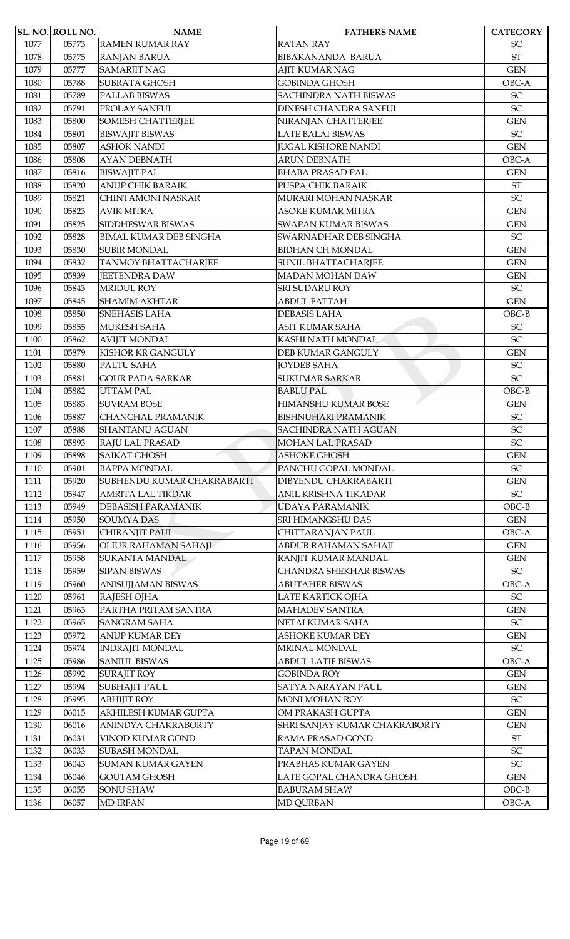|      | <b>SL. NO. ROLL NO.</b> | <b>NAME</b>                                       | <b>FATHERS NAME</b>                                       | <b>CATEGORY</b>                          |
|------|-------------------------|---------------------------------------------------|-----------------------------------------------------------|------------------------------------------|
| 1077 | 05773                   | <b>RAMEN KUMAR RAY</b>                            | <b>RATAN RAY</b>                                          | <b>SC</b>                                |
| 1078 | 05775                   | <b>RANJAN BARUA</b>                               | <b>BIBAKANANDA BARUA</b>                                  | <b>ST</b>                                |
| 1079 | 05777                   | <b>SAMARJIT NAG</b>                               | <b>AJIT KUMAR NAG</b>                                     | <b>GEN</b>                               |
| 1080 | 05788                   | <b>SUBRATA GHOSH</b>                              | <b>GOBINDA GHOSH</b>                                      | OBC-A                                    |
| 1081 | 05789                   | PALLAB BISWAS                                     | SACHINDRA NATH BISWAS                                     | SC                                       |
| 1082 | 05791                   | PROLAY SANFUI                                     | <b>DINESH CHANDRA SANFUI</b>                              | SC                                       |
| 1083 | 05800                   | <b>SOMESH CHATTERJEE</b>                          | NIRANJAN CHATTERJEE                                       | <b>GEN</b>                               |
| 1084 | 05801                   | <b>BISWAJIT BISWAS</b>                            | <b>LATE BALAI BISWAS</b>                                  | SC                                       |
| 1085 | 05807                   | <b>ASHOK NANDI</b>                                | <b>JUGAL KISHORE NANDI</b>                                | <b>GEN</b>                               |
| 1086 | 05808                   | <b>AYAN DEBNATH</b>                               | <b>ARUN DEBNATH</b>                                       | OBC-A                                    |
| 1087 | 05816                   | <b>BISWAJIT PAL</b>                               | <b>BHABA PRASAD PAL</b>                                   | <b>GEN</b>                               |
| 1088 | 05820                   | <b>ANUP CHIK BARAIK</b>                           | PUSPA CHIK BARAIK                                         | $\operatorname{ST}$                      |
| 1089 | 05821                   | <b>CHINTAMONI NASKAR</b>                          | MURARI MOHAN NASKAR                                       | $\ensuremath{\mathsf{SC}}$               |
| 1090 | 05823                   | <b>AVIK MITRA</b>                                 | <b>ASOKE KUMAR MITRA</b>                                  | <b>GEN</b>                               |
| 1091 | 05825                   | SIDDHESWAR BISWAS                                 | SWAPAN KUMAR BISWAS                                       | <b>GEN</b>                               |
| 1092 | 05828                   | <b>BIMAL KUMAR DEB SINGHA</b>                     | SWARNADHAR DEB SINGHA                                     | SC                                       |
| 1093 | 05830                   | <b>SUBIR MONDAL</b>                               | <b>BIDHAN CH MONDAL</b>                                   | <b>GEN</b>                               |
| 1094 | 05832                   | <b>TANMOY BHATTACHARJEE</b>                       | <b>SUNIL BHATTACHARJEE</b>                                | <b>GEN</b>                               |
| 1095 | 05839                   | <b>JEETENDRA DAW</b>                              | <b>MADAN MOHAN DAW</b>                                    | <b>GEN</b>                               |
| 1096 | 05843                   | <b>MRIDUL ROY</b>                                 | SRI SUDARU ROY                                            | $\ensuremath{\mathsf{SC}}$               |
| 1097 | 05845                   | <b>SHAMIM AKHTAR</b>                              | <b>ABDUL FATTAH</b>                                       | <b>GEN</b>                               |
| 1098 | 05850                   | SNEHASIS LAHA                                     | <b>DEBASIS LAHA</b>                                       | $OBC-B$                                  |
| 1099 | 05855                   | MUKESH SAHA                                       | <b>ASIT KUMAR SAHA</b>                                    | SC                                       |
| 1100 | 05862                   | <b>AVIJIT MONDAL</b>                              | KASHI NATH MONDAL                                         | SC                                       |
| 1101 | 05879                   | <b>KISHOR KR GANGULY</b>                          | DEB KUMAR GANGULY                                         | <b>GEN</b>                               |
| 1102 | 05880                   | PALTU SAHA                                        | <b>JOYDEB SAHA</b>                                        | <b>SC</b>                                |
| 1103 | 05881                   | <b>GOUR PADA SARKAR</b>                           | <b>SUKUMAR SARKAR</b>                                     | SC                                       |
| 1104 | 05882                   | <b>UTTAM PAL</b>                                  | <b>BABLU PAL</b>                                          | $OBC-B$                                  |
|      |                         |                                                   | <b>HIMANSHU KUMAR BOSE</b>                                |                                          |
| 1105 | 05883                   | <b>SUVRAM BOSE</b>                                |                                                           | <b>GEN</b><br>$\ensuremath{\mathsf{SC}}$ |
| 1106 | 05887<br>05888          | <b>CHANCHAL PRAMANIK</b><br><b>SHANTANU AGUAN</b> | <b>BISHNUHARI PRAMANIK</b><br><b>SACHINDRA NATH AGUAN</b> | SC                                       |
| 1107 |                         |                                                   |                                                           |                                          |
| 1108 | 05893                   | <b>RAJU LAL PRASAD</b><br><b>SAIKAT GHOSH</b>     | <b>MOHAN LAL PRASAD</b>                                   | SC<br><b>GEN</b>                         |
| 1109 | 05898                   |                                                   | <b>ASHOKE GHOSH</b>                                       |                                          |
| 1110 | 05901                   | <b>BAPPA MONDAL</b>                               | PANCHU GOPAL MONDAL                                       | SC                                       |
| 1111 | 05920                   | SUBHENDU KUMAR CHAKRABARTI                        | DIBYENDU CHAKRABARTI<br>ANIL KRISHNA TIKADAR              | <b>GEN</b>                               |
| 1112 | 05947                   | <b>AMRITA LAL TIKDAR</b>                          |                                                           | $\ensuremath{\mathsf{SC}}$               |
| 1113 | 05949                   | <b>DEBASISH PARAMANIK</b>                         | UDAYA PARAMANIK                                           | $OBC-B$                                  |
| 1114 | 05950                   | <b>SOUMYA DAS</b>                                 | SRI HIMANGSHU DAS                                         | <b>GEN</b>                               |
| 1115 | 05951                   | CHIRANJIT PAUL                                    | CHITTARANJAN PAUL                                         | OBC-A                                    |
| 1116 | 05956                   | OLIUR RAHAMAN SAHAJI                              | ABDUR RAHAMAN SAHAJI                                      | <b>GEN</b>                               |
| 1117 | 05958                   | <b>SUKANTA MANDAL</b>                             | RANJIT KUMAR MANDAL                                       | <b>GEN</b>                               |
| 1118 | 05959                   | <b>SIPAN BISWAS</b>                               | CHANDRA SHEKHAR BISWAS                                    | $\ensuremath{\mathsf{SC}}$               |
| 1119 | 05960                   | ANISUJJAMAN BISWAS                                | <b>ABUTAHER BISWAS</b>                                    | OBC-A                                    |
| 1120 | 05961                   | RAJESH OJHA                                       | LATE KARTICK OJHA                                         | SC                                       |
| 1121 | 05963                   | PARTHA PRITAM SANTRA                              | <b>MAHADEV SANTRA</b>                                     | <b>GEN</b>                               |
| 1122 | 05965                   | <b>SANGRAM SAHA</b>                               | NETAI KUMAR SAHA                                          | $\ensuremath{\mathsf{SC}}$               |
| 1123 | 05972                   | <b>ANUP KUMAR DEY</b>                             | <b>ASHOKE KUMAR DEY</b>                                   | <b>GEN</b>                               |
| 1124 | 05974                   | <b>INDRAJIT MONDAL</b>                            | MRINAL MONDAL                                             | $\ensuremath{\mathsf{SC}}$               |
| 1125 | 05986                   | <b>SANIUL BISWAS</b>                              | <b>ABDUL LATIF BISWAS</b>                                 | OBC-A                                    |
| 1126 | 05992                   | <b>SURAJIT ROY</b>                                | <b>GOBINDA ROY</b>                                        | <b>GEN</b>                               |
| 1127 | 05994                   | <b>SUBHAJIT PAUL</b>                              | SATYA NARAYAN PAUL                                        | <b>GEN</b>                               |
| 1128 | 05995                   | <b>ABHIJIT ROY</b>                                | <b>MONI MOHAN ROY</b>                                     | $\ensuremath{\mathsf{SC}}$               |
| 1129 | 06015                   | AKHILESH KUMAR GUPTA                              | OM PRAKASH GUPTA                                          | <b>GEN</b>                               |
| 1130 | 06016                   | ANINDYA CHAKRABORTY                               | SHRI SANJAY KUMAR CHAKRABORTY                             | <b>GEN</b>                               |
| 1131 | 06031                   | VINOD KUMAR GOND                                  | RAMA PRASAD GOND                                          | $\operatorname{ST}$                      |
| 1132 | 06033                   | <b>SUBASH MONDAL</b>                              | <b>TAPAN MONDAL</b>                                       | $\ensuremath{\mathsf{SC}}$               |
| 1133 | 06043                   | <b>SUMAN KUMAR GAYEN</b>                          | PRABHAS KUMAR GAYEN                                       | SC                                       |
| 1134 | 06046                   | <b>GOUTAM GHOSH</b>                               | LATE GOPAL CHANDRA GHOSH                                  | <b>GEN</b>                               |
| 1135 | 06055                   | <b>SONU SHAW</b>                                  | <b>BABURAM SHAW</b>                                       | $OBC-B$                                  |
| 1136 | 06057                   | <b>MD IRFAN</b>                                   | <b>MD QURBAN</b>                                          | OBC-A                                    |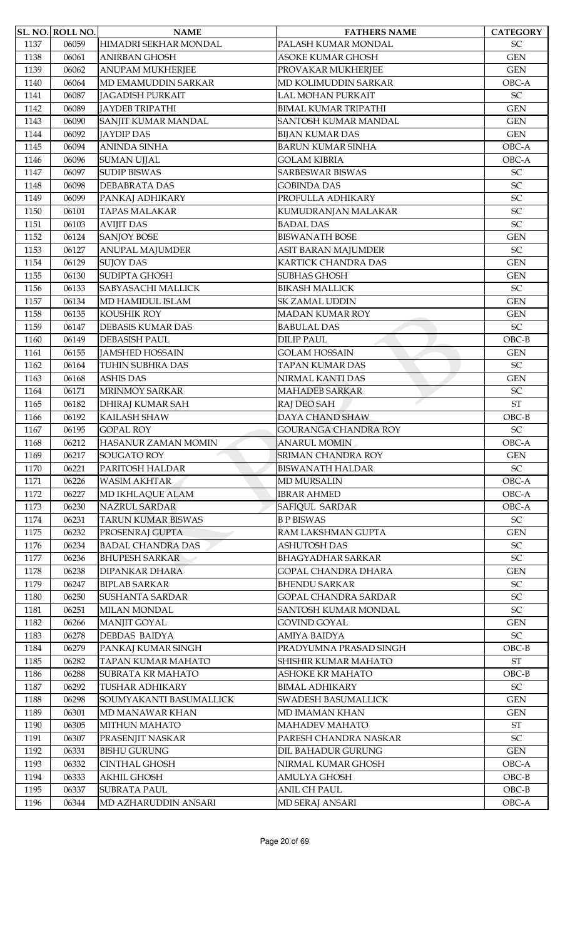|      | SL. NO. ROLL NO. | <b>NAME</b>               | <b>FATHERS NAME</b>         | <b>CATEGORY</b>            |
|------|------------------|---------------------------|-----------------------------|----------------------------|
| 1137 | 06059            | HIMADRI SEKHAR MONDAL     | PALASH KUMAR MONDAL         | $\ensuremath{\mathsf{SC}}$ |
| 1138 | 06061            | <b>ANIRBAN GHOSH</b>      | <b>ASOKE KUMAR GHOSH</b>    | <b>GEN</b>                 |
| 1139 | 06062            | <b>ANUPAM MUKHERJEE</b>   | PROVAKAR MUKHERJEE          | <b>GEN</b>                 |
| 1140 | 06064            | MD EMAMUDDIN SARKAR       | MD KOLIMUDDIN SARKAR        | OBC-A                      |
| 1141 | 06087            | <b>JAGADISH PURKAIT</b>   | <b>LAL MOHAN PURKAIT</b>    | $\ensuremath{\mathsf{SC}}$ |
| 1142 | 06089            | <b>JAYDEB TRIPATHI</b>    | <b>BIMAL KUMAR TRIPATHI</b> | <b>GEN</b>                 |
| 1143 | 06090            | SANJIT KUMAR MANDAL       | <b>SANTOSH KUMAR MANDAL</b> | <b>GEN</b>                 |
| 1144 | 06092            | <b>JAYDIP DAS</b>         | <b>BIJAN KUMAR DAS</b>      | <b>GEN</b>                 |
| 1145 | 06094            | <b>ANINDA SINHA</b>       | <b>BARUN KUMAR SINHA</b>    | OBC-A                      |
| 1146 | 06096            | <b>SUMAN UJJAL</b>        | <b>GOLAM KIBRIA</b>         | OBC-A                      |
| 1147 | 06097            | <b>SUDIP BISWAS</b>       | SARBESWAR BISWAS            | SC                         |
| 1148 | 06098            | <b>DEBABRATA DAS</b>      | <b>GOBINDA DAS</b>          | SC                         |
| 1149 | 06099            | PANKAJ ADHIKARY           | PROFULLA ADHIKARY           | SC                         |
| 1150 | 06101            | <b>TAPAS MALAKAR</b>      | KUMUDRANJAN MALAKAR         | $\ensuremath{\mathsf{SC}}$ |
| 1151 | 06103            | <b>AVIJIT DAS</b>         | <b>BADAL DAS</b>            | SC                         |
| 1152 | 06124            | <b>SANJOY BOSE</b>        | <b>BISWANATH BOSE</b>       | <b>GEN</b>                 |
| 1153 | 06127            | <b>ANUPAL MAJUMDER</b>    | ASIT BARAN MAJUMDER         | $\ensuremath{\mathsf{SC}}$ |
| 1154 | 06129            | <b>SUJOY DAS</b>          | KARTICK CHANDRA DAS         | <b>GEN</b>                 |
| 1155 | 06130            | <b>SUDIPTA GHOSH</b>      | <b>SUBHAS GHOSH</b>         | <b>GEN</b>                 |
| 1156 | 06133            | <b>SABYASACHI MALLICK</b> | <b>BIKASH MALLICK</b>       | SC                         |
| 1157 | 06134            | MD HAMIDUL ISLAM          | SK ZAMAL UDDIN              | <b>GEN</b>                 |
| 1158 | 06135            | KOUSHIK ROY               | <b>MADAN KUMAR ROY</b>      | <b>GEN</b>                 |
| 1159 | 06147            | <b>DEBASIS KUMAR DAS</b>  | <b>BABULAL DAS</b>          | SC                         |
| 1160 | 06149            | <b>DEBASISH PAUL</b>      | <b>DILIP PAUL</b>           | $OBC-B$                    |
| 1161 | 06155            | <b>JAMSHED HOSSAIN</b>    | <b>GOLAM HOSSAIN</b>        | <b>GEN</b>                 |
| 1162 | 06164            | TUHIN SUBHRA DAS          | <b>TAPAN KUMAR DAS</b>      | SC                         |
| 1163 | 06168            | <b>ASHIS DAS</b>          | NIRMAL KANTI DAS            | <b>GEN</b>                 |
| 1164 | 06171            | <b>MRINMOY SARKAR</b>     | <b>MAHADEB SARKAR</b>       | SC                         |
| 1165 | 06182            | <b>DHIRAJ KUMAR SAH</b>   | RAJ DEO SAH                 | <b>ST</b>                  |
| 1166 | 06192            | <b>KAILASH SHAW</b>       | DAYA CHAND SHAW             | $OBC-B$                    |
| 1167 | 06195            | <b>GOPAL ROY</b>          | <b>GOURANGA CHANDRA ROY</b> | SC                         |
| 1168 | 06212            | HASANUR ZAMAN MOMIN       | <b>ANARUL MOMIN</b>         | OBC-A                      |
| 1169 | 06217            | SOUGATO ROY               | <b>SRIMAN CHANDRA ROY</b>   | <b>GEN</b>                 |
| 1170 | 06221            | PARITOSH HALDAR           | <b>BISWANATH HALDAR</b>     | $\ensuremath{\mathsf{SC}}$ |
| 1171 | 06226            | <b>WASIM AKHTAR</b>       | <b>MD MURSALIN</b>          | OBC-A                      |
| 1172 | 06227            | MD IKHLAQUE ALAM          | <b>IBRAR AHMED</b>          | OBC-A                      |
| 1173 | 06230            | <b>NAZRUL SARDAR</b>      | <b>SAFIQUL SARDAR</b>       | OBC-A                      |
| 1174 | 06231            | <b>TARUN KUMAR BISWAS</b> | <b>B P BISWAS</b>           | $\ensuremath{\mathsf{SC}}$ |
| 1175 | 06232            | PROSENRAJ GUPTA           | RAM LAKSHMAN GUPTA          | <b>GEN</b>                 |
| 1176 | 06234            | <b>BADAL CHANDRA DAS</b>  | <b>ASHUTOSH DAS</b>         | SC                         |
| 1177 | 06236            | <b>BHUPESH SARKAR</b>     | <b>BHAGYADHAR SARKAR</b>    | $\ensuremath{\mathsf{SC}}$ |
| 1178 | 06238            | <b>DIPANKAR DHARA</b>     | <b>GOPAL CHANDRA DHARA</b>  | <b>GEN</b>                 |
| 1179 | 06247            | <b>BIPLAB SARKAR</b>      | <b>BHENDU SARKAR</b>        | SC                         |
| 1180 | 06250            | <b>SUSHANTA SARDAR</b>    | <b>GOPAL CHANDRA SARDAR</b> | $\ensuremath{\mathsf{SC}}$ |
| 1181 | 06251            | <b>MILAN MONDAL</b>       | SANTOSH KUMAR MONDAL        | $\ensuremath{\mathsf{SC}}$ |
| 1182 | 06266            | <b>MANJIT GOYAL</b>       | <b>GOVIND GOYAL</b>         | <b>GEN</b>                 |
| 1183 | 06278            | <b>DEBDAS BAIDYA</b>      | AMIYA BAIDYA                | $\ensuremath{\mathsf{SC}}$ |
| 1184 | 06279            | PANKAJ KUMAR SINGH        | PRADYUMNA PRASAD SINGH      | $OBC-B$                    |
| 1185 | 06282            | TAPAN KUMAR MAHATO        | SHISHIR KUMAR MAHATO        | $\operatorname{ST}$        |
| 1186 | 06288            | <b>SUBRATA KR MAHATO</b>  | <b>ASHOKE KR MAHATO</b>     | $OBC-B$                    |
| 1187 | 06292            | <b>TUSHAR ADHIKARY</b>    | <b>BIMAL ADHIKARY</b>       | $\ensuremath{\mathsf{SC}}$ |
| 1188 | 06298            | SOUMYAKANTI BASUMALLICK   | SWADESH BASUMALLICK         | <b>GEN</b>                 |
| 1189 | 06301            | MD MANAWAR KHAN           | MD IMAMAN KHAN              | <b>GEN</b>                 |
| 1190 | 06305            | MITHUN MAHATO             | <b>MAHADEV MAHATO</b>       | $\operatorname{ST}$        |
| 1191 | 06307            | PRASENJIT NASKAR          | PARESH CHANDRA NASKAR       | $\ensuremath{\mathsf{SC}}$ |
| 1192 | 06331            | <b>BISHU GURUNG</b>       | DIL BAHADUR GURUNG          | <b>GEN</b>                 |
| 1193 | 06332            | <b>CINTHAL GHOSH</b>      | NIRMAL KUMAR GHOSH          | OBC-A                      |
| 1194 | 06333            | <b>AKHIL GHOSH</b>        | AMULYA GHOSH                | $OBC-B$                    |
| 1195 | 06337            | <b>SUBRATA PAUL</b>       | <b>ANIL CH PAUL</b>         | $OBC-B$                    |
|      |                  | MD AZHARUDDIN ANSARI      |                             | OBC-A                      |
| 1196 | 06344            |                           | MD SERAJ ANSARI             |                            |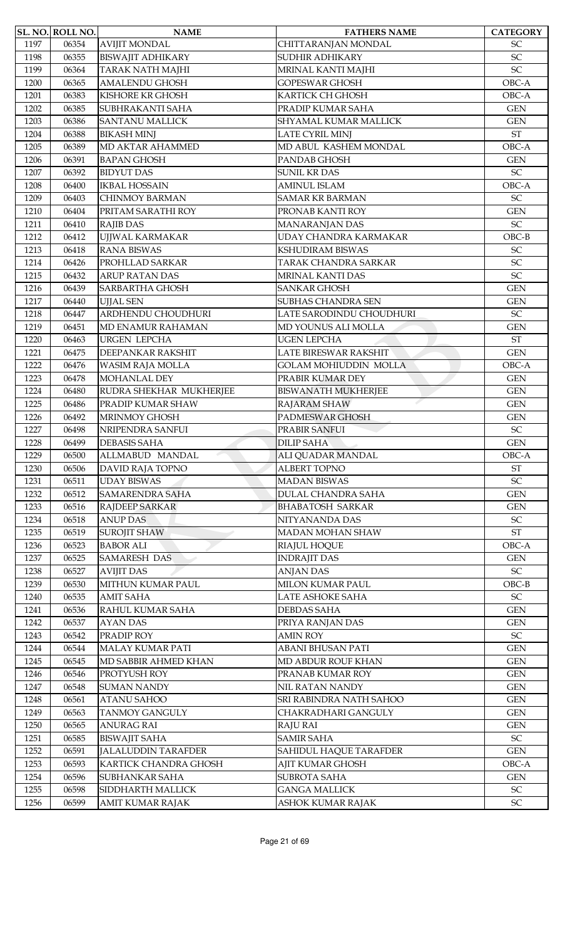|      | SL. NO. ROLL NO. | <b>NAME</b>                | <b>FATHERS NAME</b>          | <b>CATEGORY</b>            |
|------|------------------|----------------------------|------------------------------|----------------------------|
| 1197 | 06354            | <b>AVIJIT MONDAL</b>       | CHITTARANJAN MONDAL          | SC                         |
| 1198 | 06355            | <b>BISWAJIT ADHIKARY</b>   | SUDHIR ADHIKARY              | SC                         |
| 1199 | 06364            | <b>TARAK NATH MAJHI</b>    | MRINAL KANTI MAJHI           | SC                         |
| 1200 | 06365            | <b>AMALENDU GHOSH</b>      | GOPESWAR GHOSH               | OBC-A                      |
| 1201 | 06383            | KISHORE KR GHOSH           | <b>KARTICK CH GHOSH</b>      | OBC-A                      |
| 1202 | 06385            | SUBHRAKANTI SAHA           | PRADIP KUMAR SAHA            | <b>GEN</b>                 |
| 1203 | 06386            | <b>SANTANU MALLICK</b>     | SHYAMAL KUMAR MALLICK        | <b>GEN</b>                 |
| 1204 | 06388            | <b>BIKASH MINJ</b>         | LATE CYRIL MINJ              | $\operatorname{ST}$        |
| 1205 | 06389            | MD AKTAR AHAMMED           | MD ABUL KASHEM MONDAL        | OBC-A                      |
| 1206 | 06391            | <b>BAPAN GHOSH</b>         | PANDAB GHOSH                 | <b>GEN</b>                 |
| 1207 | 06392            | <b>BIDYUT DAS</b>          | <b>SUNIL KR DAS</b>          | SC                         |
| 1208 | 06400            | <b>IKBAL HOSSAIN</b>       | <b>AMINUL ISLAM</b>          | OBC-A                      |
| 1209 | 06403            | <b>CHINMOY BARMAN</b>      | <b>SAMAR KR BARMAN</b>       | SC                         |
| 1210 | 06404            | PRITAM SARATHI ROY         | PRONAB KANTI ROY             | <b>GEN</b>                 |
| 1211 | 06410            | <b>RAJIB DAS</b>           | <b>MANARANJAN DAS</b>        | SC                         |
| 1212 | 06412            | UJJWAL KARMAKAR            | UDAY CHANDRA KARMAKAR        | $OBC-B$                    |
| 1213 | 06418            | <b>RANA BISWAS</b>         | KSHUDIRAM BISWAS             | SC                         |
| 1214 | 06426            | PROHLLAD SARKAR            | TARAK CHANDRA SARKAR         | SC                         |
| 1215 | 06432            | <b>ARUP RATAN DAS</b>      | MRINAL KANTI DAS             | SC                         |
| 1216 | 06439            | SARBARTHA GHOSH            | <b>SANKAR GHOSH</b>          | <b>GEN</b>                 |
| 1217 | 06440            | <b>UJJAL SEN</b>           | SUBHAS CHANDRA SEN           | <b>GEN</b>                 |
| 1218 | 06447            | ARDHENDU CHOUDHURI         | LATE SARODINDU CHOUDHURI     | SC                         |
| 1219 | 06451            | MD ENAMUR RAHAMAN          | MD YOUNUS ALI MOLLA          | <b>GEN</b>                 |
|      |                  |                            |                              |                            |
| 1220 | 06463            | <b>URGEN LEPCHA</b>        | <b>UGEN LEPCHA</b>           | <b>ST</b>                  |
| 1221 | 06475            | DEEPANKAR RAKSHIT          | LATE BIRESWAR RAKSHIT        | <b>GEN</b>                 |
| 1222 | 06476            | WASIM RAJA MOLLA           | <b>GOLAM MOHIUDDIN MOLLA</b> | OBC-A                      |
| 1223 | 06478            | MOHANLAL DEY               | PRABIR KUMAR DEY             | <b>GEN</b>                 |
| 1224 | 06480            | RUDRA SHEKHAR MUKHERJEE    | <b>BISWANATH MUKHERJEE</b>   | <b>GEN</b>                 |
| 1225 | 06486            | PRADIP KUMAR SHAW          | RAJARAM SHAW                 | <b>GEN</b>                 |
| 1226 | 06492            | <b>MRINMOY GHOSH</b>       | PADMESWAR GHOSH              | <b>GEN</b>                 |
| 1227 | 06498            | NRIPENDRA SANFUI           | PRABIR SANFUI                | SC                         |
| 1228 | 06499            | <b>DEBASIS SAHA</b>        | <b>DILIP SAHA</b>            | <b>GEN</b>                 |
| 1229 | 06500            | ALLMABUD MANDAL            | ALI QUADAR MANDAL            | OBC-A                      |
| 1230 | 06506            | DAVID RAJA TOPNO           | <b>ALBERT TOPNO</b>          | $\operatorname{ST}$        |
| 1231 | 06511            | <b>UDAY BISWAS</b>         | <b>MADAN BISWAS</b>          | SC                         |
| 1232 | 06512            | <b>SAMARENDRA SAHA</b>     | <b>DULAL CHANDRA SAHA</b>    | <b>GEN</b>                 |
| 1233 | 06516            | <b>RAJDEEP SARKAR</b>      | <b>BHABATOSH SARKAR</b>      | <b>GEN</b>                 |
| 1234 | 06518            | <b>ANUP DAS</b>            | NITYANANDA DAS               | SC                         |
| 1235 | 06519            | <b>SUROJIT SHAW</b>        | MADAN MOHAN SHAW             | $\operatorname{ST}$        |
| 1236 | 06523            | <b>BABOR ALI</b>           | RIAJUL HOQUE                 | OBC-A                      |
| 1237 | 06525            | <b>SAMARESH DAS</b>        | <b>INDRAJIT DAS</b>          | <b>GEN</b>                 |
| 1238 | 06527            | <b>AVIJIT DAS</b>          | <b>ANJAN DAS</b>             | SC                         |
| 1239 | 06530            | MITHUN KUMAR PAUL          | MILON KUMAR PAUL             | $OBC-B$                    |
| 1240 | 06535            | <b>AMIT SAHA</b>           | LATE ASHOKE SAHA             | SC                         |
| 1241 | 06536            | RAHUL KUMAR SAHA           | <b>DEBDAS SAHA</b>           | <b>GEN</b>                 |
| 1242 | 06537            | <b>AYAN DAS</b>            | PRIYA RANJAN DAS             | <b>GEN</b>                 |
| 1243 | 06542            | PRADIP ROY                 | <b>AMIN ROY</b>              | $\ensuremath{\mathsf{SC}}$ |
| 1244 | 06544            | MALAY KUMAR PATI           | ABANI BHUSAN PATI            | <b>GEN</b>                 |
| 1245 | 06545            | MD SABBIR AHMED KHAN       | MD ABDUR ROUF KHAN           | <b>GEN</b>                 |
| 1246 | 06546            | PROTYUSH ROY               | PRANAB KUMAR ROY             | <b>GEN</b>                 |
| 1247 | 06548            | <b>SUMAN NANDY</b>         | NIL RATAN NANDY              | <b>GEN</b>                 |
| 1248 | 06561            | <b>ATANU SAHOO</b>         | SRI RABINDRA NATH SAHOO      | <b>GEN</b>                 |
| 1249 | 06563            | <b>TANMOY GANGULY</b>      | CHAKRADHARI GANGULY          | <b>GEN</b>                 |
| 1250 | 06565            | <b>ANURAG RAI</b>          | <b>RAJU RAI</b>              | <b>GEN</b>                 |
| 1251 | 06585            | <b>BISWAJIT SAHA</b>       | <b>SAMIR SAHA</b>            | $\ensuremath{\mathsf{SC}}$ |
| 1252 | 06591            | <b>JALALUDDIN TARAFDER</b> | SAHIDUL HAQUE TARAFDER       | <b>GEN</b>                 |
| 1253 | 06593            | KARTICK CHANDRA GHOSH      | AJIT KUMAR GHOSH             | OBC-A                      |
| 1254 | 06596            | SUBHANKAR SAHA             | <b>SUBROTA SAHA</b>          | <b>GEN</b>                 |
| 1255 | 06598            | SIDDHARTH MALLICK          | <b>GANGA MALLICK</b>         | <b>SC</b>                  |
| 1256 | 06599            | AMIT KUMAR RAJAK           | ASHOK KUMAR RAJAK            | $\ensuremath{\mathsf{SC}}$ |
|      |                  |                            |                              |                            |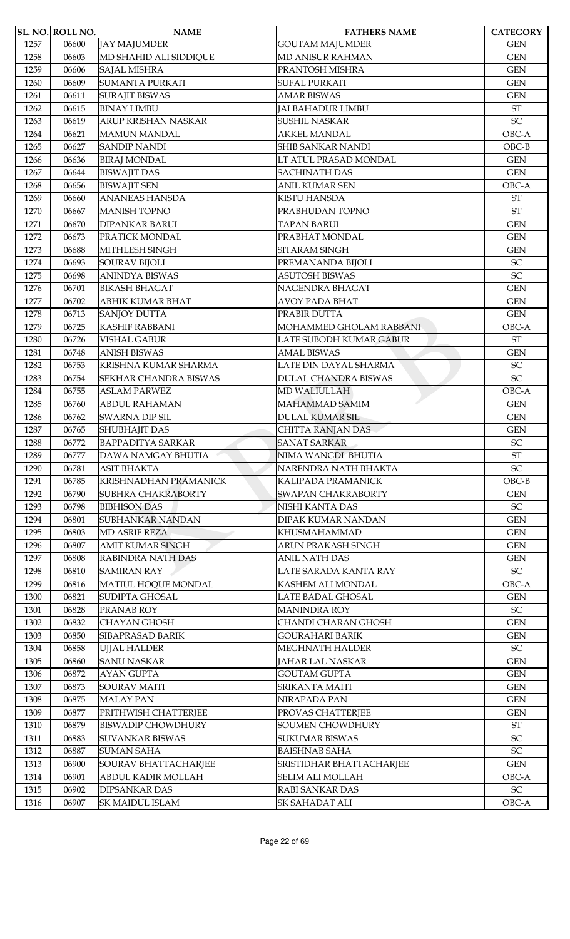|              | SL. NO. ROLL NO. | <b>NAME</b>               | <b>FATHERS NAME</b>         | <b>CATEGORY</b>                          |
|--------------|------------------|---------------------------|-----------------------------|------------------------------------------|
| 1257         | 06600            | <b>JAY MAJUMDER</b>       | <b>GOUTAM MAJUMDER</b>      | <b>GEN</b>                               |
| 1258         | 06603            | MD SHAHID ALI SIDDIQUE    | <b>MD ANISUR RAHMAN</b>     | <b>GEN</b>                               |
| 1259         | 06606            | <b>SAJAL MISHRA</b>       | PRANTOSH MISHRA             | <b>GEN</b>                               |
| 1260         | 06609            | <b>SUMANTA PURKAIT</b>    | <b>SUFAL PURKAIT</b>        | <b>GEN</b>                               |
| 1261         | 06611            | <b>SURAJIT BISWAS</b>     | <b>AMAR BISWAS</b>          | <b>GEN</b>                               |
| 1262         | 06615            | <b>BINAY LIMBU</b>        | <b>JAI BAHADUR LIMBU</b>    | <b>ST</b>                                |
| 1263         | 06619            | ARUP KRISHAN NASKAR       | SUSHIL NASKAR               | SC                                       |
| 1264         | 06621            | <b>MAMUN MANDAL</b>       | <b>AKKEL MANDAL</b>         | OBC-A                                    |
| 1265         | 06627            | <b>SANDIP NANDI</b>       | <b>SHIB SANKAR NANDI</b>    | $OBC-B$                                  |
| 1266         | 06636            | <b>BIRAJ MONDAL</b>       | LT ATUL PRASAD MONDAL       | <b>GEN</b>                               |
| 1267         | 06644            | <b>BISWAJIT DAS</b>       | <b>SACHINATH DAS</b>        | <b>GEN</b>                               |
| 1268         | 06656            | <b>BISWAJIT SEN</b>       | <b>ANIL KUMAR SEN</b>       | OBC-A                                    |
| 1269         | 06660            | <b>ANANEAS HANSDA</b>     | <b>KISTU HANSDA</b>         | $\operatorname{ST}$                      |
| 1270         | 06667            | <b>MANISH TOPNO</b>       | PRABHUDAN TOPNO             | <b>ST</b>                                |
| 1271         | 06670            | <b>DIPANKAR BARUI</b>     | <b>TAPAN BARUI</b>          | <b>GEN</b>                               |
| 1272         | 06673            | PRATICK MONDAL            | PRABHAT MONDAL              | <b>GEN</b>                               |
| 1273         | 06688            | MITHLESH SINGH            | SITARAM SINGH               | <b>GEN</b>                               |
| 1274         | 06693            | <b>SOURAV BIJOLI</b>      | PREMANANDA BIJOLI           | $\ensuremath{\mathsf{SC}}$               |
| 1275         | 06698            | <b>ANINDYA BISWAS</b>     | <b>ASUTOSH BISWAS</b>       | SC                                       |
| 1276         | 06701            | <b>BIKASH BHAGAT</b>      | NAGENDRA BHAGAT             | <b>GEN</b>                               |
| 1277         | 06702            | ABHIK KUMAR BHAT          | <b>AVOY PADA BHAT</b>       | <b>GEN</b>                               |
| 1278         | 06713            | <b>SANJOY DUTTA</b>       | PRABIR DUTTA                | <b>GEN</b>                               |
| 1279         | 06725            | <b>KASHIF RABBANI</b>     | MOHAMMED GHOLAM RABBANI     | OBC-A                                    |
| 1280         | 06726            | <b>VISHAL GABUR</b>       | LATE SUBODH KUMAR GABUR     | <b>ST</b>                                |
|              |                  | <b>ANISH BISWAS</b>       | <b>AMAL BISWAS</b>          |                                          |
| 1281<br>1282 | 06748<br>06753   | KRISHNA KUMAR SHARMA      | LATE DIN DAYAL SHARMA       | <b>GEN</b><br>$\ensuremath{\mathsf{SC}}$ |
|              | 06754            | SEKHAR CHANDRA BISWAS     | <b>DULAL CHANDRA BISWAS</b> | SC                                       |
| 1283         |                  |                           |                             |                                          |
| 1284         | 06755            | <b>ASLAM PARWEZ</b>       | <b>MD WALIULLAH</b>         | OBC-A                                    |
| 1285         | 06760            | <b>ABDUL RAHAMAN</b>      | MAHAMMAD SAMIM              | <b>GEN</b>                               |
| 1286         | 06762            | SWARNA DIP SIL            | <b>DULAL KUMAR SIL</b>      | <b>GEN</b>                               |
| 1287         | 06765            | SHUBHAJIT DAS             | CHITTA RANJAN DAS           | <b>GEN</b>                               |
| 1288         | 06772            | <b>BAPPADITYA SARKAR</b>  | <b>SANAT SARKAR</b>         | $\ensuremath{\mathsf{SC}}$               |
| 1289         | 06777            | DAWA NAMGAY BHUTIA        | NIMA WANGDI BHUTIA          | <b>ST</b>                                |
| 1290         | 06781            | <b>ASIT BHAKTA</b>        | NARENDRA NATH BHAKTA        | $\ensuremath{\mathsf{SC}}$               |
| 1291         | 06785            | KRISHNADHAN PRAMANICK     | KALIPADA PRAMANICK          | $OBC-B$                                  |
| 1292         | 06790            | SUBHRA CHAKRABORTY        | <b>SWAPAN CHAKRABORTY</b>   | <b>GEN</b>                               |
| 1293         | 06798            | <b>BIBHISON DAS</b>       | NISHI KANTA DAS             | $\ensuremath{\mathsf{SC}}$               |
| 1294         | 06801            | SUBHANKAR NANDAN          | DIPAK KUMAR NANDAN          | <b>GEN</b>                               |
| 1295         | 06803            | <b>MD ASRIF REZA</b>      | <b>KHUSMAHAMMAD</b>         | <b>GEN</b>                               |
| 1296         | 06807            | <b>AMIT KUMAR SINGH</b>   | ARUN PRAKASH SINGH          | <b>GEN</b>                               |
| 1297         | 06808            | <b>RABINDRA NATH DAS</b>  | <b>ANIL NATH DAS</b>        | <b>GEN</b>                               |
| 1298         | 06810            | <b>SAMIRAN RAY</b>        | LATE SARADA KANTA RAY       | $\ensuremath{\mathsf{SC}}$               |
| 1299         | 06816            | MATIUL HOQUE MONDAL       | KASHEM ALI MONDAL           | OBC-A                                    |
| 1300         | 06821            | <b>SUDIPTA GHOSAL</b>     | LATE BADAL GHOSAL           | <b>GEN</b>                               |
| 1301         | 06828            | PRANAB ROY                | <b>MANINDRA ROY</b>         | $\ensuremath{\mathsf{SC}}$               |
| 1302         | 06832            | <b>CHAYAN GHOSH</b>       | <b>CHANDI CHARAN GHOSH</b>  | <b>GEN</b>                               |
| 1303         | 06850            | SIBAPRASAD BARIK          | <b>GOURAHARI BARIK</b>      | <b>GEN</b>                               |
| 1304         | 06858            | <b>UJJAL HALDER</b>       | <b>MEGHNATH HALDER</b>      | $\ensuremath{\mathsf{SC}}$               |
| 1305         | 06860            | <b>SANU NASKAR</b>        | JAHAR LAL NASKAR            | <b>GEN</b>                               |
| 1306         | 06872            | <b>AYAN GUPTA</b>         | <b>GOUTAM GUPTA</b>         | <b>GEN</b>                               |
| 1307         | 06873            | <b>SOURAV MAITI</b>       | <b>SRIKANTA MAITI</b>       | <b>GEN</b>                               |
| 1308         | 06875            | <b>MALAY PAN</b>          | NIRAPADA PAN                | <b>GEN</b>                               |
| 1309         | 06877            | PRITHWISH CHATTERJEE      | PROVAS CHATTERJEE           | <b>GEN</b>                               |
| 1310         | 06879            | <b>BISWADIP CHOWDHURY</b> | SOUMEN CHOWDHURY            | ST                                       |
| 1311         | 06883            | <b>SUVANKAR BISWAS</b>    | <b>SUKUMAR BISWAS</b>       | $\ensuremath{\mathsf{SC}}$               |
| 1312         | 06887            | <b>SUMAN SAHA</b>         | <b>BAISHNAB SAHA</b>        | $\ensuremath{\mathsf{SC}}$               |
| 1313         | 06900            | SOURAV BHATTACHARJEE      | SRISTIDHAR BHATTACHARJEE    | <b>GEN</b>                               |
| 1314         | 06901            | ABDUL KADIR MOLLAH        | SELIM ALI MOLLAH            | OBC-A                                    |
| 1315         | 06902            | <b>DIPSANKAR DAS</b>      | <b>RABI SANKAR DAS</b>      | $\ensuremath{\mathsf{SC}}$               |
| 1316         | 06907            | <b>SK MAIDUL ISLAM</b>    | SK SAHADAT ALI              | $OBC-A$                                  |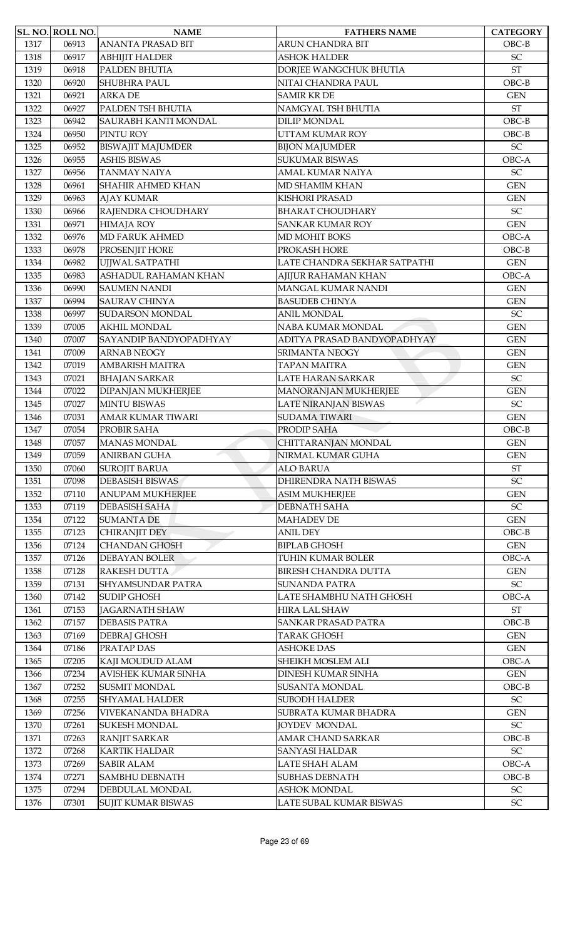|      | <b>SL. NO. ROLL NO.</b> | <b>NAME</b>                | <b>FATHERS NAME</b>          | <b>CATEGORY</b>            |
|------|-------------------------|----------------------------|------------------------------|----------------------------|
| 1317 | 06913                   | <b>ANANTA PRASAD BIT</b>   | <b>ARUN CHANDRA BIT</b>      | $OBC-B$                    |
| 1318 | 06917                   | <b>ABHIJIT HALDER</b>      | ASHOK HALDER                 | SC                         |
| 1319 | 06918                   | PALDEN BHUTIA              | DORJEE WANGCHUK BHUTIA       | <b>ST</b>                  |
| 1320 | 06920                   | <b>SHUBHRA PAUL</b>        | NITAI CHANDRA PAUL           | $OBC-B$                    |
| 1321 | 06921                   | <b>ARKA DE</b>             | <b>SAMIR KR DE</b>           | <b>GEN</b>                 |
| 1322 | 06927                   | PALDEN TSH BHUTIA          | NAMGYAL TSH BHUTIA           | <b>ST</b>                  |
| 1323 | 06942                   | SAURABH KANTI MONDAL       | <b>DILIP MONDAL</b>          | $OBC-B$                    |
| 1324 | 06950                   | PINTU ROY                  | <b>UTTAM KUMAR ROY</b>       | $OBC-B$                    |
|      |                         |                            |                              | $\ensuremath{\mathsf{SC}}$ |
| 1325 | 06952                   | <b>BISWAJIT MAJUMDER</b>   | <b>BIJON MAJUMDER</b>        |                            |
| 1326 | 06955                   | <b>ASHIS BISWAS</b>        | <b>SUKUMAR BISWAS</b>        | OBC-A                      |
| 1327 | 06956                   | <b>TANMAY NAIYA</b>        | AMAL KUMAR NAIYA             | SC                         |
| 1328 | 06961                   | <b>SHAHIR AHMED KHAN</b>   | MD SHAMIM KHAN               | <b>GEN</b>                 |
| 1329 | 06963                   | <b>AJAY KUMAR</b>          | <b>KISHORI PRASAD</b>        | <b>GEN</b>                 |
| 1330 | 06966                   | RAJENDRA CHOUDHARY         | <b>BHARAT CHOUDHARY</b>      | $\ensuremath{\mathsf{SC}}$ |
| 1331 | 06971                   | <b>HIMAJA ROY</b>          | <b>SANKAR KUMAR ROY</b>      | <b>GEN</b>                 |
| 1332 | 06976                   | <b>MD FARUK AHMED</b>      | MD MOHIT BOKS                | OBC-A                      |
| 1333 | 06978                   | PROSENJIT HORE             | PROKASH HORE                 | $OBC-B$                    |
| 1334 | 06982                   | UJJWAL SATPATHI            | LATE CHANDRA SEKHAR SATPATHI | <b>GEN</b>                 |
| 1335 | 06983                   | ASHADUL RAHAMAN KHAN       | AJIJUR RAHAMAN KHAN          | OBC-A                      |
| 1336 | 06990                   | <b>SAUMEN NANDI</b>        | MANGAL KUMAR NANDI           | <b>GEN</b>                 |
| 1337 | 06994                   | <b>SAURAV CHINYA</b>       | <b>BASUDEB CHINYA</b>        | <b>GEN</b>                 |
|      |                         |                            |                              |                            |
| 1338 | 06997                   | SUDARSON MONDAL            | ANIL MONDAL                  | SC                         |
| 1339 | 07005                   | <b>AKHIL MONDAL</b>        | NABA KUMAR MONDAL            | <b>GEN</b>                 |
| 1340 | 07007                   | SAYANDIP BANDYOPADHYAY     | ADITYA PRASAD BANDYOPADHYAY  | <b>GEN</b>                 |
| 1341 | 07009                   | <b>ARNAB NEOGY</b>         | SRIMANTA NEOGY               | <b>GEN</b>                 |
| 1342 | 07019                   | <b>AMBARISH MAITRA</b>     | TAPAN MAITRA                 | <b>GEN</b>                 |
| 1343 | 07021                   | <b>BHAJAN SARKAR</b>       | <b>LATE HARAN SARKAR</b>     | $\ensuremath{\mathsf{SC}}$ |
| 1344 | 07022                   | <b>DIPANJAN MUKHERJEE</b>  | <b>MANORANJAN MUKHERJEE</b>  | <b>GEN</b>                 |
| 1345 | 07027                   | <b>MINTU BISWAS</b>        | <b>LATE NIRANJAN BISWAS</b>  | <b>SC</b>                  |
| 1346 | 07031                   | <b>AMAR KUMAR TIWARI</b>   | <b>SUDAMA TIWARI</b>         | <b>GEN</b>                 |
| 1347 | 07054                   | PROBIR SAHA                | PRODIP SAHA                  | $OBC-B$                    |
| 1348 | 07057                   | <b>MANAS MONDAL</b>        | CHITTARANJAN MONDAL          | <b>GEN</b>                 |
| 1349 | 07059                   | <b>ANIRBAN GUHA</b>        | NIRMAL KUMAR GUHA            | <b>GEN</b>                 |
| 1350 | 07060                   | <b>SUROJIT BARUA</b>       | <b>ALO BARUA</b>             | <b>ST</b>                  |
| 1351 | 07098                   | <b>DEBASISH BISWAS</b>     | DHIRENDRA NATH BISWAS        | $\ensuremath{\mathsf{SC}}$ |
|      |                         |                            |                              |                            |
| 1352 | 07110                   | <b>ANUPAM MUKHERJEE</b>    | <b>ASIM MUKHERJEE</b>        | <b>GEN</b>                 |
| 1353 | 07119                   | <b>DEBASISH SAHA</b>       | <b>DEBNATH SAHA</b>          | $\ensuremath{\mathsf{SC}}$ |
| 1354 | 07122                   | <b>SUMANTA DE</b>          | <b>MAHADEV DE</b>            | <b>GEN</b>                 |
| 1355 | 07123                   | CHIRANJIT DEY              | <b>ANIL DEY</b>              | $OBC-B$                    |
| 1356 | 07124                   | <b>CHANDAN GHOSH</b>       | <b>BIPLAB GHOSH</b>          | <b>GEN</b>                 |
| 1357 | 07126                   | DEBAYAN BOLER              | TUHIN KUMAR BOLER            | OBC-A                      |
| 1358 | 07128                   | RAKESH DUTTA               | <b>BIRESH CHANDRA DUTTA</b>  | <b>GEN</b>                 |
| 1359 | 07131                   | SHYAMSUNDAR PATRA          | <b>SUNANDA PATRA</b>         | $\ensuremath{\mathsf{SC}}$ |
| 1360 | 07142                   | <b>SUDIP GHOSH</b>         | LATE SHAMBHU NATH GHOSH      | OBC-A                      |
| 1361 | 07153                   | <b>JAGARNATH SHAW</b>      | HIRA LAL SHAW                | $\operatorname{ST}$        |
| 1362 | 07157                   | <b>DEBASIS PATRA</b>       | SANKAR PRASAD PATRA          | $OBC-B$                    |
| 1363 | 07169                   | <b>DEBRAJ GHOSH</b>        | <b>TARAK GHOSH</b>           | <b>GEN</b>                 |
| 1364 | 07186                   | PRATAP DAS                 | <b>ASHOKE DAS</b>            | <b>GEN</b>                 |
| 1365 | 07205                   | KAJI MOUDUD ALAM           | SHEIKH MOSLEM ALI            | OBC-A                      |
| 1366 | 07234                   | <b>AVISHEK KUMAR SINHA</b> | <b>DINESH KUMAR SINHA</b>    | <b>GEN</b>                 |
| 1367 | 07252                   | <b>SUSMIT MONDAL</b>       | SUSANTA MONDAL               | $OBC-B$                    |
|      |                         |                            |                              |                            |
| 1368 | 07255                   | <b>SHYAMAL HALDER</b>      | SUBODH HALDER                | $\ensuremath{\mathsf{SC}}$ |
| 1369 | 07256                   | VIVEKANANDA BHADRA         | SUBRATA KUMAR BHADRA         | <b>GEN</b>                 |
| 1370 | 07261                   | <b>SUKESH MONDAL</b>       | <b>JOYDEV MONDAL</b>         | $\ensuremath{\mathsf{SC}}$ |
| 1371 | 07263                   | <b>RANJIT SARKAR</b>       | AMAR CHAND SARKAR            | $OBC-B$                    |
| 1372 | 07268                   | <b>KARTIK HALDAR</b>       | SANYASI HALDAR               | $\ensuremath{\mathsf{SC}}$ |
| 1373 | 07269                   | <b>SABIR ALAM</b>          | LATE SHAH ALAM               | OBC-A                      |
| 1374 | 07271                   | <b>SAMBHU DEBNATH</b>      | <b>SUBHAS DEBNATH</b>        | $OBC-B$                    |
| 1375 | 07294                   | DEBDULAL MONDAL            | <b>ASHOK MONDAL</b>          | $\ensuremath{\mathsf{SC}}$ |
| 1376 | 07301                   | SUJIT KUMAR BISWAS         | LATE SUBAL KUMAR BISWAS      | $\ensuremath{\mathsf{SC}}$ |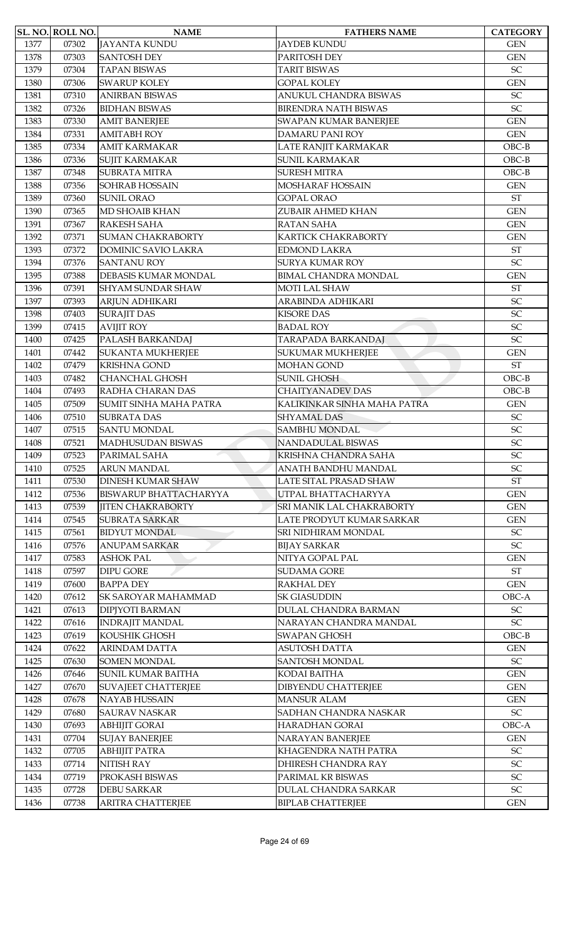|      | SL. NO. ROLL NO. | <b>NAME</b>                | <b>FATHERS NAME</b>          | <b>CATEGORY</b>            |
|------|------------------|----------------------------|------------------------------|----------------------------|
| 1377 | 07302            | <b>JAYANTA KUNDU</b>       | JAYDEB KUNDU                 | <b>GEN</b>                 |
| 1378 | 07303            | <b>SANTOSH DEY</b>         | PARITOSH DEY                 | <b>GEN</b>                 |
| 1379 | 07304            | <b>TAPAN BISWAS</b>        | <b>TARIT BISWAS</b>          | SC                         |
| 1380 | 07306            | <b>SWARUP KOLEY</b>        | <b>GOPAL KOLEY</b>           | <b>GEN</b>                 |
| 1381 | 07310            | <b>ANIRBAN BISWAS</b>      | ANUKUL CHANDRA BISWAS        | SC                         |
| 1382 | 07326            | <b>BIDHAN BISWAS</b>       | <b>BIRENDRA NATH BISWAS</b>  | SC                         |
| 1383 | 07330            | <b>AMIT BANERJEE</b>       | <b>SWAPAN KUMAR BANERJEE</b> | <b>GEN</b>                 |
| 1384 | 07331            | <b>AMITABH ROY</b>         | <b>DAMARU PANI ROY</b>       | <b>GEN</b>                 |
| 1385 | 07334            | <b>AMIT KARMAKAR</b>       | LATE RANJIT KARMAKAR         | $OBC-B$                    |
| 1386 | 07336            | <b>SUJIT KARMAKAR</b>      | <b>SUNIL KARMAKAR</b>        | $OBC-B$                    |
| 1387 | 07348            | <b>SUBRATA MITRA</b>       | <b>SURESH MITRA</b>          | $OBC-B$                    |
| 1388 | 07356            | <b>SOHRAB HOSSAIN</b>      | MOSHARAF HOSSAIN             | <b>GEN</b>                 |
| 1389 | 07360            | <b>SUNIL ORAO</b>          | <b>GOPAL ORAO</b>            | $\operatorname{ST}$        |
| 1390 | 07365            | MD SHOAIB KHAN             | ZUBAIR AHMED KHAN            | <b>GEN</b>                 |
| 1391 | 07367            | <b>RAKESH SAHA</b>         | <b>RATAN SAHA</b>            | <b>GEN</b>                 |
| 1392 | 07371            | <b>SUMAN CHAKRABORTY</b>   | KARTICK CHAKRABORTY          | <b>GEN</b>                 |
| 1393 | 07372            | DOMINIC SAVIO LAKRA        | <b>EDMOND LAKRA</b>          | <b>ST</b>                  |
| 1394 | 07376            | <b>SANTANU ROY</b>         | <b>SURYA KUMAR ROY</b>       | SC                         |
| 1395 | 07388            | DEBASIS KUMAR MONDAL       | <b>BIMAL CHANDRA MONDAL</b>  | <b>GEN</b>                 |
| 1396 | 07391            | <b>SHYAM SUNDAR SHAW</b>   | <b>MOTI LAL SHAW</b>         | <b>ST</b>                  |
| 1397 | 07393            | ARJUN ADHIKARI             | ARABINDA ADHIKARI            | SC                         |
| 1398 | 07403            | <b>SURAJIT DAS</b>         | <b>KISORE DAS</b>            | SC                         |
| 1399 | 07415            | <b>AVIJIT ROY</b>          | <b>BADAL ROY</b>             | SC                         |
| 1400 | 07425            | PALASH BARKANDAJ           | TARAPADA BARKANDAJ           | SC                         |
| 1401 | 07442            | <b>SUKANTA MUKHERJEE</b>   | <b>SUKUMAR MUKHERJEE</b>     | <b>GEN</b>                 |
| 1402 | 07479            | <b>KRISHNA GOND</b>        | <b>MOHAN GOND</b>            | <b>ST</b>                  |
| 1403 | 07482            | <b>CHANCHAL GHOSH</b>      | <b>SUNIL GHOSH</b>           | $OBC-B$                    |
| 1404 | 07493            | RADHA CHARAN DAS           | <b>CHAITYANADEV DAS</b>      | $OBC-B$                    |
| 1405 | 07509            | SUMIT SINHA MAHA PATRA     | KALIKINKAR SINHA MAHA PATRA  | <b>GEN</b>                 |
| 1406 | 07510            | <b>SUBRATA DAS</b>         | <b>SHYAMAL DAS</b>           | $\ensuremath{\mathsf{SC}}$ |
| 1407 | 07515            | <b>SANTU MONDAL</b>        | <b>SAMBHU MONDAL</b>         | SC                         |
| 1408 | 07521            | <b>MADHUSUDAN BISWAS</b>   | NANDADULAL BISWAS            | SC                         |
| 1409 | 07523            | PARIMAL SAHA               | KRISHNA CHANDRA SAHA         | SC                         |
| 1410 | 07525            | <b>ARUN MANDAL</b>         | ANATH BANDHU MANDAL          | SC                         |
| 1411 | 07530            | <b>DINESH KUMAR SHAW</b>   | LATE SITAL PRASAD SHAW       | $\operatorname{ST}$        |
| 1412 | 07536            | BISWARUP BHATTACHARYYA     | UTPAL BHATTACHARYYA          | <b>GEN</b>                 |
| 1413 | 07539            | <b>JITEN CHAKRABORTY</b>   | SRI MANIK LAL CHAKRABORTY    | <b>GEN</b>                 |
| 1414 | 07545            | <b>SUBRATA SARKAR</b>      | LATE PRODYUT KUMAR SARKAR    | <b>GEN</b>                 |
| 1415 | 07561            | <b>BIDYUT MONDAL</b>       | SRI NIDHIRAM MONDAL          | $\ensuremath{\mathsf{SC}}$ |
| 1416 | 07576            | <b>ANUPAM SARKAR</b>       | <b>BIJAY SARKAR</b>          | SC                         |
| 1417 | 07583            | <b>ASHOK PAL</b>           | NITYA GOPAL PAL              | <b>GEN</b>                 |
| 1418 | 07597            | <b>DIPU GORE</b>           | <b>SUDAMA GORE</b>           | <b>ST</b>                  |
| 1419 | 07600            | <b>BAPPA DEY</b>           | <b>RAKHAL DEY</b>            | <b>GEN</b>                 |
| 1420 | 07612            | SK SAROYAR MAHAMMAD        | <b>SK GIASUDDIN</b>          | OBC-A                      |
| 1421 | 07613            | <b>DIPJYOTI BARMAN</b>     | DULAL CHANDRA BARMAN         | $\ensuremath{\mathsf{SC}}$ |
| 1422 | 07616            | <b>INDRAJIT MANDAL</b>     | NARAYAN CHANDRA MANDAL       | SC                         |
| 1423 | 07619            | KOUSHIK GHOSH              | <b>SWAPAN GHOSH</b>          | $OBC-B$                    |
| 1424 | 07622            | <b>ARINDAM DATTA</b>       | <b>ASUTOSH DATTA</b>         | <b>GEN</b>                 |
| 1425 | 07630            | <b>SOMEN MONDAL</b>        | <b>SANTOSH MONDAL</b>        | $\ensuremath{\mathsf{SC}}$ |
| 1426 | 07646            | <b>SUNIL KUMAR BAITHA</b>  | KODAI BAITHA                 | <b>GEN</b>                 |
| 1427 | 07670            | <b>SUVAJEET CHATTERJEE</b> | DIBYENDU CHATTERJEE          | <b>GEN</b>                 |
| 1428 | 07678            | NAYAB HUSSAIN              | <b>MANSUR ALAM</b>           | <b>GEN</b>                 |
| 1429 | 07680            | <b>SAURAV NASKAR</b>       | SADHAN CHANDRA NASKAR        | $\ensuremath{\mathsf{SC}}$ |
| 1430 | 07693            | <b>ABHIJIT GORAI</b>       | HARADHAN GORAI               | OBC-A                      |
| 1431 | 07704            | <b>SUJAY BANERJEE</b>      | NARAYAN BANERJEE             | <b>GEN</b>                 |
| 1432 | 07705            | <b>ABHIJIT PATRA</b>       | KHAGENDRA NATH PATRA         | $\ensuremath{\mathsf{SC}}$ |
| 1433 | 07714            | <b>NITISH RAY</b>          | DHIRESH CHANDRA RAY          | SC                         |
| 1434 | 07719            | PROKASH BISWAS             | PARIMAL KR BISWAS            | $\ensuremath{\mathsf{SC}}$ |
| 1435 | 07728            | <b>DEBU SARKAR</b>         | DULAL CHANDRA SARKAR         | SC                         |
| 1436 | 07738            | ARITRA CHATTERJEE          | <b>BIPLAB CHATTERJEE</b>     | <b>GEN</b>                 |
|      |                  |                            |                              |                            |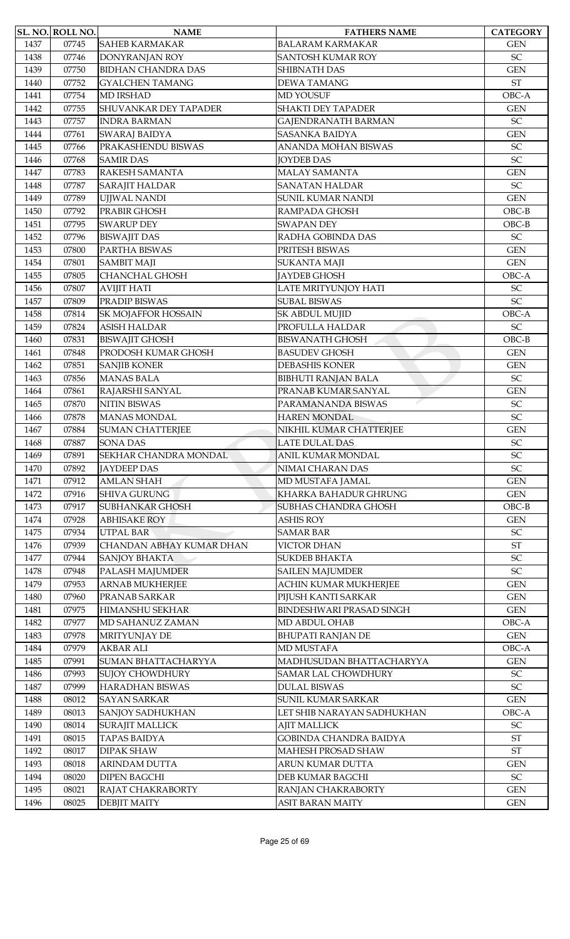|      | SL. NO. ROLL NO. | <b>NAME</b>                     | <b>FATHERS NAME</b>             | <b>CATEGORY</b>            |
|------|------------------|---------------------------------|---------------------------------|----------------------------|
| 1437 | 07745            | <b>SAHEB KARMAKAR</b>           | <b>BALARAM KARMAKAR</b>         | <b>GEN</b>                 |
| 1438 | 07746            | DONYRANJAN ROY                  | <b>SANTOSH KUMAR ROY</b>        | SC                         |
| 1439 | 07750            | <b>BIDHAN CHANDRA DAS</b>       | <b>SHIBNATH DAS</b>             | <b>GEN</b>                 |
| 1440 | 07752            | <b>GYALCHEN TAMANG</b>          | <b>DEWATAMANG</b>               | $\operatorname{ST}$        |
| 1441 | 07754            | <b>MD IRSHAD</b>                | <b>MD YOUSUF</b>                | OBC-A                      |
| 1442 | 07755            | SHUVANKAR DEY TAPADER           | <b>SHAKTI DEY TAPADER</b>       | <b>GEN</b>                 |
| 1443 | 07757            | <b>INDRA BARMAN</b>             | <b>GAJENDRANATH BARMAN</b>      | SC                         |
| 1444 | 07761            | <b>SWARAJ BAIDYA</b>            | <b>SASANKA BAIDYA</b>           | <b>GEN</b>                 |
| 1445 | 07766            | PRAKASHENDU BISWAS              | <b>ANANDA MOHAN BISWAS</b>      | SC                         |
| 1446 | 07768            | <b>SAMIR DAS</b>                | <b>JOYDEB DAS</b>               | SC                         |
| 1447 | 07783            | RAKESH SAMANTA                  | <b>MALAY SAMANTA</b>            | <b>GEN</b>                 |
| 1448 | 07787            | <b>SARAJIT HALDAR</b>           | <b>SANATAN HALDAR</b>           | SC                         |
| 1449 | 07789            | <b>UJJWAL NANDI</b>             | <b>SUNIL KUMAR NANDI</b>        | <b>GEN</b>                 |
| 1450 | 07792            | PRABIR GHOSH                    | RAMPADA GHOSH                   | $OBC-B$                    |
| 1451 | 07795            | <b>SWARUP DEY</b>               | <b>SWAPAN DEY</b>               | $OBC-B$                    |
| 1452 | 07796            | <b>BISWAJIT DAS</b>             | RADHA GOBINDA DAS               | $\ensuremath{\mathsf{SC}}$ |
| 1453 | 07800            | PARTHA BISWAS                   | PRITESH BISWAS                  | <b>GEN</b>                 |
| 1454 | 07801            | <b>SAMBIT MAJI</b>              | <b>SUKANTA MAJI</b>             | <b>GEN</b>                 |
|      |                  |                                 |                                 |                            |
| 1455 | 07805            | <b>CHANCHAL GHOSH</b>           | <b>JAYDEB GHOSH</b>             | OBC-A                      |
| 1456 | 07807            | <b>AVIJIT HATI</b>              | LATE MRITYUNJOY HATI            | SC<br>SC                   |
| 1457 | 07809            | PRADIP BISWAS                   | <b>SUBAL BISWAS</b>             |                            |
| 1458 | 07814            | SK MOJAFFOR HOSSAIN             | SK ABDUL MUJID                  | OBC-A                      |
| 1459 | 07824            | <b>ASISH HALDAR</b>             | PROFULLA HALDAR                 | $\ensuremath{\mathsf{SC}}$ |
| 1460 | 07831            | <b>BISWAJIT GHOSH</b>           | <b>BISWANATH GHOSH</b>          | $OBC-B$                    |
| 1461 | 07848            | PRODOSH KUMAR GHOSH             | <b>BASUDEV GHOSH</b>            | <b>GEN</b>                 |
| 1462 | 07851            | <b>SANJIB KONER</b>             | <b>DEBASHIS KONER</b>           | <b>GEN</b>                 |
| 1463 | 07856            | <b>MANAS BALA</b>               | <b>BIBHUTI RANJAN BALA</b>      | SC                         |
| 1464 | 07861            | RAJARSHI SANYAL                 | PRANAB KUMAR SANYAL             | <b>GEN</b>                 |
| 1465 | 07870            | <b>NITIN BISWAS</b>             | PARAMANANDA BISWAS              | SC                         |
| 1466 | 07878            | <b>MANAS MONDAL</b>             | <b>HAREN MONDAL</b>             | SC                         |
| 1467 | 07884            | <b>SUMAN CHATTERJEE</b>         | NIKHIL KUMAR CHATTERJEE         | <b>GEN</b>                 |
| 1468 | 07887            | <b>SONA DAS</b>                 | <b>LATE DULAL DAS</b>           | $\ensuremath{\mathsf{SC}}$ |
| 1469 | 07891            | SEKHAR CHANDRA MONDAL           | ANIL KUMAR MONDAL               | SC                         |
| 1470 | 07892            | <b>JAYDEEP DAS</b>              | NIMAI CHARAN DAS                | SC                         |
| 1471 | 07912            | <b>AMLAN SHAH</b>               | MD MUSTAFA JAMAL                | <b>GEN</b>                 |
| 1472 | 07916            | <b>SHIVA GURUNG</b>             | KHARKA BAHADUR GHRUNG           | <b>GEN</b>                 |
| 1473 | 07917            | <b>SUBHANKAR GHOSH</b>          | <b>SUBHAS CHANDRA GHOSH</b>     | $OBC-B$                    |
| 1474 | 07928            | <b>ABHISAKE ROY</b>             | <b>ASHIS ROY</b>                | <b>GEN</b>                 |
| 1475 | 07934            | <b>UTPAL BAR</b>                | <b>SAMAR BAR</b>                | $\ensuremath{\mathsf{SC}}$ |
| 1476 | 07939            | <b>CHANDAN ABHAY KUMAR DHAN</b> | <b>VICTOR DHAN</b>              | <b>ST</b>                  |
| 1477 | 07944            | <b>SANJOY BHAKTA</b>            | <b>SUKDEB BHAKTA</b>            | SC                         |
| 1478 | 07948            | PALASH MAJUMDER                 | <b>SAILEN MAJUMDER</b>          | $\ensuremath{\mathsf{SC}}$ |
| 1479 | 07953            | ARNAB MUKHERJEE                 | ACHIN KUMAR MUKHERJEE           | <b>GEN</b>                 |
| 1480 | 07960            | PRANAB SARKAR                   | PIJUSH KANTI SARKAR             | <b>GEN</b>                 |
| 1481 | 07975            | HIMANSHU SEKHAR                 | <b>BINDESHWARI PRASAD SINGH</b> | <b>GEN</b>                 |
| 1482 | 07977            | MD SAHANUZ ZAMAN                | MD ABDUL OHAB                   | OBC-A                      |
| 1483 | 07978            | MRITYUNJAY DE                   | <b>BHUPATI RANJAN DE</b>        | <b>GEN</b>                 |
| 1484 | 07979            | <b>AKBAR ALI</b>                | MD MUSTAFA                      | OBC-A                      |
| 1485 | 07991            | SUMAN BHATTACHARYYA             | MADHUSUDAN BHATTACHARYYA        | <b>GEN</b>                 |
| 1486 | 07993            | <b>SUJOY CHOWDHURY</b>          | <b>SAMAR LAL CHOWDHURY</b>      | $\ensuremath{\mathsf{SC}}$ |
| 1487 | 07999            | <b>HARADHAN BISWAS</b>          | <b>DULAL BISWAS</b>             | $\ensuremath{\mathsf{SC}}$ |
| 1488 | 08012            | <b>SAYAN SARKAR</b>             | SUNIL KUMAR SARKAR              | <b>GEN</b>                 |
| 1489 | 08013            | SANJOY SADHUKHAN                | LET SHIB NARAYAN SADHUKHAN      | OBC-A                      |
| 1490 | 08014            | <b>SURAJIT MALLICK</b>          | <b>AJIT MALLICK</b>             | $\ensuremath{\mathsf{SC}}$ |
| 1491 | 08015            | <b>TAPAS BAIDYA</b>             | GOBINDA CHANDRA BAIDYA          | $\operatorname{ST}$        |
| 1492 | 08017            | <b>DIPAK SHAW</b>               | MAHESH PROSAD SHAW              | $\operatorname{ST}$        |
| 1493 | 08018            | <b>ARINDAM DUTTA</b>            | <b>ARUN KUMAR DUTTA</b>         | <b>GEN</b>                 |
| 1494 | 08020            | <b>DIPEN BAGCHI</b>             | DEB KUMAR BAGCHI                | $\ensuremath{\mathsf{SC}}$ |
| 1495 | 08021            | RAJAT CHAKRABORTY               | RANJAN CHAKRABORTY              | <b>GEN</b>                 |
| 1496 | 08025            | <b>DEBJIT MAITY</b>             | <b>ASIT BARAN MAITY</b>         | <b>GEN</b>                 |
|      |                  |                                 |                                 |                            |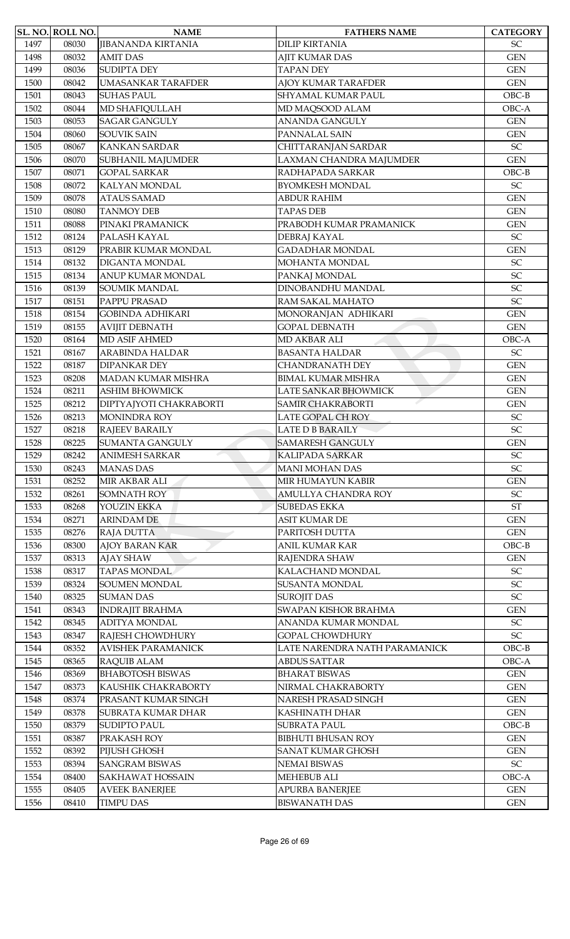|      | <b>SL. NO. ROLL NO.</b> | <b>NAME</b>               | <b>FATHERS NAME</b>           | <b>CATEGORY</b>       |
|------|-------------------------|---------------------------|-------------------------------|-----------------------|
| 1497 | 08030                   | <b>JIBANANDA KIRTANIA</b> | <b>DILIP KIRTANIA</b>         | SC                    |
| 1498 | 08032                   | <b>AMIT DAS</b>           | AJIT KUMAR DAS                | <b>GEN</b>            |
| 1499 | 08036                   | <b>SUDIPTA DEY</b>        | <b>TAPAN DEY</b>              | <b>GEN</b>            |
| 1500 | 08042                   | <b>UMASANKAR TARAFDER</b> | AJOY KUMAR TARAFDER           | <b>GEN</b>            |
| 1501 | 08043                   | <b>SUHAS PAUL</b>         | SHYAMAL KUMAR PAUL            | $OBC-B$               |
| 1502 | 08044                   | MD SHAFIQULLAH            | MD MAQSOOD ALAM               | OBC-A                 |
| 1503 | 08053                   | <b>SAGAR GANGULY</b>      | <b>ANANDA GANGULY</b>         | <b>GEN</b>            |
| 1504 | 08060                   | <b>SOUVIK SAIN</b>        | PANNALAL SAIN                 | <b>GEN</b>            |
| 1505 | 08067                   | <b>KANKAN SARDAR</b>      | CHITTARANJAN SARDAR           | SC                    |
| 1506 | 08070                   | SUBHANIL MAJUMDER         | LAXMAN CHANDRA MAJUMDER       | <b>GEN</b>            |
| 1507 | 08071                   | <b>GOPAL SARKAR</b>       | RADHAPADA SARKAR              | $OBC-B$               |
| 1508 | 08072                   | KALYAN MONDAL             | <b>BYOMKESH MONDAL</b>        | SC                    |
| 1509 | 08078                   | <b>ATAUS SAMAD</b>        | <b>ABDUR RAHIM</b>            | <b>GEN</b>            |
| 1510 | 08080                   | <b>TANMOY DEB</b>         | <b>TAPAS DEB</b>              | <b>GEN</b>            |
| 1511 | 08088                   | PINAKI PRAMANICK          | PRABODH KUMAR PRAMANICK       | <b>GEN</b>            |
| 1512 | 08124                   | PALASH KAYAL              | DEBRAJ KAYAL                  | SC                    |
| 1513 | 08129                   | PRABIR KUMAR MONDAL       | <b>GADADHAR MONDAL</b>        | <b>GEN</b>            |
| 1514 | 08132                   | DIGANTA MONDAL            | MOHANTA MONDAL                | SC                    |
| 1515 | 08134                   | ANUP KUMAR MONDAL         | PANKAJ MONDAL                 | SC                    |
| 1516 | 08139                   | <b>SOUMIK MANDAL</b>      | DINOBANDHU MANDAL             | SC                    |
| 1517 | 08151                   | PAPPU PRASAD              | RAM SAKAL MAHATO              | SC                    |
| 1518 | 08154                   | <b>GOBINDA ADHIKARI</b>   | MONORANJAN ADHIKARI           | <b>GEN</b>            |
| 1519 | 08155                   | <b>AVIJIT DEBNATH</b>     | <b>GOPAL DEBNATH</b>          | <b>GEN</b>            |
| 1520 | 08164                   | <b>MD ASIF AHMED</b>      | MD AKBAR ALI                  | OBC-A                 |
| 1521 | 08167                   | ARABINDA HALDAR           | <b>BASANTA HALDAR</b>         | SC                    |
| 1522 | 08187                   | <b>DIPANKAR DEY</b>       | <b>CHANDRANATH DEY</b>        | <b>GEN</b>            |
| 1523 | 08208                   | <b>MADAN KUMAR MISHRA</b> | <b>BIMAL KUMAR MISHRA</b>     | <b>GEN</b>            |
| 1524 | 08211                   | <b>ASHIM BHOWMICK</b>     | <b>LATE SANKAR BHOWMICK</b>   | <b>GEN</b>            |
| 1525 | 08212                   | DIPTYAJYOTI CHAKRABORTI   | <b>SAMIR CHAKRABORTI</b>      | <b>GEN</b>            |
| 1526 | 08213                   | <b>MONINDRA ROY</b>       | LATE GOPAL CH ROY             | SC                    |
| 1527 | 08218                   | <b>RAJEEV BARAILY</b>     | <b>LATE D B BARAILY</b>       | SC                    |
| 1528 | 08225                   | SUMANTA GANGULY           | <b>SAMARESH GANGULY</b>       | <b>GEN</b>            |
| 1529 | 08242                   | <b>ANIMESH SARKAR</b>     | KALIPADA SARKAR               | SC                    |
| 1530 | 08243                   | <b>MANAS DAS</b>          | <b>MANI MOHAN DAS</b>         | SC                    |
| 1531 | 08252                   | MIR AKBAR ALI             | <b>MIR HUMAYUN KABIR</b>      | <b>GEN</b>            |
| 1532 | 08261                   | SOMNATH ROY               | AMULLYA CHANDRA ROY           | SC                    |
| 1533 |                         | YOUZIN EKKA               | <b>SUBEDAS EKKA</b>           | $\operatorname{ST}$   |
|      | 08268                   | <b>ARINDAM DE</b>         | <b>ASIT KUMAR DE</b>          |                       |
| 1534 | 08271                   |                           | PARITOSH DUTTA                | <b>GEN</b>            |
| 1535 | 08276                   | RAJA DUTTA                | <b>ANIL KUMAR KAR</b>         | <b>GEN</b><br>$OBC-B$ |
| 1536 | 08300                   | <b>AJOY BARAN KAR</b>     |                               |                       |
| 1537 | 08313                   | <b>AJAY SHAW</b>          | RAJENDRA SHAW                 | <b>GEN</b>            |
| 1538 | 08317                   | <b>TAPAS MONDAL</b>       | KALACHAND MONDAL              | ${\rm SC}$            |
| 1539 | 08324                   | <b>SOUMEN MONDAL</b>      | SUSANTA MONDAL                | SC                    |
| 1540 | 08325                   | <b>SUMAN DAS</b>          | <b>SUROJIT DAS</b>            | SC                    |
| 1541 | 08343                   | <b>INDRAJIT BRAHMA</b>    | SWAPAN KISHOR BRAHMA          | <b>GEN</b>            |
| 1542 | 08345                   | <b>ADITYA MONDAL</b>      | ANANDA KUMAR MONDAL           | ${\rm SC}$            |
| 1543 | 08347                   | RAJESH CHOWDHURY          | <b>GOPAL CHOWDHURY</b>        | SC                    |
| 1544 | 08352                   | <b>AVISHEK PARAMANICK</b> | LATE NARENDRA NATH PARAMANICK | $OBC-B$               |
| 1545 | 08365                   | RAQUIB ALAM               | <b>ABDUS SATTAR</b>           | OBC-A                 |
| 1546 | 08369                   | <b>BHABOTOSH BISWAS</b>   | <b>BHARAT BISWAS</b>          | <b>GEN</b>            |
| 1547 | 08373                   | KAUSHIK CHAKRABORTY       | NIRMAL CHAKRABORTY            | <b>GEN</b>            |
| 1548 | 08374                   | PRASANT KUMAR SINGH       | NARESH PRASAD SINGH           | <b>GEN</b>            |
| 1549 | 08378                   | SUBRATA KUMAR DHAR        | KASHINATH DHAR                | <b>GEN</b>            |
| 1550 | 08379                   | <b>SUDIPTO PAUL</b>       | <b>SUBRATA PAUL</b>           | $OBC-B$               |
| 1551 | 08387                   | PRAKASH ROY               | <b>BIBHUTI BHUSAN ROY</b>     | <b>GEN</b>            |
| 1552 | 08392                   | PIJUSH GHOSH              | SANAT KUMAR GHOSH             | <b>GEN</b>            |
| 1553 | 08394                   | <b>SANGRAM BISWAS</b>     | <b>NEMAI BISWAS</b>           | SC                    |
| 1554 | 08400                   | <b>SAKHAWAT HOSSAIN</b>   | <b>MEHEBUB ALI</b>            | OBC-A                 |
| 1555 | 08405                   | <b>AVEEK BANERJEE</b>     | <b>APURBA BANERJEE</b>        | <b>GEN</b>            |
| 1556 | 08410                   | <b>TIMPU DAS</b>          | <b>BISWANATH DAS</b>          | <b>GEN</b>            |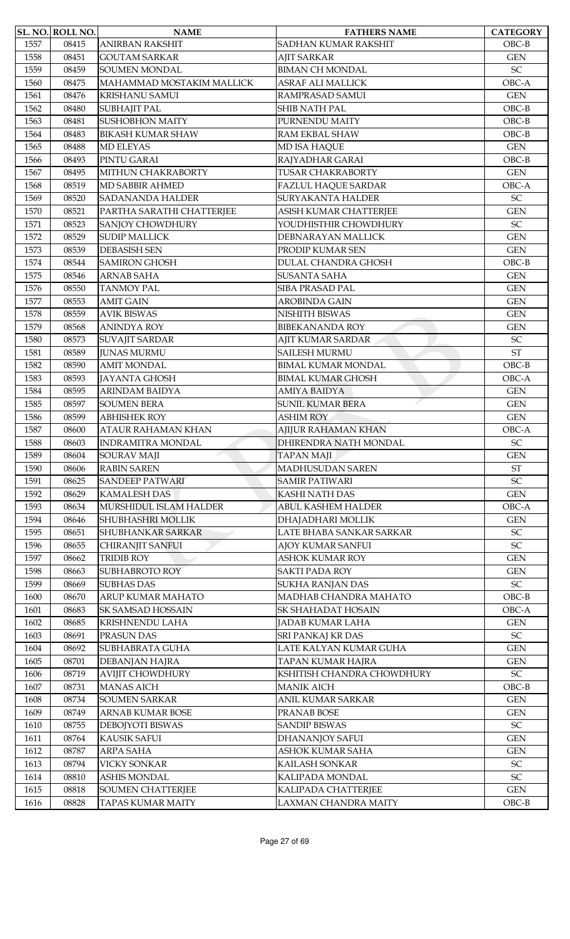|      | <b>SL. NO. ROLL NO.</b> | <b>NAME</b>               | <b>FATHERS NAME</b>         | <b>CATEGORY</b>            |
|------|-------------------------|---------------------------|-----------------------------|----------------------------|
| 1557 | 08415                   | <b>ANIRBAN RAKSHIT</b>    | <b>SADHAN KUMAR RAKSHIT</b> | $OBC-B$                    |
| 1558 | 08451                   | <b>GOUTAM SARKAR</b>      | <b>AJIT SARKAR</b>          | <b>GEN</b>                 |
| 1559 | 08459                   | <b>SOUMEN MONDAL</b>      | <b>BIMAN CH MONDAL</b>      | $\ensuremath{\mathsf{SC}}$ |
| 1560 | 08475                   | MAHAMMAD MOSTAKIM MALLICK | <b>ASRAF ALI MALLICK</b>    | OBC-A                      |
| 1561 | 08476                   | <b>KRISHANU SAMUI</b>     | RAMPRASAD SAMUI             | <b>GEN</b>                 |
| 1562 | 08480                   | <b>SUBHAJIT PAL</b>       | SHIB NATH PAL               | $OBC-B$                    |
| 1563 | 08481                   | <b>SUSHOBHON MAITY</b>    | PURNENDU MAITY              | $OBC-B$                    |
| 1564 | 08483                   | <b>BIKASH KUMAR SHAW</b>  | RAM EKBAL SHAW              | $OBC-B$                    |
| 1565 | 08488                   | <b>MD ELEYAS</b>          | MD ISA HAQUE                | <b>GEN</b>                 |
| 1566 | 08493                   | PINTU GARAI               | RAJYADHAR GARAI             | $OBC-B$                    |
| 1567 | 08495                   | MITHUN CHAKRABORTY        | <b>TUSAR CHAKRABORTY</b>    | <b>GEN</b>                 |
| 1568 | 08519                   | MD SABBIR AHMED           | <b>FAZLUL HAQUE SARDAR</b>  | OBC-A                      |
|      |                         |                           |                             |                            |
| 1569 | 08520                   | <b>SADANANDA HALDER</b>   | <b>SURYAKANTA HALDER</b>    | SC                         |
| 1570 | 08521                   | PARTHA SARATHI CHATTERJEE | ASISH KUMAR CHATTERJEE      | <b>GEN</b>                 |
| 1571 | 08523                   | <b>SANJOY CHOWDHURY</b>   | YOUDHISTHIR CHOWDHURY       | SC                         |
| 1572 | 08529                   | <b>SUDIP MALLICK</b>      | DEBNARAYAN MALLICK          | <b>GEN</b>                 |
| 1573 | 08539                   | <b>DEBASISH SEN</b>       | PRODIP KUMAR SEN            | <b>GEN</b>                 |
| 1574 | 08544                   | <b>SAMIRON GHOSH</b>      | <b>DULAL CHANDRA GHOSH</b>  | $OBC-B$                    |
| 1575 | 08546                   | <b>ARNAB SAHA</b>         | <b>SUSANTA SAHA</b>         | <b>GEN</b>                 |
| 1576 | 08550                   | <b>TANMOY PAL</b>         | <b>SIBA PRASAD PAL</b>      | <b>GEN</b>                 |
| 1577 | 08553                   | <b>AMIT GAIN</b>          | <b>AROBINDA GAIN</b>        | <b>GEN</b>                 |
| 1578 | 08559                   | <b>AVIK BISWAS</b>        | NISHITH BISWAS              | <b>GEN</b>                 |
| 1579 | 08568                   | <b>ANINDYA ROY</b>        | <b>BIBEKANANDA ROY</b>      | <b>GEN</b>                 |
| 1580 | 08573                   | <b>SUVAJIT SARDAR</b>     | <b>AJIT KUMAR SARDAR</b>    | SC                         |
| 1581 | 08589                   | <b>JUNAS MURMU</b>        | <b>SAILESH MURMU</b>        | <b>ST</b>                  |
| 1582 | 08590                   | <b>AMIT MONDAL</b>        | <b>BIMAL KUMAR MONDAL</b>   | $OBC-B$                    |
| 1583 | 08593                   | <b>JAYANTA GHOSH</b>      | <b>BIMAL KUMAR GHOSH</b>    | OBC-A                      |
| 1584 | 08595                   | <b>ARINDAM BAIDYA</b>     | <b>AMIYA BAIDYA</b>         | <b>GEN</b>                 |
| 1585 | 08597                   | <b>SOUMEN BERA</b>        | <b>SUNIL KUMAR BERA</b>     | <b>GEN</b>                 |
| 1586 | 08599                   | <b>ABHISHEK ROY</b>       | <b>ASHIM ROY</b>            | <b>GEN</b>                 |
| 1587 | 08600                   | <b>ATAUR RAHAMAN KHAN</b> | <b>AJIJUR RAHAMAN KHAN</b>  | OBC-A                      |
| 1588 | 08603                   | <b>INDRAMITRA MONDAL</b>  | DHIRENDRA NATH MONDAL       | ${\rm SC}$                 |
| 1589 | 08604                   | <b>SOURAV MAJI</b>        | <b>TAPAN MAJI</b>           | <b>GEN</b>                 |
| 1590 | 08606                   | <b>RABIN SAREN</b>        | MADHUSUDAN SAREN            | $\operatorname{ST}$        |
| 1591 | 08625                   | <b>SANDEEP PATWARI</b>    | <b>SAMIR PATIWARI</b>       | SC                         |
| 1592 | 08629                   | <b>KAMALESH DAS</b>       | <b>KASHI NATH DAS</b>       | <b>GEN</b>                 |
| 1593 | 08634                   | MURSHIDUL ISLAM HALDER    | <b>ABUL KASHEM HALDER</b>   | OBC-A                      |
| 1594 | 08646                   | SHUBHASHRI MOLLIK         | DHAJADHARI MOLLIK           | <b>GEN</b>                 |
|      |                         | <b>SHUBHANKAR SARKAR</b>  |                             |                            |
| 1595 | 08651                   |                           | LATE BHABA SANKAR SARKAR    | SC                         |
| 1596 | 08655                   | <b>CHIRANJIT SANFUI</b>   | AJOY KUMAR SANFUI           | SC                         |
| 1597 | 08662                   | <b>TRIDIB ROY</b>         | <b>ASHOK KUMAR ROY</b>      | <b>GEN</b>                 |
| 1598 | 08663                   | <b>SUBHABROTO ROY</b>     | <b>SAKTI PADA ROY</b>       | <b>GEN</b>                 |
| 1599 | 08669                   | <b>SUBHAS DAS</b>         | SUKHA RANJAN DAS            | $\ensuremath{\mathsf{SC}}$ |
| 1600 | 08670                   | ARUP KUMAR MAHATO         | MADHAB CHANDRA MAHATO       | $OBC-B$                    |
| 1601 | 08683                   | SK SAMSAD HOSSAIN         | SK SHAHADAT HOSAIN          | OBC-A                      |
| 1602 | 08685                   | KRISHNENDU LAHA           | JADAB KUMAR LAHA            | <b>GEN</b>                 |
| 1603 | 08691                   | PRASUN DAS                | SRI PANKAJ KR DAS           | SC                         |
| 1604 | 08692                   | SUBHABRATA GUHA           | LATE KALYAN KUMAR GUHA      | $\mbox{GEN}$               |
| 1605 | 08701                   | DEBANJAN HAJRA            | TAPAN KUMAR HAJRA           | <b>GEN</b>                 |
| 1606 | 08719                   | <b>AVIJIT CHOWDHURY</b>   | KSHITISH CHANDRA CHOWDHURY  | $\ensuremath{\mathsf{SC}}$ |
| 1607 | 08731                   | <b>MANAS AICH</b>         | <b>MANIK AICH</b>           | $OBC-B$                    |
| 1608 | 08734                   | <b>SOUMEN SARKAR</b>      | ANIL KUMAR SARKAR           | <b>GEN</b>                 |
| 1609 | 08749                   | ARNAB KUMAR BOSE          | PRANAB BOSE                 | $\mbox{GEN}$               |
| 1610 | 08755                   | DEBOJYOTI BISWAS          | <b>SANDIP BISWAS</b>        | SC                         |
| 1611 | 08764                   | <b>KAUSIK SAFUI</b>       | DHANANJOY SAFUI             | <b>GEN</b>                 |
| 1612 | 08787                   | ARPA SAHA                 | ASHOK KUMAR SAHA            | <b>GEN</b>                 |
| 1613 | 08794                   | <b>VICKY SONKAR</b>       | KAILASH SONKAR              | SC                         |
| 1614 | 08810                   | <b>ASHIS MONDAL</b>       | KALIPADA MONDAL             | SC                         |
| 1615 | 08818                   | <b>SOUMEN CHATTERJEE</b>  | KALIPADA CHATTERJEE         | $\mbox{GEN}$               |
| 1616 | 08828                   | <b>TAPAS KUMAR MAITY</b>  | LAXMAN CHANDRA MAITY        | $OBC-B$                    |
|      |                         |                           |                             |                            |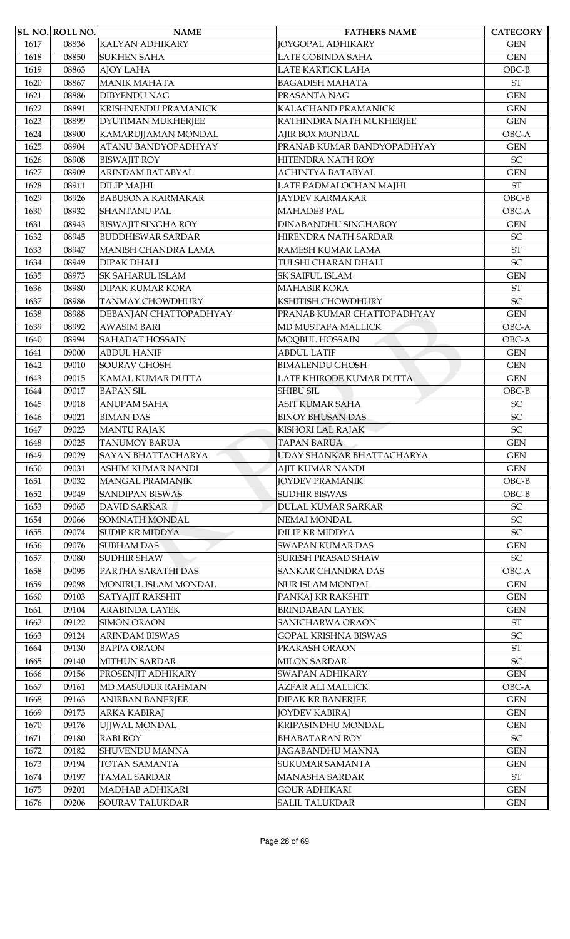|              | <b>SL. NO. ROLL NO.</b> | <b>NAME</b>                                | <b>FATHERS NAME</b>                            | <b>CATEGORY</b>            |
|--------------|-------------------------|--------------------------------------------|------------------------------------------------|----------------------------|
| 1617         | 08836                   | <b>KALYAN ADHIKARY</b>                     | <b>JOYGOPAL ADHIKARY</b>                       | <b>GEN</b>                 |
| 1618         | 08850                   | <b>SUKHEN SAHA</b>                         | LATE GOBINDA SAHA                              | <b>GEN</b>                 |
| 1619         | 08863                   | <b>AJOY LAHA</b>                           | LATE KARTICK LAHA                              | $OBC-B$                    |
| 1620         | 08867                   | <b>MANIK MAHATA</b>                        | <b>BAGADISH MAHATA</b>                         | <b>ST</b>                  |
| 1621         | 08886                   | <b>DIBYENDU NAG</b>                        | PRASANTA NAG                                   | <b>GEN</b>                 |
| 1622         | 08891                   | <b>KRISHNENDU PRAMANICK</b>                | KALACHAND PRAMANICK                            | <b>GEN</b>                 |
| 1623         | 08899                   | DYUTIMAN MUKHERJEE                         | RATHINDRA NATH MUKHERJEE                       | <b>GEN</b>                 |
| 1624         | 08900                   | KAMARUJJAMAN MONDAL                        | AJIR BOX MONDAL                                | OBC-A                      |
| 1625         | 08904                   | ATANU BANDYOPADHYAY                        | PRANAB KUMAR BANDYOPADHYAY                     | <b>GEN</b>                 |
| 1626         | 08908                   | <b>BISWAJIT ROY</b>                        | HITENDRA NATH ROY                              | SC                         |
| 1627         | 08909                   | ARINDAM BATABYAL                           | ACHINTYA BATABYAL                              | <b>GEN</b>                 |
| 1628         | 08911                   | <b>DILIP MAJHI</b>                         | LATE PADMALOCHAN MAJHI                         | <b>ST</b>                  |
| 1629         | 08926                   | <b>BABUSONA KARMAKAR</b>                   | <b>JAYDEV KARMAKAR</b>                         | $OBC-B$                    |
| 1630         | 08932                   | <b>SHANTANU PAL</b>                        | <b>MAHADEB PAL</b>                             | OBC-A                      |
| 1631         | 08943                   | <b>BISWAJIT SINGHA ROY</b>                 | <b>DINABANDHU SINGHAROY</b>                    | <b>GEN</b>                 |
| 1632         | 08945                   | <b>BUDDHISWAR SARDAR</b>                   | HIRENDRA NATH SARDAR                           | SC                         |
| 1633         | 08947                   | <b>MANISH CHANDRA LAMA</b>                 | RAMESH KUMAR LAMA                              | <b>ST</b>                  |
| 1634         | 08949                   | <b>DIPAK DHALI</b>                         | TULSHI CHARAN DHALI                            | SC                         |
| 1635         | 08973                   | <b>SK SAHARUL ISLAM</b>                    | SK SAIFUL ISLAM                                | <b>GEN</b>                 |
| 1636         | 08980                   | <b>DIPAK KUMAR KORA</b>                    | <b>MAHABIR KORA</b>                            | <b>ST</b>                  |
| 1637         | 08986                   | <b>TANMAY CHOWDHURY</b>                    | KSHITISH CHOWDHURY                             | SC                         |
| 1638         | 08988                   | DEBANJAN CHATTOPADHYAY                     | PRANAB KUMAR CHATTOPADHYAY                     | <b>GEN</b>                 |
| 1639         | 08992                   | <b>AWASIM BARI</b>                         | MD MUSTAFA MALLICK                             | OBC-A                      |
| 1640         | 08994                   | <b>SAHADAT HOSSAIN</b>                     | MOQBUL HOSSAIN                                 | OBC-A                      |
| 1641         | 09000                   | <b>ABDUL HANIF</b>                         | <b>ABDUL LATIF</b>                             | <b>GEN</b>                 |
| 1642         | 09010                   | SOURAV GHOSH                               | <b>BIMALENDU GHOSH</b>                         | <b>GEN</b>                 |
| 1643         | 09015                   | KAMAL KUMAR DUTTA                          | LATE KHIRODE KUMAR DUTTA                       | <b>GEN</b>                 |
| 1644         | 09017                   | <b>BAPAN SIL</b>                           | <b>SHIBU SIL</b>                               | $OBC-B$                    |
| 1645         | 09018                   | <b>ANUPAM SAHA</b>                         | <b>ASIT KUMAR SAHA</b>                         | SC                         |
|              | 09021                   | <b>BIMAN DAS</b>                           | <b>BINOY BHUSAN DAS</b>                        | SC                         |
| 1646<br>1647 | 09023                   | <b>MANTU RAJAK</b>                         | KISHORI LAL RAJAK                              | SC                         |
| 1648         | 09025                   |                                            | <b>TAPAN BARUA</b>                             |                            |
| 1649         | 09029                   | <b>TANUMOY BARUA</b><br>SAYAN BHATTACHARYA | UDAY SHANKAR BHATTACHARYA                      | <b>GEN</b><br><b>GEN</b>   |
|              |                         | <b>ASHIM KUMAR NANDI</b>                   |                                                |                            |
| 1650         | 09031                   |                                            | <b>AJIT KUMAR NANDI</b>                        | <b>GEN</b>                 |
| 1651         | 09032                   | <b>MANGAL PRAMANIK</b>                     | <b>JOYDEV PRAMANIK</b><br><b>SUDHIR BISWAS</b> | $OBC-B$                    |
| 1652         | 09049                   | <b>SANDIPAN BISWAS</b>                     |                                                | $OBC-B$                    |
| 1653         | 09065                   | <b>DAVID SARKAR</b>                        | <b>DULAL KUMAR SARKAR</b>                      | SC                         |
| 1654         | 09066                   | SOMNATH MONDAL                             | NEMAI MONDAL                                   | $\ensuremath{\mathsf{SC}}$ |
| 1655         | 09074                   | <b>SUDIP KR MIDDYA</b>                     | <b>DILIP KR MIDDYA</b>                         | SC                         |
| 1656         | 09076                   | <b>SUBHAM DAS</b>                          | <b>SWAPAN KUMAR DAS</b>                        | <b>GEN</b>                 |
| 1657         | 09080                   | <b>SUDHIR SHAW</b>                         | <b>SURESH PRASAD SHAW</b>                      | $\ensuremath{\mathsf{SC}}$ |
| 1658         | 09095                   | PARTHA SARATHI DAS                         | SANKAR CHANDRA DAS                             | OBC-A                      |
| 1659         | 09098                   | MONIRUL ISLAM MONDAL                       | NUR ISLAM MONDAL                               | <b>GEN</b>                 |
| 1660         | 09103                   | SATYAJIT RAKSHIT                           | PANKAJ KR RAKSHIT                              | <b>GEN</b>                 |
| 1661         | 09104                   | <b>ARABINDA LAYEK</b>                      | <b>BRINDABAN LAYEK</b>                         | <b>GEN</b>                 |
| 1662         | 09122                   | <b>SIMON ORAON</b>                         | SANICHARWA ORAON                               | ST                         |
| 1663         | 09124                   | <b>ARINDAM BISWAS</b>                      | <b>GOPAL KRISHNA BISWAS</b>                    | SC                         |
| 1664         | 09130                   | <b>BAPPA ORAON</b>                         | PRAKASH ORAON                                  | <b>ST</b>                  |
| 1665         | 09140                   | <b>MITHUN SARDAR</b>                       | <b>MILON SARDAR</b>                            | SC                         |
| 1666         | 09156                   | PROSENJIT ADHIKARY                         | SWAPAN ADHIKARY                                | <b>GEN</b>                 |
| 1667         | 09161                   | MD MASUDUR RAHMAN                          | <b>AZFAR ALI MALLICK</b>                       | OBC-A                      |
| 1668         | 09163                   | <b>ANIRBAN BANERJEE</b>                    | <b>DIPAK KR BANERJEE</b>                       | <b>GEN</b>                 |
| 1669         | 09173                   | <b>ARKA KABIRAJ</b>                        | <b>JOYDEV KABIRAJ</b>                          | <b>GEN</b>                 |
| 1670         | 09176                   | UJJWAL MONDAL                              | KRIPASINDHU MONDAL                             | <b>GEN</b>                 |
| 1671         | 09180                   | <b>RABI ROY</b>                            | <b>BHABATARAN ROY</b>                          | $\ensuremath{\mathsf{SC}}$ |
| 1672         | 09182                   | <b>SHUVENDU MANNA</b>                      | JAGABANDHU MANNA                               | <b>GEN</b>                 |
| 1673         | 09194                   | <b>TOTAN SAMANTA</b>                       | SUKUMAR SAMANTA                                | <b>GEN</b>                 |
| 1674         | 09197                   | <b>TAMAL SARDAR</b>                        | <b>MANASHA SARDAR</b>                          | $\operatorname{ST}$        |
| 1675         | 09201                   | MADHAB ADHIKARI                            | <b>GOUR ADHIKARI</b>                           | <b>GEN</b>                 |
| 1676         | 09206                   | SOURAV TALUKDAR                            | <b>SALIL TALUKDAR</b>                          | <b>GEN</b>                 |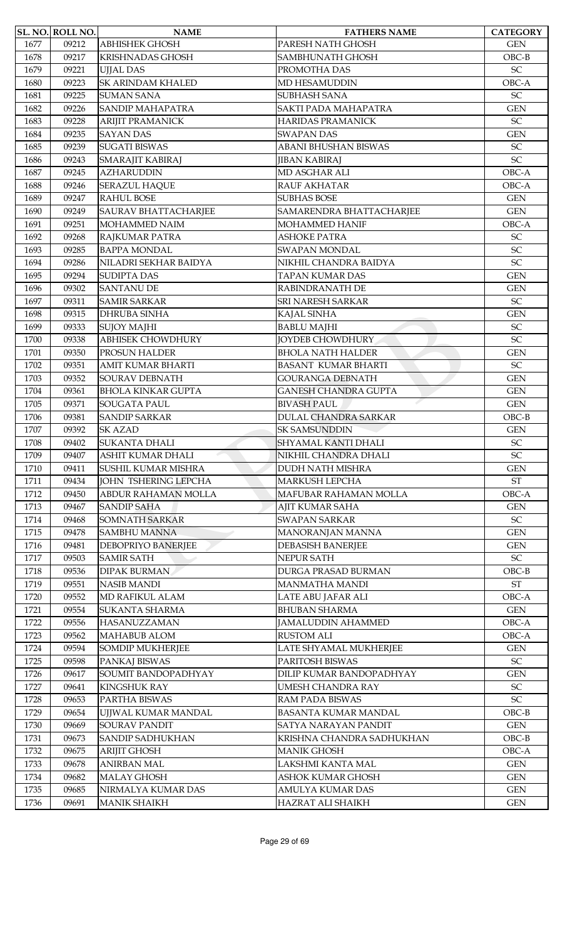|      | <b>SL. NO. ROLL NO.</b> | <b>NAME</b>                 | <b>FATHERS NAME</b>         | <b>CATEGORY</b>            |
|------|-------------------------|-----------------------------|-----------------------------|----------------------------|
| 1677 | 09212                   | <b>ABHISHEK GHOSH</b>       | PARESH NATH GHOSH           | <b>GEN</b>                 |
| 1678 | 09217                   | <b>KRISHNADAS GHOSH</b>     | SAMBHUNATH GHOSH            | $OBC-B$                    |
| 1679 | 09221                   | <b>UIJAL DAS</b>            | PROMOTHA DAS                | SC                         |
| 1680 | 09223                   | <b>SK ARINDAM KHALED</b>    | MD HESAMUDDIN               | OBC-A                      |
| 1681 | 09225                   | <b>SUMAN SANA</b>           | <b>SUBHASH SANA</b>         | SC                         |
| 1682 | 09226                   | <b>SANDIP MAHAPATRA</b>     | SAKTI PADA MAHAPATRA        | <b>GEN</b>                 |
| 1683 | 09228                   | <b>ARIJIT PRAMANICK</b>     | <b>HARIDAS PRAMANICK</b>    | SC                         |
| 1684 | 09235                   | <b>SAYAN DAS</b>            | <b>SWAPAN DAS</b>           | <b>GEN</b>                 |
| 1685 | 09239                   | <b>SUGATI BISWAS</b>        | ABANI BHUSHAN BISWAS        | $\ensuremath{\mathsf{SC}}$ |
| 1686 | 09243                   | SMARAJIT KABIRAJ            | <b>JIBAN KABIRAJ</b>        | SC                         |
| 1687 | 09245                   | <b>AZHARUDDIN</b>           | MD ASGHAR ALI               | OBC-A                      |
| 1688 | 09246                   | <b>SERAZUL HAQUE</b>        | RAUF AKHATAR                | OBC-A                      |
| 1689 | 09247                   | <b>RAHUL BOSE</b>           | <b>SUBHAS BOSE</b>          | <b>GEN</b>                 |
| 1690 | 09249                   | <b>SAURAV BHATTACHARJEE</b> | SAMARENDRA BHATTACHARJEE    | <b>GEN</b>                 |
| 1691 | 09251                   | <b>MOHAMMED NAIM</b>        | <b>MOHAMMED HANIF</b>       | OBC-A                      |
| 1692 | 09268                   | RAJKUMAR PATRA              | <b>ASHOKE PATRA</b>         | SC                         |
| 1693 | 09285                   | <b>BAPPA MONDAL</b>         | <b>SWAPAN MONDAL</b>        | SC                         |
| 1694 | 09286                   | NILADRI SEKHAR BAIDYA       | NIKHIL CHANDRA BAIDYA       | SC                         |
| 1695 | 09294                   | <b>SUDIPTA DAS</b>          | <b>TAPAN KUMAR DAS</b>      | <b>GEN</b>                 |
| 1696 | 09302                   | <b>SANTANU DE</b>           | RABINDRANATH DE             | <b>GEN</b>                 |
| 1697 | 09311                   | <b>SAMIR SARKAR</b>         | SRI NARESH SARKAR           | SC                         |
| 1698 | 09315                   | DHRUBA SINHA                | KAJAL SINHA                 | <b>GEN</b>                 |
| 1699 | 09333                   | <b>SUJOY MAJHI</b>          | <b>BABLU MAJHI</b>          | SC                         |
| 1700 | 09338                   | <b>ABHISEK CHOWDHURY</b>    | <b>JOYDEB CHOWDHURY</b>     | SC                         |
| 1701 | 09350                   | PROSUN HALDER               | <b>BHOLA NATH HALDER</b>    | <b>GEN</b>                 |
| 1702 | 09351                   | <b>AMIT KUMAR BHARTI</b>    | <b>BASANT KUMAR BHARTI</b>  | SC                         |
| 1703 | 09352                   | SOURAV DEBNATH              | <b>GOURANGA DEBNATH</b>     | <b>GEN</b>                 |
| 1704 | 09361                   | <b>BHOLA KINKAR GUPTA</b>   | <b>GANESH CHANDRA GUPTA</b> | <b>GEN</b>                 |
| 1705 | 09371                   | <b>SOUGATA PAUL</b>         | <b>BIVASH PAUL</b>          | <b>GEN</b>                 |
| 1706 | 09381                   | <b>SANDIP SARKAR</b>        | <b>DULAL CHANDRA SARKAR</b> | $OBC-B$                    |
| 1707 | 09392                   | <b>SK AZAD</b>              | <b>SK SAMSUNDDIN</b>        | <b>GEN</b>                 |
| 1708 | 09402                   | SUKANTA DHALI               | <b>SHYAMAL KANTI DHALI</b>  | $\ensuremath{\mathsf{SC}}$ |
| 1709 | 09407                   | <b>ASHIT KUMAR DHALI</b>    | NIKHIL CHANDRA DHALI        | SC                         |
| 1710 | 09411                   | <b>SUSHIL KUMAR MISHRA</b>  | <b>DUDH NATH MISHRA</b>     | <b>GEN</b>                 |
| 1711 | 09434                   | <b>JOHN TSHERING LEPCHA</b> | <b>MARKUSH LEPCHA</b>       | $\operatorname{ST}$        |
| 1712 | 09450                   | <b>ABDUR RAHAMAN MOLLA</b>  | MAFUBAR RAHAMAN MOLLA       | OBC-A                      |
| 1713 | 09467                   | <b>SANDIP SAHA</b>          | AJIT KUMAR SAHA             | <b>GEN</b>                 |
| 1714 | 09468                   | <b>SOMNATH SARKAR</b>       | <b>SWAPAN SARKAR</b>        | $\ensuremath{\mathsf{SC}}$ |
| 1715 | 09478                   | <b>SAMBHU MANNA</b>         | MANORANJAN MANNA            | <b>GEN</b>                 |
| 1716 | 09481                   | DEBOPRIYO BANERJEE          | <b>DEBASISH BANERJEE</b>    | <b>GEN</b>                 |
| 1717 | 09503                   | <b>SAMIR SATH</b>           | NEPUR SATH                  | $\ensuremath{\mathsf{SC}}$ |
| 1718 | 09536                   | <b>DIPAK BURMAN</b>         | DURGA PRASAD BURMAN         | $OBC-B$                    |
| 1719 | 09551                   | <b>NASIB MANDI</b>          | <b>MANMATHA MANDI</b>       | $\operatorname{ST}$        |
| 1720 | 09552                   | <b>MD RAFIKUL ALAM</b>      | LATE ABU JAFAR ALI          | OBC-A                      |
| 1721 | 09554                   | <b>SUKANTA SHARMA</b>       | <b>BHUBAN SHARMA</b>        | <b>GEN</b>                 |
| 1722 | 09556                   | <b>HASANUZZAMAN</b>         | <b>JAMALUDDIN AHAMMED</b>   | OBC-A                      |
| 1723 | 09562                   | <b>MAHABUB ALOM</b>         | <b>RUSTOM ALI</b>           | OBC-A                      |
| 1724 | 09594                   | <b>SOMDIP MUKHERJEE</b>     | LATE SHYAMAL MUKHERJEE      | <b>GEN</b>                 |
| 1725 | 09598                   | PANKAJ BISWAS               | PARITOSH BISWAS             | $\ensuremath{\mathsf{SC}}$ |
| 1726 | 09617                   | SOUMIT BANDOPADHYAY         | DILIP KUMAR BANDOPADHYAY    | <b>GEN</b>                 |
| 1727 | 09641                   | <b>KINGSHUK RAY</b>         | UMESH CHANDRA RAY           | $\ensuremath{\mathsf{SC}}$ |
| 1728 | 09653                   | PARTHA BISWAS               | RAM PADA BISWAS             | SC                         |
| 1729 | 09654                   | UJJWAL KUMAR MANDAL         | <b>BASANTA KUMAR MANDAL</b> | $OBC-B$                    |
| 1730 | 09669                   | <b>SOURAV PANDIT</b>        | SATYA NARAYAN PANDIT        | <b>GEN</b>                 |
| 1731 | 09673                   | <b>SANDIP SADHUKHAN</b>     | KRISHNA CHANDRA SADHUKHAN   | $OBC-B$                    |
| 1732 | 09675                   | <b>ARIJIT GHOSH</b>         | <b>MANIK GHOSH</b>          | OBC-A                      |
| 1733 | 09678                   | <b>ANIRBAN MAL</b>          | LAKSHMI KANTA MAL           | <b>GEN</b>                 |
| 1734 | 09682                   | <b>MALAY GHOSH</b>          | ASHOK KUMAR GHOSH           | <b>GEN</b>                 |
| 1735 | 09685                   | NIRMALYA KUMAR DAS          | AMULYA KUMAR DAS            | <b>GEN</b>                 |
| 1736 | 09691                   | <b>MANIK SHAIKH</b>         | HAZRAT ALI SHAIKH           | <b>GEN</b>                 |
|      |                         |                             |                             |                            |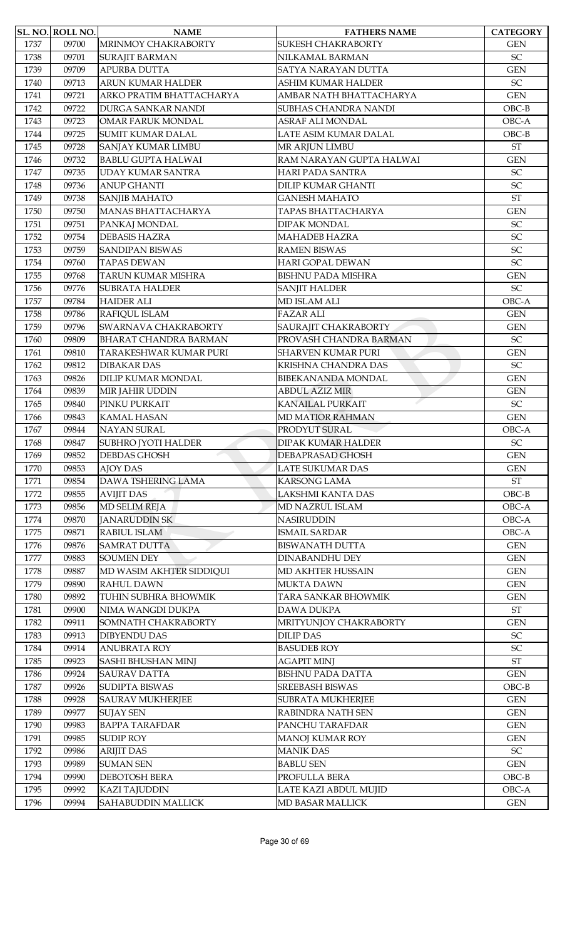|      | SL. NO. ROLL NO. | <b>NAME</b>                  | <b>FATHERS NAME</b>        | <b>CATEGORY</b>            |
|------|------------------|------------------------------|----------------------------|----------------------------|
| 1737 | 09700            | MRINMOY CHAKRABORTY          | <b>SUKESH CHAKRABORTY</b>  | <b>GEN</b>                 |
| 1738 | 09701            | <b>SURAJIT BARMAN</b>        | NILKAMAL BARMAN            | SC                         |
| 1739 | 09709            | APURBA DUTTA                 | <b>SATYA NARAYAN DUTTA</b> | <b>GEN</b>                 |
| 1740 | 09713            | ARUN KUMAR HALDER            | <b>ASHIM KUMAR HALDER</b>  | $\ensuremath{\mathsf{SC}}$ |
| 1741 | 09721            | ARKO PRATIM BHATTACHARYA     | AMBAR NATH BHATTACHARYA    | <b>GEN</b>                 |
| 1742 | 09722            | DURGA SANKAR NANDI           | SUBHAS CHANDRA NANDI       | $OBC-B$                    |
| 1743 | 09723            | <b>OMAR FARUK MONDAL</b>     | ASRAF ALI MONDAL           | OBC-A                      |
| 1744 | 09725            | <b>SUMIT KUMAR DALAL</b>     | LATE ASIM KUMAR DALAL      | $OBC-B$                    |
| 1745 | 09728            | SANJAY KUMAR LIMBU           | MR ARJUN LIMBU             | ST                         |
| 1746 | 09732            | <b>BABLU GUPTA HALWAI</b>    | RAM NARAYAN GUPTA HALWAI   | <b>GEN</b>                 |
| 1747 | 09735            | <b>UDAY KUMAR SANTRA</b>     | <b>HARI PADA SANTRA</b>    | SC                         |
| 1748 | 09736            | <b>ANUP GHANTI</b>           | <b>DILIP KUMAR GHANTI</b>  | $\ensuremath{\mathsf{SC}}$ |
| 1749 | 09738            | <b>SANJIB MAHATO</b>         | <b>GANESH MAHATO</b>       | <b>ST</b>                  |
| 1750 | 09750            | MANAS BHATTACHARYA           | TAPAS BHATTACHARYA         | <b>GEN</b>                 |
| 1751 | 09751            | PANKAJ MONDAL                | DIPAK MONDAL               | SC                         |
| 1752 | 09754            | <b>DEBASIS HAZRA</b>         | <b>MAHADEB HAZRA</b>       | SC                         |
| 1753 | 09759            | <b>SANDIPAN BISWAS</b>       | <b>RAMEN BISWAS</b>        | SC                         |
| 1754 | 09760            | <b>TAPAS DEWAN</b>           | <b>HARI GOPAL DEWAN</b>    | SC                         |
| 1755 | 09768            | TARUN KUMAR MISHRA           | <b>BISHNU PADA MISHRA</b>  | <b>GEN</b>                 |
| 1756 | 09776            | <b>SUBRATA HALDER</b>        | <b>SANJIT HALDER</b>       | SC                         |
| 1757 | 09784            | <b>HAIDER ALI</b>            | <b>MD ISLAM ALI</b>        | OBC-A                      |
| 1758 | 09786            | RAFIQUL ISLAM                | <b>FAZAR ALI</b>           | <b>GEN</b>                 |
| 1759 | 09796            | SWARNAVA CHAKRABORTY         | SAURAJIT CHAKRABORTY       | <b>GEN</b>                 |
| 1760 | 09809            | <b>BHARAT CHANDRA BARMAN</b> | PROVASH CHANDRA BARMAN     | SC                         |
| 1761 | 09810            | TARAKESHWAR KUMAR PURI       | <b>SHARVEN KUMAR PURI</b>  | <b>GEN</b>                 |
| 1762 | 09812            | <b>DIBAKAR DAS</b>           | KRISHNA CHANDRA DAS        | <b>SC</b>                  |
| 1763 | 09826            | <b>DILIP KUMAR MONDAL</b>    | <b>BIBEKANANDA MONDAL</b>  | <b>GEN</b>                 |
| 1764 | 09839            | MIR JAHIR UDDIN              | <b>ABDUL AZIZ MIR</b>      | <b>GEN</b>                 |
| 1765 | 09840            | PINKU PURKAIT                | KANAILAL PURKAIT           | $\ensuremath{\mathsf{SC}}$ |
| 1766 | 09843            | <b>KAMAL HASAN</b>           | <b>MD MATIOR RAHMAN</b>    | <b>GEN</b>                 |
| 1767 | 09844            | NAYAN SURAL                  | PRODYUT SURAL              | OBC-A                      |
| 1768 | 09847            | <b>SUBHRO JYOTI HALDER</b>   | <b>DIPAK KUMAR HALDER</b>  | $\ensuremath{\mathsf{SC}}$ |
| 1769 | 09852            | <b>DEBDAS GHOSH</b>          | DEBAPRASAD GHOSH           | <b>GEN</b>                 |
| 1770 | 09853            | <b>AJOY DAS</b>              | <b>LATE SUKUMAR DAS</b>    | <b>GEN</b>                 |
| 1771 | 09854            | DAWA TSHERING LAMA           | <b>KARSONG LAMA</b>        | ST                         |
| 1772 | 09855            | <b>AVIJIT DAS</b>            | LAKSHMI KANTA DAS          | $OBC-B$                    |
| 1773 | 09856            | <b>MD SELIM REJA</b>         | MD NAZRUL ISLAM            | OBC-A                      |
| 1774 | 09870            | <b>JANARUDDIN SK</b>         | <b>NASIRUDDIN</b>          | OBC-A                      |
| 1775 | 09871            | RABIUL ISLAM                 | <b>ISMAIL SARDAR</b>       | OBC-A                      |
| 1776 | 09876            | <b>SAMRAT DUTTA</b>          | <b>BISWANATH DUTTA</b>     | <b>GEN</b>                 |
| 1777 | 09883            | <b>SOUMEN DEY</b>            | <b>DINABANDHU DEY</b>      | <b>GEN</b>                 |
| 1778 | 09887            | MD WASIM AKHTER SIDDIQUI     | MD AKHTER HUSSAIN          | <b>GEN</b>                 |
| 1779 | 09890            | <b>RAHUL DAWN</b>            | <b>MUKTA DAWN</b>          | <b>GEN</b>                 |
| 1780 | 09892            | TUHIN SUBHRA BHOWMIK         | TARA SANKAR BHOWMIK        | <b>GEN</b>                 |
| 1781 | 09900            | NIMA WANGDI DUKPA            | <b>DAWA DUKPA</b>          | $\operatorname{ST}$        |
| 1782 | 09911            | SOMNATH CHAKRABORTY          | MRITYUNJOY CHAKRABORTY     | <b>GEN</b>                 |
| 1783 | 09913            | <b>DIBYENDU DAS</b>          | <b>DILIP DAS</b>           | $\ensuremath{\mathsf{SC}}$ |
| 1784 | 09914            | <b>ANUBRATA ROY</b>          | <b>BASUDEB ROY</b>         | SC                         |
| 1785 | 09923            | <b>SASHI BHUSHAN MINJ</b>    | <b>AGAPIT MINJ</b>         | $\operatorname{ST}$        |
| 1786 | 09924            | <b>SAURAV DATTA</b>          | <b>BISHNU PADA DATTA</b>   | <b>GEN</b>                 |
| 1787 | 09926            | <b>SUDIPTA BISWAS</b>        | <b>SREEBASH BISWAS</b>     | $OBC-B$                    |
| 1788 | 09928            | <b>SAURAV MUKHERJEE</b>      | <b>SUBRATA MUKHERJEE</b>   | <b>GEN</b>                 |
| 1789 | 09977            | <b>SUJAY SEN</b>             | RABINDRA NATH SEN          | $\mbox{GEN}$               |
| 1790 | 09983            | <b>BAPPA TARAFDAR</b>        | PANCHU TARAFDAR            | <b>GEN</b>                 |
| 1791 | 09985            | <b>SUDIP ROY</b>             | <b>MANOJ KUMAR ROY</b>     | <b>GEN</b>                 |
| 1792 | 09986            | <b>ARIJIT DAS</b>            | <b>MANIK DAS</b>           | $\ensuremath{\mathsf{SC}}$ |
| 1793 | 09989            | <b>SUMAN SEN</b>             | <b>BABLU SEN</b>           | <b>GEN</b>                 |
| 1794 | 09990            | DEBOTOSH BERA                | PROFULLA BERA              | $OBC-B$                    |
| 1795 | 09992            | <b>KAZI TAJUDDIN</b>         | LATE KAZI ABDUL MUJID      | OBC-A                      |
| 1796 | 09994            | <b>SAHABUDDIN MALLICK</b>    | <b>MD BASAR MALLICK</b>    | <b>GEN</b>                 |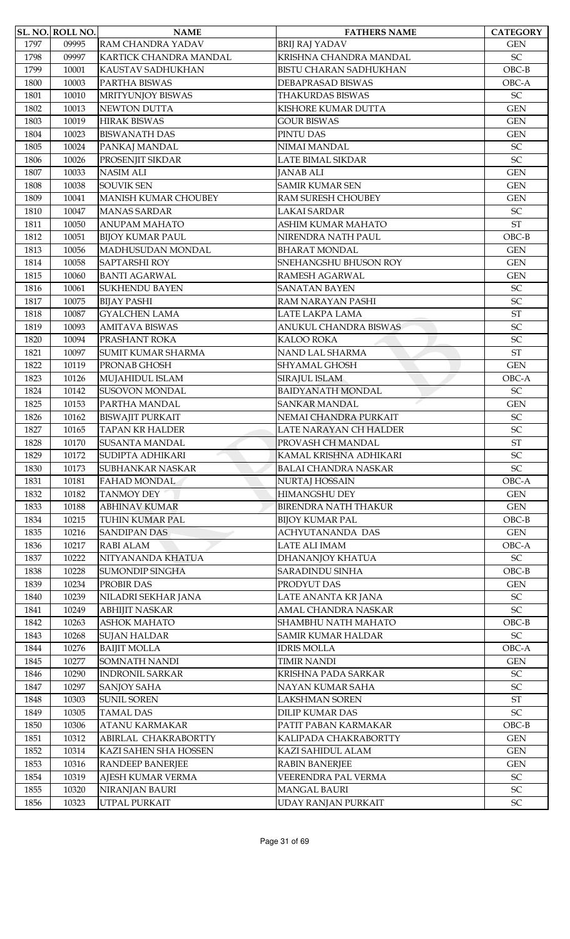|      | SL. NO. ROLL NO. | <b>NAME</b>                  | <b>FATHERS NAME</b>           | <b>CATEGORY</b>            |
|------|------------------|------------------------------|-------------------------------|----------------------------|
| 1797 | 09995            | RAM CHANDRA YADAV            | <b>BRIJ RAJ YADAV</b>         | <b>GEN</b>                 |
| 1798 | 09997            | KARTICK CHANDRA MANDAL       | KRISHNA CHANDRA MANDAL        | $\ensuremath{\mathsf{SC}}$ |
| 1799 | 10001            | KAUSTAV SADHUKHAN            | <b>BISTU CHARAN SADHUKHAN</b> | $OBC-B$                    |
| 1800 | 10003            | PARTHA BISWAS                | DEBAPRASAD BISWAS             | OBC-A                      |
| 1801 | 10010            | MRITYUNJOY BISWAS            | <b>THAKURDAS BISWAS</b>       | $\ensuremath{\mathsf{SC}}$ |
| 1802 | 10013            | <b>NEWTON DUTTA</b>          | KISHORE KUMAR DUTTA           | <b>GEN</b>                 |
| 1803 | 10019            | <b>HIRAK BISWAS</b>          | <b>GOUR BISWAS</b>            | <b>GEN</b>                 |
| 1804 | 10023            | <b>BISWANATH DAS</b>         | PINTU DAS                     | <b>GEN</b>                 |
| 1805 | 10024            | PANKAJ MANDAL                | NIMAI MANDAL                  | $\ensuremath{\mathsf{SC}}$ |
| 1806 | 10026            | PROSENJIT SIKDAR             | LATE BIMAL SIKDAR             | SC                         |
| 1807 | 10033            | <b>NASIM ALI</b>             | <b>JANAB ALI</b>              | <b>GEN</b>                 |
| 1808 | 10038            | <b>SOUVIK SEN</b>            | <b>SAMIR KUMAR SEN</b>        | <b>GEN</b>                 |
| 1809 | 10041            | <b>MANISH KUMAR CHOUBEY</b>  | RAM SURESH CHOUBEY            | <b>GEN</b>                 |
| 1810 | 10047            | <b>MANAS SARDAR</b>          | LAKAI SARDAR                  | $\ensuremath{\mathsf{SC}}$ |
| 1811 | 10050            | <b>ANUPAM MAHATO</b>         | ASHIM KUMAR MAHATO            | $\operatorname{ST}$        |
| 1812 | 10051            | <b>BIJOY KUMAR PAUL</b>      | NIRENDRA NATH PAUL            | $OBC-B$                    |
| 1813 | 10056            | MADHUSUDAN MONDAL            | <b>BHARAT MONDAL</b>          | <b>GEN</b>                 |
| 1814 | 10058            | <b>SAPTARSHI ROY</b>         | SNEHANGSHU BHUSON ROY         | <b>GEN</b>                 |
| 1815 | 10060            | <b>BANTI AGARWAL</b>         | RAMESH AGARWAL                | <b>GEN</b>                 |
| 1816 | 10061            | <b>SUKHENDU BAYEN</b>        | <b>SANATAN BAYEN</b>          | SC                         |
| 1817 | 10075            | <b>BIJAY PASHI</b>           | RAM NARAYAN PASHI             | SC                         |
| 1818 | 10087            | <b>GYALCHEN LAMA</b>         | LATE LAKPA LAMA               | $\operatorname{ST}$        |
| 1819 | 10093            | <b>AMITAVA BISWAS</b>        | ANUKUL CHANDRA BISWAS         | $\ensuremath{\mathsf{SC}}$ |
| 1820 | 10094            | PRASHANT ROKA                | KALOO ROKA                    | SC                         |
| 1821 | 10097            | <b>SUMIT KUMAR SHARMA</b>    | NAND LAL SHARMA               | <b>ST</b>                  |
| 1822 | 10119            | PRONAB GHOSH                 | SHYAMAL GHOSH                 | <b>GEN</b>                 |
| 1823 | 10126            | MUJAHIDUL ISLAM              | SIRAJUL ISLAM                 | OBC-A                      |
| 1824 | 10142            | <b>SUSOVON MONDAL</b>        | <b>BAIDYANATH MONDAL</b>      | SC                         |
| 1825 | 10153            | PARTHA MANDAL                | <b>SANKAR MANDAL</b>          | <b>GEN</b>                 |
| 1826 | 10162            | <b>BISWAJIT PURKAIT</b>      | NEMAI CHANDRA PURKAIT         | $\ensuremath{\mathsf{SC}}$ |
| 1827 | 10165            | <b>TAPAN KR HALDER</b>       | LATE NARAYAN CH HALDER        | SC                         |
| 1828 | 10170            | <b>SUSANTA MANDAL</b>        | PROVASH CH MANDAL             | <b>ST</b>                  |
| 1829 | 10172            | SUDIPTA ADHIKARI             | KAMAL KRISHNA ADHIKARI        | SC                         |
| 1830 | 10173            | SUBHANKAR NASKAR             | <b>BALAI CHANDRA NASKAR</b>   | $\ensuremath{\mathsf{SC}}$ |
| 1831 | 10181            | <b>FAHAD MONDAL</b>          | NURTAJ HOSSAIN                | OBC-A                      |
| 1832 | 10182            | <b>TANMOY DEY</b>            | <b>HIMANGSHU DEY</b>          | <b>GEN</b>                 |
| 1833 | 10188            | <b>ABHINAV KUMAR</b>         | <b>BIRENDRA NATH THAKUR</b>   | <b>GEN</b>                 |
| 1834 | 10215            | <b>TUHIN KUMAR PAL</b>       | <b>BIJOY KUMAR PAL</b>        | $OBC-B$                    |
| 1835 | 10216            | <b>SANDIPAN DAS</b>          | <b>ACHYUTANANDA DAS</b>       | <b>GEN</b>                 |
| 1836 | 10217            | <b>RABI ALAM</b>             | LATE ALI IMAM                 | OBC-A                      |
| 1837 | 10222            | NITYANANDA KHATUA            | DHANANJOY KHATUA              | ${\rm SC}$                 |
| 1838 | 10228            | <b>SUMONDIP SINGHA</b>       | SARADINDU SINHA               | $OBC-B$                    |
| 1839 | 10234            | PROBIR DAS                   | PRODYUT DAS                   | <b>GEN</b>                 |
| 1840 | 10239            | NILADRI SEKHAR JANA          | LATE ANANTA KR JANA           | $\ensuremath{\mathsf{SC}}$ |
| 1841 | 10249            | <b>ABHIJIT NASKAR</b>        | AMAL CHANDRA NASKAR           | $\ensuremath{\mathsf{SC}}$ |
| 1842 | 10263            | <b>ASHOK MAHATO</b>          | SHAMBHU NATH MAHATO           | $OBC-B$                    |
| 1843 | 10268            | <b>SUJAN HALDAR</b>          | <b>SAMIR KUMAR HALDAR</b>     | $\ensuremath{\mathsf{SC}}$ |
| 1844 | 10276            | <b>BAIJIT MOLLA</b>          | <b>IDRIS MOLLA</b>            | OBC-A                      |
| 1845 | 10277            | <b>SOMNATH NANDI</b>         | <b>TIMIR NANDI</b>            | <b>GEN</b>                 |
| 1846 | 10290            | <b>INDRONIL SARKAR</b>       | KRISHNA PADA SARKAR           | $\ensuremath{\mathsf{SC}}$ |
| 1847 | 10297            | <b>SANJOY SAHA</b>           | NAYAN KUMAR SAHA              | SC                         |
| 1848 | 10303            | <b>SUNIL SOREN</b>           | <b>LAKSHMAN SOREN</b>         | $\operatorname{ST}$        |
| 1849 | 10305            | <b>TAMAL DAS</b>             | <b>DILIP KUMAR DAS</b>        | SC                         |
| 1850 | 10306            | <b>ATANU KARMAKAR</b>        | PATIT PABAN KARMAKAR          | $OBC-B$                    |
| 1851 | 10312            | ABIRLAL CHAKRABORTTY         | KALIPADA CHAKRABORTTY         | <b>GEN</b>                 |
| 1852 | 10314            | <b>KAZI SAHEN SHA HOSSEN</b> | KAZI SAHIDUL ALAM             | <b>GEN</b>                 |
| 1853 | 10316            | <b>RANDEEP BANERJEE</b>      | <b>RABIN BANERJEE</b>         | <b>GEN</b>                 |
| 1854 | 10319            | AJESH KUMAR VERMA            | VEERENDRA PAL VERMA           | $\ensuremath{\mathsf{SC}}$ |
| 1855 | 10320            | NIRANJAN BAURI               | <b>MANGAL BAURI</b>           | ${\rm SC}$                 |
| 1856 | 10323            | UTPAL PURKAIT                | UDAY RANJAN PURKAIT           | $\ensuremath{\mathsf{SC}}$ |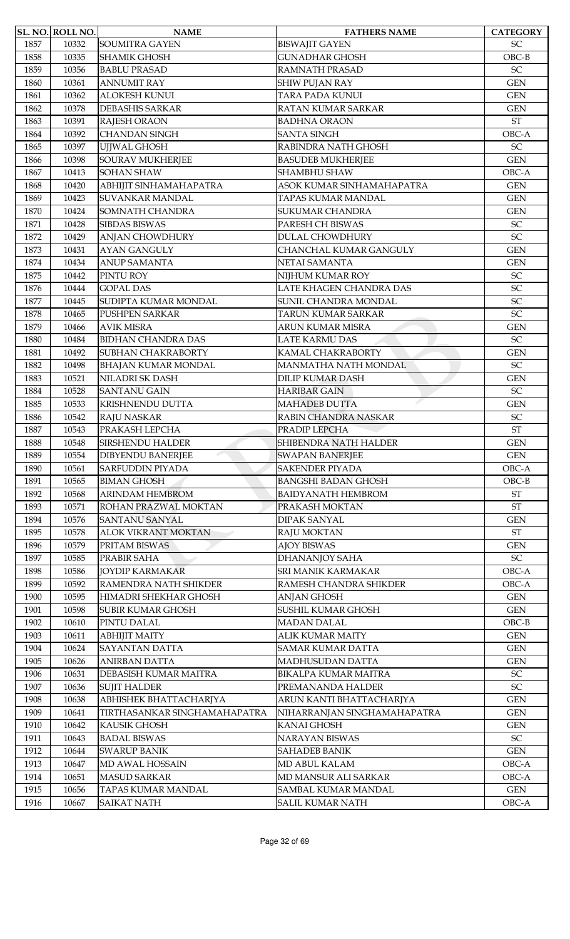|      | <b>SL. NO. ROLL NO.</b> | <b>NAME</b>                  | <b>FATHERS NAME</b>         | <b>CATEGORY</b>            |
|------|-------------------------|------------------------------|-----------------------------|----------------------------|
| 1857 | 10332                   | <b>SOUMITRA GAYEN</b>        | <b>BISWAJIT GAYEN</b>       | <b>SC</b>                  |
| 1858 | 10335                   | <b>SHAMIK GHOSH</b>          | <b>GUNADHAR GHOSH</b>       | $OBC-B$                    |
| 1859 | 10356                   | <b>BABLU PRASAD</b>          | <b>RAMNATH PRASAD</b>       | $\ensuremath{\mathsf{SC}}$ |
| 1860 | 10361                   | <b>ANNUMIT RAY</b>           | <b>SHIW PUJAN RAY</b>       | <b>GEN</b>                 |
| 1861 | 10362                   | <b>ALOKESH KUNUI</b>         | TARA PADA KUNUI             | <b>GEN</b>                 |
| 1862 | 10378                   | <b>DEBASHIS SARKAR</b>       | RATAN KUMAR SARKAR          | <b>GEN</b>                 |
| 1863 | 10391                   | RAJESH ORAON                 | <b>BADHNA ORAON</b>         | <b>ST</b>                  |
| 1864 | 10392                   | <b>CHANDAN SINGH</b>         | <b>SANTA SINGH</b>          | OBC-A                      |
| 1865 | 10397                   | UJJWAL GHOSH                 | RABINDRA NATH GHOSH         | $\ensuremath{\mathsf{SC}}$ |
| 1866 | 10398                   | <b>SOURAV MUKHERJEE</b>      | <b>BASUDEB MUKHERJEE</b>    | <b>GEN</b>                 |
| 1867 | 10413                   | <b>SOHAN SHAW</b>            | <b>SHAMBHU SHAW</b>         | OBC-A                      |
| 1868 | 10420                   | ABHIJIT SINHAMAHAPATRA       | ASOK KUMAR SINHAMAHAPATRA   | <b>GEN</b>                 |
| 1869 | 10423                   | <b>SUVANKAR MANDAL</b>       | TAPAS KUMAR MANDAL          | <b>GEN</b>                 |
| 1870 | 10424                   | SOMNATH CHANDRA              | <b>SUKUMAR CHANDRA</b>      | <b>GEN</b>                 |
| 1871 | 10428                   | <b>SIBDAS BISWAS</b>         | PARESH CH BISWAS            | $\ensuremath{\mathsf{SC}}$ |
| 1872 | 10429                   | <b>ANJAN CHOWDHURY</b>       | <b>DULAL CHOWDHURY</b>      | $\ensuremath{\mathsf{SC}}$ |
| 1873 | 10431                   | <b>AYAN GANGULY</b>          | CHANCHAL KUMAR GANGULY      | <b>GEN</b>                 |
| 1874 | 10434                   | <b>ANUP SAMANTA</b>          | NETAI SAMANTA               | <b>GEN</b>                 |
| 1875 | 10442                   | PINTU ROY                    | NIJHUM KUMAR ROY            | $\ensuremath{\mathsf{SC}}$ |
| 1876 | 10444                   | <b>GOPAL DAS</b>             | LATE KHAGEN CHANDRA DAS     | SC                         |
| 1877 | 10445                   | SUDIPTA KUMAR MONDAL         | SUNIL CHANDRA MONDAL        | SC                         |
| 1878 | 10465                   | PUSHPEN SARKAR               | TARUN KUMAR SARKAR          | SC                         |
| 1879 | 10466                   | <b>AVIK MISRA</b>            | ARUN KUMAR MISRA            | <b>GEN</b>                 |
| 1880 | 10484                   | <b>BIDHAN CHANDRA DAS</b>    | <b>LATE KARMU DAS</b>       | SC                         |
| 1881 | 10492                   | <b>SUBHAN CHAKRABORTY</b>    | KAMAL CHAKRABORTY           | <b>GEN</b>                 |
| 1882 | 10498                   | BHAJAN KUMAR MONDAL          | MANMATHA NATH MONDAL        | $\ensuremath{\mathsf{SC}}$ |
| 1883 | 10521                   | <b>NILADRI SK DASH</b>       | <b>DILIP KUMAR DASH</b>     | <b>GEN</b>                 |
| 1884 | 10528                   | <b>SANTANU GAIN</b>          | <b>HARIBAR GAIN</b>         | $\ensuremath{\mathsf{SC}}$ |
| 1885 | 10533                   | KRISHNENDU DUTTA             | <b>MAHADEB DUTTA</b>        | <b>GEN</b>                 |
| 1886 | 10542                   | <b>RAJU NASKAR</b>           | RABIN CHANDRA NASKAR        | $\ensuremath{\mathsf{SC}}$ |
| 1887 | 10543                   | PRAKASH LEPCHA               | PRADIP LEPCHA               | $\operatorname{ST}$        |
| 1888 | 10548                   | <b>SIRSHENDU HALDER</b>      | SHIBENDRA NATH HALDER       | <b>GEN</b>                 |
| 1889 | 10554                   | <b>DIBYENDU BANERJEE</b>     | <b>SWAPAN BANERJEE</b>      | <b>GEN</b>                 |
| 1890 | 10561                   | <b>SARFUDDIN PIYADA</b>      | <b>SAKENDER PIYADA</b>      | OBC-A                      |
| 1891 | 10565                   | <b>BIMAN GHOSH</b>           | <b>BANGSHI BADAN GHOSH</b>  | $OBC-B$                    |
| 1892 | 10568                   | <b>ARINDAM HEMBROM</b>       | <b>BAIDYANATH HEMBROM</b>   | $\operatorname{ST}$        |
| 1893 | 10571                   | ROHAN PRAZWAL MOKTAN         | PRAKASH MOKTAN              | <b>ST</b>                  |
| 1894 | 10576                   | <b>SANTANU SANYAL</b>        | DIPAK SANYAL                | <b>GEN</b>                 |
| 1895 | 10578                   | <b>ALOK VIKRANT MOKTAN</b>   | <b>RAJU MOKTAN</b>          | ST                         |
| 1896 | 10579                   | PRITAM BISWAS                | <b>AJOY BISWAS</b>          | <b>GEN</b>                 |
| 1897 | 10585                   | PRABIR SAHA                  | DHANANJOY SAHA              | $\ensuremath{\mathsf{SC}}$ |
| 1898 | 10586                   | <b>JOYDIP KARMAKAR</b>       | SRI MANIK KARMAKAR          | OBC-A                      |
| 1899 | 10592                   | RAMENDRA NATH SHIKDER        | RAMESH CHANDRA SHIKDER      | OBC-A                      |
| 1900 | 10595                   | HIMADRI SHEKHAR GHOSH        | <b>ANJAN GHOSH</b>          | <b>GEN</b>                 |
| 1901 | 10598                   | <b>SUBIR KUMAR GHOSH</b>     | SUSHIL KUMAR GHOSH          | <b>GEN</b>                 |
| 1902 | 10610                   | PINTU DALAL                  | <b>MADAN DALAL</b>          | $OBC-B$                    |
| 1903 | 10611                   | <b>ABHIJIT MAITY</b>         | <b>ALIK KUMAR MAITY</b>     | <b>GEN</b>                 |
| 1904 | 10624                   | <b>SAYANTAN DATTA</b>        | <b>SAMAR KUMAR DATTA</b>    | <b>GEN</b>                 |
| 1905 | 10626                   | <b>ANIRBAN DATTA</b>         | MADHUSUDAN DATTA            | <b>GEN</b>                 |
| 1906 | 10631                   | DEBASISH KUMAR MAITRA        | <b>BIKALPA KUMAR MAITRA</b> | $\ensuremath{\mathsf{SC}}$ |
| 1907 | 10636                   | <b>SUJIT HALDER</b>          | PREMANANDA HALDER           | $\ensuremath{\mathsf{SC}}$ |
| 1908 | 10638                   | ABHISHEK BHATTACHARJYA       | ARUN KANTI BHATTACHARJYA    | <b>GEN</b>                 |
| 1909 | 10641                   | TIRTHASANKAR SINGHAMAHAPATRA | NIHARRANJAN SINGHAMAHAPATRA | <b>GEN</b>                 |
| 1910 | 10642                   | <b>KAUSIK GHOSH</b>          | KANAI GHOSH                 | <b>GEN</b>                 |
| 1911 | 10643                   | <b>BADAL BISWAS</b>          | NARAYAN BISWAS              | $\ensuremath{\mathsf{SC}}$ |
| 1912 | 10644                   | <b>SWARUP BANIK</b>          | <b>SAHADEB BANIK</b>        | <b>GEN</b>                 |
| 1913 | 10647                   | <b>MD AWAL HOSSAIN</b>       | MD ABUL KALAM               | OBC-A                      |
| 1914 | 10651                   | <b>MASUD SARKAR</b>          | MD MANSUR ALI SARKAR        | OBC-A                      |
| 1915 | 10656                   | TAPAS KUMAR MANDAL           | SAMBAL KUMAR MANDAL         | <b>GEN</b>                 |
| 1916 | 10667                   | <b>SAIKAT NATH</b>           | <b>SALIL KUMAR NATH</b>     | $OBC-A$                    |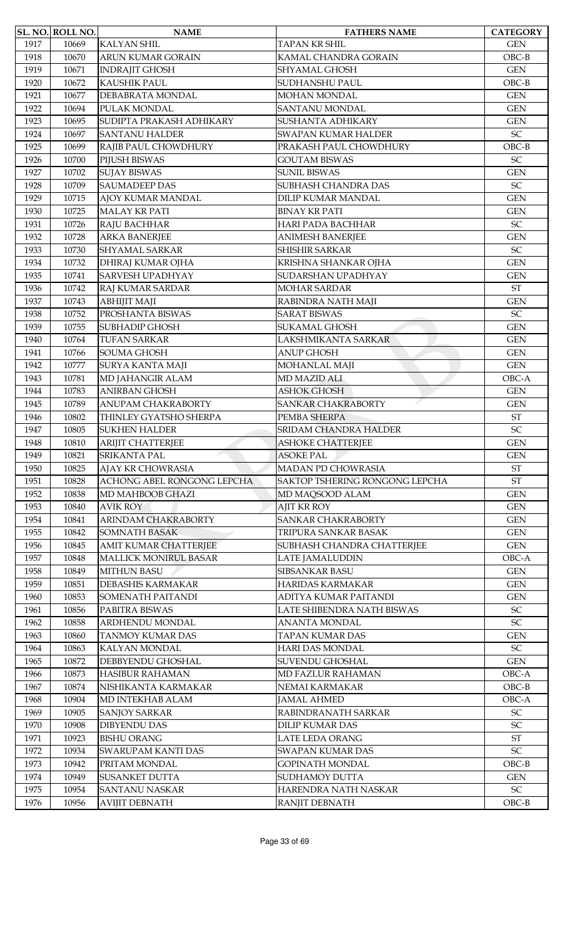|      | SL. NO. ROLL NO. | <b>NAME</b>                  | <b>FATHERS NAME</b>            | <b>CATEGORY</b>            |
|------|------------------|------------------------------|--------------------------------|----------------------------|
| 1917 | 10669            | <b>KALYAN SHIL</b>           | <b>TAPAN KR SHIL</b>           | <b>GEN</b>                 |
| 1918 | 10670            | ARUN KUMAR GORAIN            | KAMAL CHANDRA GORAIN           | $OBC-B$                    |
| 1919 | 10671            | <b>INDRAJIT GHOSH</b>        | <b>SHYAMAL GHOSH</b>           | <b>GEN</b>                 |
| 1920 | 10672            | KAUSHIK PAUL                 | SUDHANSHU PAUL                 | $OBC-B$                    |
| 1921 | 10677            | DEBABRATA MONDAL             | MOHAN MONDAL                   | <b>GEN</b>                 |
| 1922 | 10694            | PULAK MONDAL                 | <b>SANTANU MONDAL</b>          | <b>GEN</b>                 |
| 1923 | 10695            | SUDIPTA PRAKASH ADHIKARY     | SUSHANTA ADHIKARY              | <b>GEN</b>                 |
| 1924 | 10697            | <b>SANTANU HALDER</b>        | <b>SWAPAN KUMAR HALDER</b>     | $\ensuremath{\mathsf{SC}}$ |
| 1925 | 10699            | RAJIB PAUL CHOWDHURY         | PRAKASH PAUL CHOWDHURY         | $OBC-B$                    |
| 1926 | 10700            | PIJUSH BISWAS                | <b>GOUTAM BISWAS</b>           | $\ensuremath{\mathsf{SC}}$ |
| 1927 | 10702            | <b>SUJAY BISWAS</b>          | <b>SUNIL BISWAS</b>            | <b>GEN</b>                 |
| 1928 | 10709            | <b>SAUMADEEP DAS</b>         | SUBHASH CHANDRA DAS            | SC                         |
| 1929 | 10715            | AJOY KUMAR MANDAL            | DILIP KUMAR MANDAL             | <b>GEN</b>                 |
| 1930 | 10725            | <b>MALAY KR PATI</b>         | <b>BINAY KR PATI</b>           | <b>GEN</b>                 |
| 1931 | 10726            | RAJU BACHHAR                 | HARI PADA BACHHAR              | SC                         |
| 1932 | 10728            | <b>ARKA BANERJEE</b>         | <b>ANIMESH BANERJEE</b>        | <b>GEN</b>                 |
| 1933 | 10730            | <b>SHYAMAL SARKAR</b>        | SHISHIR SARKAR                 | SC                         |
| 1934 | 10732            | DHIRAJ KUMAR OJHA            | KRISHNA SHANKAR OJHA           | <b>GEN</b>                 |
| 1935 | 10741            | <b>SARVESH UPADHYAY</b>      | SUDARSHAN UPADHYAY             | <b>GEN</b>                 |
| 1936 | 10742            | RAJ KUMAR SARDAR             | <b>MOHAR SARDAR</b>            | <b>ST</b>                  |
| 1937 | 10743            | <b>ABHIJIT MAJI</b>          | RABINDRA NATH MAJI             | <b>GEN</b>                 |
| 1938 | 10752            | PROSHANTA BISWAS             | <b>SARAT BISWAS</b>            | SC                         |
| 1939 | 10755            | <b>SUBHADIP GHOSH</b>        | <b>SUKAMAL GHOSH</b>           | <b>GEN</b>                 |
| 1940 | 10764            | <b>TUFAN SARKAR</b>          | LAKSHMIKANTA SARKAR            | <b>GEN</b>                 |
| 1941 | 10766            | SOUMA GHOSH                  | <b>ANUP GHOSH</b>              | <b>GEN</b>                 |
| 1942 | 10777            | SURYA KANTA MAJI             | MOHANLAL MAJI                  | <b>GEN</b>                 |
| 1943 | 10781            | MD JAHANGIR ALAM             | <b>MD MAZID ALI</b>            | OBC-A                      |
| 1944 | 10783            | <b>ANIRBAN GHOSH</b>         | <b>ASHOK GHOSH</b>             | <b>GEN</b>                 |
| 1945 | 10789            | ANUPAM CHAKRABORTY           | <b>SANKAR CHAKRABORTY</b>      | <b>GEN</b>                 |
| 1946 | 10802            | THINLEY GYATSHO SHERPA       | PEMBA SHERPA                   | $\operatorname{ST}$        |
| 1947 | 10805            | <b>SUKHEN HALDER</b>         | <b>SRIDAM CHANDRA HALDER</b>   | SC                         |
| 1948 | 10810            | ARIJIT CHATTERJEE            | <b>ASHOKE CHATTERJEE</b>       | <b>GEN</b>                 |
| 1949 | 10821            | <b>SRIKANTA PAL</b>          | <b>ASOKE PAL</b>               | <b>GEN</b>                 |
| 1950 | 10825            | AJAY KR CHOWRASIA            | <b>MADAN PD CHOWRASIA</b>      | $\operatorname{ST}$        |
| 1951 | 10828            | ACHONG ABEL RONGONG LEPCHA   | SAKTOP TSHERING RONGONG LEPCHA | <b>ST</b>                  |
| 1952 | 10838            | MD MAHBOOB GHAZI             | MD MAQSOOD ALAM                | <b>GEN</b>                 |
| 1953 | 10840            | <b>AVIK ROY</b>              | <b>AJIT KR ROY</b>             | <b>GEN</b>                 |
| 1954 | 10841            | <b>ARINDAM CHAKRABORTY</b>   | <b>SANKAR CHAKRABORTY</b>      | <b>GEN</b>                 |
| 1955 | 10842            | <b>SOMNATH BASAK</b>         | TRIPURA SANKAR BASAK           | <b>GEN</b>                 |
| 1956 | 10845            | <b>AMIT KUMAR CHATTERJEE</b> | SUBHASH CHANDRA CHATTERJEE     | <b>GEN</b>                 |
| 1957 | 10848            | <b>MALLICK MONIRUL BASAR</b> | <b>LATE JAMALUDDIN</b>         | OBC-A                      |
| 1958 | 10849            | <b>MITHUN BASU</b>           | <b>SIBSANKAR BASU</b>          | <b>GEN</b>                 |
| 1959 | 10851            | <b>DEBASHIS KARMAKAR</b>     | HARIDAS KARMAKAR               | <b>GEN</b>                 |
| 1960 | 10853            | <b>SOMENATH PAITANDI</b>     | ADITYA KUMAR PAITANDI          | <b>GEN</b>                 |
| 1961 | 10856            | PABITRA BISWAS               | LATE SHIBENDRA NATH BISWAS     | $\ensuremath{\mathsf{SC}}$ |
| 1962 | 10858            | ARDHENDU MONDAL              | <b>ANANTA MONDAL</b>           | SC                         |
| 1963 | 10860            | <b>TANMOY KUMAR DAS</b>      | <b>TAPAN KUMAR DAS</b>         | <b>GEN</b>                 |
| 1964 | 10863            | KALYAN MONDAL                | <b>HARI DAS MONDAL</b>         | $\ensuremath{\mathsf{SC}}$ |
| 1965 | 10872            | DEBBYENDU GHOSHAL            | <b>SUVENDU GHOSHAL</b>         | <b>GEN</b>                 |
| 1966 | 10873            | <b>HASIBUR RAHAMAN</b>       | MD FAZLUR RAHAMAN              | OBC-A                      |
| 1967 | 10874            | NISHIKANTA KARMAKAR          | NEMAI KARMAKAR                 | $OBC-B$                    |
| 1968 | 10904            | MD INTEKHAB ALAM             | <b>JAMAL AHMED</b>             | OBC-A                      |
| 1969 | 10905            | <b>SANJOY SARKAR</b>         | RABINDRANATH SARKAR            | $\ensuremath{\mathsf{SC}}$ |
| 1970 | 10908            | <b>DIBYENDU DAS</b>          | <b>DILIP KUMAR DAS</b>         | SC                         |
| 1971 | 10923            | <b>BISHU ORANG</b>           | LATE LEDA ORANG                | $\operatorname{ST}$        |
| 1972 | 10934            | SWARUPAM KANTI DAS           | <b>SWAPAN KUMAR DAS</b>        | SC                         |
| 1973 | 10942            | PRITAM MONDAL                | <b>GOPINATH MONDAL</b>         | $OBC-B$                    |
| 1974 | 10949            | <b>SUSANKET DUTTA</b>        | <b>SUDHAMOY DUTTA</b>          | <b>GEN</b>                 |
| 1975 | 10954            | <b>SANTANU NASKAR</b>        | HARENDRA NATH NASKAR           | ${\rm SC}$                 |
| 1976 | 10956            | <b>AVIJIT DEBNATH</b>        | RANJIT DEBNATH                 | $OBC-B$                    |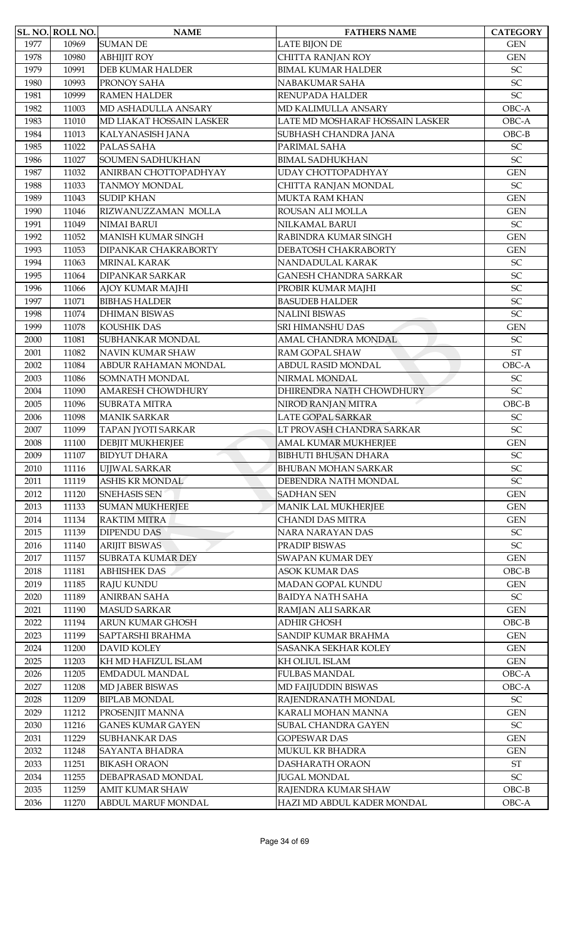|      | SL. NO. ROLL NO. | <b>NAME</b>               | <b>FATHERS NAME</b>             | <b>CATEGORY</b>            |
|------|------------------|---------------------------|---------------------------------|----------------------------|
| 1977 | 10969            | <b>SUMAN DE</b>           | <b>LATE BIJON DE</b>            | <b>GEN</b>                 |
| 1978 | 10980            | <b>ABHIJIT ROY</b>        | <b>CHITTA RANJAN ROY</b>        | <b>GEN</b>                 |
| 1979 | 10991            | <b>DEB KUMAR HALDER</b>   | <b>BIMAL KUMAR HALDER</b>       | SC                         |
| 1980 | 10993            | PRONOY SAHA               | NABAKUMAR SAHA                  | SC                         |
| 1981 | 10999            | <b>RAMEN HALDER</b>       | RENUPADA HALDER                 | SC                         |
| 1982 | 11003            | MD ASHADULLA ANSARY       | MD KALIMULLA ANSARY             | OBC-A                      |
| 1983 | 11010            | MD LIAKAT HOSSAIN LASKER  | LATE MD MOSHARAF HOSSAIN LASKER | OBC-A                      |
| 1984 | 11013            | KALYANASISH JANA          | SUBHASH CHANDRA JANA            | $OBC-B$                    |
| 1985 | 11022            | PALAS SAHA                | PARIMAL SAHA                    | SC                         |
| 1986 | 11027            | <b>SOUMEN SADHUKHAN</b>   | <b>BIMAL SADHUKHAN</b>          | SC                         |
| 1987 | 11032            | ANIRBAN CHOTTOPADHYAY     | UDAY CHOTTOPADHYAY              | <b>GEN</b>                 |
| 1988 | 11033            | <b>TANMOY MONDAL</b>      | CHITTA RANJAN MONDAL            | $\ensuremath{\mathsf{SC}}$ |
| 1989 | 11043            | <b>SUDIP KHAN</b>         | MUKTA RAM KHAN                  | <b>GEN</b>                 |
| 1990 | 11046            | RIZWANUZZAMAN MOLLA       | ROUSAN ALI MOLLA                | <b>GEN</b>                 |
| 1991 | 11049            | <b>NIMAI BARUI</b>        | NILKAMAL BARUI                  | $\ensuremath{\mathsf{SC}}$ |
| 1992 | 11052            | <b>MANISH KUMAR SINGH</b> | RABINDRA KUMAR SINGH            | <b>GEN</b>                 |
| 1993 | 11053            | DIPANKAR CHAKRABORTY      | DEBATOSH CHAKRABORTY            | <b>GEN</b>                 |
| 1994 | 11063            | MRINAL KARAK              | NANDADULAL KARAK                | $\ensuremath{\mathsf{SC}}$ |
| 1995 | 11064            | <b>DIPANKAR SARKAR</b>    | <b>GANESH CHANDRA SARKAR</b>    | SC                         |
| 1996 | 11066            | AJOY KUMAR MAJHI          | PROBIR KUMAR MAJHI              | SC                         |
| 1997 | 11071            | <b>BIBHAS HALDER</b>      | <b>BASUDEB HALDER</b>           | SC                         |
| 1998 | 11074            | <b>DHIMAN BISWAS</b>      | <b>NALINI BISWAS</b>            | SC                         |
| 1999 | 11078            | <b>KOUSHIK DAS</b>        | SRI HIMANSHU DAS                | <b>GEN</b>                 |
| 2000 | 11081            | SUBHANKAR MONDAL          | AMAL CHANDRA MONDAL             | $\ensuremath{\mathsf{SC}}$ |
| 2001 | 11082            | <b>NAVIN KUMAR SHAW</b>   | RAM GOPAL SHAW                  | <b>ST</b>                  |
| 2002 | 11084            | ABDUR RAHAMAN MONDAL      | <b>ABDUL RASID MONDAL</b>       | OBC-A                      |
| 2003 | 11086            | SOMNATH MONDAL            | NIRMAL MONDAL                   | SC                         |
| 2004 | 11090            | <b>AMARESH CHOWDHURY</b>  | DHIRENDRA NATH CHOWDHURY        | SC                         |
| 2005 | 11096            | <b>SUBRATA MITRA</b>      | NIROD RANJAN MITRA              | $OBC-B$                    |
| 2006 | 11098            | <b>MANIK SARKAR</b>       | <b>LATE GOPAL SARKAR</b>        | SC                         |
| 2007 | 11099            | TAPAN JYOTI SARKAR        | LT PROVASH CHANDRA SARKAR       | SC                         |
| 2008 | 11100            | DEBJIT MUKHERJEE          | AMAL KUMAR MUKHERJEE            | <b>GEN</b>                 |
| 2009 | 11107            | <b>BIDYUT DHARA</b>       | <b>BIBHUTI BHUSAN DHARA</b>     | SC                         |
| 2010 | 11116            | UJJWAL SARKAR             | <b>BHUBAN MOHAN SARKAR</b>      | ${\rm SC}$                 |
| 2011 | 11119            | <b>ASHIS KR MONDAL</b>    | DEBENDRA NATH MONDAL            | $\ensuremath{\mathsf{SC}}$ |
| 2012 | 11120            | <b>SNEHASIS SEN</b>       | <b>SADHAN SEN</b>               | <b>GEN</b>                 |
| 2013 | 11133            | <b>SUMAN MUKHERJEE</b>    | MANIK LAL MUKHERJEE             | <b>GEN</b>                 |
| 2014 | 11134            | <b>RAKTIM MITRA</b>       | <b>CHANDI DAS MITRA</b>         | <b>GEN</b>                 |
| 2015 | 11139            | <b>DIPENDU DAS</b>        | <b>NARA NARAYAN DAS</b>         | $\ensuremath{\mathsf{SC}}$ |
| 2016 | 11140            | <b>ARIJIT BISWAS</b>      | PRADIP BISWAS                   | SC                         |
| 2017 | 11157            | <b>SUBRATA KUMAR DEY</b>  | <b>SWAPAN KUMAR DEY</b>         | $\mbox{GEN}$               |
| 2018 | 11181            | <b>ABHISHEK DAS</b>       | <b>ASOK KUMAR DAS</b>           | $OBC-B$                    |
| 2019 | 11185            | <b>RAJU KUNDU</b>         | MADAN GOPAL KUNDU               | <b>GEN</b>                 |
| 2020 | 11189            | <b>ANIRBAN SAHA</b>       | <b>BAIDYA NATH SAHA</b>         | $\ensuremath{\mathsf{SC}}$ |
| 2021 | 11190            | <b>MASUD SARKAR</b>       | RAMJAN ALI SARKAR               | <b>GEN</b>                 |
| 2022 | 11194            | ARUN KUMAR GHOSH          | <b>ADHIR GHOSH</b>              | $OBC-B$                    |
| 2023 | 11199            | SAPTARSHI BRAHMA          | SANDIP KUMAR BRAHMA             | $\mbox{GEN}$               |
| 2024 | 11200            | <b>DAVID KOLEY</b>        | SASANKA SEKHAR KOLEY            | <b>GEN</b>                 |
| 2025 | 11203            | KH MD HAFIZUL ISLAM       | KH OLIUL ISLAM                  | <b>GEN</b>                 |
| 2026 | 11205            | <b>EMDADUL MANDAL</b>     | <b>FULBAS MANDAL</b>            | OBC-A                      |
| 2027 | 11208            | MD JABER BISWAS           | MD FAIJUDDIN BISWAS             | OBC-A                      |
| 2028 | 11209            | <b>BIPLAB MONDAL</b>      | RAJENDRANATH MONDAL             | $\ensuremath{\mathsf{SC}}$ |
| 2029 | 11212            | PROSENJIT MANNA           | KARALI MOHAN MANNA              | <b>GEN</b>                 |
| 2030 | 11216            | <b>GANES KUMAR GAYEN</b>  | SUBAL CHANDRA GAYEN             | ${\rm SC}$                 |
| 2031 | 11229            | <b>SUBHANKAR DAS</b>      | <b>GOPESWAR DAS</b>             | <b>GEN</b>                 |
| 2032 | 11248            | <b>SAYANTA BHADRA</b>     | MUKUL KR BHADRA                 | <b>GEN</b>                 |
| 2033 | 11251            | <b>BIKASH ORAON</b>       | DASHARATH ORAON                 | $\operatorname{ST}$        |
| 2034 | 11255            | DEBAPRASAD MONDAL         | <b>JUGAL MONDAL</b>             | SC                         |
| 2035 | 11259            | AMIT KUMAR SHAW           | RAJENDRA KUMAR SHAW             | $OBC-B$                    |
| 2036 | 11270            | ABDUL MARUF MONDAL        | HAZI MD ABDUL KADER MONDAL      | OBC-A                      |
|      |                  |                           |                                 |                            |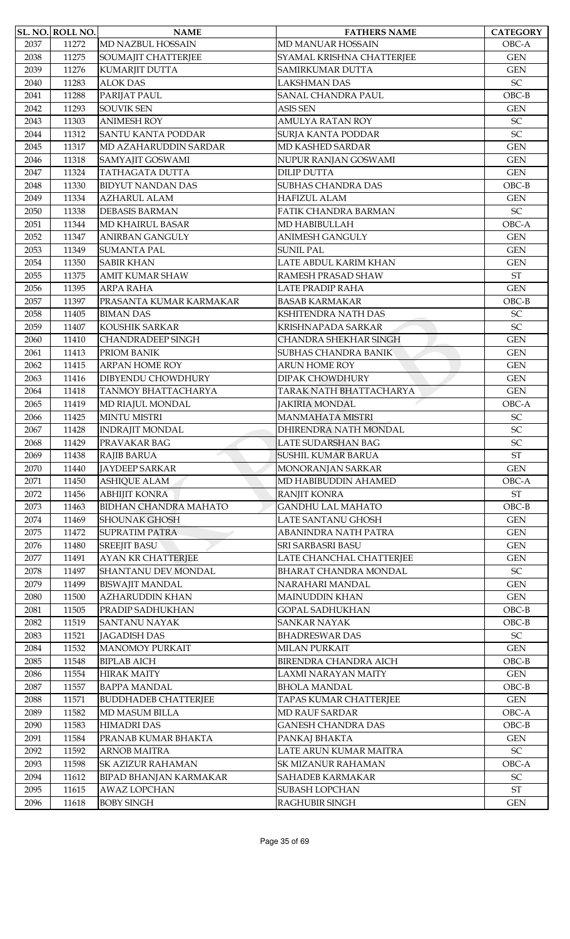|      | <b>SL. NO. ROLL NO.</b> | <b>NAME</b>                   | <b>FATHERS NAME</b>          | <b>CATEGORY</b>            |
|------|-------------------------|-------------------------------|------------------------------|----------------------------|
| 2037 | 11272                   | MD NAZBUL HOSSAIN             | MD MANUAR HOSSAIN            | OBC-A                      |
| 2038 | 11275                   | SOUMAJIT CHATTERJEE           | SYAMAL KRISHNA CHATTERJEE    | <b>GEN</b>                 |
| 2039 | 11276                   | KUMARJIT DUTTA                | <b>SAMIRKUMAR DUTTA</b>      | <b>GEN</b>                 |
| 2040 | 11283                   | <b>ALOK DAS</b>               | LAKSHMAN DAS                 | SC                         |
| 2041 | 11288                   | PARIJAT PAUL                  | <b>SANAL CHANDRA PAUL</b>    | $OBC-B$                    |
| 2042 | 11293                   | <b>SOUVIK SEN</b>             | <b>ASIS SEN</b>              | <b>GEN</b>                 |
| 2043 | 11303                   | <b>ANIMESH ROY</b>            | <b>AMULYA RATAN ROY</b>      | <b>SC</b>                  |
| 2044 | 11312                   | <b>SANTU KANTA PODDAR</b>     | <b>SURJA KANTA PODDAR</b>    | SC                         |
| 2045 | 11317                   | MD AZAHARUDDIN SARDAR         | MD KASHED SARDAR             | <b>GEN</b>                 |
| 2046 | 11318                   | SAMYAJIT GOSWAMI              | NUPUR RANJAN GOSWAMI         | <b>GEN</b>                 |
| 2047 | 11324                   | TATHAGATA DUTTA               | <b>DILIP DUTTA</b>           | <b>GEN</b>                 |
| 2048 | 11330                   | <b>BIDYUT NANDAN DAS</b>      | <b>SUBHAS CHANDRA DAS</b>    | $OBC-B$                    |
| 2049 | 11334                   | <b>AZHARUL ALAM</b>           | <b>HAFIZUL ALAM</b>          | <b>GEN</b>                 |
| 2050 | 11338                   | <b>DEBASIS BARMAN</b>         | FATIK CHANDRA BARMAN         | $\ensuremath{\mathsf{SC}}$ |
| 2051 | 11344                   | MD KHAIRUL BASAR              | MD HABIBULLAH                | OBC-A                      |
| 2052 | 11347                   | <b>ANIRBAN GANGULY</b>        | <b>ANIMESH GANGULY</b>       | <b>GEN</b>                 |
| 2053 | 11349                   | <b>SUMANTA PAL</b>            | <b>SUNIL PAL</b>             | <b>GEN</b>                 |
| 2054 | 11350                   | <b>SABIR KHAN</b>             | LATE ABDUL KARIM KHAN        | <b>GEN</b>                 |
| 2055 | 11375                   | <b>AMIT KUMAR SHAW</b>        | RAMESH PRASAD SHAW           | $\operatorname{ST}$        |
| 2056 | 11395                   | <b>ARPA RAHA</b>              | <b>LATE PRADIP RAHA</b>      | <b>GEN</b>                 |
| 2057 | 11397                   | PRASANTA KUMAR KARMAKAR       | <b>BASAB KARMAKAR</b>        | $OBC-B$                    |
| 2058 | 11405                   | <b>BIMAN DAS</b>              | KSHITENDRA NATH DAS          | SC                         |
| 2059 | 11407                   | KOUSHIK SARKAR                | KRISHNAPADA SARKAR           | SC                         |
| 2060 | 11410                   | <b>CHANDRADEEP SINGH</b>      | CHANDRA SHEKHAR SINGH        | <b>GEN</b>                 |
| 2061 | 11413                   | PRIOM BANIK                   | <b>SUBHAS CHANDRA BANIK</b>  | <b>GEN</b>                 |
| 2062 | 11415                   | <b>ARPAN HOME ROY</b>         | <b>ARUN HOME ROY</b>         | <b>GEN</b>                 |
| 2063 | 11416                   | DIBYENDU CHOWDHURY            | <b>DIPAK CHOWDHURY</b>       | <b>GEN</b>                 |
| 2064 | 11418                   | TANMOY BHATTACHARYA           | TARAK NATH BHATTACHARYA      | <b>GEN</b>                 |
| 2065 | 11419                   | MD RIAJUL MONDAL              | <b>JAKIRIA MONDAL</b>        | OBC-A                      |
| 2066 | 11425                   | <b>MINTU MISTRI</b>           | <b>MANMAHATA MISTRI</b>      | $\ensuremath{\mathsf{SC}}$ |
| 2067 | 11428                   | <b>INDRAJIT MONDAL</b>        | DHIRENDRA NATH MONDAL        | SC                         |
| 2068 | 11429                   | PRAVAKAR BAG                  | <b>LATE SUDARSHAN BAG</b>    | <b>SC</b>                  |
| 2069 | 11438                   | RAJIB BARUA                   | <b>SUSHIL KUMAR BARUA</b>    | <b>ST</b>                  |
| 2070 | 11440                   | <b>JAYDEEP SARKAR</b>         | MONORANJAN SARKAR            | <b>GEN</b>                 |
| 2071 | 11450                   | <b>ASHIQUE ALAM</b>           | MD HABIBUDDIN AHAMED         | OBC-A                      |
| 2072 | 11456                   | <b>ABHIJIT KONRA</b>          | RANJIT KONRA                 | $\operatorname{ST}$        |
| 2073 | 11463                   | <b>BIDHAN CHANDRA MAHATO</b>  | <b>GANDHU LAL MAHATO</b>     | $OBC-B$                    |
| 2074 | 11469                   | <b>SHOUNAK GHOSH</b>          | LATE SANTANU GHOSH           | <b>GEN</b>                 |
| 2075 | 11472                   | <b>SUPRATIM PATRA</b>         | ABANINDRA NATH PATRA         | $\mbox{GEN}$               |
| 2076 | 11480                   | <b>SREEJIT BASU</b>           | <b>SRI SARBASRI BASU</b>     | <b>GEN</b>                 |
| 2077 | 11491                   | AYAN KR CHATTERJEE            | LATE CHANCHAL CHATTERJEE     | <b>GEN</b>                 |
| 2078 | 11497                   | SHANTANU DEV MONDAL           | <b>BHARAT CHANDRA MONDAL</b> | ${\rm SC}$                 |
| 2079 | 11499                   | <b>BISWAJIT MANDAL</b>        | NARAHARI MANDAL              | <b>GEN</b>                 |
| 2080 | 11500                   | <b>AZHARUDDIN KHAN</b>        | <b>MAINUDDIN KHAN</b>        | <b>GEN</b>                 |
| 2081 | 11505                   | PRADIP SADHUKHAN              | <b>GOPAL SADHUKHAN</b>       | $OBC-B$                    |
| 2082 | 11519                   | <b>SANTANU NAYAK</b>          | <b>SANKAR NAYAK</b>          | $OBC-B$                    |
| 2083 | 11521                   | <b>JAGADISH DAS</b>           | <b>BHADRESWAR DAS</b>        | $\ensuremath{\mathsf{SC}}$ |
| 2084 | 11532                   | <b>MANOMOY PURKAIT</b>        | <b>MILAN PURKAIT</b>         | <b>GEN</b>                 |
| 2085 | 11548                   | <b>BIPLAB AICH</b>            | <b>BIRENDRA CHANDRA AICH</b> | $OBC-B$                    |
| 2086 | 11554                   | <b>HIRAK MAITY</b>            | <b>LAXMI NARAYAN MAITY</b>   | <b>GEN</b>                 |
| 2087 | 11557                   | <b>BAPPA MANDAL</b>           | <b>BHOLA MANDAL</b>          | $OBC-B$                    |
| 2088 | 11571                   | <b>BUDDHADEB CHATTERJEE</b>   | TAPAS KUMAR CHATTERJEE       | <b>GEN</b>                 |
| 2089 | 11582                   | <b>MD MASUM BILLA</b>         | <b>MD RAUF SARDAR</b>        | OBC-A                      |
| 2090 | 11583                   | <b>HIMADRI DAS</b>            | <b>GANESH CHANDRA DAS</b>    | $OBC-B$                    |
| 2091 | 11584                   | PRANAB KUMAR BHAKTA           | PANKAJ BHAKTA                | <b>GEN</b>                 |
| 2092 | 11592                   | <b>ARNOB MAITRA</b>           | LATE ARUN KUMAR MAITRA       | ${\rm SC}$                 |
| 2093 | 11598                   | <b>SK AZIZUR RAHAMAN</b>      | <b>SK MIZANUR RAHAMAN</b>    | OBC-A                      |
| 2094 | 11612                   | <b>BIPAD BHANJAN KARMAKAR</b> | SAHADEB KARMAKAR             | $\ensuremath{\mathsf{SC}}$ |
| 2095 | 11615                   | <b>AWAZ LOPCHAN</b>           | <b>SUBASH LOPCHAN</b>        | $\operatorname{ST}$        |
| 2096 | 11618                   | <b>BOBY SINGH</b>             | RAGHUBIR SINGH               | <b>GEN</b>                 |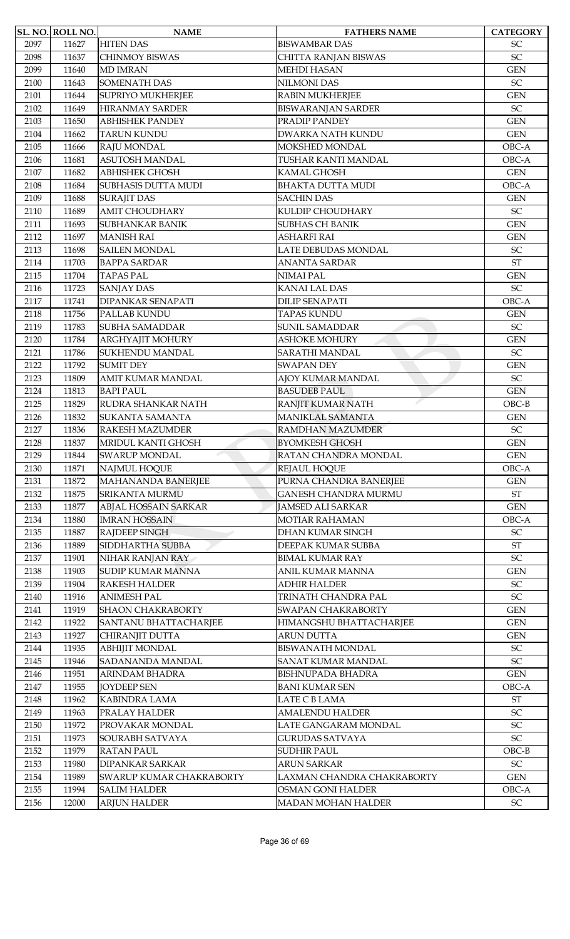|      | SL. NO. ROLL NO. | <b>NAME</b>                  | <b>FATHERS NAME</b>        | <b>CATEGORY</b>            |
|------|------------------|------------------------------|----------------------------|----------------------------|
| 2097 | 11627            | <b>HITEN DAS</b>             | <b>BISWAMBAR DAS</b>       | SC                         |
| 2098 | 11637            | <b>CHINMOY BISWAS</b>        | CHITTA RANJAN BISWAS       | SC                         |
| 2099 | 11640            | <b>MD IMRAN</b>              | <b>MEHDI HASAN</b>         | <b>GEN</b>                 |
| 2100 | 11643            | <b>SOMENATH DAS</b>          | <b>NILMONI DAS</b>         | $\ensuremath{\mathsf{SC}}$ |
| 2101 | 11644            | <b>SUPRIYO MUKHERJEE</b>     | <b>RABIN MUKHERJEE</b>     | <b>GEN</b>                 |
| 2102 | 11649            | <b>HIRANMAY SARDER</b>       | <b>BISWARANJAN SARDER</b>  | $\ensuremath{\mathsf{SC}}$ |
| 2103 | 11650            | <b>ABHISHEK PANDEY</b>       | PRADIP PANDEY              | <b>GEN</b>                 |
| 2104 | 11662            | <b>TARUN KUNDU</b>           | <b>DWARKA NATH KUNDU</b>   | <b>GEN</b>                 |
| 2105 | 11666            | RAJU MONDAL                  | MOKSHED MONDAL             | OBC-A                      |
| 2106 | 11681            | <b>ASUTOSH MANDAL</b>        | TUSHAR KANTI MANDAL        | OBC-A                      |
| 2107 | 11682            | <b>ABHISHEK GHOSH</b>        | KAMAL GHOSH                | <b>GEN</b>                 |
| 2108 | 11684            | <b>SUBHASIS DUTTA MUDI</b>   | <b>BHAKTA DUTTA MUDI</b>   | OBC-A                      |
| 2109 | 11688            | <b>SURAJIT DAS</b>           | <b>SACHIN DAS</b>          | <b>GEN</b>                 |
| 2110 | 11689            | <b>AMIT CHOUDHARY</b>        | KULDIP CHOUDHARY           | $\ensuremath{\mathsf{SC}}$ |
| 2111 | 11693            | SUBHANKAR BANIK              | <b>SUBHAS CH BANIK</b>     | <b>GEN</b>                 |
| 2112 | 11697            | <b>MANISH RAI</b>            | <b>ASHARFI RAI</b>         | <b>GEN</b>                 |
| 2113 | 11698            | <b>SAILEN MONDAL</b>         | LATE DEBUDAS MONDAL        | $\ensuremath{\mathsf{SC}}$ |
| 2114 | 11703            | <b>BAPPA SARDAR</b>          | <b>ANANTA SARDAR</b>       | $\operatorname{ST}$        |
| 2115 | 11704            | <b>TAPAS PAL</b>             | NIMAI PAL                  | <b>GEN</b>                 |
| 2116 | 11723            | <b>SANJAY DAS</b>            | <b>KANAI LAL DAS</b>       | SC                         |
| 2117 | 11741            | <b>DIPANKAR SENAPATI</b>     | <b>DILIP SENAPATI</b>      | OBC-A                      |
| 2118 | 11756            | PALLAB KUNDU                 | <b>TAPAS KUNDU</b>         | <b>GEN</b>                 |
| 2119 | 11783            | <b>SUBHA SAMADDAR</b>        | <b>SUNIL SAMADDAR</b>      | SC                         |
| 2120 | 11784            | ARGHYAJIT MOHURY             | <b>ASHOKE MOHURY</b>       | <b>GEN</b>                 |
| 2121 | 11786            | <b>SUKHENDU MANDAL</b>       | SARATHI MANDAL             | $\ensuremath{\mathsf{SC}}$ |
| 2122 | 11792            | <b>SUMIT DEY</b>             | <b>SWAPAN DEY</b>          | <b>GEN</b>                 |
| 2123 | 11809            | AMIT KUMAR MANDAL            | AJOY KUMAR MANDAL          | $\ensuremath{\mathsf{SC}}$ |
| 2124 | 11813            | <b>BAPI PAUL</b>             | <b>BASUDEB PAUL</b>        | <b>GEN</b>                 |
| 2125 | 11829            | RUDRA SHANKAR NATH           | RANJIT KUMAR NATH          | $OBC-B$                    |
| 2126 | 11832            | <b>SUKANTA SAMANTA</b>       | MANIKLAL SAMANTA           | <b>GEN</b>                 |
| 2127 | 11836            | RAKESH MAZUMDER              | <b>RAMDHAN MAZUMDER</b>    | SC                         |
| 2128 | 11837            | MRIDUL KANTI GHOSH           | <b>BYOMKESH GHOSH</b>      | <b>GEN</b>                 |
| 2129 | 11844            | <b>SWARUP MONDAL</b>         | RATAN CHANDRA MONDAL       | <b>GEN</b>                 |
| 2130 | 11871            | <b>NAJMUL HOQUE</b>          | REJAUL HOQUE               | OBC-A                      |
| 2131 | 11872            | <b>MAHANANDA BANERJEE</b>    | PURNA CHANDRA BANERJEE     | <b>GEN</b>                 |
| 2132 | 11875            | <b>SRIKANTA MURMU</b>        | GANESH CHANDRA MURMU       | <b>ST</b>                  |
| 2133 | 11877            | ABJAL HOSSAIN SARKAR         | <b>JAMSED ALI SARKAR</b>   | <b>GEN</b>                 |
| 2134 | 11880            | <b>IMRAN HOSSAIN</b>         | <b>MOTIAR RAHAMAN</b>      | OBC-A                      |
| 2135 | 11887            | <b>RAJDEEP SINGH</b>         | <b>DHAN KUMAR SINGH</b>    | SC                         |
| 2136 | 11889            | SIDDHARTHA SUBBA             | DEEPAK KUMAR SUBBA         | $\operatorname{ST}$        |
| 2137 | 11901            | NIHAR RANJAN RAY             | <b>BIMAL KUMAR RAY</b>     | SC                         |
| 2138 | 11903            | <b>SUDIP KUMAR MANNA</b>     | ANIL KUMAR MANNA           | <b>GEN</b>                 |
| 2139 | 11904            | <b>RAKESH HALDER</b>         | <b>ADHIR HALDER</b>        | SC                         |
| 2140 | 11916            | <b>ANIMESH PAL</b>           | TRINATH CHANDRA PAL        | SC                         |
| 2141 | 11919            | <b>SHAON CHAKRABORTY</b>     | SWAPAN CHAKRABORTY         | <b>GEN</b>                 |
| 2142 | 11922            | <b>SANTANU BHATTACHARJEE</b> | HIMANGSHU BHATTACHARJEE    | <b>GEN</b>                 |
| 2143 | 11927            | CHIRANJIT DUTTA              | ARUN DUTTA                 | <b>GEN</b>                 |
| 2144 | 11935            | <b>ABHIJIT MONDAL</b>        | <b>BISWANATH MONDAL</b>    | ${\rm SC}$                 |
| 2145 | 11946            | SADANANDA MANDAL             | SANAT KUMAR MANDAL         | SC                         |
| 2146 | 11951            | ARINDAM BHADRA               | <b>BISHNUPADA BHADRA</b>   | <b>GEN</b>                 |
| 2147 | 11955            | <b>JOYDEEP SEN</b>           | <b>BANI KUMAR SEN</b>      | OBC-A                      |
| 2148 | 11962            | <b>KABINDRA LAMA</b>         | LATE C B LAMA              | $\operatorname{ST}$        |
| 2149 | 11963            | PRALAY HALDER                | <b>AMALENDU HALDER</b>     | $\ensuremath{\mathsf{SC}}$ |
| 2150 | 11972            | PROVAKAR MONDAL              | LATE GANGARAM MONDAL       | $\ensuremath{\mathsf{SC}}$ |
| 2151 | 11973            | SOURABH SATVAYA              | <b>GURUDAS SATVAYA</b>     | SC                         |
| 2152 | 11979            | <b>RATAN PAUL</b>            | <b>SUDHIR PAUL</b>         | $OBC-B$                    |
| 2153 | 11980            | <b>DIPANKAR SARKAR</b>       | <b>ARUN SARKAR</b>         | $\ensuremath{\mathsf{SC}}$ |
| 2154 | 11989            | SWARUP KUMAR CHAKRABORTY     | LAXMAN CHANDRA CHAKRABORTY | <b>GEN</b>                 |
| 2155 | 11994            | <b>SALIM HALDER</b>          | <b>OSMAN GONI HALDER</b>   | OBC-A                      |
|      | 12000            |                              | MADAN MOHAN HALDER         | $\ensuremath{\mathsf{SC}}$ |
| 2156 |                  | <b>ARJUN HALDER</b>          |                            |                            |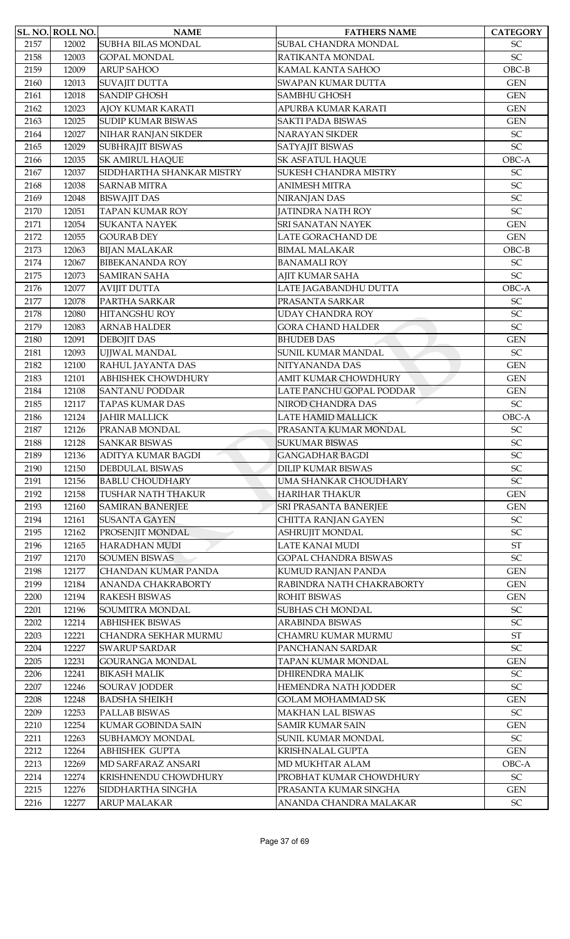|              | SL. NO. ROLL NO. | <b>NAME</b>                           | <b>FATHERS NAME</b>                         | <b>CATEGORY</b>            |
|--------------|------------------|---------------------------------------|---------------------------------------------|----------------------------|
| 2157         | 12002            | <b>SUBHA BILAS MONDAL</b>             | SUBAL CHANDRA MONDAL                        | $\ensuremath{\mathsf{SC}}$ |
| 2158         | 12003            | <b>GOPAL MONDAL</b>                   | RATIKANTA MONDAL                            | $\ensuremath{\mathsf{SC}}$ |
| 2159         | 12009            | <b>ARUP SAHOO</b>                     | KAMAL KANTA SAHOO                           | $OBC-B$                    |
| 2160         | 12013            | <b>SUVAJIT DUTTA</b>                  | SWAPAN KUMAR DUTTA                          | <b>GEN</b>                 |
| 2161         | 12018            | <b>SANDIP GHOSH</b>                   | <b>SAMBHU GHOSH</b>                         | <b>GEN</b>                 |
| 2162         | 12023            | AJOY KUMAR KARATI                     | APURBA KUMAR KARATI                         | <b>GEN</b>                 |
| 2163         | 12025            | <b>SUDIP KUMAR BISWAS</b>             | <b>SAKTI PADA BISWAS</b>                    | <b>GEN</b>                 |
| 2164         | 12027            | NIHAR RANJAN SIKDER                   | <b>NARAYAN SIKDER</b>                       | $\ensuremath{\mathsf{SC}}$ |
| 2165         | 12029            | <b>SUBHRAJIT BISWAS</b>               | SATYAJIT BISWAS                             | SC                         |
| 2166         | 12035            | <b>SK AMIRUL HAQUE</b>                | <b>SK ASFATUL HAQUE</b>                     | OBC-A                      |
| 2167         | 12037            | SIDDHARTHA SHANKAR MISTRY             | SUKESH CHANDRA MISTRY                       | $\ensuremath{\mathsf{SC}}$ |
| 2168         | 12038            | <b>SARNAB MITRA</b>                   | <b>ANIMESH MITRA</b>                        | SC                         |
| 2169         | 12048            | <b>BISWAJIT DAS</b>                   | NIRANJAN DAS                                | SC                         |
| 2170         | 12051            | <b>TAPAN KUMAR ROY</b>                | <b>JATINDRA NATH ROY</b>                    | SC                         |
| 2171         | 12054            | <b>SUKANTA NAYEK</b>                  | SRI SANATAN NAYEK                           | <b>GEN</b>                 |
| 2172         | 12055            | <b>GOURAB DEY</b>                     | LATE GORACHAND DE                           | <b>GEN</b>                 |
| 2173         | 12063            | <b>BIJAN MALAKAR</b>                  | <b>BIMAL MALAKAR</b>                        | $OBC-B$                    |
| 2174         | 12067            | <b>BIBEKANANDA ROY</b>                | <b>BANAMALI ROY</b>                         | SC                         |
| 2175         | 12073            | <b>SAMIRAN SAHA</b>                   | AJIT KUMAR SAHA                             | SC                         |
| 2176         | 12077            | <b>AVIJIT DUTTA</b>                   | LATE JAGABANDHU DUTTA                       | OBC-A                      |
| 2177         | 12078            | PARTHA SARKAR                         | PRASANTA SARKAR                             | SC                         |
| 2178         | 12080            | HITANGSHU ROY                         | <b>UDAY CHANDRA ROY</b>                     | SC                         |
| 2179         | 12083            | <b>ARNAB HALDER</b>                   | <b>GORA CHAND HALDER</b>                    | SC                         |
| 2180         | 12091            | <b>DEBOJIT DAS</b>                    | <b>BHUDEB DAS</b>                           | <b>GEN</b>                 |
| 2181         | 12093            | UJJWAL MANDAL                         | SUNIL KUMAR MANDAL                          | $\ensuremath{\mathsf{SC}}$ |
| 2182         | 12100            | RAHUL JAYANTA DAS                     | NITYANANDA DAS                              | <b>GEN</b>                 |
| 2183         | 12101            | <b>ABHISHEK CHOWDHURY</b>             | <b>AMIT KUMAR CHOWDHURY</b>                 | <b>GEN</b>                 |
| 2184         | 12108            | <b>SANTANU PODDAR</b>                 | LATE PANCHU GOPAL PODDAR                    | <b>GEN</b>                 |
| 2185         | 12117            |                                       | NIROD CHANDRA DAS                           | $\ensuremath{\mathsf{SC}}$ |
|              | 12124            | <b>TAPAS KUMAR DAS</b>                |                                             | OBC-A                      |
| 2186<br>2187 | 12126            | <b>JAHIR MALLICK</b><br>PRANAB MONDAL | LATE HAMID MALLICK<br>PRASANTA KUMAR MONDAL | $\ensuremath{\mathsf{SC}}$ |
|              |                  |                                       |                                             | <b>SC</b>                  |
| 2188         | 12128            | <b>SANKAR BISWAS</b>                  | <b>SUKUMAR BISWAS</b>                       | SC                         |
| 2189         | 12136            | <b>ADITYA KUMAR BAGDI</b>             | <b>GANGADHAR BAGDI</b>                      |                            |
| 2190         | 12150            | DEBDULAL BISWAS                       | <b>DILIP KUMAR BISWAS</b>                   | $\ensuremath{\mathsf{SC}}$ |
| 2191         | 12156            | <b>BABLU CHOUDHARY</b>                | UMA SHANKAR CHOUDHARY                       | $\ensuremath{\mathsf{SC}}$ |
| 2192         | 12158            | TUSHAR NATH THAKUR                    | HARIHAR THAKUR                              | <b>GEN</b>                 |
| 2193         | 12160            | <b>SAMIRAN BANERJEE</b>               | SRI PRASANTA BANERJEE                       | <b>GEN</b>                 |
| 2194         | 12161            | <b>SUSANTA GAYEN</b>                  | CHITTA RANJAN GAYEN                         | $\ensuremath{\mathsf{SC}}$ |
| 2195         | 12162            | PROSENJIT MONDAL                      | <b>ASHRUJIT MONDAL</b>                      | SC                         |
| 2196         | 12165            | <b>HARADHAN MUDI</b>                  | LATE KANAI MUDI                             | $\operatorname{ST}$        |
| 2197         | 12170            | <b>SOUMEN BISWAS</b>                  | <b>GOPAL CHANDRA BISWAS</b>                 | $\ensuremath{\mathsf{SC}}$ |
| 2198         | 12177            | CHANDAN KUMAR PANDA                   | KUMUD RANJAN PANDA                          | <b>GEN</b>                 |
| 2199         | 12184            | <b>ANANDA CHAKRABORTY</b>             | RABINDRA NATH CHAKRABORTY                   | <b>GEN</b>                 |
| 2200         | 12194            | <b>RAKESH BISWAS</b>                  | ROHIT BISWAS                                | <b>GEN</b>                 |
| 2201         | 12196            | SOUMITRA MONDAL                       | SUBHAS CH MONDAL                            | $\ensuremath{\mathsf{SC}}$ |
| 2202         | 12214            | <b>ABHISHEK BISWAS</b>                | ARABINDA BISWAS                             | SC                         |
| 2203         | 12221            | <b>CHANDRA SEKHAR MURMU</b>           | CHAMRU KUMAR MURMU                          | $\operatorname{ST}$        |
| 2204         | 12227            | <b>SWARUP SARDAR</b>                  | PANCHANAN SARDAR                            | $\ensuremath{\mathsf{SC}}$ |
| 2205         | 12231            | <b>GOURANGA MONDAL</b>                | TAPAN KUMAR MONDAL                          | <b>GEN</b>                 |
| 2206         | 12241            | <b>BIKASH MALIK</b>                   | <b>DHIRENDRA MALIK</b>                      | SC                         |
| 2207         | 12246            | <b>SOURAV JODDER</b>                  | HEMENDRA NATH JODDER                        | SC                         |
| 2208         | 12248            | <b>BADSHA SHEIKH</b>                  | <b>GOLAM MOHAMMAD SK</b>                    | <b>GEN</b>                 |
| 2209         | 12253            | PALLAB BISWAS                         | MAKHAN LAL BISWAS                           | SC                         |
| 2210         | 12254            | <b>KUMAR GOBINDA SAIN</b>             | <b>SAMIR KUMAR SAIN</b>                     | <b>GEN</b>                 |
| 2211         | 12263            | SUBHAMOY MONDAL                       | SUNIL KUMAR MONDAL                          | $\ensuremath{\mathsf{SC}}$ |
| 2212         | 12264            | <b>ABHISHEK GUPTA</b>                 | <b>KRISHNALAL GUPTA</b>                     | <b>GEN</b>                 |
| 2213         | 12269            | MD SARFARAZ ANSARI                    | MD MUKHTAR ALAM                             | OBC-A                      |
| 2214         | 12274            | KRISHNENDU CHOWDHURY                  | PROBHAT KUMAR CHOWDHURY                     | $\ensuremath{\mathsf{SC}}$ |
| 2215         | 12276            | SIDDHARTHA SINGHA                     | PRASANTA KUMAR SINGHA                       | <b>GEN</b>                 |
| 2216         | 12277            | ARUP MALAKAR                          | ANANDA CHANDRA MALAKAR                      | ${\rm SC}$                 |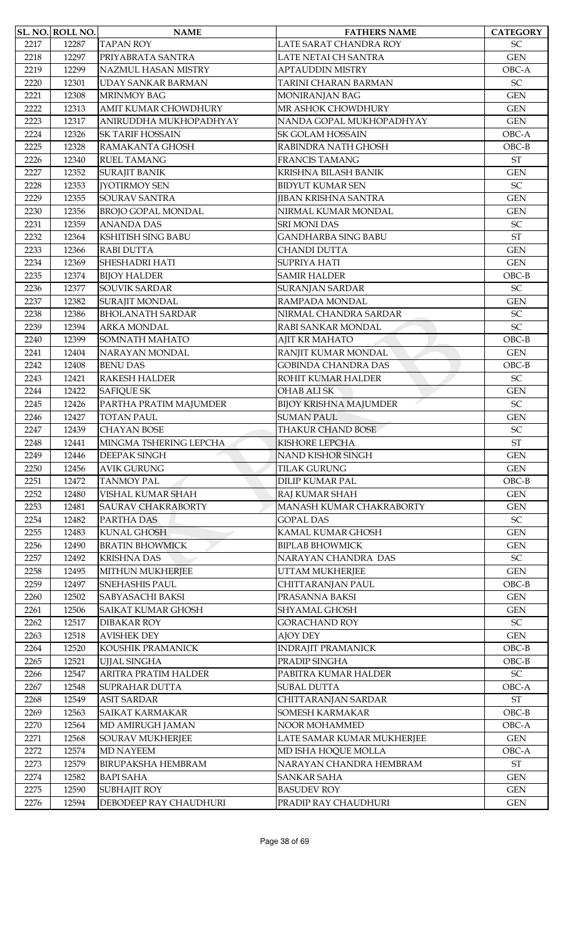|      | SL. NO. ROLL NO. | <b>NAME</b>                 | <b>FATHERS NAME</b>           | <b>CATEGORY</b>            |
|------|------------------|-----------------------------|-------------------------------|----------------------------|
| 2217 | 12287            | <b>TAPAN ROY</b>            | LATE SARAT CHANDRA ROY        | $\ensuremath{\mathsf{SC}}$ |
| 2218 | 12297            | PRIYABRATA SANTRA           | LATE NETAI CH SANTRA          | <b>GEN</b>                 |
| 2219 | 12299            | NAZMUL HASAN MISTRY         | <b>APTAUDDIN MISTRY</b>       | OBC-A                      |
| 2220 | 12301            | <b>UDAY SANKAR BARMAN</b>   | <b>TARINI CHARAN BARMAN</b>   | $\ensuremath{\mathsf{SC}}$ |
| 2221 | 12308            | <b>MRINMOY BAG</b>          | MONIRANJAN BAG                | <b>GEN</b>                 |
| 2222 | 12313            | <b>AMIT KUMAR CHOWDHURY</b> | MR ASHOK CHOWDHURY            | <b>GEN</b>                 |
| 2223 | 12317            | ANIRUDDHA MUKHOPADHYAY      | NANDA GOPAL MUKHOPADHYAY      | <b>GEN</b>                 |
| 2224 | 12326            | <b>SK TARIF HOSSAIN</b>     | <b>SK GOLAM HOSSAIN</b>       | OBC-A                      |
| 2225 | 12328            | RAMAKANTA GHOSH             | RABINDRA NATH GHOSH           | $OBC-B$                    |
| 2226 | 12340            | <b>RUEL TAMANG</b>          | FRANCIS TAMANG                | $\operatorname{ST}$        |
| 2227 | 12352            | <b>SURAJIT BANIK</b>        | KRISHNA BILASH BANIK          | <b>GEN</b>                 |
| 2228 | 12353            | <b>JYOTIRMOY SEN</b>        | <b>BIDYUT KUMAR SEN</b>       | SC                         |
| 2229 | 12355            | <b>SOURAV SANTRA</b>        | <b>JIBAN KRISHNA SANTRA</b>   | <b>GEN</b>                 |
| 2230 | 12356            | <b>BROJO GOPAL MONDAL</b>   | NIRMAL KUMAR MONDAL           | <b>GEN</b>                 |
| 2231 | 12359            | <b>ANANDA DAS</b>           | <b>SRI MONI DAS</b>           | $\ensuremath{\mathsf{SC}}$ |
| 2232 | 12364            | <b>KSHITISH SING BABU</b>   | <b>GANDHARBA SING BABU</b>    | <b>ST</b>                  |
| 2233 | 12366            | <b>RABI DUTTA</b>           | <b>CHANDI DUTTA</b>           | <b>GEN</b>                 |
| 2234 | 12369            | <b>SHESHADRI HATI</b>       | <b>SUPRIYA HATI</b>           | <b>GEN</b>                 |
| 2235 | 12374            | <b>BIJOY HALDER</b>         | <b>SAMIR HALDER</b>           | $OBC-B$                    |
| 2236 | 12377            | <b>SOUVIK SARDAR</b>        | <b>SURANJAN SARDAR</b>        | SC                         |
| 2237 | 12382            | SURAJIT MONDAL              | RAMPADA MONDAL                | <b>GEN</b>                 |
| 2238 | 12386            | <b>BHOLANATH SARDAR</b>     | NIRMAL CHANDRA SARDAR         | $\ensuremath{\mathsf{SC}}$ |
| 2239 | 12394            | <b>ARKA MONDAL</b>          | RABI SANKAR MONDAL            | SC                         |
| 2240 | 12399            | SOMNATH MAHATO              | AJIT KR MAHATO                | $OBC-B$                    |
| 2241 | 12404            | NARAYAN MONDAL              | RANJIT KUMAR MONDAL           | <b>GEN</b>                 |
| 2242 | 12408            | <b>BENU DAS</b>             | <b>GOBINDA CHANDRA DAS</b>    | $OBC-B$                    |
| 2243 | 12421            | <b>RAKESH HALDER</b>        | ROHIT KUMAR HALDER            | SC                         |
| 2244 | 12422            | <b>SAFIQUE SK</b>           | <b>OHAB ALI SK</b>            | <b>GEN</b>                 |
| 2245 | 12426            | PARTHA PRATIM MAJUMDER      | <b>BIJOY KRISHNA MAJUMDER</b> | $\ensuremath{\mathsf{SC}}$ |
| 2246 | 12427            | <b>TOTAN PAUL</b>           | <b>SUMAN PAUL</b>             | <b>GEN</b>                 |
| 2247 | 12439            | <b>CHAYAN BOSE</b>          | THAKUR CHAND BOSE             | $\ensuremath{\mathsf{SC}}$ |
| 2248 | 12441            | MINGMA TSHERING LEPCHA      | <b>KISHORE LEPCHA</b>         | <b>ST</b>                  |
| 2249 | 12446            | DEEPAK SINGH                | NAND KISHOR SINGH             | <b>GEN</b>                 |
| 2250 | 12456            | <b>AVIK GURUNG</b>          | <b>TILAK GURUNG</b>           | <b>GEN</b>                 |
| 2251 | 12472            | <b>TANMOY PAL</b>           | <b>DILIP KUMAR PAL</b>        | $OBC-B$                    |
| 2252 | 12480            | <b>VISHAL KUMAR SHAH</b>    | RAJ KUMAR SHAH                | <b>GEN</b>                 |
| 2253 | 12481            | <b>SAURAV CHAKRABORTY</b>   | MANASH KUMAR CHAKRABORTY      | <b>GEN</b>                 |
| 2254 | 12482            | PARTHA DAS                  | <b>GOPAL DAS</b>              | $\ensuremath{\mathsf{SC}}$ |
| 2255 | 12483            | <b>KUNAL GHOSH</b>          | KAMAL KUMAR GHOSH             | <b>GEN</b>                 |
| 2256 | 12490            | <b>BRATIN BHOWMICK</b>      | <b>BIPLAB BHOWMICK</b>        | <b>GEN</b>                 |
| 2257 | 12492            | <b>KRISHNA DAS</b>          | NARAYAN CHANDRA DAS           | ${\rm SC}$                 |
| 2258 | 12495            | MITHUN MUKHERJEE            | UTTAM MUKHERJEE               | <b>GEN</b>                 |
| 2259 | 12497            | <b>SNEHASHIS PAUL</b>       | CHITTARANJAN PAUL             | $OBC-B$                    |
| 2260 | 12502            | <b>SABYASACHI BAKSI</b>     | PRASANNA BAKSI                | <b>GEN</b>                 |
| 2261 | 12506            | <b>SAIKAT KUMAR GHOSH</b>   | SHYAMAL GHOSH                 | <b>GEN</b>                 |
| 2262 | 12517            | <b>DIBAKAR ROY</b>          | <b>GORACHAND ROY</b>          | $\ensuremath{\mathsf{SC}}$ |
| 2263 | 12518            | <b>AVISHEK DEY</b>          | AJOY DEY                      | <b>GEN</b>                 |
| 2264 | 12520            | KOUSHIK PRAMANICK           | <b>INDRAJIT PRAMANICK</b>     | $OBC-B$                    |
| 2265 | 12521            | <b>UJJAL SINGHA</b>         | PRADIP SINGHA                 | $OBC-B$                    |
| 2266 | 12547            | <b>ARITRA PRATIM HALDER</b> | PABITRA KUMAR HALDER          | $\ensuremath{\mathsf{SC}}$ |
| 2267 | 12548            | SUPRAHAR DUTTA              | <b>SUBAL DUTTA</b>            | OBC-A                      |
| 2268 | 12549            | <b>ASIT SARDAR</b>          | CHITTARANJAN SARDAR           | $\operatorname{ST}$        |
| 2269 | 12563            | SAIKAT KARMAKAR             | SOMESH KARMAKAR               | $OBC-B$                    |
| 2270 | 12564            | MD AMIRUGH JAMAN            | NOOR MOHAMMED                 | OBC-A                      |
| 2271 | 12568            | SOURAV MUKHERJEE            | LATE SAMAR KUMAR MUKHERJEE    | <b>GEN</b>                 |
| 2272 | 12574            | <b>MD NAYEEM</b>            | MD ISHA HOQUE MOLLA           | OBC-A                      |
| 2273 | 12579            | <b>BIRUPAKSHA HEMBRAM</b>   | NARAYAN CHANDRA HEMBRAM       | $\operatorname{ST}$        |
| 2274 | 12582            | <b>BAPI SAHA</b>            | <b>SANKAR SAHA</b>            | <b>GEN</b>                 |
| 2275 | 12590            | <b>SUBHAJIT ROY</b>         | <b>BASUDEV ROY</b>            | <b>GEN</b>                 |
| 2276 | 12594            | DEBODEEP RAY CHAUDHURI      | PRADIP RAY CHAUDHURI          | $\mbox{GEN}$               |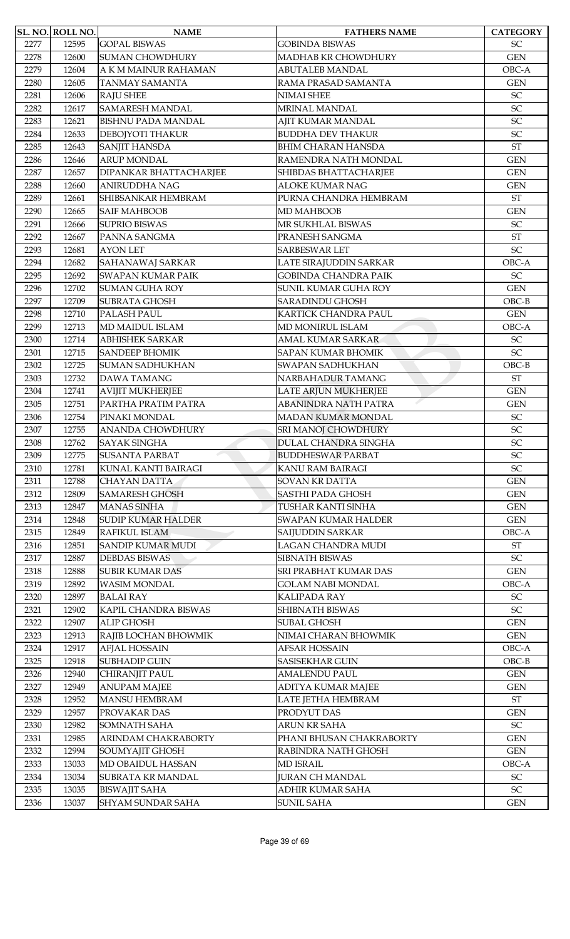|      | SL. NO. ROLL NO. | <b>NAME</b>               | <b>FATHERS NAME</b>         | <b>CATEGORY</b>            |
|------|------------------|---------------------------|-----------------------------|----------------------------|
| 2277 | 12595            | <b>GOPAL BISWAS</b>       | <b>GOBINDA BISWAS</b>       | <b>SC</b>                  |
| 2278 | 12600            | <b>SUMAN CHOWDHURY</b>    | MADHAB KR CHOWDHURY         | <b>GEN</b>                 |
| 2279 | 12604            | A K M MAINUR RAHAMAN      | <b>ABUTALEB MANDAL</b>      | OBC-A                      |
| 2280 | 12605            | <b>TANMAY SAMANTA</b>     | RAMA PRASAD SAMANTA         | <b>GEN</b>                 |
| 2281 | 12606            | <b>RAJU SHEE</b>          | NIMAI SHEE                  | SC                         |
| 2282 | 12617            | <b>SAMARESH MANDAL</b>    | MRINAL MANDAL               | SC                         |
| 2283 | 12621            | <b>BISHNU PADA MANDAL</b> | AJIT KUMAR MANDAL           | SC                         |
| 2284 | 12633            | DEBOJYOTI THAKUR          | <b>BUDDHA DEV THAKUR</b>    | SC                         |
| 2285 | 12643            | <b>SANJIT HANSDA</b>      | <b>BHIM CHARAN HANSDA</b>   | <b>ST</b>                  |
| 2286 | 12646            | <b>ARUP MONDAL</b>        | RAMENDRA NATH MONDAL        | <b>GEN</b>                 |
| 2287 | 12657            | DIPANKAR BHATTACHARJEE    | SHIBDAS BHATTACHARJEE       | <b>GEN</b>                 |
| 2288 | 12660            | <b>ANIRUDDHA NAG</b>      | <b>ALOKE KUMAR NAG</b>      | <b>GEN</b>                 |
| 2289 | 12661            | SHIBSANKAR HEMBRAM        | PURNA CHANDRA HEMBRAM       | $\operatorname{ST}$        |
| 2290 | 12665            | <b>SAIF MAHBOOB</b>       | MD MAHBOOB                  | <b>GEN</b>                 |
| 2291 | 12666            | <b>SUPRIO BISWAS</b>      | MR SUKHLAL BISWAS           | <b>SC</b>                  |
| 2292 | 12667            | PANNA SANGMA              | PRANESH SANGMA              | <b>ST</b>                  |
| 2293 | 12681            | <b>AYON LET</b>           | <b>SARBESWAR LET</b>        | SC                         |
| 2294 | 12682            | SAHANAWAJ SARKAR          | LATE SIRAJUDDIN SARKAR      | OBC-A                      |
| 2295 | 12692            | <b>SWAPAN KUMAR PAIK</b>  | <b>GOBINDA CHANDRA PAIK</b> | $\ensuremath{\mathsf{SC}}$ |
| 2296 | 12702            | <b>SUMAN GUHA ROY</b>     | SUNIL KUMAR GUHA ROY        | <b>GEN</b>                 |
| 2297 | 12709            | <b>SUBRATA GHOSH</b>      | <b>SARADINDU GHOSH</b>      | $OBC-B$                    |
| 2298 | 12710            | PALASH PAUL               | KARTICK CHANDRA PAUL        | <b>GEN</b>                 |
| 2299 | 12713            | MD MAIDUL ISLAM           | MD MONIRUL ISLAM            | OBC-A                      |
| 2300 | 12714            | <b>ABHISHEK SARKAR</b>    | AMAL KUMAR SARKAR           | SC                         |
| 2301 | 12715            | <b>SANDEEP BHOMIK</b>     | <b>SAPAN KUMAR BHOMIK</b>   | SC                         |
| 2302 | 12725            | <b>SUMAN SADHUKHAN</b>    | <b>SWAPAN SADHUKHAN</b>     | $OBC-B$                    |
| 2303 | 12732            | <b>DAWA TAMANG</b>        | NARBAHADUR TAMANG           | <b>ST</b>                  |
| 2304 | 12741            | <b>AVIJIT MUKHERJEE</b>   | LATE ARJUN MUKHERJEE        | <b>GEN</b>                 |
| 2305 | 12751            | PARTHA PRATIM PATRA       | <b>ABANINDRA NATH PATRA</b> | <b>GEN</b>                 |
| 2306 | 12754            | PINAKI MONDAL             | <b>MADAN KUMAR MONDAL</b>   | $\ensuremath{\mathsf{SC}}$ |
| 2307 | 12755            | <b>ANANDA CHOWDHURY</b>   | SRI MANOJ CHOWDHURY         | SC                         |
| 2308 | 12762            | <b>SAYAK SINGHA</b>       | DULAL CHANDRA SINGHA        | SC                         |
| 2309 | 12775            | <b>SUSANTA PARBAT</b>     | <b>BUDDHESWAR PARBAT</b>    | SC                         |
| 2310 | 12781            | KUNAL KANTI BAIRAGI       | KANU RAM BAIRAGI            | $\ensuremath{\mathsf{SC}}$ |
| 2311 | 12788            | <b>CHAYAN DATTA</b>       | <b>SOVAN KR DATTA</b>       | <b>GEN</b>                 |
| 2312 | 12809            | <b>SAMARESH GHOSH</b>     | <b>SASTHI PADA GHOSH</b>    | <b>GEN</b>                 |
| 2313 | 12847            | <b>MANAS SINHA</b>        | TUSHAR KANTI SINHA          | <b>GEN</b>                 |
| 2314 | 12848            | <b>SUDIP KUMAR HALDER</b> | <b>SWAPAN KUMAR HALDER</b>  | <b>GEN</b>                 |
| 2315 | 12849            | RAFIKUL ISLAM             | SAIJUDDIN SARKAR            | OBC-A                      |
| 2316 | 12851            | <b>SANDIP KUMAR MUDI</b>  | LAGAN CHANDRA MUDI          | $\operatorname{ST}$        |
| 2317 | 12887            | <b>DEBDAS BISWAS</b>      | <b>SIBNATH BISWAS</b>       | $\ensuremath{\mathsf{SC}}$ |
| 2318 | 12888            | <b>SUBIR KUMAR DAS</b>    | SRI PRABHAT KUMAR DAS       | <b>GEN</b>                 |
| 2319 | 12892            | <b>WASIM MONDAL</b>       | <b>GOLAM NABI MONDAL</b>    | OBC-A                      |
| 2320 | 12897            | <b>BALAI RAY</b>          | KALIPADA RAY                | SC                         |
| 2321 | 12902            | KAPIL CHANDRA BISWAS      | SHIBNATH BISWAS             | SC                         |
| 2322 | 12907            | ALIP GHOSH                | <b>SUBAL GHOSH</b>          | <b>GEN</b>                 |
| 2323 | 12913            | RAJIB LOCHAN BHOWMIK      | NIMAI CHARAN BHOWMIK        | <b>GEN</b>                 |
| 2324 | 12917            | <b>AFJAL HOSSAIN</b>      | AFSAR HOSSAIN               | OBC-A                      |
| 2325 | 12918            | <b>SUBHADIP GUIN</b>      | <b>SASISEKHAR GUIN</b>      | $OBC-B$                    |
| 2326 | 12940            | CHIRANJIT PAUL            | <b>AMALENDU PAUL</b>        | <b>GEN</b>                 |
| 2327 | 12949            | <b>ANUPAM MAJEE</b>       | ADITYA KUMAR MAJEE          | <b>GEN</b>                 |
| 2328 | 12952            | <b>MANSU HEMBRAM</b>      | LATE JETHA HEMBRAM          | $\operatorname{ST}$        |
| 2329 | 12957            | PROVAKAR DAS              | PRODYUT DAS                 | <b>GEN</b>                 |
| 2330 | 12982            | <b>SOMNATH SAHA</b>       | ARUN KR SAHA                | $\ensuremath{\mathsf{SC}}$ |
| 2331 | 12985            | ARINDAM CHAKRABORTY       | PHANI BHUSAN CHAKRABORTY    | <b>GEN</b>                 |
| 2332 | 12994            | SOUMYAJIT GHOSH           | RABINDRA NATH GHOSH         | <b>GEN</b>                 |
| 2333 | 13033            | MD OBAIDUL HASSAN         | <b>MD ISRAIL</b>            | OBC-A                      |
| 2334 | 13034            | SUBRATA KR MANDAL         | <b>JURAN CH MANDAL</b>      | $\ensuremath{\mathsf{SC}}$ |
| 2335 | 13035            | <b>BISWAJIT SAHA</b>      | ADHIR KUMAR SAHA            | $\ensuremath{\mathsf{SC}}$ |
| 2336 | 13037            | <b>SHYAM SUNDAR SAHA</b>  | <b>SUNIL SAHA</b>           | <b>GEN</b>                 |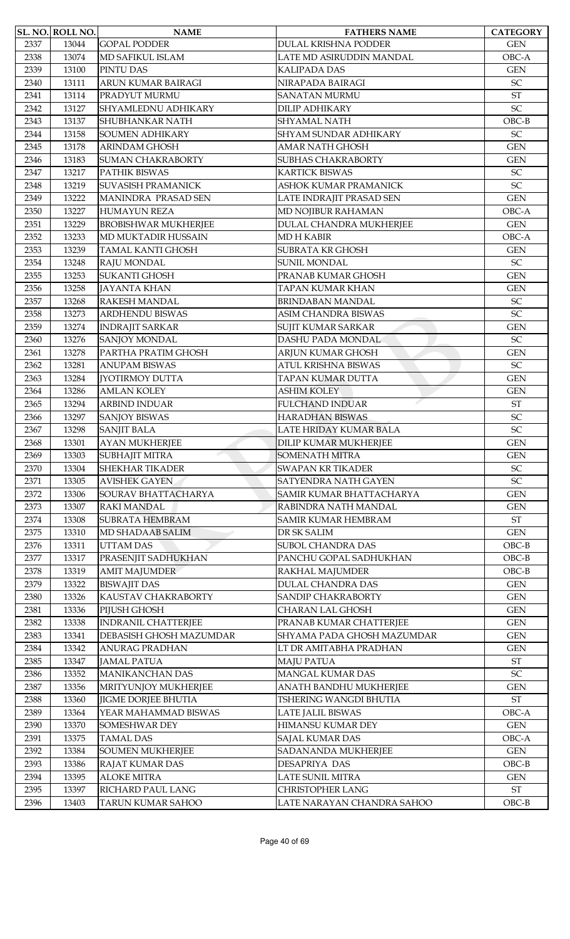|      | SL. NO. ROLL NO. | <b>NAME</b>                 | <b>FATHERS NAME</b>          | <b>CATEGORY</b>            |
|------|------------------|-----------------------------|------------------------------|----------------------------|
| 2337 | 13044            | <b>GOPAL PODDER</b>         | DULAL KRISHNA PODDER         | <b>GEN</b>                 |
| 2338 | 13074            | MD SAFIKUL ISLAM            | LATE MD ASIRUDDIN MANDAL     | OBC-A                      |
| 2339 | 13100            | PINTU DAS                   | KALIPADA DAS                 | <b>GEN</b>                 |
| 2340 | 13111            | ARUN KUMAR BAIRAGI          | NIRAPADA BAIRAGI             | $\ensuremath{\mathsf{SC}}$ |
| 2341 | 13114            | PRADYUT MURMU               | <b>SANATAN MURMU</b>         | $\operatorname{ST}$        |
| 2342 | 13127            | SHYAMLEDNU ADHIKARY         | <b>DILIP ADHIKARY</b>        | SC                         |
| 2343 | 13137            | SHUBHANKAR NATH             | <b>SHYAMAL NATH</b>          | $OBC-B$                    |
| 2344 | 13158            | <b>SOUMEN ADHIKARY</b>      | <b>SHYAM SUNDAR ADHIKARY</b> | $\ensuremath{\mathsf{SC}}$ |
| 2345 | 13178            | <b>ARINDAM GHOSH</b>        | <b>AMAR NATH GHOSH</b>       | <b>GEN</b>                 |
| 2346 | 13183            | <b>SUMAN CHAKRABORTY</b>    | <b>SUBHAS CHAKRABORTY</b>    | <b>GEN</b>                 |
| 2347 | 13217            | PATHIK BISWAS               | <b>KARTICK BISWAS</b>        | SC                         |
| 2348 | 13219            | <b>SUVASISH PRAMANICK</b>   | ASHOK KUMAR PRAMANICK        | SC                         |
| 2349 | 13222            | MANINDRA PRASAD SEN         | LATE INDRAJIT PRASAD SEN     | <b>GEN</b>                 |
| 2350 | 13227            | <b>HUMAYUN REZA</b>         | MD NOJIBUR RAHAMAN           | OBC-A                      |
| 2351 | 13229            | <b>BROBISHWAR MUKHERJEE</b> | DULAL CHANDRA MUKHERJEE      | <b>GEN</b>                 |
| 2352 | 13233            | MD MUKTADIR HUSSAIN         | <b>MD H KABIR</b>            | OBC-A                      |
|      |                  |                             |                              |                            |
| 2353 | 13239            | <b>TAMAL KANTI GHOSH</b>    | <b>SUBRATA KR GHOSH</b>      | <b>GEN</b>                 |
| 2354 | 13248            | RAJU MONDAL                 | <b>SUNIL MONDAL</b>          | $\ensuremath{\mathsf{SC}}$ |
| 2355 | 13253            | <b>SUKANTI GHOSH</b>        | PRANAB KUMAR GHOSH           | <b>GEN</b>                 |
| 2356 | 13258            | <b>JAYANTA KHAN</b>         | TAPAN KUMAR KHAN             | <b>GEN</b>                 |
| 2357 | 13268            | <b>RAKESH MANDAL</b>        | <b>BRINDABAN MANDAL</b>      | $\ensuremath{\mathsf{SC}}$ |
| 2358 | 13273            | <b>ARDHENDU BISWAS</b>      | ASIM CHANDRA BISWAS          | SC                         |
| 2359 | 13274            | <b>INDRAJIT SARKAR</b>      | <b>SUJIT KUMAR SARKAR</b>    | <b>GEN</b>                 |
| 2360 | 13276            | <b>SANJOY MONDAL</b>        | DASHU PADA MONDAL            | SC                         |
| 2361 | 13278            | PARTHA PRATIM GHOSH         | ARJUN KUMAR GHOSH            | <b>GEN</b>                 |
| 2362 | 13281            | <b>ANUPAM BISWAS</b>        | ATUL KRISHNA BISWAS          | <b>SC</b>                  |
| 2363 | 13284            | <b>[YOTIRMOY DUTTA</b>      | TAPAN KUMAR DUTTA            | <b>GEN</b>                 |
| 2364 | 13286            | <b>AMLAN KOLEY</b>          | <b>ASHIM KOLEY</b>           | <b>GEN</b>                 |
| 2365 | 13294            | <b>ARBIND INDUAR</b>        | <b>FULCHAND INDUAR</b>       | ST                         |
| 2366 | 13297            | <b>SANJOY BISWAS</b>        | <b>HARADHAN BISWAS</b>       | SC                         |
| 2367 | 13298            | <b>SANJIT BALA</b>          | LATE HRIDAY KUMAR BALA       | SC                         |
| 2368 | 13301            | <b>AYAN MUKHERJEE</b>       | DILIP KUMAR MUKHERJEE        | <b>GEN</b>                 |
| 2369 | 13303            | <b>SUBHAJIT MITRA</b>       | <b>SOMENATH MITRA</b>        | <b>GEN</b>                 |
| 2370 | 13304            | <b>SHEKHAR TIKADER</b>      | <b>SWAPAN KR TIKADER</b>     | SC                         |
| 2371 | 13305            | <b>AVISHEK GAYEN</b>        | SATYENDRA NATH GAYEN         | SC                         |
| 2372 | 13306            | SOURAV BHATTACHARYA         | SAMIR KUMAR BHATTACHARYA     | <b>GEN</b>                 |
| 2373 | 13307            | <b>RAKI MANDAL</b>          | RABINDRA NATH MANDAL         | <b>GEN</b>                 |
| 2374 | 13308            | <b>SUBRATA HEMBRAM</b>      | <b>SAMIR KUMAR HEMBRAM</b>   | $\operatorname{ST}$        |
| 2375 | 13310            | MD SHADAAB SALIM            | DR SK SALIM                  | <b>GEN</b>                 |
|      |                  |                             | <b>SUBOL CHANDRA DAS</b>     |                            |
| 2376 | 13311            | <b>UTTAM DAS</b>            |                              | $OBC-B$                    |
| 2377 | 13317            | PRASENJIT SADHUKHAN         | PANCHU GOPAL SADHUKHAN       | $OBC-B$                    |
| 2378 | 13319            | <b>AMIT MAJUMDER</b>        | RAKHAL MAJUMDER              | $OBC-B$                    |
| 2379 | 13322            | <b>BISWAJIT DAS</b>         | <b>DULAL CHANDRA DAS</b>     | <b>GEN</b>                 |
| 2380 | 13326            | KAUSTAV CHAKRABORTY         | <b>SANDIP CHAKRABORTY</b>    | <b>GEN</b>                 |
| 2381 | 13336            | PIJUSH GHOSH                | CHARAN LAL GHOSH             | <b>GEN</b>                 |
| 2382 | 13338            | <b>INDRANIL CHATTERJEE</b>  | PRANAB KUMAR CHATTERJEE      | <b>GEN</b>                 |
| 2383 | 13341            | DEBASISH GHOSH MAZUMDAR     | SHYAMA PADA GHOSH MAZUMDAR   | <b>GEN</b>                 |
| 2384 | 13342            | ANURAG PRADHAN              | LT DR AMITABHA PRADHAN       | <b>GEN</b>                 |
| 2385 | 13347            | <b>JAMAL PATUA</b>          | <b>MAJU PATUA</b>            | ST                         |
| 2386 | 13352            | <b>MANIKANCHAN DAS</b>      | <b>MANGAL KUMAR DAS</b>      | <b>SC</b>                  |
| 2387 | 13356            | MRITYUNJOY MUKHERJEE        | ANATH BANDHU MUKHERJEE       | <b>GEN</b>                 |
| 2388 | 13360            | <b>JIGME DORJEE BHUTIA</b>  | TSHERING WANGDI BHUTIA       | $\operatorname{ST}$        |
| 2389 | 13364            | YEAR MAHAMMAD BISWAS        | LATE JALIL BISWAS            | OBC-A                      |
| 2390 | 13370            | SOMESHWAR DEY               | HIMANSU KUMAR DEY            | <b>GEN</b>                 |
| 2391 | 13375            | <b>TAMAL DAS</b>            | SAJAL KUMAR DAS              | OBC-A                      |
| 2392 | 13384            | <b>SOUMEN MUKHERJEE</b>     | SADANANDA MUKHERJEE          | <b>GEN</b>                 |
| 2393 | 13386            | <b>RAJAT KUMAR DAS</b>      | DESAPRIYA DAS                | $OBC-B$                    |
| 2394 | 13395            | <b>ALOKE MITRA</b>          | LATE SUNIL MITRA             | <b>GEN</b>                 |
| 2395 | 13397            | RICHARD PAUL LANG           | <b>CHRISTOPHER LANG</b>      | ${\rm ST}$                 |
| 2396 | 13403            | <b>TARUN KUMAR SAHOO</b>    | LATE NARAYAN CHANDRA SAHOO   | $OBC-B$                    |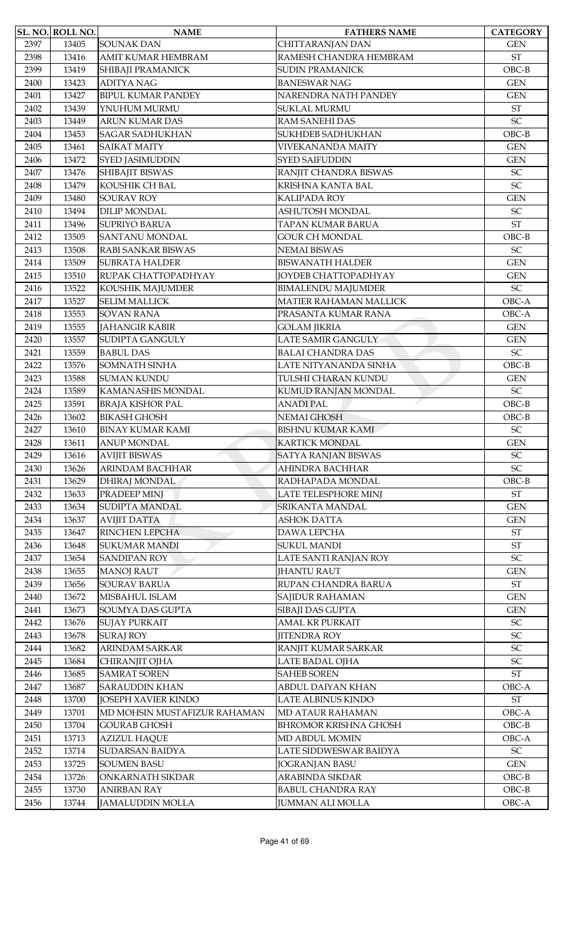|      | SL. NO. ROLL NO. | <b>NAME</b>                  | <b>FATHERS NAME</b>          | <b>CATEGORY</b>            |
|------|------------------|------------------------------|------------------------------|----------------------------|
| 2397 | 13405            | <b>SOUNAK DAN</b>            | CHITTARANJAN DAN             | <b>GEN</b>                 |
| 2398 | 13416            | AMIT KUMAR HEMBRAM           | RAMESH CHANDRA HEMBRAM       | $\operatorname{ST}$        |
| 2399 | 13419            | SHIBAJI PRAMANICK            | <b>SUDIN PRAMANICK</b>       | $OBC-B$                    |
| 2400 | 13423            | <b>ADITYA NAG</b>            | <b>BANESWAR NAG</b>          | <b>GEN</b>                 |
| 2401 | 13427            | <b>BIPUL KUMAR PANDEY</b>    | NARENDRA NATH PANDEY         | <b>GEN</b>                 |
| 2402 | 13439            | YNUHUM MURMU                 | <b>SUKLAL MURMU</b>          | <b>ST</b>                  |
| 2403 | 13449            | <b>ARUN KUMAR DAS</b>        | <b>RAM SANEHI DAS</b>        | SC                         |
| 2404 | 13453            | <b>SAGAR SADHUKHAN</b>       | SUKHDEB SADHUKHAN            | $OBC-B$                    |
| 2405 | 13461            | <b>SAIKAT MAITY</b>          | <b>VIVEKANANDA MAITY</b>     | <b>GEN</b>                 |
| 2406 | 13472            | SYED JASIMUDDIN              | <b>SYED SAIFUDDIN</b>        | <b>GEN</b>                 |
| 2407 | 13476            | SHIBAJIT BISWAS              | RANJIT CHANDRA BISWAS        | SC                         |
| 2408 | 13479            | KOUSHIK CH BAL               | KRISHNA KANTA BAL            | $\ensuremath{\mathsf{SC}}$ |
| 2409 | 13480            | <b>SOURAV ROY</b>            | KALIPADA ROY                 | <b>GEN</b>                 |
| 2410 | 13494            | <b>DILIP MONDAL</b>          | ASHUTOSH MONDAL              | $\ensuremath{\mathsf{SC}}$ |
| 2411 | 13496            | <b>SUPRIYO BARUA</b>         | TAPAN KUMAR BARUA            | <b>ST</b>                  |
| 2412 | 13505            | <b>SANTANU MONDAL</b>        | <b>GOUR CH MONDAL</b>        | $OBC-B$                    |
| 2413 | 13508            | RABI SANKAR BISWAS           | <b>NEMAI BISWAS</b>          | SC                         |
| 2414 | 13509            | <b>SUBRATA HALDER</b>        | <b>BISWANATH HALDER</b>      | <b>GEN</b>                 |
| 2415 | 13510            | RUPAK CHATTOPADHYAY          | <b>JOYDEB CHATTOPADHYAY</b>  | <b>GEN</b>                 |
| 2416 | 13522            | KOUSHIK MAJUMDER             | <b>BIMALENDU MAJUMDER</b>    | $\ensuremath{\mathsf{SC}}$ |
| 2417 | 13527            | <b>SELIM MALLICK</b>         | MATIER RAHAMAN MALLICK       | OBC-A                      |
| 2418 | 13553            | <b>SOVAN RANA</b>            | PRASANTA KUMAR RANA          | OBC-A                      |
| 2419 | 13555            | <b>JAHANGIR KABIR</b>        | <b>GOLAM JIKRIA</b>          | <b>GEN</b>                 |
| 2420 | 13557            | SUDIPTA GANGULY              | LATE SAMIR GANGULY           | <b>GEN</b>                 |
| 2421 | 13559            | <b>BABUL DAS</b>             | <b>BALAI CHANDRA DAS</b>     | $\ensuremath{\mathsf{SC}}$ |
| 2422 | 13576            | SOMNATH SINHA                | LATE NITYANANDA SINHA        | $OBC-B$                    |
| 2423 | 13588            | <b>SUMAN KUNDU</b>           | TULSHI CHARAN KUNDU          | <b>GEN</b>                 |
| 2424 | 13589            | KAMANASHIS MONDAL            | KUMUD RANJAN MONDAL          | SC                         |
| 2425 | 13591            | <b>BRAJA KISHOR PAL</b>      | <b>ANADI PAL</b>             | $OBC-B$                    |
| 2426 | 13602            | <b>BIKASH GHOSH</b>          | NEMAI GHOSH                  | $OBC-B$                    |
| 2427 | 13610            | <b>BINAY KUMAR KAMI</b>      | <b>BISHNU KUMAR KAMI</b>     | $\ensuremath{\mathsf{SC}}$ |
| 2428 | 13611            | <b>ANUP MONDAL</b>           | <b>KARTICK MONDAL</b>        | <b>GEN</b>                 |
| 2429 | 13616            | <b>AVIJIT BISWAS</b>         | <b>SATYA RANJAN BISWAS</b>   | $\ensuremath{\mathsf{SC}}$ |
| 2430 | 13626            | ARINDAM BACHHAR              | AHINDRA BACHHAR              | SC                         |
| 2431 | 13629            | <b>DHIRAJ MONDAL</b>         | RADHAPADA MONDAL             | $OBC-B$                    |
| 2432 | 13633            | PRADEEP MINJ                 | LATE TELESPHORE MINJ         | $\operatorname{ST}$        |
| 2433 | 13634            | SUDIPTA MANDAL               | SRIKANTA MANDAL              | <b>GEN</b>                 |
| 2434 | 13637            | <b>AVIJIT DATTA</b>          | <b>ASHOK DATTA</b>           | <b>GEN</b>                 |
| 2435 | 13647            | RINCHEN LEPCHA               | <b>DAWA LEPCHA</b>           | <b>ST</b>                  |
| 2436 | 13648            | <b>SUKUMAR MANDI</b>         | <b>SUKUL MANDI</b>           | $\operatorname{ST}$        |
| 2437 | 13654            | <b>SANDIPAN ROY</b>          | LATE SANTI RANJAN ROY        | SC                         |
| 2438 | 13655            | <b>MANOJ RAUT</b>            | <b>JHANTU RAUT</b>           | <b>GEN</b>                 |
| 2439 | 13656            | <b>SOURAV BARUA</b>          | RUPAN CHANDRA BARUA          | $\operatorname{ST}$        |
| 2440 | 13672            | MISBAHUL ISLAM               | SAJIDUR RAHAMAN              | <b>GEN</b>                 |
| 2441 | 13673            | SOUMYA DAS GUPTA             | SIBAJI DAS GUPTA             | <b>GEN</b>                 |
| 2442 | 13676            | <b>SUJAY PURKAIT</b>         | AMAL KR PURKAIT              | $\ensuremath{\mathsf{SC}}$ |
| 2443 | 13678            | <b>SURAJ ROY</b>             | <b>JITENDRA ROY</b>          | SC                         |
| 2444 | 13682            | <b>ARINDAM SARKAR</b>        | RANJIT KUMAR SARKAR          | $\ensuremath{\mathsf{SC}}$ |
| 2445 | 13684            | CHIRANJIT OJHA               | LATE BADAL OJHA              | SC                         |
| 2446 | 13685            | <b>SAMRAT SOREN</b>          | <b>SAHEB SOREN</b>           | $\operatorname{ST}$        |
| 2447 | 13687            | <b>SARAUDDIN KHAN</b>        | ABDUL DAIYAN KHAN            | OBC-A                      |
| 2448 | 13700            | JOSEPH XAVIER KINDO          | LATE ALBINUS KINDO           | $\operatorname{ST}$        |
| 2449 | 13701            | MD MOHSIN MUSTAFIZUR RAHAMAN | <b>MD ATAUR RAHAMAN</b>      | OBC-A                      |
| 2450 | 13704            | <b>GOURAB GHOSH</b>          | <b>BHROMOR KRISHNA GHOSH</b> | $OBC-B$                    |
| 2451 | 13713            | <b>AZIZUL HAQUE</b>          | MD ABDUL MOMIN               | OBC-A                      |
| 2452 | 13714            | <b>SUDARSAN BAIDYA</b>       | LATE SIDDWESWAR BAIDYA       | $\ensuremath{\mathsf{SC}}$ |
| 2453 | 13725            | <b>SOUMEN BASU</b>           | <b>JOGRANJAN BASU</b>        | <b>GEN</b>                 |
| 2454 | 13726            | ONKARNATH SIKDAR             | ARABINDA SIKDAR              | $OBC-B$                    |
| 2455 | 13730            | <b>ANIRBAN RAY</b>           | <b>BABUL CHANDRA RAY</b>     | $OBC-B$                    |
| 2456 | 13744            | <b>JAMALUDDIN MOLLA</b>      | <b>JUMMAN ALI MOLLA</b>      | OBC-A                      |
|      |                  |                              |                              |                            |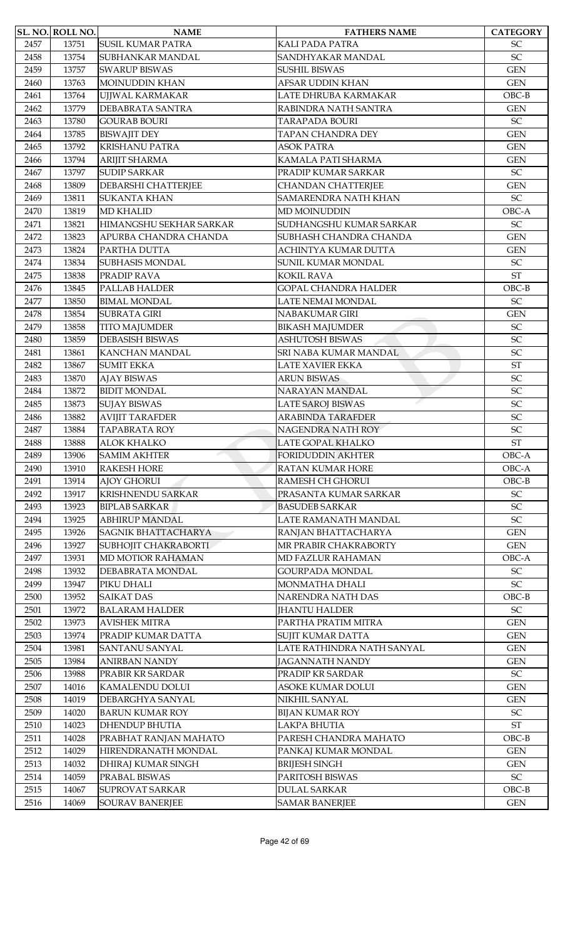|      | SL. NO. ROLL NO. | <b>NAME</b>                | <b>FATHERS NAME</b>                | <b>CATEGORY</b>            |
|------|------------------|----------------------------|------------------------------------|----------------------------|
| 2457 | 13751            | <b>SUSIL KUMAR PATRA</b>   | <b>KALI PADA PATRA</b>             | <b>SC</b>                  |
| 2458 | 13754            | SUBHANKAR MANDAL           | SANDHYAKAR MANDAL                  | SC                         |
| 2459 | 13757            | <b>SWARUP BISWAS</b>       | <b>SUSHIL BISWAS</b>               | <b>GEN</b>                 |
| 2460 | 13763            | <b>MOINUDDIN KHAN</b>      | AFSAR UDDIN KHAN                   | <b>GEN</b>                 |
| 2461 | 13764            | UJJWAL KARMAKAR            | LATE DHRUBA KARMAKAR               | $OBC-B$                    |
| 2462 | 13779            | DEBABRATA SANTRA           | RABINDRA NATH SANTRA               | <b>GEN</b>                 |
| 2463 | 13780            | <b>GOURAB BOURI</b>        | <b>TARAPADA BOURI</b>              | <b>SC</b>                  |
| 2464 | 13785            | <b>BISWAJIT DEY</b>        | TAPAN CHANDRA DEY                  | <b>GEN</b>                 |
| 2465 | 13792            | <b>KRISHANU PATRA</b>      | <b>ASOK PATRA</b>                  | <b>GEN</b>                 |
| 2466 | 13794            | <b>ARIJIT SHARMA</b>       | KAMALA PATI SHARMA                 | <b>GEN</b>                 |
| 2467 | 13797            | <b>SUDIP SARKAR</b>        | PRADIP KUMAR SARKAR                | $\ensuremath{\mathsf{SC}}$ |
| 2468 | 13809            | DEBARSHI CHATTERJEE        | <b>CHANDAN CHATTERJEE</b>          | <b>GEN</b>                 |
| 2469 | 13811            | <b>SUKANTA KHAN</b>        | SAMARENDRA NATH KHAN               | $\ensuremath{\mathsf{SC}}$ |
| 2470 | 13819            | <b>MD KHALID</b>           | <b>MD MOINUDDIN</b>                | OBC-A                      |
| 2471 | 13821            | HIMANGSHU SEKHAR SARKAR    | SUDHANGSHU KUMAR SARKAR            | $\ensuremath{\mathsf{SC}}$ |
| 2472 | 13823            | APURBA CHANDRA CHANDA      | SUBHASH CHANDRA CHANDA             | <b>GEN</b>                 |
| 2473 | 13824            | PARTHA DUTTA               | ACHINTYA KUMAR DUTTA               | <b>GEN</b>                 |
| 2474 | 13834            | <b>SUBHASIS MONDAL</b>     | SUNIL KUMAR MONDAL                 | $\ensuremath{\mathsf{SC}}$ |
| 2475 | 13838            | PRADIP RAVA                | <b>KOKIL RAVA</b>                  | <b>ST</b>                  |
| 2476 | 13845            | PALLAB HALDER              | <b>GOPAL CHANDRA HALDER</b>        | $OBC-B$                    |
| 2477 | 13850            | <b>BIMAL MONDAL</b>        | LATE NEMAI MONDAL                  | $\ensuremath{\mathsf{SC}}$ |
| 2478 | 13854            | <b>SUBRATA GIRI</b>        | NABAKUMAR GIRI                     | <b>GEN</b>                 |
| 2479 | 13858            | <b>TITO MAJUMDER</b>       | <b>BIKASH MAJUMDER</b>             | SC                         |
| 2480 | 13859            | <b>DEBASISH BISWAS</b>     | <b>ASHUTOSH BISWAS</b>             | SC                         |
| 2481 | 13861            | KANCHAN MANDAL             | SRI NABA KUMAR MANDAL              | $\ensuremath{\mathsf{SC}}$ |
| 2482 | 13867            | <b>SUMIT EKKA</b>          | <b>LATE XAVIER EKKA</b>            | $\operatorname{ST}$        |
| 2483 | 13870            | <b>AJAY BISWAS</b>         | <b>ARUN BISWAS</b>                 | SC                         |
| 2484 | 13872            | <b>BIDIT MONDAL</b>        | NARAYAN MANDAL                     | SC                         |
| 2485 | 13873            | <b>SUJAY BISWAS</b>        | <b>LATE SAROJ BISWAS</b>           | SC                         |
| 2486 | 13882            | <b>AVIJIT TARAFDER</b>     | <b>ARABINDA TARAFDER</b>           | $\ensuremath{\mathsf{SC}}$ |
| 2487 | 13884            | <b>TAPABRATA ROY</b>       | NAGENDRA NATH ROY                  | SC                         |
| 2488 | 13888            | <b>ALOK KHALKO</b>         | LATE GOPAL KHALKO                  | $\operatorname{ST}$        |
| 2489 | 13906            | <b>SAMIM AKHTER</b>        | <b>FORIDUDDIN AKHTER</b>           | OBC-A                      |
| 2490 | 13910            | <b>RAKESH HORE</b>         | <b>RATAN KUMAR HORE</b>            | OBC-A                      |
| 2491 | 13914            | <b>AJOY GHORUI</b>         | RAMESH CH GHORUI                   | $OBC-B$                    |
| 2492 | 13917            | <b>KRISHNENDU SARKAR</b>   | PRASANTA KUMAR SARKAR              | $\ensuremath{\mathsf{SC}}$ |
| 2493 | 13923            | <b>BIPLAB SARKAR</b>       | <b>BASUDEB SARKAR</b>              | SC                         |
| 2494 | 13925            | <b>ABHIRUP MANDAL</b>      | LATE RAMANATH MANDAL               | $\ensuremath{\mathsf{SC}}$ |
| 2495 | 13926            | <b>SAGNIK BHATTACHARYA</b> | RANJAN BHATTACHARYA                | <b>GEN</b>                 |
| 2496 | 13927            | SUBHOJIT CHAKRABORTI       | MR PRABIR CHAKRABORTY              | <b>GEN</b>                 |
| 2497 | 13931            | MD MOTIOR RAHAMAN          | MD FAZLUR RAHAMAN                  | OBC-A                      |
| 2498 | 13932            | DEBABRATA MONDAL           | GOURPADA MONDAL                    | ${\rm SC}$                 |
| 2499 | 13947            | PIKU DHALI                 | MONMATHA DHALI                     | SC                         |
| 2500 | 13952            | <b>SAIKAT DAS</b>          | NARENDRA NATH DAS                  | $OBC-B$                    |
| 2501 | 13972            | <b>BALARAM HALDER</b>      | <b>JHANTU HALDER</b>               | SC                         |
| 2502 | 13973            | <b>AVISHEK MITRA</b>       | PARTHA PRATIM MITRA                | <b>GEN</b>                 |
| 2503 | 13974            | PRADIP KUMAR DATTA         | SUJIT KUMAR DATTA                  | $\mbox{GEN}$               |
| 2504 | 13981            | <b>SANTANU SANYAL</b>      | LATE RATHINDRA NATH SANYAL         | <b>GEN</b>                 |
|      |                  | <b>ANIRBAN NANDY</b>       | <b>JAGANNATH NANDY</b>             |                            |
| 2505 | 13984            |                            | PRADIP KR SARDAR                   | <b>GEN</b><br>SC           |
| 2506 | 13988            | PRABIR KR SARDAR           |                                    | <b>GEN</b>                 |
| 2507 | 14016<br>14019   | <b>KAMALENDU DOLUI</b>     | ASOKE KUMAR DOLUI<br>NIKHIL SANYAL |                            |
| 2508 |                  | DEBARGHYA SANYAL           |                                    | <b>GEN</b>                 |
| 2509 | 14020            | <b>BARUN KUMAR ROY</b>     | <b>BIJAN KUMAR ROY</b>             | SC                         |
| 2510 | 14023            | <b>DHENDUP BHUTIA</b>      | LAKPA BHUTIA                       | $\operatorname{ST}$        |
| 2511 | 14028            | PRABHAT RANJAN MAHATO      | PARESH CHANDRA MAHATO              | $OBC-B$                    |
| 2512 | 14029            | HIRENDRANATH MONDAL        | PANKAJ KUMAR MONDAL                | <b>GEN</b>                 |
| 2513 | 14032            | DHIRAJ KUMAR SINGH         | <b>BRIJESH SINGH</b>               | <b>GEN</b>                 |
| 2514 | 14059            | PRABAL BISWAS              | PARITOSH BISWAS                    | $\ensuremath{\mathsf{SC}}$ |
| 2515 | 14067            | SUPROVAT SARKAR            | <b>DULAL SARKAR</b>                | $OBC-B$                    |
| 2516 | 14069            | <b>SOURAV BANERJEE</b>     | <b>SAMAR BANERJEE</b>              | $\mbox{GEN}$               |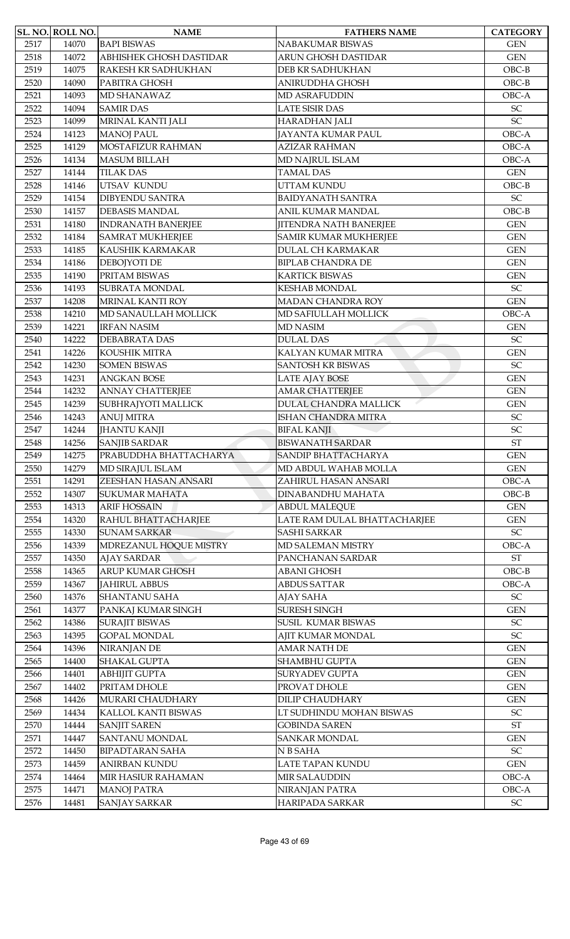|      | SL. NO. ROLL NO. | <b>NAME</b>               | <b>FATHERS NAME</b>           | <b>CATEGORY</b>            |
|------|------------------|---------------------------|-------------------------------|----------------------------|
| 2517 | 14070            | <b>BAPI BISWAS</b>        | NABAKUMAR BISWAS              | <b>GEN</b>                 |
| 2518 | 14072            | ABHISHEK GHOSH DASTIDAR   | ARUN GHOSH DASTIDAR           | <b>GEN</b>                 |
| 2519 | 14075            | RAKESH KR SADHUKHAN       | DEB KR SADHUKHAN              | $OBC-B$                    |
| 2520 | 14090            | PABITRA GHOSH             | <b>ANIRUDDHA GHOSH</b>        | $OBC-B$                    |
| 2521 | 14093            | MD SHANAWAZ               | MD ASRAFUDDIN                 | OBC-A                      |
| 2522 | 14094            | <b>SAMIR DAS</b>          | <b>LATE SISIR DAS</b>         | SC                         |
| 2523 | 14099            | MRINAL KANTI JALI         | HARADHAN JALI                 | SC                         |
| 2524 | 14123            | <b>MANOJ PAUL</b>         | <b>JAYANTA KUMAR PAUL</b>     | OBC-A                      |
| 2525 | 14129            | MOSTAFIZUR RAHMAN         | <b>AZIZAR RAHMAN</b>          | OBC-A                      |
| 2526 | 14134            | <b>MASUM BILLAH</b>       | <b>MD NAJRUL ISLAM</b>        | OBC-A                      |
| 2527 | 14144            | <b>TILAK DAS</b>          | <b>TAMAL DAS</b>              | <b>GEN</b>                 |
| 2528 | 14146            | UTSAV KUNDU               | <b>UTTAM KUNDU</b>            | $OBC-B$                    |
| 2529 | 14154            | <b>DIBYENDU SANTRA</b>    | <b>BAIDYANATH SANTRA</b>      | $\ensuremath{\mathsf{SC}}$ |
| 2530 | 14157            | <b>DEBASIS MANDAL</b>     | ANIL KUMAR MANDAL             | $OBC-B$                    |
| 2531 | 14180            | <b>INDRANATH BANERJEE</b> | <b>JITENDRA NATH BANERJEE</b> | <b>GEN</b>                 |
| 2532 | 14184            | <b>SAMRAT MUKHERJEE</b>   | <b>SAMIR KUMAR MUKHERJEE</b>  | <b>GEN</b>                 |
| 2533 | 14185            | KAUSHIK KARMAKAR          | <b>DULAL CH KARMAKAR</b>      | <b>GEN</b>                 |
| 2534 | 14186            | DEBOJYOTI DE              | <b>BIPLAB CHANDRA DE</b>      | <b>GEN</b>                 |
| 2535 | 14190            | PRITAM BISWAS             | <b>KARTICK BISWAS</b>         | <b>GEN</b>                 |
| 2536 | 14193            | <b>SUBRATA MONDAL</b>     | <b>KESHAB MONDAL</b>          | SC                         |
| 2537 | 14208            | MRINAL KANTI ROY          | <b>MADAN CHANDRA ROY</b>      | <b>GEN</b>                 |
| 2538 | 14210            | MD SANAULLAH MOLLICK      | MD SAFIULLAH MOLLICK          | OBC-A                      |
| 2539 | 14221            | <b>IRFAN NASIM</b>        | <b>MD NASIM</b>               | <b>GEN</b>                 |
| 2540 | 14222            | <b>DEBABRATA DAS</b>      | <b>DULAL DAS</b>              | $\ensuremath{\mathsf{SC}}$ |
| 2541 |                  | KOUSHIK MITRA             | KALYAN KUMAR MITRA            | <b>GEN</b>                 |
| 2542 | 14226<br>14230   | <b>SOMEN BISWAS</b>       | <b>SANTOSH KR BISWAS</b>      | $\ensuremath{\mathsf{SC}}$ |
| 2543 |                  | <b>ANGKAN BOSE</b>        |                               | <b>GEN</b>                 |
|      | 14231            |                           | <b>LATE AJAY BOSE</b>         |                            |
| 2544 | 14232            | <b>ANNAY CHATTERJEE</b>   | <b>AMAR CHATTERJEE</b>        | <b>GEN</b>                 |
| 2545 | 14239            | SUBHRAJYOTI MALLICK       | <b>DULAL CHANDRA MALLICK</b>  | <b>GEN</b>                 |
| 2546 | 14243            | <b>ANUJ MITRA</b>         | ISHAN CHANDRA MITRA           | SC                         |
| 2547 | 14244            | <b>JHANTU KANJI</b>       | <b>BIFAL KANJI</b>            | SC                         |
| 2548 | 14256            | <b>SANJIB SARDAR</b>      | <b>BISWANATH SARDAR</b>       | $\operatorname{ST}$        |
| 2549 | 14275            | PRABUDDHA BHATTACHARYA    | SANDIP BHATTACHARYA           | <b>GEN</b>                 |
| 2550 | 14279            | MD SIRAJUL ISLAM          | MD ABDUL WAHAB MOLLA          | $\mbox{GEN}$               |
| 2551 | 14291            | ZEESHAN HASAN ANSARI      | ZAHIRUL HASAN ANSARI          | OBC-A                      |
| 2552 | 14307            | <b>SUKUMAR MAHATA</b>     | DINABANDHU MAHATA             | $OBC-B$                    |
| 2553 | 14313            | <b>ARIF HOSSAIN</b>       | <b>ABDUL MALEQUE</b>          | <b>GEN</b>                 |
| 2554 | 14320            | RAHUL BHATTACHARJEE       | LATE RAM DULAL BHATTACHARJEE  | <b>GEN</b>                 |
| 2555 | 14330            | <b>SUNAM SARKAR</b>       | <b>SASHI SARKAR</b>           | SC                         |
| 2556 | 14339            | MDREZANUL HOQUE MISTRY    | MD SALEMAN MISTRY             | OBC-A                      |
| 2557 | 14350            | <b>AJAY SARDAR</b>        | PANCHANAN SARDAR              | $\operatorname{ST}$        |
| 2558 | 14365            | <b>ARUP KUMAR GHOSH</b>   | <b>ABANI GHOSH</b>            | $OBC-B$                    |
| 2559 | 14367            | <b>JAHIRUL ABBUS</b>      | <b>ABDUS SATTAR</b>           | OBC-A                      |
| 2560 | 14376            | <b>SHANTANU SAHA</b>      | AJAY SAHA                     | $\ensuremath{\mathsf{SC}}$ |
| 2561 | 14377            | PANKAJ KUMAR SINGH        | <b>SURESH SINGH</b>           | <b>GEN</b>                 |
| 2562 | 14386            | <b>SURAJIT BISWAS</b>     | SUSIL KUMAR BISWAS            | $\ensuremath{\mathsf{SC}}$ |
| 2563 | 14395            | <b>GOPAL MONDAL</b>       | AJIT KUMAR MONDAL             | $\ensuremath{\mathsf{SC}}$ |
| 2564 | 14396            | NIRANJAN DE               | AMAR NATH DE                  | <b>GEN</b>                 |
| 2565 | 14400            | <b>SHAKAL GUPTA</b>       | <b>SHAMBHU GUPTA</b>          | <b>GEN</b>                 |
| 2566 | 14401            | <b>ABHIJIT GUPTA</b>      | <b>SURYADEV GUPTA</b>         | <b>GEN</b>                 |
| 2567 | 14402            | PRITAM DHOLE              | PROVAT DHOLE                  | $\mbox{GEN}$               |
| 2568 | 14426            | MURARI CHAUDHARY          | <b>DILIP CHAUDHARY</b>        | <b>GEN</b>                 |
| 2569 | 14434            | KALLOL KANTI BISWAS       | LT SUDHINDU MOHAN BISWAS      | $\ensuremath{\mathsf{SC}}$ |
| 2570 | 14444            | <b>SANJIT SAREN</b>       | <b>GOBINDA SAREN</b>          | $\operatorname{ST}$        |
| 2571 | 14447            | <b>SANTANU MONDAL</b>     | <b>SANKAR MONDAL</b>          | <b>GEN</b>                 |
| 2572 | 14450            | <b>BIPADTARAN SAHA</b>    | N B SAHA                      | SC                         |
| 2573 | 14459            | ANIRBAN KUNDU             | LATE TAPAN KUNDU              | <b>GEN</b>                 |
| 2574 | 14464            | MIR HASIUR RAHAMAN        | MIR SALAUDDIN                 | OBC-A                      |
| 2575 | 14471            | <b>MANOJ PATRA</b>        | NIRANJAN PATRA                | OBC-A                      |
| 2576 | 14481            | <b>SANJAY SARKAR</b>      | HARIPADA SARKAR               | SC                         |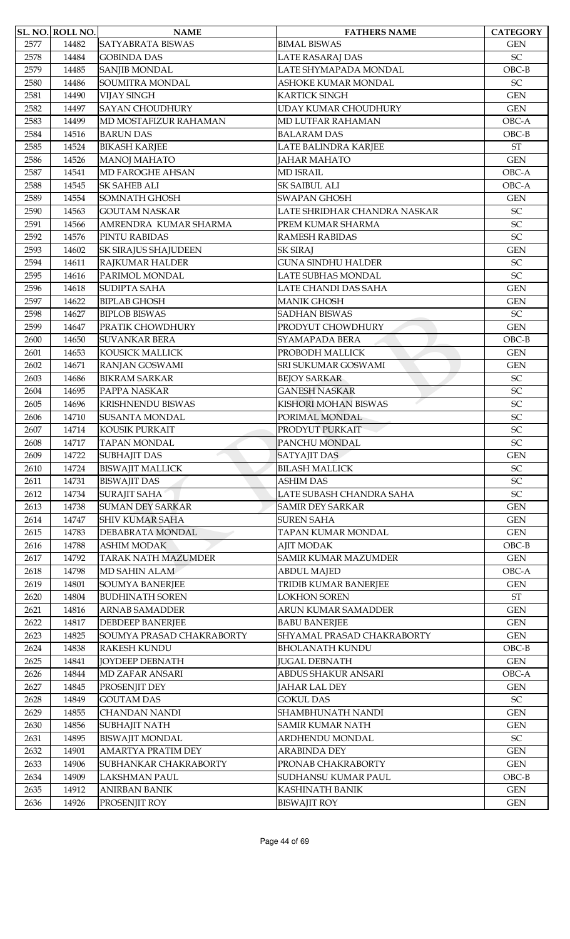|      | SL. NO. ROLL NO. | <b>NAME</b>                 | <b>FATHERS NAME</b>          | <b>CATEGORY</b>            |
|------|------------------|-----------------------------|------------------------------|----------------------------|
| 2577 | 14482            | SATYABRATA BISWAS           | <b>BIMAL BISWAS</b>          | <b>GEN</b>                 |
| 2578 | 14484            | <b>GOBINDA DAS</b>          | LATE RASARAJ DAS             | SC                         |
| 2579 | 14485            | <b>SANJIB MONDAL</b>        | LATE SHYMAPADA MONDAL        | $OBC-B$                    |
| 2580 | 14486            | SOUMITRA MONDAL             | ASHOKE KUMAR MONDAL          | SC                         |
| 2581 | 14490            | <b>VIJAY SINGH</b>          | <b>KARTICK SINGH</b>         | <b>GEN</b>                 |
| 2582 | 14497            | <b>SAYAN CHOUDHURY</b>      | UDAY KUMAR CHOUDHURY         | <b>GEN</b>                 |
| 2583 | 14499            | MD MOSTAFIZUR RAHAMAN       | MD LUTFAR RAHAMAN            | OBC-A                      |
| 2584 | 14516            | <b>BARUN DAS</b>            | <b>BALARAM DAS</b>           | $OBC-B$                    |
| 2585 | 14524            |                             | LATE BALINDRA KARJEE         | <b>ST</b>                  |
|      |                  | <b>BIKASH KARJEE</b>        |                              |                            |
| 2586 | 14526            | <b>MANOJ MAHATO</b>         | <b>JAHAR MAHATO</b>          | <b>GEN</b>                 |
| 2587 | 14541            | MD FAROGHE AHSAN            | <b>MD ISRAIL</b>             | OBC-A                      |
| 2588 | 14545            | <b>SK SAHEB ALI</b>         | <b>SK SAIBUL ALI</b>         | OBC-A                      |
| 2589 | 14554            | <b>SOMNATH GHOSH</b>        | <b>SWAPAN GHOSH</b>          | <b>GEN</b>                 |
| 2590 | 14563            | <b>GOUTAM NASKAR</b>        | LATE SHRIDHAR CHANDRA NASKAR | SC                         |
| 2591 | 14566            | AMRENDRA KUMAR SHARMA       | PREM KUMAR SHARMA            | SC                         |
| 2592 | 14576            | PINTU RABIDAS               | <b>RAMESH RABIDAS</b>        | $\ensuremath{\mathsf{SC}}$ |
| 2593 | 14602            | <b>SK SIRAJUS SHAJUDEEN</b> | <b>SK SIRAJ</b>              | <b>GEN</b>                 |
| 2594 | 14611            | RAJKUMAR HALDER             | <b>GUNA SINDHU HALDER</b>    | SC                         |
| 2595 | 14616            | PARIMOL MONDAL              | LATE SUBHAS MONDAL           | SC                         |
| 2596 | 14618            | <b>SUDIPTA SAHA</b>         | LATE CHANDI DAS SAHA         | <b>GEN</b>                 |
| 2597 | 14622            | <b>BIPLAB GHOSH</b>         | <b>MANIK GHOSH</b>           | <b>GEN</b>                 |
| 2598 | 14627            | <b>BIPLOB BISWAS</b>        | <b>SADHAN BISWAS</b>         | SC                         |
| 2599 | 14647            | PRATIK CHOWDHURY            | PRODYUT CHOWDHURY            | <b>GEN</b>                 |
|      |                  | <b>SUVANKAR BERA</b>        | SYAMAPADA BERA               | $OBC-B$                    |
| 2600 | 14650            |                             |                              |                            |
| 2601 | 14653            | <b>KOUSICK MALLICK</b>      | PROBODH MALLICK              | <b>GEN</b>                 |
| 2602 | 14671            | RANJAN GOSWAMI              | <b>SRI SUKUMAR GOSWAMI</b>   | <b>GEN</b>                 |
| 2603 | 14686            | <b>BIKRAM SARKAR</b>        | <b>BEJOY SARKAR</b>          | $\ensuremath{\mathsf{SC}}$ |
| 2604 | 14695            | PAPPA NASKAR                | <b>GANESH NASKAR</b>         | SC                         |
| 2605 | 14696            | KRISHNENDU BISWAS           | KISHORI MOHAN BISWAS         | $\ensuremath{\mathsf{SC}}$ |
| 2606 | 14710            | <b>SUSANTA MONDAL</b>       | PORIMAL MONDAL               | SC                         |
| 2607 | 14714            | <b>KOUSIK PURKAIT</b>       | PRODYUT PURKAIT              | SC                         |
| 2608 | 14717            | <b>TAPAN MONDAL</b>         | PANCHU MONDAL                | SC                         |
| 2609 | 14722            | <b>SUBHAJIT DAS</b>         | <b>SATYAJIT DAS</b>          | <b>GEN</b>                 |
| 2610 | 14724            | <b>BISWAJIT MALLICK</b>     | <b>BILASH MALLICK</b>        | SC                         |
| 2611 | 14731            | <b>BISWAJIT DAS</b>         | <b>ASHIM DAS</b>             | $\ensuremath{\mathsf{SC}}$ |
| 2612 | 14734            | <b>SURAJIT SAHA</b>         | LATE SUBASH CHANDRA SAHA     | SC                         |
| 2613 | 14738            | <b>SUMAN DEY SARKAR</b>     | <b>SAMIR DEY SARKAR</b>      | <b>GEN</b>                 |
| 2614 | 14747            | <b>SHIV KUMAR SAHA</b>      | <b>SUREN SAHA</b>            | <b>GEN</b>                 |
| 2615 | 14783            | DEBABRATA MONDAL            | TAPAN KUMAR MONDAL           | <b>GEN</b>                 |
| 2616 | 14788            | <b>ASHIM MODAK</b>          | <b>AJIT MODAK</b>            | $OBC-B$                    |
| 2617 | 14792            | <b>TARAK NATH MAZUMDER</b>  | <b>SAMIR KUMAR MAZUMDER</b>  | <b>GEN</b>                 |
| 2618 | 14798            | MD SAHIN ALAM               | <b>ABDUL MAJED</b>           | OBC-A                      |
| 2619 | 14801            | <b>SOUMYA BANERJEE</b>      | TRIDIB KUMAR BANERJEE        | <b>GEN</b>                 |
| 2620 | 14804            | <b>BUDHINATH SOREN</b>      | <b>LOKHON SOREN</b>          | <b>ST</b>                  |
|      |                  |                             |                              |                            |
| 2621 | 14816            | <b>ARNAB SAMADDER</b>       | ARUN KUMAR SAMADDER          | <b>GEN</b>                 |
| 2622 | 14817            | <b>DEBDEEP BANERJEE</b>     | <b>BABU BANERJEE</b>         | <b>GEN</b>                 |
| 2623 | 14825            | SOUMYA PRASAD CHAKRABORTY   | SHYAMAL PRASAD CHAKRABORTY   | <b>GEN</b>                 |
| 2624 | 14838            | <b>RAKESH KUNDU</b>         | <b>BHOLANATH KUNDU</b>       | $OBC-B$                    |
| 2625 | 14841            | <b>JOYDEEP DEBNATH</b>      | <b>JUGAL DEBNATH</b>         | <b>GEN</b>                 |
| 2626 | 14844            | <b>MD ZAFAR ANSARI</b>      | ABDUS SHAKUR ANSARI          | OBC-A                      |
| 2627 | 14845            | PROSENJIT DEY               | JAHAR LAL DEY                | <b>GEN</b>                 |
| 2628 | 14849            | <b>GOUTAM DAS</b>           | <b>GOKUL DAS</b>             | $\ensuremath{\mathsf{SC}}$ |
| 2629 | 14855            | <b>CHANDAN NANDI</b>        | SHAMBHUNATH NANDI            | <b>GEN</b>                 |
| 2630 | 14856            | <b>SUBHAJIT NATH</b>        | <b>SAMIR KUMAR NATH</b>      | <b>GEN</b>                 |
| 2631 | 14895            | <b>BISWAJIT MONDAL</b>      | ARDHENDU MONDAL              | $\ensuremath{\mathsf{SC}}$ |
| 2632 | 14901            | AMARTYA PRATIM DEY          | <b>ARABINDA DEY</b>          | <b>GEN</b>                 |
| 2633 | 14906            | SUBHANKAR CHAKRABORTY       | PRONAB CHAKRABORTY           | <b>GEN</b>                 |
| 2634 | 14909            | <b>LAKSHMAN PAUL</b>        | SUDHANSU KUMAR PAUL          | $OBC-B$                    |
| 2635 | 14912            | ANIRBAN BANIK               | KASHINATH BANIK              | <b>GEN</b>                 |
| 2636 | 14926            | PROSENJIT ROY               | <b>BISWAJIT ROY</b>          | <b>GEN</b>                 |
|      |                  |                             |                              |                            |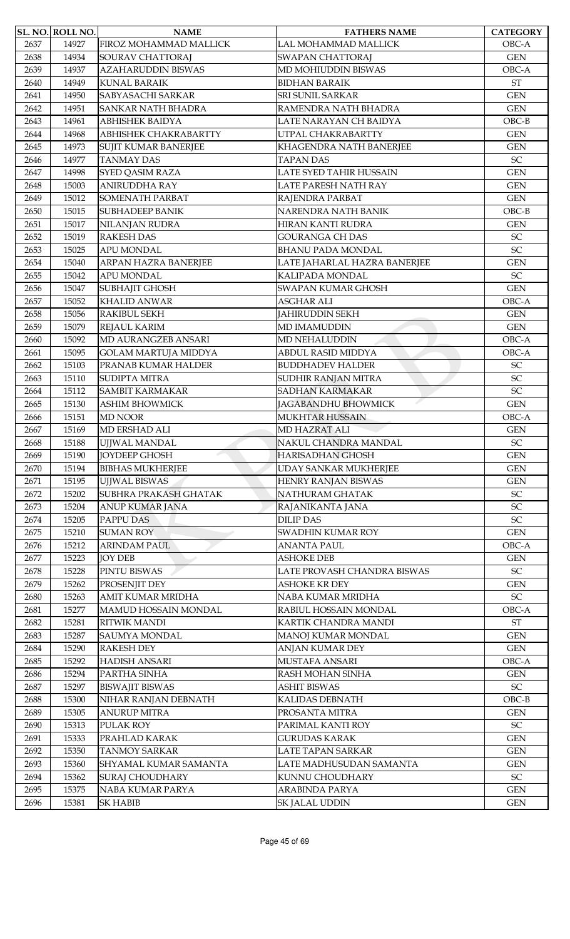|      | SL. NO. ROLL NO. | <b>NAME</b>                 | <b>FATHERS NAME</b>          | <b>CATEGORY</b>            |
|------|------------------|-----------------------------|------------------------------|----------------------------|
| 2637 | 14927            | FIROZ MOHAMMAD MALLICK      | LAL MOHAMMAD MALLICK         | OBC-A                      |
| 2638 | 14934            | <b>SOURAV CHATTORAJ</b>     | <b>SWAPAN CHATTORAJ</b>      | <b>GEN</b>                 |
| 2639 | 14937            | <b>AZAHARUDDIN BISWAS</b>   | MD MOHIUDDIN BISWAS          | OBC-A                      |
| 2640 | 14949            | <b>KUNAL BARAIK</b>         | <b>BIDHAN BARAIK</b>         | <b>ST</b>                  |
| 2641 | 14950            | SABYASACHI SARKAR           | <b>SRI SUNIL SARKAR</b>      | <b>GEN</b>                 |
| 2642 | 14951            | <b>SANKAR NATH BHADRA</b>   | RAMENDRA NATH BHADRA         | <b>GEN</b>                 |
| 2643 | 14961            | <b>ABHISHEK BAIDYA</b>      | LATE NARAYAN CH BAIDYA       | $OBC-B$                    |
| 2644 | 14968            | ABHISHEK CHAKRABARTTY       | UTPAL CHAKRABARTTY           | <b>GEN</b>                 |
| 2645 | 14973            | SUJIT KUMAR BANERJEE        | KHAGENDRA NATH BANERJEE      | <b>GEN</b>                 |
| 2646 | 14977            | <b>TANMAY DAS</b>           | <b>TAPAN DAS</b>             | SC                         |
| 2647 | 14998            | SYED QASIM RAZA             | LATE SYED TAHIR HUSSAIN      | <b>GEN</b>                 |
| 2648 | 15003            | ANIRUDDHA RAY               | LATE PARESH NATH RAY         | <b>GEN</b>                 |
| 2649 | 15012            | <b>SOMENATH PARBAT</b>      | RAJENDRA PARBAT              | <b>GEN</b>                 |
| 2650 | 15015            | <b>SUBHADEEP BANIK</b>      | NARENDRA NATH BANIK          | $OBC-B$                    |
| 2651 | 15017            | NILANJAN RUDRA              | HIRAN KANTI RUDRA            | <b>GEN</b>                 |
| 2652 | 15019            | <b>RAKESH DAS</b>           | <b>GOURANGA CH DAS</b>       | SC                         |
| 2653 | 15025            | APU MONDAL                  | <b>BHANU PADA MONDAL</b>     | SC                         |
| 2654 | 15040            | ARPAN HAZRA BANERJEE        | LATE JAHARLAL HAZRA BANERJEE | <b>GEN</b>                 |
| 2655 | 15042            | <b>APU MONDAL</b>           | KALIPADA MONDAL              | SC                         |
| 2656 | 15047            | SUBHAJIT GHOSH              | <b>SWAPAN KUMAR GHOSH</b>    | <b>GEN</b>                 |
| 2657 | 15052            | <b>KHALID ANWAR</b>         | <b>ASGHAR ALI</b>            | OBC-A                      |
| 2658 | 15056            | RAKIBUL SEKH                | <b>JAHIRUDDIN SEKH</b>       | <b>GEN</b>                 |
| 2659 | 15079            | <b>REJAUL KARIM</b>         | <b>MD IMAMUDDIN</b>          | <b>GEN</b>                 |
| 2660 | 15092            | MD AURANGZEB ANSARI         | MD NEHALUDDIN                | OBC-A                      |
| 2661 | 15095            | <b>GOLAM MARTUJA MIDDYA</b> | ABDUL RASID MIDDYA           | OBC-A                      |
| 2662 | 15103            | PRANAB KUMAR HALDER         | <b>BUDDHADEV HALDER</b>      | $\ensuremath{\mathsf{SC}}$ |
| 2663 | 15110            | <b>SUDIPTA MITRA</b>        | SUDHIR RANJAN MITRA          | SC                         |
| 2664 | 15112            | <b>SAMBIT KARMAKAR</b>      | <b>SADHAN KARMAKAR</b>       | SC                         |
| 2665 | 15130            | <b>ASHIM BHOWMICK</b>       | JAGABANDHU BHOWMICK          | <b>GEN</b>                 |
| 2666 | 15151            | <b>MD NOOR</b>              | <b>MUKHTAR HUSSAIN</b>       | OBC-A                      |
| 2667 | 15169            | MD ERSHAD ALI               | <b>MD HAZRAT ALI</b>         | <b>GEN</b>                 |
| 2668 | 15188            | UJJWAL MANDAL               | NAKUL CHANDRA MANDAL         | SC                         |
| 2669 | 15190            | <b>JOYDEEP GHOSH</b>        | <b>HARISADHAN GHOSH</b>      | <b>GEN</b>                 |
| 2670 | 15194            | <b>BIBHAS MUKHERJEE</b>     | UDAY SANKAR MUKHERJEE        | <b>GEN</b>                 |
| 2671 | 15195            | <b>UJJWAL BISWAS</b>        | <b>HENRY RANJAN BISWAS</b>   | <b>GEN</b>                 |
| 2672 | 15202            | SUBHRA PRAKASH GHATAK       | NATHURAM GHATAK              | ${\rm SC}$                 |
| 2673 | 15204            | ANUP KUMAR JANA             | RAJANIKANTA JANA             | SC                         |
| 2674 | 15205            | PAPPU DAS                   | <b>DILIP DAS</b>             | SC                         |
| 2675 | 15210            | <b>SUMAN ROY</b>            | SWADHIN KUMAR ROY            | $\mbox{GEN}$               |
| 2676 | 15212            | <b>ARINDAM PAUL</b>         | <b>ANANTA PAUL</b>           | OBC-A                      |
| 2677 | 15223            | <b>JOY DEB</b>              | <b>ASHOKE DEB</b>            | <b>GEN</b>                 |
| 2678 | 15228            | PINTU BISWAS                | LATE PROVASH CHANDRA BISWAS  | $\ensuremath{\mathsf{SC}}$ |
| 2679 | 15262            | PROSENJIT DEY               | <b>ASHOKE KR DEY</b>         | <b>GEN</b>                 |
| 2680 | 15263            | AMIT KUMAR MRIDHA           | NABA KUMAR MRIDHA            | $\ensuremath{\mathsf{SC}}$ |
| 2681 | 15277            | MAMUD HOSSAIN MONDAL        | RABIUL HOSSAIN MONDAL        | OBC-A                      |
| 2682 | 15281            | RITWIK MANDI                | KARTIK CHANDRA MANDI         | $\operatorname{ST}$        |
| 2683 | 15287            | <b>SAUMYA MONDAL</b>        | MANOJ KUMAR MONDAL           | <b>GEN</b>                 |
| 2684 | 15290            | <b>RAKESH DEY</b>           | <b>ANJAN KUMAR DEY</b>       | <b>GEN</b>                 |
| 2685 | 15292            | <b>HADISH ANSARI</b>        | <b>MUSTAFA ANSARI</b>        | OBC-A                      |
| 2686 | 15294            | PARTHA SINHA                | RASH MOHAN SINHA             | <b>GEN</b>                 |
| 2687 | 15297            | <b>BISWAJIT BISWAS</b>      | <b>ASHIT BISWAS</b>          | SC                         |
| 2688 | 15300            | NIHAR RANJAN DEBNATH        | KALIDAS DEBNATH              | $OBC-B$                    |
| 2689 | 15305            | <b>ANURUP MITRA</b>         | PROSANTA MITRA               | <b>GEN</b>                 |
| 2690 | 15313            | PULAK ROY                   | PARIMAL KANTI ROY            | ${\rm SC}$                 |
| 2691 | 15333            | PRAHLAD KARAK               | <b>GURUDAS KARAK</b>         | <b>GEN</b>                 |
| 2692 | 15350            | <b>TANMOY SARKAR</b>        | LATE TAPAN SARKAR            | <b>GEN</b>                 |
| 2693 | 15360            | SHYAMAL KUMAR SAMANTA       | LATE MADHUSUDAN SAMANTA      | <b>GEN</b>                 |
| 2694 | 15362            | <b>SURAJ CHOUDHARY</b>      | KUNNU CHOUDHARY              | $\ensuremath{\mathsf{SC}}$ |
| 2695 | 15375            | NABA KUMAR PARYA            | <b>ARABINDA PARYA</b>        | <b>GEN</b>                 |
| 2696 | 15381            | <b>SK HABIB</b>             | SK JALAL UDDIN               | <b>GEN</b>                 |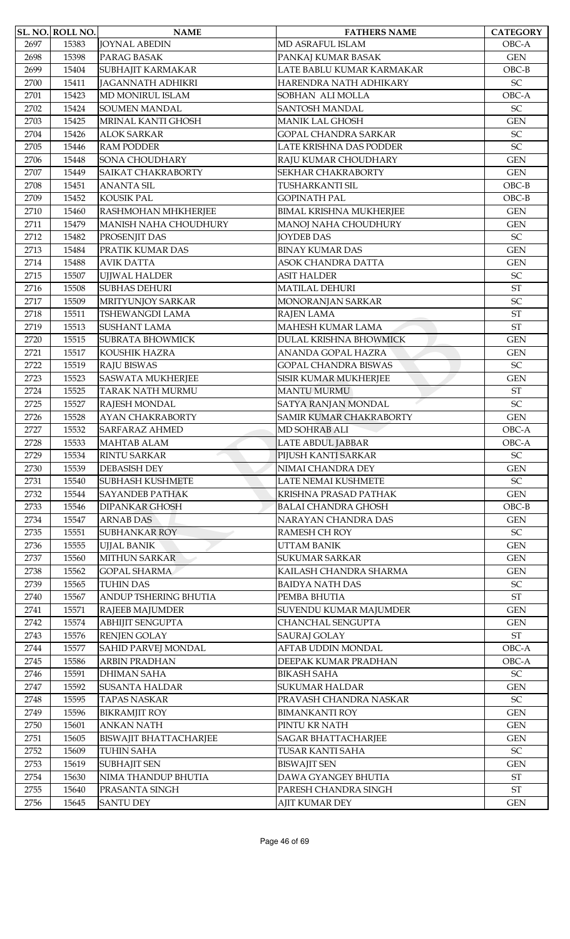|      | SL. NO. ROLL NO. | <b>NAME</b>                   | <b>FATHERS NAME</b>            | <b>CATEGORY</b>     |
|------|------------------|-------------------------------|--------------------------------|---------------------|
| 2697 | 15383            | <b>JOYNAL ABEDIN</b>          | MD ASRAFUL ISLAM               | OBC-A               |
| 2698 | 15398            | PARAG BASAK                   | PANKAJ KUMAR BASAK             | <b>GEN</b>          |
| 2699 | 15404            | SUBHAJIT KARMAKAR             | LATE BABLU KUMAR KARMAKAR      | $OBC-B$             |
| 2700 | 15411            | <b>JAGANNATH ADHIKRI</b>      | HARENDRA NATH ADHIKARY         | SC                  |
| 2701 | 15423            | MD MONIRUL ISLAM              | SOBHAN ALI MOLLA               | OBC-A               |
| 2702 | 15424            | <b>SOUMEN MANDAL</b>          | <b>SANTOSH MANDAL</b>          | SC                  |
| 2703 | 15425            | MRINAL KANTI GHOSH            | <b>MANIK LAL GHOSH</b>         | <b>GEN</b>          |
| 2704 | 15426            | <b>ALOK SARKAR</b>            | <b>GOPAL CHANDRA SARKAR</b>    | SC                  |
| 2705 | 15446            | <b>RAM PODDER</b>             | LATE KRISHNA DAS PODDER        | SC                  |
| 2706 | 15448            | <b>SONA CHOUDHARY</b>         | RAJU KUMAR CHOUDHARY           | <b>GEN</b>          |
| 2707 | 15449            | SAIKAT CHAKRABORTY            | <b>SEKHAR CHAKRABORTY</b>      | <b>GEN</b>          |
| 2708 | 15451            | <b>ANANTA SIL</b>             | TUSHARKANTI SIL                | $OBC-B$             |
| 2709 | 15452            | <b>KOUSIK PAL</b>             | <b>GOPINATH PAL</b>            | $OBC-B$             |
| 2710 | 15460            | RASHMOHAN MHKHERJEE           | <b>BIMAL KRISHNA MUKHERJEE</b> | <b>GEN</b>          |
| 2711 | 15479            | MANISH NAHA CHOUDHURY         | MANOJ NAHA CHOUDHURY           | <b>GEN</b>          |
| 2712 | 15482            | PROSENJIT DAS                 | <b>JOYDEB DAS</b>              | SC                  |
| 2713 | 15484            | PRATIK KUMAR DAS              | <b>BINAY KUMAR DAS</b>         | <b>GEN</b>          |
| 2714 | 15488            | <b>AVIK DATTA</b>             | ASOK CHANDRA DATTA             | <b>GEN</b>          |
| 2715 | 15507            | UJJWAL HALDER                 | <b>ASIT HALDER</b>             | SC                  |
| 2716 | 15508            | <b>SUBHAS DEHURI</b>          | <b>MATILAL DEHURI</b>          | <b>ST</b>           |
| 2717 | 15509            | <b>MRITYUNJOY SARKAR</b>      | MONORANJAN SARKAR              | SC                  |
| 2718 | 15511            | TSHEWANGDI LAMA               | RAJEN LAMA                     | $\operatorname{ST}$ |
| 2719 | 15513            | <b>SUSHANT LAMA</b>           | <b>MAHESH KUMAR LAMA</b>       | $\operatorname{ST}$ |
| 2720 | 15515            | <b>SUBRATA BHOWMICK</b>       | DULAL KRISHNA BHOWMICK         | <b>GEN</b>          |
| 2721 | 15517            | KOUSHIK HAZRA                 | ANANDA GOPAL HAZRA             | <b>GEN</b>          |
| 2722 | 15519            | <b>RAJU BISWAS</b>            | <b>GOPAL CHANDRA BISWAS</b>    | SC                  |
| 2723 | 15523            | <b>SASWATA MUKHERJEE</b>      | <b>SISIR KUMAR MUKHERJEE</b>   | <b>GEN</b>          |
| 2724 | 15525            | <b>TARAK NATH MURMU</b>       | <b>MANTU MURMU</b>             | $\operatorname{ST}$ |
| 2725 | 15527            | RAJESH MONDAL                 | SATYA RANJAN MONDAL            | SC                  |
| 2726 | 15528            | <b>AYAN CHAKRABORTY</b>       | <b>SAMIR KUMAR CHAKRABORTY</b> | <b>GEN</b>          |
| 2727 | 15532            | <b>SARFARAZ AHMED</b>         | MD SOHRAB ALI                  | OBC-A               |
| 2728 | 15533            | <b>MAHTAB ALAM</b>            | <b>LATE ABDUL JABBAR</b>       | OBC-A               |
| 2729 | 15534            | <b>RINTU SARKAR</b>           | PIJUSH KANTI SARKAR            | SC                  |
| 2730 | 15539            | <b>DEBASISH DEY</b>           | NIMAI CHANDRA DEY              | <b>GEN</b>          |
| 2731 | 15540            | <b>SUBHASH KUSHMETE</b>       | <b>LATE NEMAI KUSHMETE</b>     | ${\rm SC}$          |
| 2732 | 15544            | <b>SAYANDEB PATHAK</b>        | KRISHNA PRASAD PATHAK          | <b>GEN</b>          |
| 2733 | 15546            | <b>DIPANKAR GHOSH</b>         | <b>BALAI CHANDRA GHOSH</b>     | $OBC-B$             |
| 2734 | 15547            | <b>ARNAB DAS</b>              | NARAYAN CHANDRA DAS            | <b>GEN</b>          |
| 2735 | 15551            | <b>SUBHANKAR ROY</b>          | RAMESH CH ROY                  | SC                  |
| 2736 | 15555            | <b>UJJAL BANIK</b>            | <b>UTTAM BANIK</b>             | <b>GEN</b>          |
| 2737 | 15560            | <b>MITHUN SARKAR</b>          | <b>SUKUMAR SARKAR</b>          | <b>GEN</b>          |
| 2738 | 15562            | <b>GOPAL SHARMA</b>           | KAILASH CHANDRA SHARMA         | <b>GEN</b>          |
| 2739 | 15565            | <b>TUHIN DAS</b>              | <b>BAIDYA NATH DAS</b>         | SC                  |
| 2740 | 15567            | ANDUP TSHERING BHUTIA         | PEMBA BHUTIA                   | $\operatorname{ST}$ |
| 2741 | 15571            | <b>RAJEEB MAJUMDER</b>        | SUVENDU KUMAR MAJUMDER         | <b>GEN</b>          |
| 2742 | 15574            | <b>ABHIJIT SENGUPTA</b>       | CHANCHAL SENGUPTA              | <b>GEN</b>          |
| 2743 | 15576            | <b>RENJEN GOLAY</b>           | <b>SAURAJ GOLAY</b>            | $\operatorname{ST}$ |
| 2744 | 15577            | SAHID PARVEJ MONDAL           | AFTAB UDDIN MONDAL             | OBC-A               |
| 2745 | 15586            | <b>ARBIN PRADHAN</b>          | DEEPAK KUMAR PRADHAN           | OBC-A               |
| 2746 | 15591            | <b>DHIMAN SAHA</b>            | <b>BIKASH SAHA</b>             | SC                  |
| 2747 | 15592            | <b>SUSANTA HALDAR</b>         | <b>SUKUMAR HALDAR</b>          | <b>GEN</b>          |
| 2748 | 15595            | <b>TAPAS NASKAR</b>           | PRAVASH CHANDRA NASKAR         | ${\rm SC}$          |
| 2749 | 15596            | <b>BIKRAMJIT ROY</b>          | <b>BIMANKANTI ROY</b>          | <b>GEN</b>          |
| 2750 | 15601            | <b>ANKAN NATH</b>             | PINTU KR NATH                  | <b>GEN</b>          |
| 2751 | 15605            | <b>BISWAJIT BHATTACHARJEE</b> | <b>SAGAR BHATTACHARJEE</b>     | <b>GEN</b>          |
| 2752 | 15609            | <b>TUHIN SAHA</b>             | TUSAR KANTI SAHA               | SC                  |
| 2753 | 15619            | <b>SUBHAJIT SEN</b>           | <b>BISWAJIT SEN</b>            | <b>GEN</b>          |
| 2754 | 15630            | NIMA THANDUP BHUTIA           | DAWA GYANGEY BHUTIA            | $\operatorname{ST}$ |
| 2755 | 15640            | PRASANTA SINGH                | PARESH CHANDRA SINGH           | $\operatorname{ST}$ |
| 2756 | 15645            | <b>SANTU DEY</b>              | AJIT KUMAR DEY                 | <b>GEN</b>          |
|      |                  |                               |                                |                     |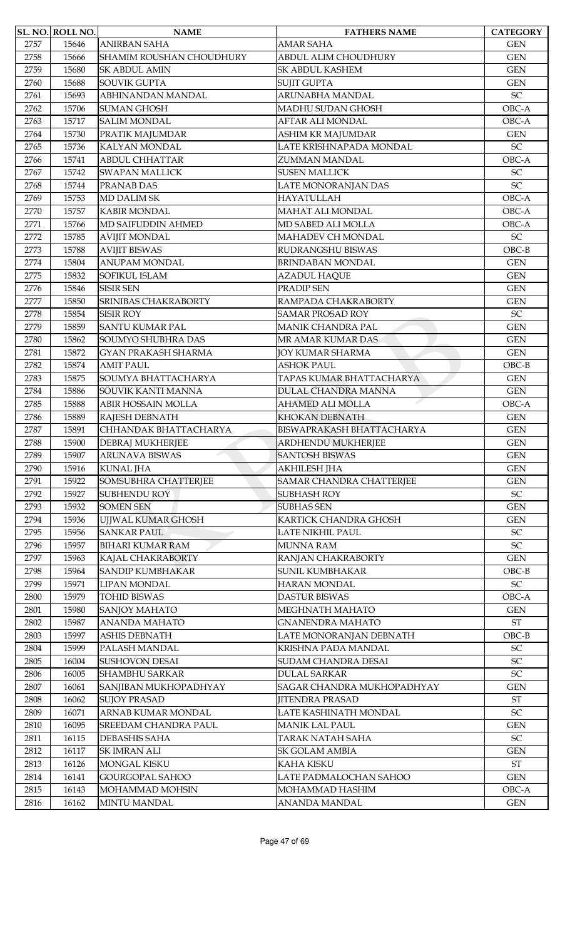|      | SL. NO. ROLL NO. | <b>NAME</b>                 | <b>FATHERS NAME</b>             | <b>CATEGORY</b>            |
|------|------------------|-----------------------------|---------------------------------|----------------------------|
| 2757 | 15646            | <b>ANIRBAN SAHA</b>         | <b>AMAR SAHA</b>                | <b>GEN</b>                 |
| 2758 | 15666            | SHAMIM ROUSHAN CHOUDHURY    | ABDUL ALIM CHOUDHURY            | <b>GEN</b>                 |
| 2759 | 15680            | <b>SK ABDUL AMIN</b>        | <b>SK ABDUL KASHEM</b>          | <b>GEN</b>                 |
| 2760 | 15688            | <b>SOUVIK GUPTA</b>         | <b>SUJIT GUPTA</b>              | <b>GEN</b>                 |
| 2761 | 15693            | ABHINANDAN MANDAL           | ARUNABHA MANDAL                 | $\ensuremath{\mathsf{SC}}$ |
| 2762 | 15706            | <b>SUMAN GHOSH</b>          | MADHU SUDAN GHOSH               | OBC-A                      |
| 2763 | 15717            | <b>SALIM MONDAL</b>         | <b>AFTAR ALI MONDAL</b>         | OBC-A                      |
| 2764 | 15730            | PRATIK MAJUMDAR             | ASHIM KR MAJUMDAR               | <b>GEN</b>                 |
| 2765 | 15736            | <b>KALYAN MONDAL</b>        | LATE KRISHNAPADA MONDAL         | SC                         |
| 2766 | 15741            | <b>ABDUL CHHATTAR</b>       | ZUMMAN MANDAL                   | OBC-A                      |
| 2767 | 15742            | <b>SWAPAN MALLICK</b>       | <b>SUSEN MALLICK</b>            | SC                         |
| 2768 | 15744            | PRANAB DAS                  | LATE MONORANJAN DAS             | SC                         |
| 2769 | 15753            | <b>MD DALIM SK</b>          | <b>HAYATULLAH</b>               | OBC-A                      |
| 2770 | 15757            | <b>KABIR MONDAL</b>         | MAHAT ALI MONDAL                | OBC-A                      |
| 2771 | 15766            | MD SAIFUDDIN AHMED          | MD SABED ALI MOLLA              | OBC-A                      |
| 2772 | 15785            | <b>AVIJIT MONDAL</b>        | <b>MAHADEV CH MONDAL</b>        | $\ensuremath{\mathsf{SC}}$ |
| 2773 | 15788            | <b>AVIJIT BISWAS</b>        | RUDRANGSHU BISWAS               | $OBC-B$                    |
| 2774 | 15804            | <b>ANUPAM MONDAL</b>        | <b>BRINDABAN MONDAL</b>         | <b>GEN</b>                 |
| 2775 | 15832            | SOFIKUL ISLAM               | <b>AZADUL HAQUE</b>             | <b>GEN</b>                 |
| 2776 | 15846            | <b>SISIR SEN</b>            | PRADIP SEN                      | <b>GEN</b>                 |
| 2777 | 15850            | <b>SRINIBAS CHAKRABORTY</b> | RAMPADA CHAKRABORTY             | <b>GEN</b>                 |
| 2778 | 15854            | <b>SISIR ROY</b>            | <b>SAMAR PROSAD ROY</b>         | $\ensuremath{\mathsf{SC}}$ |
| 2779 | 15859            | <b>SANTU KUMAR PAL</b>      | MANIK CHANDRA PAL               | <b>GEN</b>                 |
| 2780 | 15862            | SOUMYO SHUBHRA DAS          | MR AMAR KUMAR DAS               | <b>GEN</b>                 |
| 2781 | 15872            | <b>GYAN PRAKASH SHARMA</b>  | <b>JOY KUMAR SHARMA</b>         | <b>GEN</b>                 |
| 2782 | 15874            | <b>AMIT PAUL</b>            | <b>ASHOK PAUL</b>               | $OBC-B$                    |
| 2783 | 15875            | SOUMYA BHATTACHARYA         | TAPAS KUMAR BHATTACHARYA        | <b>GEN</b>                 |
| 2784 | 15886            | SOUVIK KANTI MANNA          | DULAL CHANDRA MANNA             | <b>GEN</b>                 |
| 2785 | 15888            | ABIR HOSSAIN MOLLA          | <b>AHAMED ALI MOLLA</b>         | OBC-A                      |
| 2786 | 15889            | RAJESH DEBNATH              | KHOKAN DEBNATH                  | <b>GEN</b>                 |
| 2787 | 15891            | CHHANDAK BHATTACHARYA       | BISWAPRAKASH BHATTACHARYA       | <b>GEN</b>                 |
| 2788 | 15900            | DEBRAJ MUKHERJEE            | ARDHENDU MUKHERJEE              | <b>GEN</b>                 |
| 2789 | 15907            | ARUNAVA BISWAS              | <b>SANTOSH BISWAS</b>           | <b>GEN</b>                 |
| 2790 | 15916            | <b>KUNAL JHA</b>            | <b>AKHILESH JHA</b>             | <b>GEN</b>                 |
| 2791 | 15922            | SOMSUBHRA CHATTERJEE        | <b>SAMAR CHANDRA CHATTERJEE</b> | <b>GEN</b>                 |
| 2792 | 15927            | <b>SUBHENDU ROY</b>         | <b>SUBHASH ROY</b>              | ${\rm SC}$                 |
| 2793 | 15932            | <b>SOMEN SEN</b>            | <b>SUBHAS SEN</b>               | <b>GEN</b>                 |
| 2794 | 15936            | UJJWAL KUMAR GHOSH          | KARTICK CHANDRA GHOSH           | <b>GEN</b>                 |
| 2795 | 15956            | <b>SANKAR PAUL</b>          | LATE NIKHIL PAUL                | $\ensuremath{\mathsf{SC}}$ |
| 2796 | 15957            | <b>BIHARI KUMAR RAM</b>     | <b>MUNNA RAM</b>                | $\ensuremath{\mathsf{SC}}$ |
| 2797 | 15963            | KAJAL CHAKRABORTY           | RANJAN CHAKRABORTY              | <b>GEN</b>                 |
| 2798 | 15964            | SANDIP KUMBHAKAR            | <b>SUNIL KUMBHAKAR</b>          | $OBC-B$                    |
| 2799 | 15971            | <b>LIPAN MONDAL</b>         | <b>HARAN MONDAL</b>             | $\ensuremath{\mathsf{SC}}$ |
| 2800 | 15979            | <b>TOHID BISWAS</b>         | <b>DASTUR BISWAS</b>            | OBC-A                      |
| 2801 | 15980            | <b>SANJOY MAHATO</b>        | MEGHNATH MAHATO                 | <b>GEN</b>                 |
| 2802 | 15987            | ANANDA MAHATO               | <b>GNANENDRA MAHATO</b>         | $\operatorname{ST}$        |
| 2803 | 15997            | <b>ASHIS DEBNATH</b>        | LATE MONORANJAN DEBNATH         | $OBC-B$                    |
| 2804 | 15999            | PALASH MANDAL               | KRISHNA PADA MANDAL             | $\ensuremath{\mathsf{SC}}$ |
| 2805 | 16004            | <b>SUSHOVON DESAI</b>       | SUDAM CHANDRA DESAI             | $\ensuremath{\mathsf{SC}}$ |
| 2806 | 16005            | <b>SHAMBHU SARKAR</b>       | <b>DULAL SARKAR</b>             | $\ensuremath{\mathsf{SC}}$ |
| 2807 | 16061            | SANJIBAN MUKHOPADHYAY       | SAGAR CHANDRA MUKHOPADHYAY      | <b>GEN</b>                 |
| 2808 | 16062            | <b>SUJOY PRASAD</b>         | <b>JITENDRA PRASAD</b>          | ST                         |
| 2809 | 16071            | ARNAB KUMAR MONDAL          | LATE KASHINATH MONDAL           | $\ensuremath{\mathsf{SC}}$ |
| 2810 | 16095            | <b>SREEDAM CHANDRA PAUL</b> | <b>MANIK LAL PAUL</b>           | <b>GEN</b>                 |
| 2811 | 16115            | DEBASHIS SAHA               | TARAK NATAH SAHA                | $\ensuremath{\mathsf{SC}}$ |
| 2812 | 16117            | <b>SK IMRAN ALI</b>         | SK GOLAM AMBIA                  | <b>GEN</b>                 |
| 2813 | 16126            | <b>MONGAL KISKU</b>         | KAHA KISKU                      | <b>ST</b>                  |
| 2814 | 16141            | GOURGOPAL SAHOO             | LATE PADMALOCHAN SAHOO          | <b>GEN</b>                 |
| 2815 | 16143            | MOHAMMAD MOHSIN             | MOHAMMAD HASHIM                 | OBC-A                      |
| 2816 | 16162            | <b>MINTU MANDAL</b>         | ANANDA MANDAL                   | <b>GEN</b>                 |
|      |                  |                             |                                 |                            |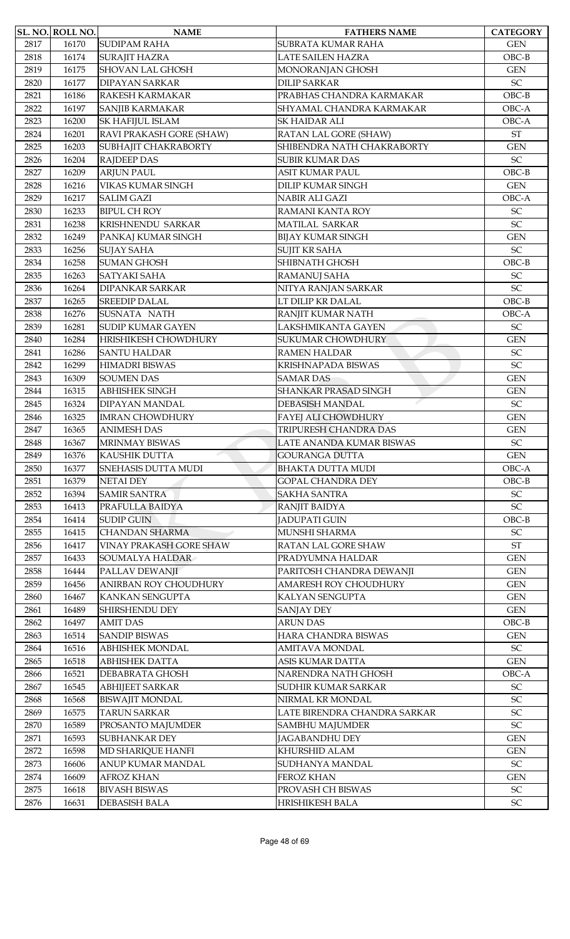|      | SL. NO. ROLL NO. | <b>NAME</b>                | <b>FATHERS NAME</b>          | <b>CATEGORY</b>            |
|------|------------------|----------------------------|------------------------------|----------------------------|
| 2817 | 16170            | <b>SUDIPAM RAHA</b>        | SUBRATA KUMAR RAHA           | <b>GEN</b>                 |
| 2818 | 16174            | <b>SURAJIT HAZRA</b>       | <b>LATE SAILEN HAZRA</b>     | $OBC-B$                    |
| 2819 | 16175            | <b>SHOVAN LAL GHOSH</b>    | MONORANJAN GHOSH             | <b>GEN</b>                 |
| 2820 | 16177            | <b>DIPAYAN SARKAR</b>      | <b>DILIP SARKAR</b>          | SC                         |
| 2821 | 16186            | <b>RAKESH KARMAKAR</b>     | PRABHAS CHANDRA KARMAKAR     | $OBC-B$                    |
| 2822 | 16197            | SANJIB KARMAKAR            | SHYAMAL CHANDRA KARMAKAR     | OBC-A                      |
| 2823 | 16200            | <b>SK HAFIJUL ISLAM</b>    | <b>SK HAIDAR ALI</b>         | OBC-A                      |
| 2824 | 16201            | RAVI PRAKASH GORE (SHAW)   | RATAN LAL GORE (SHAW)        | <b>ST</b>                  |
| 2825 | 16203            | SUBHAJIT CHAKRABORTY       | SHIBENDRA NATH CHAKRABORTY   | <b>GEN</b>                 |
| 2826 | 16204            | <b>RAJDEEP DAS</b>         | <b>SUBIR KUMAR DAS</b>       | SC                         |
| 2827 | 16209            | <b>ARJUN PAUL</b>          | ASIT KUMAR PAUL              | $OBC-B$                    |
| 2828 | 16216            | VIKAS KUMAR SINGH          | <b>DILIP KUMAR SINGH</b>     | <b>GEN</b>                 |
| 2829 | 16217            | <b>SALIM GAZI</b>          | <b>NABIR ALI GAZI</b>        | OBC-A                      |
| 2830 | 16233            | <b>BIPUL CH ROY</b>        | RAMANI KANTA ROY             | SC                         |
| 2831 | 16238            | KRISHNENDU SARKAR          | MATILAL SARKAR               | SC                         |
| 2832 | 16249            | PANKAJ KUMAR SINGH         | <b>BIJAY KUMAR SINGH</b>     | <b>GEN</b>                 |
| 2833 | 16256            | <b>SUJAY SAHA</b>          | <b>SUJIT KR SAHA</b>         | SC                         |
| 2834 | 16258            | <b>SUMAN GHOSH</b>         | <b>SHIBNATH GHOSH</b>        | $OBC-B$                    |
| 2835 | 16263            | <b>SATYAKI SAHA</b>        | <b>RAMANUJ SAHA</b>          | SC                         |
| 2836 | 16264            | <b>DIPANKAR SARKAR</b>     | NITYA RANJAN SARKAR          | SC                         |
| 2837 | 16265            | <b>SREEDIP DALAL</b>       | LT DILIP KR DALAL            | $OBC-B$                    |
| 2838 | 16276            | SUSNATA NATH               | RANJIT KUMAR NATH            | OBC-A                      |
| 2839 | 16281            | <b>SUDIP KUMAR GAYEN</b>   | LAKSHMIKANTA GAYEN           | $\ensuremath{\mathsf{SC}}$ |
| 2840 | 16284            | HRISHIKESH CHOWDHURY       | <b>SUKUMAR CHOWDHURY</b>     | <b>GEN</b>                 |
| 2841 | 16286            | <b>SANTU HALDAR</b>        | <b>RAMEN HALDAR</b>          | SC                         |
| 2842 | 16299            | <b>HIMADRI BISWAS</b>      | KRISHNAPADA BISWAS           | <b>SC</b>                  |
| 2843 | 16309            | <b>SOUMEN DAS</b>          | <b>SAMAR DAS</b>             | <b>GEN</b>                 |
| 2844 | 16315            | <b>ABHISHEK SINGH</b>      | <b>SHANKAR PRASAD SINGH</b>  | <b>GEN</b>                 |
| 2845 | 16324            | <b>DIPAYAN MANDAL</b>      | <b>DEBASISH MANDAL</b>       | $\ensuremath{\mathsf{SC}}$ |
| 2846 | 16325            | <b>IMRAN CHOWDHURY</b>     | FAYEJ ALI CHOWDHURY          | <b>GEN</b>                 |
| 2847 | 16365            | <b>ANIMESH DAS</b>         | TRIPURESH CHANDRA DAS        | <b>GEN</b>                 |
| 2848 | 16367            | MRINMAY BISWAS             | LATE ANANDA KUMAR BISWAS     | $\ensuremath{\mathsf{SC}}$ |
| 2849 | 16376            | KAUSHIK DUTTA              | <b>GOURANGA DUTTA</b>        | <b>GEN</b>                 |
| 2850 | 16377            | <b>SNEHASIS DUTTA MUDI</b> | <b>BHAKTA DUTTA MUDI</b>     | OBC-A                      |
| 2851 | 16379            | <b>NETAI DEY</b>           | <b>GOPAL CHANDRA DEY</b>     | $OBC-B$                    |
| 2852 | 16394            | <b>SAMIR SANTRA</b>        | <b>SAKHA SANTRA</b>          | $\ensuremath{\mathsf{SC}}$ |
| 2853 | 16413            | PRAFULLA BAIDYA            | RANJIT BAIDYA                | SC                         |
| 2854 | 16414            | <b>SUDIP GUIN</b>          | <b>JADUPATI GUIN</b>         | $OBC-B$                    |
| 2855 | 16415            | <b>CHANDAN SHARMA</b>      | MUNSHI SHARMA                | SC                         |
| 2856 | 16417            | VINAY PRAKASH GORE SHAW    | RATAN LAL GORE SHAW          | <b>ST</b>                  |
| 2857 | 16433            | SOUMALYA HALDAR            | PRADYUMNA HALDAR             | <b>GEN</b>                 |
| 2858 | 16444            | PALLAV DEWANJI             | PARITOSH CHANDRA DEWANJI     | <b>GEN</b>                 |
| 2859 | 16456            | ANIRBAN ROY CHOUDHURY      | AMARESH ROY CHOUDHURY        | <b>GEN</b>                 |
| 2860 | 16467            | KANKAN SENGUPTA            | KALYAN SENGUPTA              | <b>GEN</b>                 |
| 2861 | 16489            | SHIRSHENDU DEY             | <b>SANJAY DEY</b>            | <b>GEN</b>                 |
| 2862 | 16497            | <b>AMIT DAS</b>            | <b>ARUN DAS</b>              | $OBC-B$                    |
| 2863 | 16514            | <b>SANDIP BISWAS</b>       | HARA CHANDRA BISWAS          | <b>GEN</b>                 |
| 2864 | 16516            | <b>ABHISHEK MONDAL</b>     | AMITAVA MONDAL               | SC                         |
| 2865 | 16518            | <b>ABHISHEK DATTA</b>      | ASIS KUMAR DATTA             | <b>GEN</b>                 |
| 2866 | 16521            | DEBABRATA GHOSH            | NARENDRA NATH GHOSH          | OBC-A                      |
| 2867 | 16545            | <b>ABHIJEET SARKAR</b>     | <b>SUDHIR KUMAR SARKAR</b>   | $\ensuremath{\mathsf{SC}}$ |
| 2868 | 16568            | <b>BISWAJIT MONDAL</b>     | NIRMAL KR MONDAL             | $\ensuremath{\mathsf{SC}}$ |
| 2869 | 16575            | <b>TARUN SARKAR</b>        | LATE BIRENDRA CHANDRA SARKAR | $\ensuremath{\mathsf{SC}}$ |
| 2870 | 16589            | PROSANTO MAJUMDER          | <b>SAMBHU MAJUMDER</b>       | SC                         |
| 2871 | 16593            | <b>SUBHANKAR DEY</b>       | <b>JAGABANDHU DEY</b>        | <b>GEN</b>                 |
| 2872 | 16598            | MD SHARIQUE HANFI          | KHURSHID ALAM                | <b>GEN</b>                 |
| 2873 | 16606            | ANUP KUMAR MANDAL          | SUDHANYA MANDAL              | $\ensuremath{\mathsf{SC}}$ |
| 2874 | 16609            | <b>AFROZ KHAN</b>          | FEROZ KHAN                   | <b>GEN</b>                 |
| 2875 | 16618            | <b>BIVASH BISWAS</b>       | PROVASH CH BISWAS            | $\ensuremath{\mathsf{SC}}$ |
| 2876 | 16631            | <b>DEBASISH BALA</b>       | HRISHIKESH BALA              | $\ensuremath{\mathsf{SC}}$ |
|      |                  |                            |                              |                            |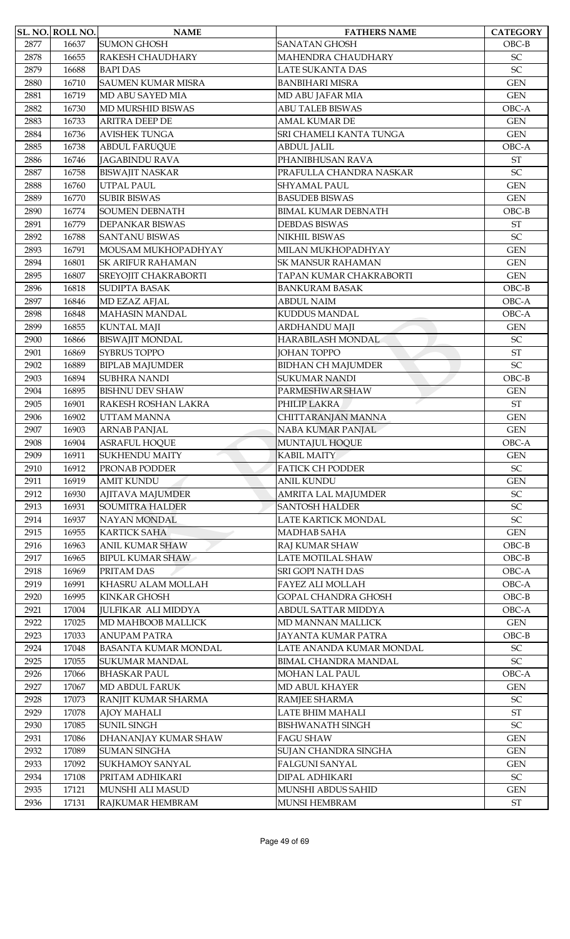|      | SL. NO. ROLL NO. | <b>NAME</b>                      | <b>FATHERS NAME</b>         | <b>CATEGORY</b>            |
|------|------------------|----------------------------------|-----------------------------|----------------------------|
| 2877 | 16637            | <b>SUMON GHOSH</b>               | <b>SANATAN GHOSH</b>        | $OBC-B$                    |
| 2878 | 16655            | RAKESH CHAUDHARY                 | MAHENDRA CHAUDHARY          | SC                         |
| 2879 | 16688            | <b>BAPI DAS</b>                  | <b>LATE SUKANTA DAS</b>     | SC                         |
| 2880 | 16710            | <b>SAUMEN KUMAR MISRA</b>        | <b>BANBIHARI MISRA</b>      | <b>GEN</b>                 |
| 2881 | 16719            | MD ABU SAYED MIA                 | MD ABU JAFAR MIA            | <b>GEN</b>                 |
| 2882 | 16730            | MD MURSHID BISWAS                | <b>ABU TALEB BISWAS</b>     | OBC-A                      |
| 2883 | 16733            | <b>ARITRA DEEP DE</b>            | <b>AMAL KUMAR DE</b>        | <b>GEN</b>                 |
| 2884 | 16736            | <b>AVISHEK TUNGA</b>             | SRI CHAMELI KANTA TUNGA     | <b>GEN</b>                 |
|      |                  |                                  |                             | OBC-A                      |
| 2885 | 16738            | <b>ABDUL FARUQUE</b>             | <b>ABDUL JALIL</b>          |                            |
| 2886 | 16746            | <b>JAGABINDU RAVA</b>            | PHANIBHUSAN RAVA            | <b>ST</b>                  |
| 2887 | 16758            | <b>BISWAJIT NASKAR</b>           | PRAFULLA CHANDRA NASKAR     | SC                         |
| 2888 | 16760            | UTPAL PAUL                       | <b>SHYAMAL PAUL</b>         | <b>GEN</b>                 |
| 2889 | 16770            | <b>SUBIR BISWAS</b>              | <b>BASUDEB BISWAS</b>       | <b>GEN</b>                 |
| 2890 | 16774            | <b>SOUMEN DEBNATH</b>            | <b>BIMAL KUMAR DEBNATH</b>  | $OBC-B$                    |
| 2891 | 16779            | DEPANKAR BISWAS                  | <b>DEBDAS BISWAS</b>        | <b>ST</b>                  |
| 2892 | 16788            | <b>SANTANU BISWAS</b>            | NIKHIL BISWAS               | SC                         |
| 2893 | 16791            | MOUSAM MUKHOPADHYAY              | MILAN MUKHOPADHYAY          | <b>GEN</b>                 |
| 2894 | 16801            | <b>SK ARIFUR RAHAMAN</b>         | <b>SK MANSUR RAHAMAN</b>    | <b>GEN</b>                 |
| 2895 | 16807            | SREYOJIT CHAKRABORTI             | TAPAN KUMAR CHAKRABORTI     | <b>GEN</b>                 |
| 2896 | 16818            | <b>SUDIPTA BASAK</b>             | <b>BANKURAM BASAK</b>       | $OBC-B$                    |
| 2897 | 16846            | MD EZAZ AFJAL                    | <b>ABDUL NAIM</b>           | OBC-A                      |
| 2898 | 16848            | <b>MAHASIN MANDAL</b>            | <b>KUDDUS MANDAL</b>        | OBC-A                      |
| 2899 | 16855            | <b>KUNTAL MAJI</b>               |                             | <b>GEN</b>                 |
|      |                  |                                  | ARDHANDU MAJI               |                            |
| 2900 | 16866            | <b>BISWAJIT MONDAL</b>           | HARABILASH MONDAL           | SC                         |
| 2901 | 16869            | <b>SYBRUS TOPPO</b>              | <b>JOHAN TOPPO</b>          | $\operatorname{ST}$        |
| 2902 | 16889            | <b>BIPLAB MAJUMDER</b>           | <b>BIDHAN CH MAJUMDER</b>   | SC                         |
| 2903 | 16894            | <b>SUBHRA NANDI</b>              | <b>SUKUMAR NANDI</b>        | $OBC-B$                    |
| 2904 | 16895            | <b>BISHNU DEV SHAW</b>           | PARMESHWAR SHAW             | <b>GEN</b>                 |
| 2905 | 16901            | RAKESH ROSHAN LAKRA              | PHILIP LAKRA                | $\operatorname{ST}$        |
| 2906 | 16902            | UTTAM MANNA                      | CHITTARANJAN MANNA          | <b>GEN</b>                 |
| 2907 | 16903            | <b>ARNAB PANJAL</b>              | NABA KUMAR PANJAL           | <b>GEN</b>                 |
| 2908 | 16904            | <b>ASRAFUL HOQUE</b>             | MUNTAJUL HOQUE              | OBC-A                      |
| 2909 | 16911            | <b>SUKHENDU MAITY</b>            | <b>KABIL MAITY</b>          | <b>GEN</b>                 |
| 2910 | 16912            | PRONAB PODDER                    | <b>FATICK CH PODDER</b>     | $\ensuremath{\mathsf{SC}}$ |
| 2911 | 16919            | <b>AMIT KUNDU</b>                | <b>ANIL KUNDU</b>           | <b>GEN</b>                 |
| 2912 | 16930            | <b>AJITAVA MAJUMDER</b>          | <b>AMRITA LAL MAJUMDER</b>  | $\ensuremath{\mathsf{SC}}$ |
| 2913 | 16931            | <b>SOUMITRA HALDER</b>           | <b>SANTOSH HALDER</b>       | SC                         |
| 2914 | 16937            | <b>NAYAN MONDAL</b>              | LATE KARTICK MONDAL         | $\ensuremath{\mathsf{SC}}$ |
| 2915 | 16955            | <b>KARTICK SAHA</b>              | <b>MADHAB SAHA</b>          | <b>GEN</b>                 |
| 2916 | 16963            | <b>ANIL KUMAR SHAW</b>           | RAJ KUMAR SHAW              | $OBC-B$                    |
| 2917 | 16965            | <b>BIPUL KUMAR SHAW</b>          | LATE MOTILAL SHAW           | $OBC-B$                    |
|      | 16969            |                                  | <b>SRI GOPI NATH DAS</b>    | OBC-A                      |
| 2918 |                  | PRITAM DAS<br>KHASRU ALAM MOLLAH | FAYEZ ALI MOLLAH            | OBC-A                      |
| 2919 | 16991            |                                  |                             |                            |
| 2920 | 16995            | <b>KINKAR GHOSH</b>              | GOPAL CHANDRA GHOSH         | $OBC-B$                    |
| 2921 | 17004            | <b>JULFIKAR ALI MIDDYA</b>       | ABDUL SATTAR MIDDYA         | OBC-A                      |
| 2922 | 17025            | MD MAHBOOB MALLICK               | MD MANNAN MALLICK           | <b>GEN</b>                 |
| 2923 | 17033            | <b>ANUPAM PATRA</b>              | JAYANTA KUMAR PATRA         | $OBC-B$                    |
| 2924 | 17048            | <b>BASANTA KUMAR MONDAL</b>      | LATE ANANDA KUMAR MONDAL    | $\ensuremath{\mathsf{SC}}$ |
| 2925 | 17055            | <b>SUKUMAR MANDAL</b>            | <b>BIMAL CHANDRA MANDAL</b> | $\ensuremath{\mathsf{SC}}$ |
| 2926 | 17066            | <b>BHASKAR PAUL</b>              | <b>MOHAN LAL PAUL</b>       | OBC-A                      |
| 2927 | 17067            | <b>MD ABDUL FARUK</b>            | MD ABUL KHAYER              | <b>GEN</b>                 |
| 2928 | 17073            | RANJIT KUMAR SHARMA              | RAMJEE SHARMA               | $\ensuremath{\mathsf{SC}}$ |
| 2929 | 17078            | <b>AJOY MAHALI</b>               | LATE BHIM MAHALI            | $\operatorname{ST}$        |
| 2930 | 17085            | <b>SUNIL SINGH</b>               | <b>BISHWANATH SINGH</b>     | SC                         |
| 2931 | 17086            | DHANANJAY KUMAR SHAW             | <b>FAGU SHAW</b>            | <b>GEN</b>                 |
| 2932 | 17089            | <b>SUMAN SINGHA</b>              | SUJAN CHANDRA SINGHA        | <b>GEN</b>                 |
| 2933 | 17092            | <b>SUKHAMOY SANYAL</b>           | <b>FALGUNI SANYAL</b>       | <b>GEN</b>                 |
| 2934 | 17108            | PRITAM ADHIKARI                  | <b>DIPAL ADHIKARI</b>       | SC                         |
| 2935 | 17121            | MUNSHI ALI MASUD                 | MUNSHI ABDUS SAHID          | <b>GEN</b>                 |
| 2936 | 17131            | RAJKUMAR HEMBRAM                 | MUNSI HEMBRAM               | $\operatorname{ST}$        |
|      |                  |                                  |                             |                            |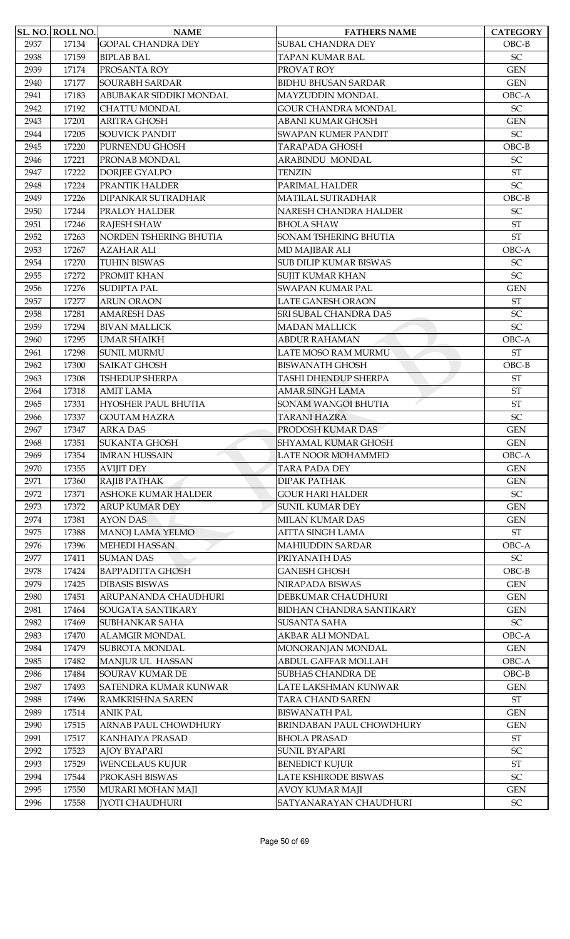|      | <b>SL. NO. ROLL NO.</b> | <b>NAME</b>                | <b>FATHERS NAME</b>             | <b>CATEGORY</b>            |
|------|-------------------------|----------------------------|---------------------------------|----------------------------|
| 2937 | 17134                   | <b>GOPAL CHANDRA DEY</b>   | SUBAL CHANDRA DEY               | $OBC-B$                    |
| 2938 | 17159                   | <b>BIPLAB BAL</b>          | TAPAN KUMAR BAL                 | $\ensuremath{\mathsf{SC}}$ |
| 2939 | 17174                   | PROSANTA ROY               | PROVAT ROY                      | <b>GEN</b>                 |
| 2940 | 17177                   | <b>SOURABH SARDAR</b>      | <b>BIDHU BHUSAN SARDAR</b>      | <b>GEN</b>                 |
| 2941 | 17183                   | ABUBAKAR SIDDIKI MONDAL    | MAYZUDDIN MONDAL                | OBC-A                      |
| 2942 | 17192                   | <b>CHATTU MONDAL</b>       | <b>GOUR CHANDRA MONDAL</b>      | SC                         |
| 2943 | 17201                   | <b>ARITRA GHOSH</b>        | ABANI KUMAR GHOSH               | <b>GEN</b>                 |
| 2944 | 17205                   | <b>SOUVICK PANDIT</b>      | <b>SWAPAN KUMER PANDIT</b>      | SC                         |
| 2945 | 17220                   | PURNENDU GHOSH             | <b>TARAPADA GHOSH</b>           | $OBC-B$                    |
| 2946 | 17221                   | PRONAB MONDAL              | ARABINDU MONDAL                 | $\ensuremath{\mathsf{SC}}$ |
| 2947 | 17222                   | <b>DORJEE GYALPO</b>       | TENZIN                          | $\operatorname{ST}$        |
| 2948 | 17224                   | PRANTIK HALDER             | PARIMAL HALDER                  | SC                         |
| 2949 | 17226                   | <b>DIPANKAR SUTRADHAR</b>  | <b>MATILAL SUTRADHAR</b>        | $OBC-B$                    |
| 2950 | 17244                   | PRALOY HALDER              | NARESH CHANDRA HALDER           | <b>SC</b>                  |
| 2951 | 17246                   | RAJESH SHAW                | <b>BHOLA SHAW</b>               | $\operatorname{ST}$        |
| 2952 | 17263                   | NORDEN TSHERING BHUTIA     | SONAM TSHERING BHUTIA           | <b>ST</b>                  |
| 2953 | 17267                   | <b>AZAHAR ALI</b>          | MD MAJIBAR ALI                  | OBC-A                      |
| 2954 | 17270                   | <b>TUHIN BISWAS</b>        | <b>SUB DILIP KUMAR BISWAS</b>   | $\ensuremath{\mathsf{SC}}$ |
| 2955 | 17272                   | PROMIT KHAN                | SUJIT KUMAR KHAN                | <b>SC</b>                  |
| 2956 | 17276                   | <b>SUDIPTA PAL</b>         | SWAPAN KUMAR PAL                | <b>GEN</b>                 |
| 2957 | 17277                   | <b>ARUN ORAON</b>          | LATE GANESH ORAON               | <b>ST</b>                  |
| 2958 | 17281                   | <b>AMARESH DAS</b>         | SRI SUBAL CHANDRA DAS           | $\ensuremath{\mathsf{SC}}$ |
| 2959 | 17294                   | <b>BIVAN MALLICK</b>       | <b>MADAN MALLICK</b>            | SC                         |
| 2960 | 17295                   | <b>UMAR SHAIKH</b>         | <b>ABDUR RAHAMAN</b>            | OBC-A                      |
| 2961 | 17298                   | <b>SUNIL MURMU</b>         | LATE MOSO RAM MURMU             | <b>ST</b>                  |
| 2962 | 17300                   | <b>SAIKAT GHOSH</b>        | <b>BISWANATH GHOSH</b>          | $OBC-B$                    |
| 2963 | 17308                   | <b>TSHEDUP SHERPA</b>      | TASHI DHENDUP SHERPA            | <b>ST</b>                  |
| 2964 | 17318                   | <b>AMIT LAMA</b>           | <b>AMAR SINGH LAMA</b>          | <b>ST</b>                  |
| 2965 | 17331                   | <b>HYOSHER PAUL BHUTIA</b> | SONAM WANGOI BHUTIA             | <b>ST</b>                  |
| 2966 | 17337                   | <b>GOUTAM HAZRA</b>        | <b>TARANI HAZRA</b>             | SC                         |
| 2967 | 17347                   | <b>ARKA DAS</b>            | PRODOSH KUMAR DAS               | <b>GEN</b>                 |
| 2968 | 17351                   | <b>SUKANTA GHOSH</b>       | SHYAMAL KUMAR GHOSH             | <b>GEN</b>                 |
| 2969 | 17354                   | <b>IMRAN HUSSAIN</b>       | LATE NOOR MOHAMMED              | OBC-A                      |
| 2970 | 17355                   | <b>AVIJIT DEY</b>          | TARA PADA DEY                   | <b>GEN</b>                 |
| 2971 | 17360                   | RAJIB PATHAK               | <b>DIPAK PATHAK</b>             | <b>GEN</b>                 |
| 2972 | 17371                   | <b>ASHOKE KUMAR HALDER</b> | <b>GOUR HARI HALDER</b>         | $\ensuremath{\mathsf{SC}}$ |
| 2973 | 17372                   | <b>ARUP KUMAR DEY</b>      | <b>SUNIL KUMAR DEY</b>          | <b>GEN</b>                 |
| 2974 | 17381                   | <b>AYON DAS</b>            | MILAN KUMAR DAS                 | <b>GEN</b>                 |
| 2975 | 17388                   | <b>MANOJ LAMA YELMO</b>    | <b>AITTA SINGH LAMA</b>         | <b>ST</b>                  |
| 2976 | 17396                   | <b>MEHEDI HASSAN</b>       | <b>MAHIUDDIN SARDAR</b>         | OBC-A                      |
| 2977 | 17411                   | <b>SUMAN DAS</b>           | PRIYANATH DAS                   | $\ensuremath{\mathsf{SC}}$ |
| 2978 | 17424                   | <b>BAPPADITTA GHOSH</b>    | <b>GANESH GHOSH</b>             | $OBC-B$                    |
| 2979 | 17425                   | <b>DIBASIS BISWAS</b>      | NIRAPADA BISWAS                 | <b>GEN</b>                 |
| 2980 | 17451                   | ARUPANANDA CHAUDHURI       | DEBKUMAR CHAUDHURI              | <b>GEN</b>                 |
| 2981 | 17464                   | SOUGATA SANTIKARY          | BIDHAN CHANDRA SANTIKARY        | <b>GEN</b>                 |
| 2982 | 17469                   | SUBHANKAR SAHA             | <b>SUSANTA SAHA</b>             | SC                         |
| 2983 | 17470                   | <b>ALAMGIR MONDAL</b>      | AKBAR ALI MONDAL                | OBC-A                      |
| 2984 | 17479                   | <b>SUBROTA MONDAL</b>      | MONORANJAN MONDAL               | <b>GEN</b>                 |
| 2985 | 17482                   | MANJUR UL HASSAN           | ABDUL GAFFAR MOLLAH             | OBC-A                      |
| 2986 | 17484                   | <b>SOURAV KUMAR DE</b>     | SUBHAS CHANDRA DE               | $OBC-B$                    |
| 2987 | 17493                   | SATENDRA KUMAR KUNWAR      | LATE LAKSHMAN KUNWAR            | $\mbox{GEN}$               |
| 2988 | 17496                   | RAMKRISHNA SAREN           | TARA CHAND SAREN                | $\operatorname{ST}$        |
| 2989 | 17514                   | <b>ANIK PAL</b>            | <b>BISWANATH PAL</b>            | <b>GEN</b>                 |
| 2990 | 17515                   | ARNAB PAUL CHOWDHURY       | <b>BRINDABAN PAUL CHOWDHURY</b> | <b>GEN</b>                 |
| 2991 | 17517                   | KANHAIYA PRASAD            | <b>BHOLA PRASAD</b>             | $\operatorname{ST}$        |
| 2992 | 17523                   | <b>AJOY BYAPARI</b>        | <b>SUNIL BYAPARI</b>            | SC                         |
| 2993 | 17529                   | <b>WENCELAUS KUJUR</b>     | <b>BENEDICT KUJUR</b>           | $\operatorname{ST}$        |
| 2994 | 17544                   | PROKASH BISWAS             | <b>LATE KSHIRODE BISWAS</b>     | $\ensuremath{\mathsf{SC}}$ |
| 2995 | 17550                   | MURARI MOHAN MAJI          | AVOY KUMAR MAJI                 | <b>GEN</b>                 |
| 2996 | 17558                   | <b>IYOTI CHAUDHURI</b>     | SATYANARAYAN CHAUDHURI          | ${\rm SC}$                 |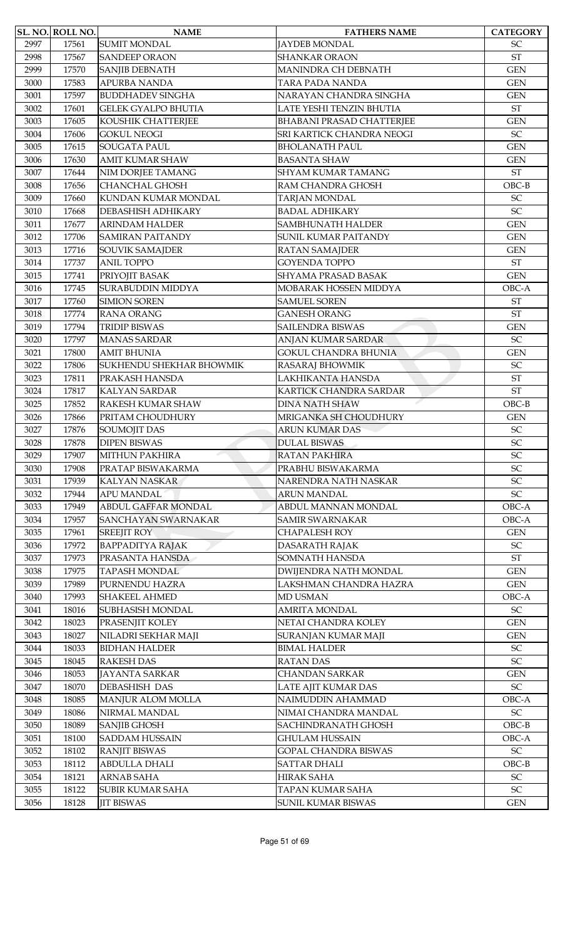|              | SL. NO. ROLL NO. | <b>NAME</b>                                | <b>FATHERS NAME</b>                         | <b>CATEGORY</b>                  |
|--------------|------------------|--------------------------------------------|---------------------------------------------|----------------------------------|
| 2997         | 17561            | <b>SUMIT MONDAL</b>                        | <b>JAYDEB MONDAL</b>                        | <b>SC</b>                        |
| 2998         | 17567            | <b>SANDEEP ORAON</b>                       | <b>SHANKAR ORAON</b>                        | <b>ST</b>                        |
| 2999         | 17570            | <b>SANJIB DEBNATH</b>                      | MANINDRA CH DEBNATH                         | <b>GEN</b>                       |
| 3000         | 17583            | <b>APURBA NANDA</b>                        | TARA PADA NANDA                             | <b>GEN</b>                       |
| 3001         | 17597            | <b>BUDDHADEV SINGHA</b>                    | NARAYAN CHANDRA SINGHA                      | <b>GEN</b>                       |
| 3002         | 17601            | <b>GELEK GYALPO BHUTIA</b>                 | LATE YESHI TENZIN BHUTIA                    | <b>ST</b>                        |
| 3003         | 17605            | KOUSHIK CHATTERJEE                         | <b>BHABANI PRASAD CHATTERJEE</b>            | <b>GEN</b>                       |
| 3004         | 17606            | <b>GOKUL NEOGI</b>                         | SRI KARTICK CHANDRA NEOGI                   | $\ensuremath{\mathsf{SC}}$       |
| 3005         | 17615            | <b>SOUGATA PAUL</b>                        | <b>BHOLANATH PAUL</b>                       | <b>GEN</b>                       |
| 3006         | 17630            | <b>AMIT KUMAR SHAW</b>                     | <b>BASANTA SHAW</b>                         | <b>GEN</b>                       |
| 3007         | 17644            | NIM DORJEE TAMANG                          | <b>SHYAM KUMAR TAMANG</b>                   | <b>ST</b>                        |
| 3008         | 17656            | <b>CHANCHAL GHOSH</b>                      | RAM CHANDRA GHOSH                           | $OBC-B$                          |
| 3009         | 17660            | KUNDAN KUMAR MONDAL                        | <b>TARJAN MONDAL</b>                        | $\ensuremath{\mathsf{SC}}$       |
| 3010         | 17668            | <b>DEBASHISH ADHIKARY</b>                  | <b>BADAL ADHIKARY</b>                       | SC                               |
| 3011         | 17677            | <b>ARINDAM HALDER</b>                      | SAMBHUNATH HALDER                           | <b>GEN</b>                       |
| 3012         | 17706            | <b>SAMIRAN PAITANDY</b>                    | <b>SUNIL KUMAR PAITANDY</b>                 | <b>GEN</b>                       |
| 3013         | 17716            | <b>SOUVIK SAMAJDER</b>                     | <b>RATAN SAMAJDER</b>                       | <b>GEN</b>                       |
| 3014         | 17737            | <b>ANIL TOPPO</b>                          | <b>GOYENDA TOPPO</b>                        | <b>ST</b>                        |
| 3015         | 17741            | PRIYOJIT BASAK                             | SHYAMA PRASAD BASAK                         | <b>GEN</b>                       |
| 3016         | 17745            | <b>SURABUDDIN MIDDYA</b>                   | MOBARAK HOSSEN MIDDYA                       | OBC-A                            |
| 3017         | 17760            | <b>SIMION SOREN</b>                        | <b>SAMUEL SOREN</b>                         | <b>ST</b>                        |
| 3018         | 17774            | <b>RANA ORANG</b>                          | <b>GANESH ORANG</b>                         | <b>ST</b>                        |
| 3019         | 17794            | <b>TRIDIP BISWAS</b>                       | <b>SAILENDRA BISWAS</b>                     | <b>GEN</b>                       |
| 3020         | 17797            | <b>MANAS SARDAR</b>                        | ANJAN KUMAR SARDAR                          | SC                               |
| 3021         | 17800            | <b>AMIT BHUNIA</b>                         | <b>GOKUL CHANDRA BHUNIA</b>                 | <b>GEN</b>                       |
| 3022         | 17806            | SUKHENDU SHEKHAR BHOWMIK                   | RASARAJ BHOWMIK                             | <b>SC</b>                        |
| 3023         | 17811            | PRAKASH HANSDA                             | LAKHIKANTA HANSDA                           | <b>ST</b>                        |
| 3024         | 17817            | <b>KALYAN SARDAR</b>                       | KARTICK CHANDRA SARDAR                      | <b>ST</b>                        |
|              |                  |                                            | <b>DINA NATH SHAW</b>                       | $OBC-B$                          |
| 3025         | 17852            | RAKESH KUMAR SHAW                          | MRIGANKA SH CHOUDHURY                       |                                  |
| 3026<br>3027 | 17866            | PRITAM CHOUDHURY                           | <b>ARUN KUMAR DAS</b>                       | <b>GEN</b><br>SC                 |
|              | 17876            | <b>SOUMOJIT DAS</b><br><b>DIPEN BISWAS</b> |                                             |                                  |
| 3028         | 17878            | <b>MITHUN PAKHIRA</b>                      | <b>DULAL BISWAS</b><br><b>RATAN PAKHIRA</b> | $\ensuremath{\mathsf{SC}}$<br>SC |
| 3029         | 17907            |                                            |                                             |                                  |
| 3030         | 17908            | PRATAP BISWAKARMA                          | PRABHU BISWAKARMA                           | SC                               |
| 3031         | 17939            | <b>KALYAN NASKAR</b><br><b>APU MANDAL</b>  | NARENDRA NATH NASKAR                        | $\ensuremath{\mathsf{SC}}$       |
| 3032         | 17944            |                                            | <b>ARUN MANDAL</b>                          | $\ensuremath{\mathsf{SC}}$       |
| 3033         | 17949            | ABDUL GAFFAR MONDAL                        | ABDUL MANNAN MONDAL                         | OBC-A                            |
| 3034         | 17957            | <b>SANCHAYAN SWARNAKAR</b>                 | <b>SAMIR SWARNAKAR</b>                      | OBC-A                            |
| 3035         | 17961            | <b>SREEJIT ROY</b>                         | <b>CHAPALESH ROY</b>                        | <b>GEN</b>                       |
| 3036         | 17972            | <b>BAPPADITYA RAJAK</b>                    | <b>DASARATH RAJAK</b>                       | $\ensuremath{\mathsf{SC}}$       |
| 3037         | 17973            | PRASANTA HANSDA                            | <b>SOMNATH HANSDA</b>                       | <b>ST</b>                        |
| 3038         | 17975            | <b>TAPASH MONDAL</b>                       | DWIJENDRA NATH MONDAL                       | <b>GEN</b>                       |
| 3039         | 17989            | PURNENDU HAZRA                             | LAKSHMAN CHANDRA HAZRA                      | <b>GEN</b>                       |
| 3040         | 17993            | <b>SHAKEEL AHMED</b>                       | <b>MD USMAN</b>                             | OBC-A                            |
| 3041         | 18016            | SUBHASISH MONDAL                           | <b>AMRITA MONDAL</b>                        | $\ensuremath{\mathsf{SC}}$       |
| 3042         | 18023            | PRASENJIT KOLEY                            | NETAI CHANDRA KOLEY                         | <b>GEN</b>                       |
| 3043         | 18027            | NILADRI SEKHAR MAJI                        | SURANJAN KUMAR MAJI                         | <b>GEN</b>                       |
| 3044         | 18033            | <b>BIDHAN HALDER</b>                       | <b>BIMAL HALDER</b>                         | SC                               |
| 3045         | 18045            | <b>RAKESH DAS</b>                          | <b>RATAN DAS</b>                            | $\ensuremath{\mathsf{SC}}$       |
| 3046         | 18053            | <b>JAYANTA SARKAR</b>                      | <b>CHANDAN SARKAR</b>                       | <b>GEN</b>                       |
| 3047         | 18070            | <b>DEBASHISH DAS</b>                       | LATE AJIT KUMAR DAS                         | $\ensuremath{\mathsf{SC}}$       |
| 3048         | 18085            | MANJUR ALOM MOLLA                          | NAIMUDDIN AHAMMAD                           | OBC-A                            |
| 3049         | 18086            | NIRMAL MANDAL                              | NIMAI CHANDRA MANDAL                        | $\ensuremath{\mathsf{SC}}$       |
| 3050         | 18089            | <b>SANJIB GHOSH</b>                        | <b>SACHINDRANATH GHOSH</b>                  | $OBC-B$                          |
| 3051         | 18100            | <b>SADDAM HUSSAIN</b>                      | <b>GHULAM HUSSAIN</b>                       | OBC-A                            |
| 3052         | 18102            | <b>RANJIT BISWAS</b>                       | <b>GOPAL CHANDRA BISWAS</b>                 | $\ensuremath{\mathsf{SC}}$       |
| 3053         | 18112            | <b>ABDULLA DHALI</b>                       | <b>SATTAR DHALI</b>                         | $OBC-B$                          |
| 3054         | 18121            | <b>ARNAB SAHA</b>                          | HIRAK SAHA                                  | $\ensuremath{\mathsf{SC}}$       |
| 3055         | 18122            | <b>SUBIR KUMAR SAHA</b>                    | TAPAN KUMAR SAHA                            | $\ensuremath{\mathsf{SC}}$       |
| 3056         | 18128            | <b>JIT BISWAS</b>                          | <b>SUNIL KUMAR BISWAS</b>                   | <b>GEN</b>                       |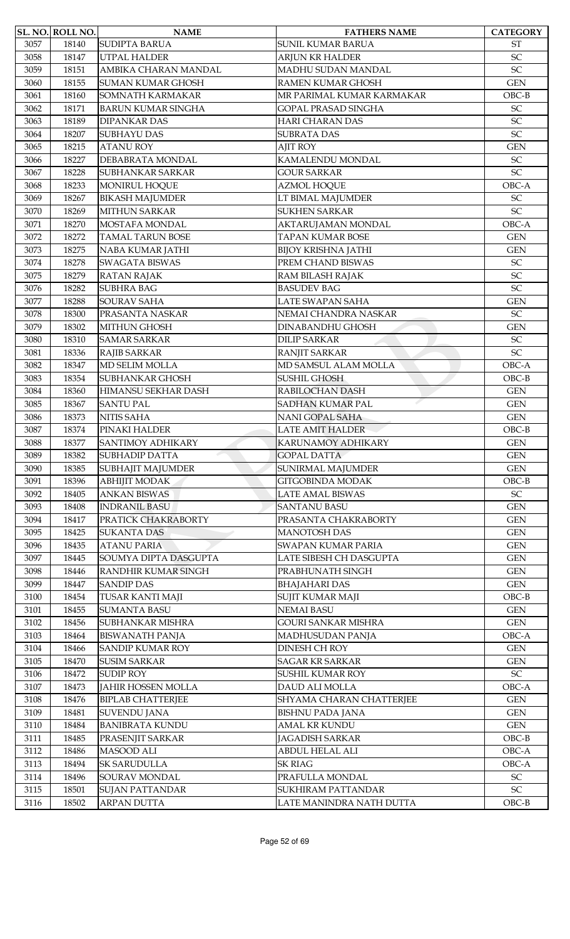|      | <b>SL. NO. ROLL NO.</b> | <b>NAME</b>               | <b>FATHERS NAME</b>        | <b>CATEGORY</b>            |
|------|-------------------------|---------------------------|----------------------------|----------------------------|
| 3057 | 18140                   | <b>SUDIPTA BARUA</b>      | <b>SUNIL KUMAR BARUA</b>   | <b>ST</b>                  |
| 3058 | 18147                   | <b>UTPAL HALDER</b>       | <b>ARJUN KR HALDER</b>     | SC                         |
| 3059 | 18151                   | AMBIKA CHARAN MANDAL      | MADHU SUDAN MANDAL         | SC                         |
| 3060 | 18155                   | <b>SUMAN KUMAR GHOSH</b>  | <b>RAMEN KUMAR GHOSH</b>   | <b>GEN</b>                 |
| 3061 | 18160                   | SOMNATH KARMAKAR          | MR PARIMAL KUMAR KARMAKAR  | $OBC-B$                    |
| 3062 | 18171                   | <b>BARUN KUMAR SINGHA</b> | <b>GOPAL PRASAD SINGHA</b> | SC                         |
| 3063 | 18189                   | <b>DIPANKAR DAS</b>       | <b>HARI CHARAN DAS</b>     | SC                         |
| 3064 | 18207                   | <b>SUBHAYU DAS</b>        | <b>SUBRATA DAS</b>         | SC                         |
| 3065 | 18215                   | <b>ATANU ROY</b>          | <b>AJIT ROY</b>            | <b>GEN</b>                 |
| 3066 | 18227                   | DEBABRATA MONDAL          | KAMALENDU MONDAL           | SC                         |
| 3067 | 18228                   | <b>SUBHANKAR SARKAR</b>   | <b>GOUR SARKAR</b>         | SC                         |
| 3068 | 18233                   | MONIRUL HOQUE             | <b>AZMOL HOQUE</b>         | OBC-A                      |
| 3069 | 18267                   | <b>BIKASH MAJUMDER</b>    | LT BIMAL MAJUMDER          | $\ensuremath{\mathsf{SC}}$ |
| 3070 | 18269                   | <b>MITHUN SARKAR</b>      | <b>SUKHEN SARKAR</b>       | SC                         |
| 3071 | 18270                   | MOSTAFA MONDAL            | AKTARUJAMAN MONDAL         | OBC-A                      |
| 3072 | 18272                   | <b>TAMAL TARUN BOSE</b>   | <b>TAPAN KUMAR BOSE</b>    | <b>GEN</b>                 |
| 3073 | 18275                   | NABA KUMAR JATHI          | <b>BIJOY KRISHNA JATHI</b> | <b>GEN</b>                 |
| 3074 | 18278                   | <b>SWAGATA BISWAS</b>     | PREM CHAND BISWAS          | $\ensuremath{\mathsf{SC}}$ |
| 3075 | 18279                   | <b>RATAN RAJAK</b>        | RAM BILASH RAJAK           | SC                         |
| 3076 | 18282                   | <b>SUBHRA BAG</b>         | <b>BASUDEV BAG</b>         | SC                         |
| 3077 | 18288                   | <b>SOURAV SAHA</b>        | LATE SWAPAN SAHA           | <b>GEN</b>                 |
| 3078 | 18300                   | PRASANTA NASKAR           | NEMAI CHANDRA NASKAR       | $\ensuremath{\mathsf{SC}}$ |
| 3079 | 18302                   | <b>MITHUN GHOSH</b>       | <b>DINABANDHU GHOSH</b>    | <b>GEN</b>                 |
| 3080 | 18310                   | <b>SAMAR SARKAR</b>       | <b>DILIP SARKAR</b>        | SC                         |
| 3081 | 18336                   | <b>RAJIB SARKAR</b>       | RANJIT SARKAR              | SC                         |
| 3082 | 18347                   | <b>MD SELIM MOLLA</b>     | MD SAMSUL ALAM MOLLA       | OBC-A                      |
| 3083 | 18354                   | <b>SUBHANKAR GHOSH</b>    | SUSHIL GHOSH               | $OBC-B$                    |
| 3084 | 18360                   | HIMANSU SEKHAR DASH       | RABILOCHAN DASH            | <b>GEN</b>                 |
| 3085 | 18367                   | <b>SANTU PAL</b>          | <b>SADHAN KUMAR PAL</b>    | <b>GEN</b>                 |
| 3086 | 18373                   | <b>NITIS SAHA</b>         | <b>NANI GOPAL SAHA</b>     | <b>GEN</b>                 |
| 3087 | 18374                   | PINAKI HALDER             | <b>LATE AMIT HALDER</b>    | $OBC-B$                    |
| 3088 | 18377                   | SANTIMOY ADHIKARY         | KARUNAMOY ADHIKARY         | <b>GEN</b>                 |
| 3089 | 18382                   | <b>SUBHADIP DATTA</b>     | <b>GOPAL DATTA</b>         | <b>GEN</b>                 |
| 3090 | 18385                   | SUBHAJIT MAJUMDER         | SUNIRMAL MAJUMDER          | <b>GEN</b>                 |
| 3091 | 18396                   | <b>ABHIJIT MODAK</b>      | GITGOBINDA MODAK           | $OBC-B$                    |
| 3092 | 18405                   | <b>ANKAN BISWAS</b>       | LATE AMAL BISWAS           | $\ensuremath{\mathsf{SC}}$ |
| 3093 | 18408                   | <b>INDRANIL BASU</b>      | <b>SANTANU BASU</b>        | <b>GEN</b>                 |
| 3094 | 18417                   | PRATICK CHAKRABORTY       | PRASANTA CHAKRABORTY       | <b>GEN</b>                 |
| 3095 | 18425                   | <b>SUKANTA DAS</b>        | <b>MANOTOSH DAS</b>        | <b>GEN</b>                 |
| 3096 | 18435                   | <b>ATANU PARIA</b>        | SWAPAN KUMAR PARIA         | <b>GEN</b>                 |
| 3097 | 18445                   | SOUMYA DIPTA DASGUPTA     | LATE SIBESH CH DASGUPTA    | $\mbox{GEN}$               |
| 3098 | 18446                   | RANDHIR KUMAR SINGH       | PRABHUNATH SINGH           | <b>GEN</b>                 |
| 3099 | 18447                   | <b>SANDIP DAS</b>         | <b>BHAJAHARI DAS</b>       | <b>GEN</b>                 |
| 3100 | 18454                   | <b>TUSAR KANTI MAJI</b>   | SUJIT KUMAR MAJI           | $OBC-B$                    |
| 3101 | 18455                   | <b>SUMANTA BASU</b>       | <b>NEMAI BASU</b>          | <b>GEN</b>                 |
| 3102 | 18456                   | SUBHANKAR MISHRA          | <b>GOURI SANKAR MISHRA</b> | $\mbox{GEN}$               |
| 3103 | 18464                   | <b>BISWANATH PANJA</b>    | MADHUSUDAN PANJA           | OBC-A                      |
| 3104 | 18466                   | <b>SANDIP KUMAR ROY</b>   | <b>DINESH CH ROY</b>       | <b>GEN</b>                 |
| 3105 | 18470                   | <b>SUSIM SARKAR</b>       | <b>SAGAR KR SARKAR</b>     | <b>GEN</b>                 |
| 3106 | 18472                   | <b>SUDIP ROY</b>          | SUSHIL KUMAR ROY           | SC                         |
| 3107 | 18473                   | <b>JAHIR HOSSEN MOLLA</b> | DAUD ALI MOLLA             | OBC-A                      |
| 3108 | 18476                   | <b>BIPLAB CHATTERJEE</b>  | SHYAMA CHARAN CHATTERJEE   | <b>GEN</b>                 |
| 3109 | 18481                   | <b>SUVENDU JANA</b>       | <b>BISHNU PADA JANA</b>    | $\mbox{GEN}$               |
| 3110 | 18484                   | <b>BANIBRATA KUNDU</b>    | AMAL KR KUNDU              | $\mbox{GEN}$               |
| 3111 | 18485                   | PRASENJIT SARKAR          | <b>JAGADISH SARKAR</b>     | $OBC-B$                    |
| 3112 | 18486                   | <b>MASOOD ALI</b>         | <b>ABDUL HELAL ALI</b>     | OBC-A                      |
| 3113 | 18494                   | <b>SK SARUDULLA</b>       | <b>SK RIAG</b>             | OBC-A                      |
| 3114 | 18496                   | SOURAV MONDAL             | PRAFULLA MONDAL            | $\ensuremath{\mathsf{SC}}$ |
| 3115 | 18501                   | <b>SUJAN PATTANDAR</b>    | SUKHIRAM PATTANDAR         | $\ensuremath{\mathsf{SC}}$ |
| 3116 | 18502                   | <b>ARPAN DUTTA</b>        | LATE MANINDRA NATH DUTTA   | $OBC-B$                    |
|      |                         |                           |                            |                            |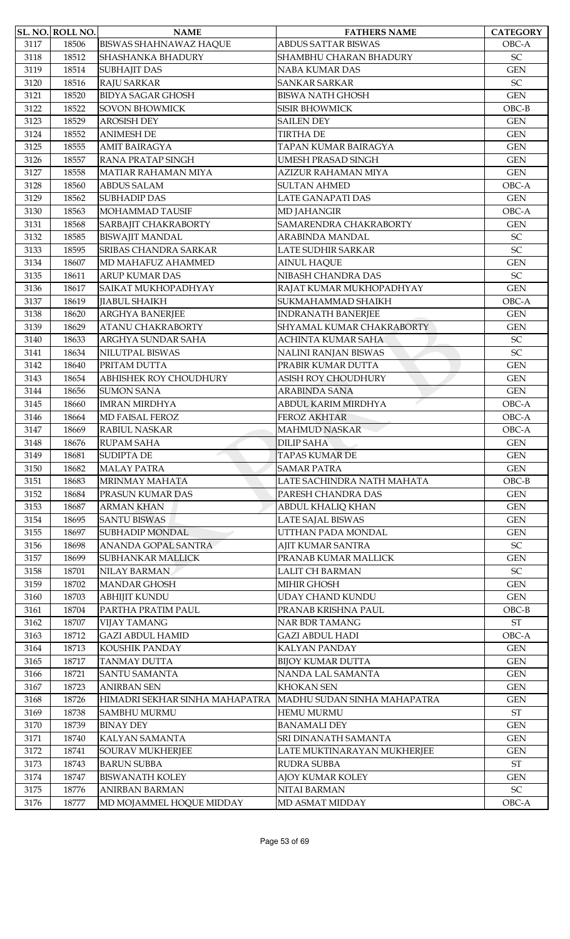|      | SL. NO. ROLL NO. | <b>NAME</b>                    | <b>FATHERS NAME</b>         | <b>CATEGORY</b>            |
|------|------------------|--------------------------------|-----------------------------|----------------------------|
| 3117 | 18506            | <b>BISWAS SHAHNAWAZ HAQUE</b>  | <b>ABDUS SATTAR BISWAS</b>  | OBC-A                      |
| 3118 | 18512            | SHASHANKA BHADURY              | SHAMBHU CHARAN BHADURY      | SC                         |
| 3119 | 18514            | <b>SUBHAJIT DAS</b>            | NABA KUMAR DAS              | <b>GEN</b>                 |
| 3120 | 18516            | <b>RAJU SARKAR</b>             | <b>SANKAR SARKAR</b>        | SC                         |
| 3121 | 18520            | <b>BIDYA SAGAR GHOSH</b>       | <b>BISWA NATH GHOSH</b>     | <b>GEN</b>                 |
| 3122 | 18522            | <b>SOVON BHOWMICK</b>          | <b>SISIR BHOWMICK</b>       | $OBC-B$                    |
| 3123 | 18529            | <b>AROSISH DEY</b>             | <b>SAILEN DEY</b>           | <b>GEN</b>                 |
| 3124 | 18552            | <b>ANIMESH DE</b>              | <b>TIRTHA DE</b>            | <b>GEN</b>                 |
| 3125 | 18555            | <b>AMIT BAIRAGYA</b>           | TAPAN KUMAR BAIRAGYA        | <b>GEN</b>                 |
| 3126 | 18557            | <b>RANA PRATAP SINGH</b>       | <b>UMESH PRASAD SINGH</b>   | <b>GEN</b>                 |
| 3127 | 18558            | MATIAR RAHAMAN MIYA            | AZIZUR RAHAMAN MIYA         | <b>GEN</b>                 |
| 3128 | 18560            | <b>ABDUS SALAM</b>             | <b>SULTAN AHMED</b>         | OBC-A                      |
| 3129 | 18562            | <b>SUBHADIP DAS</b>            | <b>LATE GANAPATI DAS</b>    | <b>GEN</b>                 |
| 3130 | 18563            | MOHAMMAD TAUSIF                | <b>MD JAHANGIR</b>          | OBC-A                      |
| 3131 | 18568            | SARBAJIT CHAKRABORTY           | SAMARENDRA CHAKRABORTY      | <b>GEN</b>                 |
| 3132 | 18585            | <b>BISWAJIT MANDAL</b>         | ARABINDA MANDAL             | SC                         |
| 3133 | 18595            | <b>SRIBAS CHANDRA SARKAR</b>   | LATE SUDHIR SARKAR          | SC                         |
| 3134 | 18607            | MD MAHAFUZ AHAMMED             | <b>AINUL HAQUE</b>          | <b>GEN</b>                 |
| 3135 | 18611            | <b>ARUP KUMAR DAS</b>          | NIBASH CHANDRA DAS          | SC                         |
| 3136 | 18617            | SAIKAT MUKHOPADHYAY            | RAJAT KUMAR MUKHOPADHYAY    | <b>GEN</b>                 |
|      |                  |                                |                             |                            |
| 3137 | 18619            | <b>JIABUL SHAIKH</b>           | SUKMAHAMMAD SHAIKH          | OBC-A                      |
| 3138 | 18620            | <b>ARGHYA BANERJEE</b>         | <b>INDRANATH BANERJEE</b>   | <b>GEN</b>                 |
| 3139 | 18629            | <b>ATANU CHAKRABORTY</b>       | SHYAMAL KUMAR CHAKRABORTY   | <b>GEN</b>                 |
| 3140 | 18633            | ARGHYA SUNDAR SAHA             | ACHINTA KUMAR SAHA          | SC                         |
| 3141 | 18634            | NILUTPAL BISWAS                | NALINI RANJAN BISWAS        | SC                         |
| 3142 | 18640            | PRITAM DUTTA                   | PRABIR KUMAR DUTTA          | <b>GEN</b>                 |
| 3143 | 18654            | ABHISHEK ROY CHOUDHURY         | ASISH ROY CHOUDHURY         | <b>GEN</b>                 |
| 3144 | 18656            | <b>SUMON SANA</b>              | <b>ARABINDA SANA</b>        | <b>GEN</b>                 |
| 3145 | 18660            | <b>IMRAN MIRDHYA</b>           | ABDUL KARIM MIRDHYA         | OBC-A                      |
| 3146 | 18664            | <b>MD FAISAL FEROZ</b>         | <b>FEROZ AKHTAR</b>         | OBC-A                      |
| 3147 | 18669            | RABIUL NASKAR                  | <b>MAHMUD NASKAR</b>        | OBC-A                      |
| 3148 | 18676            | <b>RUPAM SAHA</b>              | <b>DILIP SAHA</b>           | <b>GEN</b>                 |
| 3149 | 18681            | <b>SUDIPTA DE</b>              | <b>TAPAS KUMAR DE</b>       | <b>GEN</b>                 |
| 3150 | 18682            | <b>MALAY PATRA</b>             | <b>SAMAR PATRA</b>          | <b>GEN</b>                 |
| 3151 | 18683            | MRINMAY MAHATA                 | LATE SACHINDRA NATH MAHATA  | $OBC-B$                    |
| 3152 | 18684            | PRASUN KUMAR DAS               | PARESH CHANDRA DAS          | <b>GEN</b>                 |
| 3153 | 18687            | <b>ARMAN KHAN</b>              | ABDUL KHALIQ KHAN           | <b>GEN</b>                 |
| 3154 | 18695            | <b>SANTU BISWAS</b>            | LATE SAJAL BISWAS           | <b>GEN</b>                 |
| 3155 | 18697            | <b>SUBHADIP MONDAL</b>         | UTTHAN PADA MONDAL          | <b>GEN</b>                 |
| 3156 | 18698            | ANANDA GOPAL SANTRA            | AJIT KUMAR SANTRA           | $\ensuremath{\mathsf{SC}}$ |
| 3157 | 18699            | <b>SUBHANKAR MALLICK</b>       | PRANAB KUMAR MALLICK        | <b>GEN</b>                 |
| 3158 | 18701            | NILAY BARMAN                   | <b>LALIT CH BARMAN</b>      | $\ensuremath{\mathsf{SC}}$ |
| 3159 | 18702            | <b>MANDAR GHOSH</b>            | MIHIR GHOSH                 | <b>GEN</b>                 |
| 3160 | 18703            | <b>ABHIJIT KUNDU</b>           | <b>UDAY CHAND KUNDU</b>     | <b>GEN</b>                 |
| 3161 | 18704            | PARTHA PRATIM PAUL             | PRANAB KRISHNA PAUL         | $OBC-B$                    |
| 3162 | 18707            | <b>VIJAY TAMANG</b>            | <b>NAR BDR TAMANG</b>       | ST                         |
| 3163 | 18712            | <b>GAZI ABDUL HAMID</b>        | <b>GAZI ABDUL HADI</b>      | OBC-A                      |
| 3164 | 18713            | KOUSHIK PANDAY                 | <b>KALYAN PANDAY</b>        | <b>GEN</b>                 |
| 3165 | 18717            | <b>TANMAY DUTTA</b>            | <b>BIJOY KUMAR DUTTA</b>    | <b>GEN</b>                 |
| 3166 | 18721            | <b>SANTU SAMANTA</b>           | NANDA LAL SAMANTA           | <b>GEN</b>                 |
| 3167 | 18723            | <b>ANIRBAN SEN</b>             | <b>KHOKAN SEN</b>           | <b>GEN</b>                 |
| 3168 | 18726            | HIMADRI SEKHAR SINHA MAHAPATRA | MADHU SUDAN SINHA MAHAPATRA | <b>GEN</b>                 |
| 3169 | 18738            | <b>SAMBHU MURMU</b>            | <b>HEMU MURMU</b>           | $\operatorname{ST}$        |
| 3170 | 18739            | <b>BINAY DEY</b>               | <b>BANAMALI DEY</b>         | <b>GEN</b>                 |
| 3171 | 18740            | KALYAN SAMANTA                 | SRI DINANATH SAMANTA        | <b>GEN</b>                 |
| 3172 | 18741            | <b>SOURAV MUKHERJEE</b>        | LATE MUKTINARAYAN MUKHERJEE | <b>GEN</b>                 |
| 3173 | 18743            | <b>BARUN SUBBA</b>             | <b>RUDRA SUBBA</b>          | <b>ST</b>                  |
| 3174 | 18747            | <b>BISWANATH KOLEY</b>         | AJOY KUMAR KOLEY            | <b>GEN</b>                 |
| 3175 | 18776            | <b>ANIRBAN BARMAN</b>          | NITAI BARMAN                | SC                         |
|      |                  |                                |                             |                            |
| 3176 | 18777            | MD MOJAMMEL HOQUE MIDDAY       | MD ASMAT MIDDAY             | $OBC-A$                    |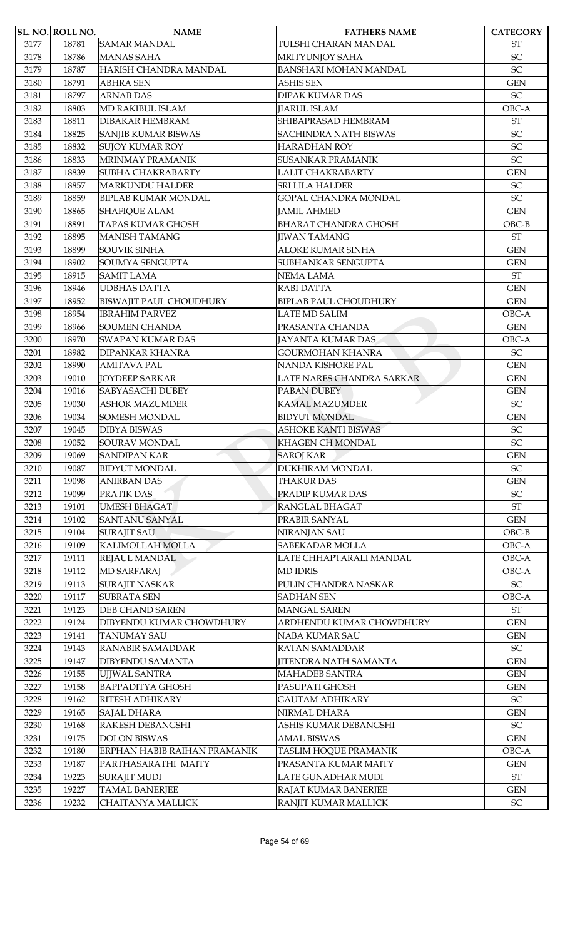|      | SL. NO. ROLL NO. | <b>NAME</b>                    | <b>FATHERS NAME</b>          | <b>CATEGORY</b>            |
|------|------------------|--------------------------------|------------------------------|----------------------------|
| 3177 | 18781            | <b>SAMAR MANDAL</b>            | TULSHI CHARAN MANDAL         | <b>ST</b>                  |
| 3178 | 18786            | <b>MANAS SAHA</b>              | MRITYUNJOY SAHA              | SC                         |
| 3179 | 18787            | HARISH CHANDRA MANDAL          | <b>BANSHARI MOHAN MANDAL</b> | SC                         |
| 3180 | 18791            | <b>ABHRA SEN</b>               | <b>ASHIS SEN</b>             | <b>GEN</b>                 |
| 3181 | 18797            | <b>ARNAB DAS</b>               | <b>DIPAK KUMAR DAS</b>       | $\ensuremath{\mathsf{SC}}$ |
| 3182 | 18803            | MD RAKIBUL ISLAM               | <b>JIARUL ISLAM</b>          | OBC-A                      |
| 3183 | 18811            | <b>DIBAKAR HEMBRAM</b>         | SHIBAPRASAD HEMBRAM          | <b>ST</b>                  |
| 3184 | 18825            | <b>SANJIB KUMAR BISWAS</b>     | <b>SACHINDRA NATH BISWAS</b> | SC                         |
| 3185 | 18832            | <b>SUJOY KUMAR ROY</b>         | <b>HARADHAN ROY</b>          | SC                         |
| 3186 | 18833            | MRINMAY PRAMANIK               | <b>SUSANKAR PRAMANIK</b>     | SC                         |
| 3187 | 18839            | <b>SUBHA CHAKRABARTY</b>       | LALIT CHAKRABARTY            | <b>GEN</b>                 |
| 3188 | 18857            | <b>MARKUNDU HALDER</b>         | <b>SRI LILA HALDER</b>       | SC                         |
| 3189 | 18859            | <b>BIPLAB KUMAR MONDAL</b>     | <b>GOPAL CHANDRA MONDAL</b>  | SC                         |
| 3190 | 18865            | <b>SHAFIQUE ALAM</b>           | <b>JAMIL AHMED</b>           | <b>GEN</b>                 |
| 3191 | 18891            | <b>TAPAS KUMAR GHOSH</b>       | <b>BHARAT CHANDRA GHOSH</b>  | $OBC-B$                    |
| 3192 | 18895            | <b>MANISH TAMANG</b>           | <b>IIWAN TAMANG</b>          | <b>ST</b>                  |
| 3193 | 18899            | <b>SOUVIK SINHA</b>            | <b>ALOKE KUMAR SINHA</b>     | <b>GEN</b>                 |
| 3194 | 18902            | SOUMYA SENGUPTA                | SUBHANKAR SENGUPTA           | <b>GEN</b>                 |
| 3195 | 18915            | <b>SAMIT LAMA</b>              | NEMA LAMA                    | <b>ST</b>                  |
| 3196 | 18946            | <b>UDBHAS DATTA</b>            | RABI DATTA                   | <b>GEN</b>                 |
| 3197 | 18952            | <b>BISWAJIT PAUL CHOUDHURY</b> | <b>BIPLAB PAUL CHOUDHURY</b> | <b>GEN</b>                 |
| 3198 | 18954            | <b>IBRAHIM PARVEZ</b>          | LATE MD SALIM                | OBC-A                      |
| 3199 | 18966            | <b>SOUMEN CHANDA</b>           | PRASANTA CHANDA              | <b>GEN</b>                 |
| 3200 | 18970            | <b>SWAPAN KUMAR DAS</b>        | JAYANTA KUMAR DAS            | OBC-A                      |
| 3201 | 18982            | DIPANKAR KHANRA                | <b>GOURMOHAN KHANRA</b>      | $\ensuremath{\mathsf{SC}}$ |
| 3202 | 18990            | <b>AMITAVA PAL</b>             | NANDA KISHORE PAL            | <b>GEN</b>                 |
| 3203 | 19010            | <b>JOYDEEP SARKAR</b>          | LATE NARES CHANDRA SARKAR    | <b>GEN</b>                 |
| 3204 | 19016            | <b>SABYASACHI DUBEY</b>        | PABAN DUBEY                  | <b>GEN</b>                 |
| 3205 | 19030            | <b>ASHOK MAZUMDER</b>          | <b>KAMAL MAZUMDER</b>        | $\ensuremath{\mathsf{SC}}$ |
| 3206 | 19034            | <b>SOMESH MONDAL</b>           | <b>BIDYUT MONDAL</b>         | <b>GEN</b>                 |
| 3207 | 19045            | <b>DIBYA BISWAS</b>            | <b>ASHOKE KANTI BISWAS</b>   | $\ensuremath{\mathsf{SC}}$ |
| 3208 | 19052            | SOURAV MONDAL                  | <b>KHAGEN CH MONDAL</b>      | SC                         |
| 3209 | 19069            | <b>SANDIPAN KAR</b>            | <b>SAROJ KAR</b>             | <b>GEN</b>                 |
| 3210 | 19087            | <b>BIDYUT MONDAL</b>           | DUKHIRAM MONDAL              | $\ensuremath{\mathsf{SC}}$ |
| 3211 | 19098            | <b>ANIRBAN DAS</b>             | <b>THAKUR DAS</b>            | <b>GEN</b>                 |
| 3212 | 19099            | PRATIK DAS                     | PRADIP KUMAR DAS             | SC                         |
| 3213 | 19101            | <b>UMESH BHAGAT</b>            | RANGLAL BHAGAT               | $\operatorname{ST}$        |
| 3214 | 19102            | <b>SANTANU SANYAL</b>          | PRABIR SANYAL                | <b>GEN</b>                 |
| 3215 | 19104            | <b>SURAJIT SAU</b>             | NIRANJAN SAU                 | $OBC-B$                    |
| 3216 | 19109            | KALIMOLLAH MOLLA               | <b>SABEKADAR MOLLA</b>       | OBC-A                      |
| 3217 | 19111            | REJAUL MANDAL                  | LATE CHHAPTARALI MANDAL      | OBC-A                      |
| 3218 | 19112            | <b>MD SARFARAJ</b>             | <b>MD IDRIS</b>              | OBC-A                      |
| 3219 | 19113            | <b>SURAJIT NASKAR</b>          | PULIN CHANDRA NASKAR         | SC                         |
| 3220 | 19117            | <b>SUBRATA SEN</b>             | <b>SADHAN SEN</b>            | OBC-A                      |
| 3221 | 19123            | <b>DEB CHAND SAREN</b>         | <b>MANGAL SAREN</b>          | $\operatorname{ST}$        |
| 3222 | 19124            | DIBYENDU KUMAR CHOWDHURY       | ARDHENDU KUMAR CHOWDHURY     | <b>GEN</b>                 |
| 3223 | 19141            | <b>TANUMAY SAU</b>             | NABA KUMAR SAU               | <b>GEN</b>                 |
| 3224 | 19143            | RANABIR SAMADDAR               | RATAN SAMADDAR               | $\ensuremath{\mathsf{SC}}$ |
| 3225 | 19147            | <b>DIBYENDU SAMANTA</b>        | <b>JITENDRA NATH SAMANTA</b> | <b>GEN</b>                 |
| 3226 | 19155            | UJJWAL SANTRA                  | <b>MAHADEB SANTRA</b>        | <b>GEN</b>                 |
| 3227 | 19158            | <b>BAPPADITYA GHOSH</b>        | PASUPATI GHOSH               | <b>GEN</b>                 |
| 3228 | 19162            | RITESH ADHIKARY                | <b>GAUTAM ADHIKARY</b>       | $\ensuremath{\mathsf{SC}}$ |
| 3229 | 19165            | <b>SAJAL DHARA</b>             | NIRMAL DHARA                 | <b>GEN</b>                 |
| 3230 | 19168            | RAKESH DEBANGSHI               | ASHIS KUMAR DEBANGSHI        | $\ensuremath{\mathsf{SC}}$ |
| 3231 | 19175            | <b>DOLON BISWAS</b>            | <b>AMAL BISWAS</b>           | <b>GEN</b>                 |
| 3232 | 19180            | ERPHAN HABIB RAIHAN PRAMANIK   | TASLIM HOQUE PRAMANIK        | OBC-A                      |
| 3233 | 19187            | PARTHASARATHI MAITY            | PRASANTA KUMAR MAITY         | <b>GEN</b>                 |
| 3234 | 19223            | <b>SURAJIT MUDI</b>            | LATE GUNADHAR MUDI           | $\operatorname{ST}$        |
| 3235 | 19227            | <b>TAMAL BANERJEE</b>          | RAJAT KUMAR BANERJEE         | <b>GEN</b>                 |
| 3236 | 19232            | <b>CHAITANYA MALLICK</b>       | RANJIT KUMAR MALLICK         | $\ensuremath{\mathsf{SC}}$ |
|      |                  |                                |                              |                            |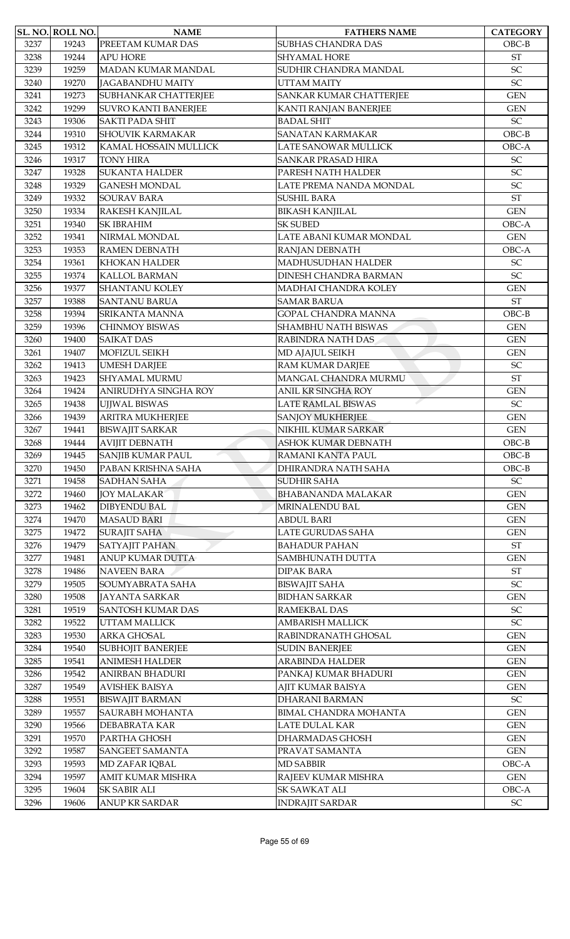|      | <b>SL. NO. ROLL NO.</b> | <b>NAME</b>                 | <b>FATHERS NAME</b>                            | <b>CATEGORY</b>            |
|------|-------------------------|-----------------------------|------------------------------------------------|----------------------------|
| 3237 | 19243                   | PREETAM KUMAR DAS           | <b>SUBHAS CHANDRA DAS</b>                      | $OBC-B$                    |
| 3238 | 19244                   | <b>APU HORE</b>             | SHYAMAL HORE                                   | <b>ST</b>                  |
| 3239 | 19259                   | MADAN KUMAR MANDAL          | SUDHIR CHANDRA MANDAL                          | SC                         |
| 3240 | 19270                   | <b>JAGABANDHU MAITY</b>     | <b>UTTAM MAITY</b>                             | SC                         |
| 3241 | 19273                   | <b>SUBHANKAR CHATTERJEE</b> | SANKAR KUMAR CHATTERJEE                        | <b>GEN</b>                 |
| 3242 | 19299                   | <b>SUVRO KANTI BANERJEE</b> | KANTI RANJAN BANERJEE                          | <b>GEN</b>                 |
| 3243 | 19306                   | <b>SAKTI PADA SHIT</b>      | <b>BADAL SHIT</b>                              | SC                         |
| 3244 | 19310                   | <b>SHOUVIK KARMAKAR</b>     | <b>SANATAN KARMAKAR</b>                        | $OBC-B$                    |
| 3245 | 19312                   | KAMAL HOSSAIN MULLICK       | LATE SANOWAR MULLICK                           | OBC-A                      |
| 3246 | 19317                   | <b>TONY HIRA</b>            | <b>SANKAR PRASAD HIRA</b>                      | SC                         |
| 3247 | 19328                   | <b>SUKANTA HALDER</b>       | PARESH NATH HALDER                             | SC                         |
| 3248 | 19329                   | <b>GANESH MONDAL</b>        | LATE PREMA NANDA MONDAL                        | SC                         |
| 3249 | 19332                   | <b>SOURAV BARA</b>          | <b>SUSHIL BARA</b>                             | <b>ST</b>                  |
| 3250 | 19334                   | RAKESH KANJILAL             | <b>BIKASH KANJILAL</b>                         | <b>GEN</b>                 |
| 3251 | 19340                   | <b>SK IBRAHIM</b>           | <b>SK SUBED</b>                                | OBC-A                      |
| 3252 | 19341                   | NIRMAL MONDAL               | LATE ABANI KUMAR MONDAL                        | <b>GEN</b>                 |
| 3253 | 19353                   | <b>RAMEN DEBNATH</b>        | RANJAN DEBNATH                                 | OBC-A                      |
| 3254 | 19361                   | <b>KHOKAN HALDER</b>        | <b>MADHUSUDHAN HALDER</b>                      | $\ensuremath{\mathsf{SC}}$ |
| 3255 | 19374                   | <b>KALLOL BARMAN</b>        | DINESH CHANDRA BARMAN                          | SC                         |
| 3256 | 19377                   | <b>SHANTANU KOLEY</b>       | <b>MADHAI CHANDRA KOLEY</b>                    | <b>GEN</b>                 |
| 3257 | 19388                   | <b>SANTANU BARUA</b>        | <b>SAMAR BARUA</b>                             | <b>ST</b>                  |
| 3258 | 19394                   | <b>SRIKANTA MANNA</b>       | <b>GOPAL CHANDRA MANNA</b>                     | $OBC-B$                    |
| 3259 | 19396                   | CHINMOY BISWAS              | <b>SHAMBHU NATH BISWAS</b>                     | <b>GEN</b>                 |
| 3260 | 19400                   | <b>SAIKAT DAS</b>           | RABINDRA NATH DAS                              | <b>GEN</b>                 |
| 3261 | 19407                   | MOFIZUL SEIKH               | MD AJAJUL SEIKH                                | <b>GEN</b>                 |
| 3262 | 19413                   | <b>UMESH DARJEE</b>         | RAM KUMAR DARJEE                               | $\ensuremath{\mathsf{SC}}$ |
| 3263 | 19423                   | <b>SHYAMAL MURMU</b>        | MANGAL CHANDRA MURMU                           | <b>ST</b>                  |
|      | 19424                   |                             | <b>ANIL KR SINGHA ROY</b>                      | <b>GEN</b>                 |
| 3264 |                         | ANIRUDHYA SINGHA ROY        |                                                |                            |
| 3265 | 19438                   | <b>UJJWAL BISWAS</b>        | LATE RAMLAL BISWAS                             | SC                         |
| 3266 | 19439                   | <b>ARITRA MUKHERJEE</b>     | <b>SANJOY MUKHERJEE</b><br>NIKHIL KUMAR SARKAR | <b>GEN</b>                 |
| 3267 | 19441                   | <b>BISWAJIT SARKAR</b>      |                                                | <b>GEN</b>                 |
| 3268 | 19444                   | <b>AVIJIT DEBNATH</b>       | <b>ASHOK KUMAR DEBNATH</b>                     | $OBC-B$                    |
| 3269 | 19445                   | <b>SANJIB KUMAR PAUL</b>    | RAMANI KANTA PAUL                              | $OBC-B$                    |
| 3270 | 19450                   | PABAN KRISHNA SAHA          | DHIRANDRA NATH SAHA                            | $OBC-B$                    |
| 3271 | 19458                   | <b>SADHAN SAHA</b>          | <b>SUDHIR SAHA</b>                             | $\ensuremath{\mathsf{SC}}$ |
| 3272 | 19460                   | <b>JOY MALAKAR</b>          | BHABANANDA MALAKAR                             | <b>GEN</b>                 |
| 3273 | 19462                   | <b>DIBYENDU BAL</b>         | MRINALENDU BAL                                 | <b>GEN</b>                 |
| 3274 | 19470                   | <b>MASAUD BARI</b>          | <b>ABDUL BARI</b>                              | <b>GEN</b>                 |
| 3275 | 19472                   | <b>SURAJIT SAHA</b>         | LATE GURUDAS SAHA                              | <b>GEN</b>                 |
| 3276 | 19479                   | <b>SATYAJIT PAHAN</b>       | <b>BAHADUR PAHAN</b>                           | <b>ST</b>                  |
| 3277 | 19481                   | <b>ANUP KUMAR DUTTA</b>     | <b>SAMBHUNATH DUTTA</b>                        | <b>GEN</b>                 |
| 3278 | 19486                   | <b>NAVEEN BARA</b>          | <b>DIPAK BARA</b>                              | ST                         |
| 3279 | 19505                   | SOUMYABRATA SAHA            | <b>BISWAJIT SAHA</b>                           | $\ensuremath{\mathsf{SC}}$ |
| 3280 | 19508                   | <b>JAYANTA SARKAR</b>       | <b>BIDHAN SARKAR</b>                           | <b>GEN</b>                 |
| 3281 | 19519                   | <b>SANTOSH KUMAR DAS</b>    | RAMEKBAL DAS                                   | $\ensuremath{\mathsf{SC}}$ |
| 3282 | 19522                   | <b>UTTAM MALLICK</b>        | <b>AMBARISH MALLICK</b>                        | $\ensuremath{\mathsf{SC}}$ |
| 3283 | 19530                   | ARKA GHOSAL                 | RABINDRANATH GHOSAL                            | <b>GEN</b>                 |
| 3284 | 19540                   | <b>SUBHOJIT BANERJEE</b>    | <b>SUDIN BANERJEE</b>                          | <b>GEN</b>                 |
| 3285 | 19541                   | <b>ANIMESH HALDER</b>       | <b>ARABINDA HALDER</b>                         | <b>GEN</b>                 |
| 3286 | 19542                   | <b>ANIRBAN BHADURI</b>      | PANKAJ KUMAR BHADURI                           | <b>GEN</b>                 |
| 3287 | 19549                   | <b>AVISHEK BAISYA</b>       | AJIT KUMAR BAISYA                              | <b>GEN</b>                 |
| 3288 | 19551                   | <b>BISWAJIT BARMAN</b>      | <b>DHARANI BARMAN</b>                          | <b>SC</b>                  |
| 3289 | 19557                   | <b>SAURABH MOHANTA</b>      | BIMAL CHANDRA MOHANTA                          | <b>GEN</b>                 |
| 3290 | 19566                   | DEBABRATA KAR               | LATE DULAL KAR                                 | <b>GEN</b>                 |
| 3291 | 19570                   | PARTHA GHOSH                | DHARMADAS GHOSH                                | <b>GEN</b>                 |
| 3292 | 19587                   | <b>SANGEET SAMANTA</b>      | PRAVAT SAMANTA                                 | <b>GEN</b>                 |
| 3293 | 19593                   | MD ZAFAR IQBAL              | <b>MD SABBIR</b>                               | OBC-A                      |
| 3294 | 19597                   | AMIT KUMAR MISHRA           | RAJEEV KUMAR MISHRA                            | <b>GEN</b>                 |
| 3295 | 19604                   | <b>SK SABIR ALI</b>         | SK SAWKAT ALI                                  | OBC-A                      |
| 3296 | 19606                   | ANUP KR SARDAR              | <b>INDRAJIT SARDAR</b>                         | $\ensuremath{\mathsf{SC}}$ |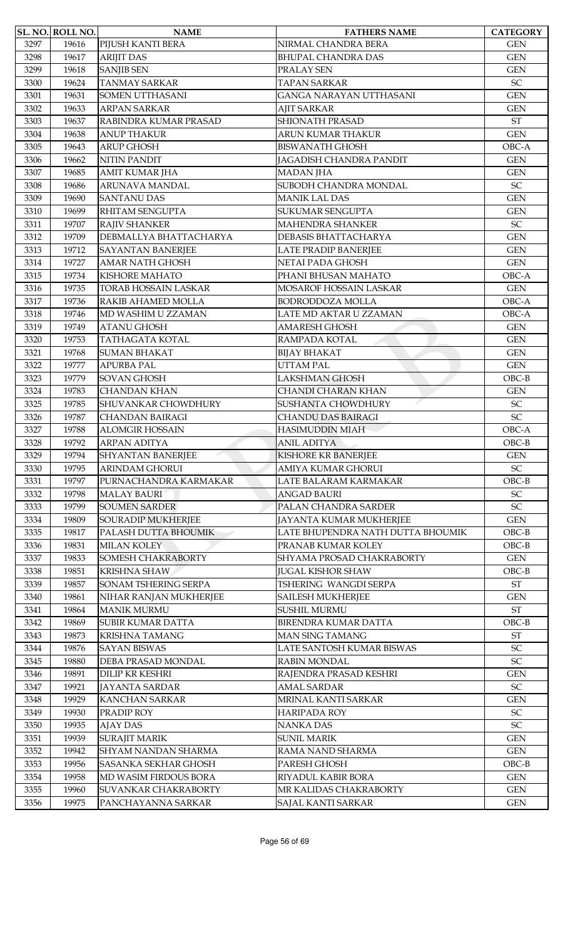| 3297<br>19616<br>PIJUSH KANTI BERA<br>NIRMAL CHANDRA BERA<br><b>GEN</b><br>3298<br>19617<br><b>ARIJIT DAS</b><br><b>GEN</b><br><b>BHUPAL CHANDRA DAS</b><br><b>GEN</b><br>3299<br>19618<br><b>SANJIB SEN</b><br>PRALAY SEN<br>SC<br>19624<br><b>TANMAY SARKAR</b><br><b>TAPAN SARKAR</b><br>3300<br>19631<br><b>SOMEN UTTHASANI</b><br><b>GEN</b><br>3301<br>GANGA NARAYAN UTTHASANI<br>3302<br>19633<br><b>ARPAN SARKAR</b><br><b>AJIT SARKAR</b><br><b>GEN</b><br><b>SHIONATH PRASAD</b><br><b>ST</b><br>3303<br>19637<br>RABINDRA KUMAR PRASAD<br>3304<br>19638<br><b>ANUP THAKUR</b><br>ARUN KUMAR THAKUR<br><b>GEN</b><br><b>ARUP GHOSH</b><br><b>BISWANATH GHOSH</b><br>OBC-A<br>3305<br>19643<br>JAGADISH CHANDRA PANDIT<br>3306<br>19662<br><b>NITIN PANDIT</b><br><b>GEN</b><br>3307<br>19685<br><b>AMIT KUMAR JHA</b><br><b>MADAN JHA</b><br><b>GEN</b><br>$\ensuremath{\mathsf{SC}}$<br>SUBODH CHANDRA MONDAL<br>3308<br>19686<br>ARUNAVA MANDAL<br><b>SANTANU DAS</b><br><b>MANIK LAL DAS</b><br>3309<br>19690<br><b>GEN</b><br>19699<br>RHITAM SENGUPTA<br>SUKUMAR SENGUPTA<br><b>GEN</b><br>3310<br>SC<br>3311<br>19707<br><b>RAJIV SHANKER</b><br><b>MAHENDRA SHANKER</b><br>3312<br>19709<br>DEBMALLYA BHATTACHARYA<br>DEBASIS BHATTACHARYA<br><b>GEN</b><br>3313<br>19712<br><b>SAYANTAN BANERJEE</b><br><b>LATE PRADIP BANERJEE</b><br><b>GEN</b><br><b>AMAR NATH GHOSH</b><br>NETAI PADA GHOSH<br><b>GEN</b><br>3314<br>19727<br>3315<br>19734<br><b>KISHORE MAHATO</b><br>PHANI BHUSAN MAHATO<br>OBC-A<br><b>TORAB HOSSAIN LASKAR</b><br>MOSAROF HOSSAIN LASKAR<br>3316<br>19735<br><b>GEN</b><br>19736<br>RAKIB AHAMED MOLLA<br><b>BODRODDOZA MOLLA</b><br>OBC-A<br>3317<br>LATE MD AKTAR U ZZAMAN<br>OBC-A<br>3318<br>19746<br>MD WASHIM U ZZAMAN<br><b>ATANU GHOSH</b><br><b>GEN</b><br>3319<br>19749<br><b>AMARESH GHOSH</b><br><b>TATHAGATA KOTAL</b><br><b>GEN</b><br>3320<br>19753<br>RAMPADA KOTAL<br><b>SUMAN BHAKAT</b><br><b>GEN</b><br>3321<br>19768<br><b>BIJAY BHAKAT</b><br>3322<br>19777<br><b>APURBA PAL</b><br><b>UTTAM PAL</b><br><b>GEN</b><br>3323<br>19779<br><b>SOVAN GHOSH</b><br><b>LAKSHMAN GHOSH</b><br>$OBC-B$<br>3324<br>19783<br><b>CHANDAN KHAN</b><br><b>CHANDI CHARAN KHAN</b><br><b>GEN</b><br>SHUVANKAR CHOWDHURY<br>SUSHANTA CHOWDHURY<br><b>SC</b><br>3325<br>19785<br>SC<br>3326<br>19787<br><b>CHANDAN BAIRAGI</b><br><b>CHANDU DAS BAIRAGI</b><br><b>ALOMGIR HOSSAIN</b><br><b>HASIMUDDIN MIAH</b><br>OBC-A<br>3327<br>19788<br>3328<br>19792<br><b>ARPAN ADITYA</b><br><b>ANIL ADITYA</b><br>$OBC-B$<br><b>SHYANTAN BANERJEE</b><br><b>KISHORE KR BANERJEE</b><br><b>GEN</b><br>3329<br>19794<br>$\ensuremath{\mathsf{SC}}$<br>19795<br><b>ARINDAM GHORUI</b><br><b>AMIYA KUMAR GHORUI</b><br>3330<br>3331<br>19797<br>PURNACHANDRA KARMAKAR<br>LATE BALARAM KARMAKAR<br>$OBC-B$<br><b>MALAY BAURI</b><br>SC<br>3332<br>19798<br><b>ANGAD BAURI</b><br>SC<br>19799<br><b>SOUMEN SARDER</b><br>PALAN CHANDRA SARDER<br>3333<br>3334<br>19809<br><b>SOURADIP MUKHERJEE</b><br>JAYANTA KUMAR MUKHERJEE<br><b>GEN</b><br>3335<br>19817<br>PALASH DUTTA BHOUMIK<br>LATE BHUPENDRA NATH DUTTA BHOUMIK<br>OBC-B<br>$OBC-B$<br>3336<br>19831<br><b>MILAN KOLEY</b><br>PRANAB KUMAR KOLEY<br>19833<br><b>SOMESH CHAKRABORTY</b><br>SHYAMA PROSAD CHAKRABORTY<br><b>GEN</b><br>3337<br><b>KRISHNA SHAW</b><br><b>JUGAL KISHOR SHAW</b><br>$OBC-B$<br>3338<br>19851<br>$\operatorname{ST}$<br>19857<br>SONAM TSHERING SERPA<br>TSHERING WANGDI SERPA<br>3339<br>3340<br>19861<br>NIHAR RANJAN MUKHERJEE<br><b>GEN</b><br><b>SAILESH MUKHERJEE</b><br><b>MANIK MURMU</b><br><b>SUSHIL MURMU</b><br>3341<br>19864<br>$\operatorname{ST}$<br>3342<br>19869<br><b>SUBIR KUMAR DATTA</b><br><b>BIRENDRA KUMAR DATTA</b><br>$OBC-B$<br><b>ST</b><br>3343<br>19873<br><b>KRISHNA TAMANG</b><br><b>MAN SING TAMANG</b><br>$\ensuremath{\mathsf{SC}}$<br>3344<br>19876<br><b>SAYAN BISWAS</b><br>LATE SANTOSH KUMAR BISWAS<br>SC<br>3345<br>19880<br>DEBA PRASAD MONDAL<br>RABIN MONDAL<br><b>DILIP KR KESHRI</b><br>3346<br>19891<br>RAJENDRA PRASAD KESHRI<br><b>GEN</b><br>SC<br>3347<br>19921<br><b>JAYANTA SARDAR</b><br><b>AMAL SARDAR</b><br>3348<br>19929<br><b>KANCHAN SARKAR</b><br>MRINAL KANTI SARKAR<br><b>GEN</b><br>19930<br>PRADIP ROY<br>SC<br>3349<br>HARIPADA ROY<br>SC<br>3350<br>19935<br><b>AJAY DAS</b><br>NANKA DAS<br>3351<br>19939<br><b>SURAJIT MARIK</b><br><b>SUNIL MARIK</b><br><b>GEN</b><br>3352<br>19942<br><b>SHYAM NANDAN SHARMA</b><br>RAMA NAND SHARMA<br><b>GEN</b><br>PARESH GHOSH<br>3353<br>19956<br><b>SASANKA SEKHAR GHOSH</b><br>$OBC-B$<br>3354<br>19958<br>MD WASIM FIRDOUS BORA<br>RIYADUL KABIR BORA<br><b>GEN</b><br>3355<br>MR KALIDAS CHAKRABORTY<br>$\mbox{GEN}$<br>19960<br><b>SUVANKAR CHAKRABORTY</b><br>3356<br>19975<br>PANCHAYANNA SARKAR<br>SAJAL KANTI SARKAR<br>$\mbox{GEN}$ | SL. NO. ROLL NO. | <b>NAME</b> | <b>FATHERS NAME</b> | <b>CATEGORY</b> |
|------------------------------------------------------------------------------------------------------------------------------------------------------------------------------------------------------------------------------------------------------------------------------------------------------------------------------------------------------------------------------------------------------------------------------------------------------------------------------------------------------------------------------------------------------------------------------------------------------------------------------------------------------------------------------------------------------------------------------------------------------------------------------------------------------------------------------------------------------------------------------------------------------------------------------------------------------------------------------------------------------------------------------------------------------------------------------------------------------------------------------------------------------------------------------------------------------------------------------------------------------------------------------------------------------------------------------------------------------------------------------------------------------------------------------------------------------------------------------------------------------------------------------------------------------------------------------------------------------------------------------------------------------------------------------------------------------------------------------------------------------------------------------------------------------------------------------------------------------------------------------------------------------------------------------------------------------------------------------------------------------------------------------------------------------------------------------------------------------------------------------------------------------------------------------------------------------------------------------------------------------------------------------------------------------------------------------------------------------------------------------------------------------------------------------------------------------------------------------------------------------------------------------------------------------------------------------------------------------------------------------------------------------------------------------------------------------------------------------------------------------------------------------------------------------------------------------------------------------------------------------------------------------------------------------------------------------------------------------------------------------------------------------------------------------------------------------------------------------------------------------------------------------------------------------------------------------------------------------------------------------------------------------------------------------------------------------------------------------------------------------------------------------------------------------------------------------------------------------------------------------------------------------------------------------------------------------------------------------------------------------------------------------------------------------------------------------------------------------------------------------------------------------------------------------------------------------------------------------------------------------------------------------------------------------------------------------------------------------------------------------------------------------------------------------------------------------------------------------------------------------------------------------------------------------------------------------------------------------------------------------------------------------------------------------------------------------------------------------------------------------------------------------------------------------------------------------------------------------------------------------------------------------------------------------------------------------------------------------------------------------------------------------------------------------------------------------------------------------------------------------------------------------------------------------------------------------------------------------------------------------------|------------------|-------------|---------------------|-----------------|
|                                                                                                                                                                                                                                                                                                                                                                                                                                                                                                                                                                                                                                                                                                                                                                                                                                                                                                                                                                                                                                                                                                                                                                                                                                                                                                                                                                                                                                                                                                                                                                                                                                                                                                                                                                                                                                                                                                                                                                                                                                                                                                                                                                                                                                                                                                                                                                                                                                                                                                                                                                                                                                                                                                                                                                                                                                                                                                                                                                                                                                                                                                                                                                                                                                                                                                                                                                                                                                                                                                                                                                                                                                                                                                                                                                                                                                                                                                                                                                                                                                                                                                                                                                                                                                                                                                                                                                                                                                                                                                                                                                                                                                                                                                                                                                                                                                                                                    |                  |             |                     |                 |
|                                                                                                                                                                                                                                                                                                                                                                                                                                                                                                                                                                                                                                                                                                                                                                                                                                                                                                                                                                                                                                                                                                                                                                                                                                                                                                                                                                                                                                                                                                                                                                                                                                                                                                                                                                                                                                                                                                                                                                                                                                                                                                                                                                                                                                                                                                                                                                                                                                                                                                                                                                                                                                                                                                                                                                                                                                                                                                                                                                                                                                                                                                                                                                                                                                                                                                                                                                                                                                                                                                                                                                                                                                                                                                                                                                                                                                                                                                                                                                                                                                                                                                                                                                                                                                                                                                                                                                                                                                                                                                                                                                                                                                                                                                                                                                                                                                                                                    |                  |             |                     |                 |
|                                                                                                                                                                                                                                                                                                                                                                                                                                                                                                                                                                                                                                                                                                                                                                                                                                                                                                                                                                                                                                                                                                                                                                                                                                                                                                                                                                                                                                                                                                                                                                                                                                                                                                                                                                                                                                                                                                                                                                                                                                                                                                                                                                                                                                                                                                                                                                                                                                                                                                                                                                                                                                                                                                                                                                                                                                                                                                                                                                                                                                                                                                                                                                                                                                                                                                                                                                                                                                                                                                                                                                                                                                                                                                                                                                                                                                                                                                                                                                                                                                                                                                                                                                                                                                                                                                                                                                                                                                                                                                                                                                                                                                                                                                                                                                                                                                                                                    |                  |             |                     |                 |
|                                                                                                                                                                                                                                                                                                                                                                                                                                                                                                                                                                                                                                                                                                                                                                                                                                                                                                                                                                                                                                                                                                                                                                                                                                                                                                                                                                                                                                                                                                                                                                                                                                                                                                                                                                                                                                                                                                                                                                                                                                                                                                                                                                                                                                                                                                                                                                                                                                                                                                                                                                                                                                                                                                                                                                                                                                                                                                                                                                                                                                                                                                                                                                                                                                                                                                                                                                                                                                                                                                                                                                                                                                                                                                                                                                                                                                                                                                                                                                                                                                                                                                                                                                                                                                                                                                                                                                                                                                                                                                                                                                                                                                                                                                                                                                                                                                                                                    |                  |             |                     |                 |
|                                                                                                                                                                                                                                                                                                                                                                                                                                                                                                                                                                                                                                                                                                                                                                                                                                                                                                                                                                                                                                                                                                                                                                                                                                                                                                                                                                                                                                                                                                                                                                                                                                                                                                                                                                                                                                                                                                                                                                                                                                                                                                                                                                                                                                                                                                                                                                                                                                                                                                                                                                                                                                                                                                                                                                                                                                                                                                                                                                                                                                                                                                                                                                                                                                                                                                                                                                                                                                                                                                                                                                                                                                                                                                                                                                                                                                                                                                                                                                                                                                                                                                                                                                                                                                                                                                                                                                                                                                                                                                                                                                                                                                                                                                                                                                                                                                                                                    |                  |             |                     |                 |
|                                                                                                                                                                                                                                                                                                                                                                                                                                                                                                                                                                                                                                                                                                                                                                                                                                                                                                                                                                                                                                                                                                                                                                                                                                                                                                                                                                                                                                                                                                                                                                                                                                                                                                                                                                                                                                                                                                                                                                                                                                                                                                                                                                                                                                                                                                                                                                                                                                                                                                                                                                                                                                                                                                                                                                                                                                                                                                                                                                                                                                                                                                                                                                                                                                                                                                                                                                                                                                                                                                                                                                                                                                                                                                                                                                                                                                                                                                                                                                                                                                                                                                                                                                                                                                                                                                                                                                                                                                                                                                                                                                                                                                                                                                                                                                                                                                                                                    |                  |             |                     |                 |
|                                                                                                                                                                                                                                                                                                                                                                                                                                                                                                                                                                                                                                                                                                                                                                                                                                                                                                                                                                                                                                                                                                                                                                                                                                                                                                                                                                                                                                                                                                                                                                                                                                                                                                                                                                                                                                                                                                                                                                                                                                                                                                                                                                                                                                                                                                                                                                                                                                                                                                                                                                                                                                                                                                                                                                                                                                                                                                                                                                                                                                                                                                                                                                                                                                                                                                                                                                                                                                                                                                                                                                                                                                                                                                                                                                                                                                                                                                                                                                                                                                                                                                                                                                                                                                                                                                                                                                                                                                                                                                                                                                                                                                                                                                                                                                                                                                                                                    |                  |             |                     |                 |
|                                                                                                                                                                                                                                                                                                                                                                                                                                                                                                                                                                                                                                                                                                                                                                                                                                                                                                                                                                                                                                                                                                                                                                                                                                                                                                                                                                                                                                                                                                                                                                                                                                                                                                                                                                                                                                                                                                                                                                                                                                                                                                                                                                                                                                                                                                                                                                                                                                                                                                                                                                                                                                                                                                                                                                                                                                                                                                                                                                                                                                                                                                                                                                                                                                                                                                                                                                                                                                                                                                                                                                                                                                                                                                                                                                                                                                                                                                                                                                                                                                                                                                                                                                                                                                                                                                                                                                                                                                                                                                                                                                                                                                                                                                                                                                                                                                                                                    |                  |             |                     |                 |
|                                                                                                                                                                                                                                                                                                                                                                                                                                                                                                                                                                                                                                                                                                                                                                                                                                                                                                                                                                                                                                                                                                                                                                                                                                                                                                                                                                                                                                                                                                                                                                                                                                                                                                                                                                                                                                                                                                                                                                                                                                                                                                                                                                                                                                                                                                                                                                                                                                                                                                                                                                                                                                                                                                                                                                                                                                                                                                                                                                                                                                                                                                                                                                                                                                                                                                                                                                                                                                                                                                                                                                                                                                                                                                                                                                                                                                                                                                                                                                                                                                                                                                                                                                                                                                                                                                                                                                                                                                                                                                                                                                                                                                                                                                                                                                                                                                                                                    |                  |             |                     |                 |
|                                                                                                                                                                                                                                                                                                                                                                                                                                                                                                                                                                                                                                                                                                                                                                                                                                                                                                                                                                                                                                                                                                                                                                                                                                                                                                                                                                                                                                                                                                                                                                                                                                                                                                                                                                                                                                                                                                                                                                                                                                                                                                                                                                                                                                                                                                                                                                                                                                                                                                                                                                                                                                                                                                                                                                                                                                                                                                                                                                                                                                                                                                                                                                                                                                                                                                                                                                                                                                                                                                                                                                                                                                                                                                                                                                                                                                                                                                                                                                                                                                                                                                                                                                                                                                                                                                                                                                                                                                                                                                                                                                                                                                                                                                                                                                                                                                                                                    |                  |             |                     |                 |
|                                                                                                                                                                                                                                                                                                                                                                                                                                                                                                                                                                                                                                                                                                                                                                                                                                                                                                                                                                                                                                                                                                                                                                                                                                                                                                                                                                                                                                                                                                                                                                                                                                                                                                                                                                                                                                                                                                                                                                                                                                                                                                                                                                                                                                                                                                                                                                                                                                                                                                                                                                                                                                                                                                                                                                                                                                                                                                                                                                                                                                                                                                                                                                                                                                                                                                                                                                                                                                                                                                                                                                                                                                                                                                                                                                                                                                                                                                                                                                                                                                                                                                                                                                                                                                                                                                                                                                                                                                                                                                                                                                                                                                                                                                                                                                                                                                                                                    |                  |             |                     |                 |
|                                                                                                                                                                                                                                                                                                                                                                                                                                                                                                                                                                                                                                                                                                                                                                                                                                                                                                                                                                                                                                                                                                                                                                                                                                                                                                                                                                                                                                                                                                                                                                                                                                                                                                                                                                                                                                                                                                                                                                                                                                                                                                                                                                                                                                                                                                                                                                                                                                                                                                                                                                                                                                                                                                                                                                                                                                                                                                                                                                                                                                                                                                                                                                                                                                                                                                                                                                                                                                                                                                                                                                                                                                                                                                                                                                                                                                                                                                                                                                                                                                                                                                                                                                                                                                                                                                                                                                                                                                                                                                                                                                                                                                                                                                                                                                                                                                                                                    |                  |             |                     |                 |
|                                                                                                                                                                                                                                                                                                                                                                                                                                                                                                                                                                                                                                                                                                                                                                                                                                                                                                                                                                                                                                                                                                                                                                                                                                                                                                                                                                                                                                                                                                                                                                                                                                                                                                                                                                                                                                                                                                                                                                                                                                                                                                                                                                                                                                                                                                                                                                                                                                                                                                                                                                                                                                                                                                                                                                                                                                                                                                                                                                                                                                                                                                                                                                                                                                                                                                                                                                                                                                                                                                                                                                                                                                                                                                                                                                                                                                                                                                                                                                                                                                                                                                                                                                                                                                                                                                                                                                                                                                                                                                                                                                                                                                                                                                                                                                                                                                                                                    |                  |             |                     |                 |
|                                                                                                                                                                                                                                                                                                                                                                                                                                                                                                                                                                                                                                                                                                                                                                                                                                                                                                                                                                                                                                                                                                                                                                                                                                                                                                                                                                                                                                                                                                                                                                                                                                                                                                                                                                                                                                                                                                                                                                                                                                                                                                                                                                                                                                                                                                                                                                                                                                                                                                                                                                                                                                                                                                                                                                                                                                                                                                                                                                                                                                                                                                                                                                                                                                                                                                                                                                                                                                                                                                                                                                                                                                                                                                                                                                                                                                                                                                                                                                                                                                                                                                                                                                                                                                                                                                                                                                                                                                                                                                                                                                                                                                                                                                                                                                                                                                                                                    |                  |             |                     |                 |
|                                                                                                                                                                                                                                                                                                                                                                                                                                                                                                                                                                                                                                                                                                                                                                                                                                                                                                                                                                                                                                                                                                                                                                                                                                                                                                                                                                                                                                                                                                                                                                                                                                                                                                                                                                                                                                                                                                                                                                                                                                                                                                                                                                                                                                                                                                                                                                                                                                                                                                                                                                                                                                                                                                                                                                                                                                                                                                                                                                                                                                                                                                                                                                                                                                                                                                                                                                                                                                                                                                                                                                                                                                                                                                                                                                                                                                                                                                                                                                                                                                                                                                                                                                                                                                                                                                                                                                                                                                                                                                                                                                                                                                                                                                                                                                                                                                                                                    |                  |             |                     |                 |
|                                                                                                                                                                                                                                                                                                                                                                                                                                                                                                                                                                                                                                                                                                                                                                                                                                                                                                                                                                                                                                                                                                                                                                                                                                                                                                                                                                                                                                                                                                                                                                                                                                                                                                                                                                                                                                                                                                                                                                                                                                                                                                                                                                                                                                                                                                                                                                                                                                                                                                                                                                                                                                                                                                                                                                                                                                                                                                                                                                                                                                                                                                                                                                                                                                                                                                                                                                                                                                                                                                                                                                                                                                                                                                                                                                                                                                                                                                                                                                                                                                                                                                                                                                                                                                                                                                                                                                                                                                                                                                                                                                                                                                                                                                                                                                                                                                                                                    |                  |             |                     |                 |
|                                                                                                                                                                                                                                                                                                                                                                                                                                                                                                                                                                                                                                                                                                                                                                                                                                                                                                                                                                                                                                                                                                                                                                                                                                                                                                                                                                                                                                                                                                                                                                                                                                                                                                                                                                                                                                                                                                                                                                                                                                                                                                                                                                                                                                                                                                                                                                                                                                                                                                                                                                                                                                                                                                                                                                                                                                                                                                                                                                                                                                                                                                                                                                                                                                                                                                                                                                                                                                                                                                                                                                                                                                                                                                                                                                                                                                                                                                                                                                                                                                                                                                                                                                                                                                                                                                                                                                                                                                                                                                                                                                                                                                                                                                                                                                                                                                                                                    |                  |             |                     |                 |
|                                                                                                                                                                                                                                                                                                                                                                                                                                                                                                                                                                                                                                                                                                                                                                                                                                                                                                                                                                                                                                                                                                                                                                                                                                                                                                                                                                                                                                                                                                                                                                                                                                                                                                                                                                                                                                                                                                                                                                                                                                                                                                                                                                                                                                                                                                                                                                                                                                                                                                                                                                                                                                                                                                                                                                                                                                                                                                                                                                                                                                                                                                                                                                                                                                                                                                                                                                                                                                                                                                                                                                                                                                                                                                                                                                                                                                                                                                                                                                                                                                                                                                                                                                                                                                                                                                                                                                                                                                                                                                                                                                                                                                                                                                                                                                                                                                                                                    |                  |             |                     |                 |
|                                                                                                                                                                                                                                                                                                                                                                                                                                                                                                                                                                                                                                                                                                                                                                                                                                                                                                                                                                                                                                                                                                                                                                                                                                                                                                                                                                                                                                                                                                                                                                                                                                                                                                                                                                                                                                                                                                                                                                                                                                                                                                                                                                                                                                                                                                                                                                                                                                                                                                                                                                                                                                                                                                                                                                                                                                                                                                                                                                                                                                                                                                                                                                                                                                                                                                                                                                                                                                                                                                                                                                                                                                                                                                                                                                                                                                                                                                                                                                                                                                                                                                                                                                                                                                                                                                                                                                                                                                                                                                                                                                                                                                                                                                                                                                                                                                                                                    |                  |             |                     |                 |
|                                                                                                                                                                                                                                                                                                                                                                                                                                                                                                                                                                                                                                                                                                                                                                                                                                                                                                                                                                                                                                                                                                                                                                                                                                                                                                                                                                                                                                                                                                                                                                                                                                                                                                                                                                                                                                                                                                                                                                                                                                                                                                                                                                                                                                                                                                                                                                                                                                                                                                                                                                                                                                                                                                                                                                                                                                                                                                                                                                                                                                                                                                                                                                                                                                                                                                                                                                                                                                                                                                                                                                                                                                                                                                                                                                                                                                                                                                                                                                                                                                                                                                                                                                                                                                                                                                                                                                                                                                                                                                                                                                                                                                                                                                                                                                                                                                                                                    |                  |             |                     |                 |
|                                                                                                                                                                                                                                                                                                                                                                                                                                                                                                                                                                                                                                                                                                                                                                                                                                                                                                                                                                                                                                                                                                                                                                                                                                                                                                                                                                                                                                                                                                                                                                                                                                                                                                                                                                                                                                                                                                                                                                                                                                                                                                                                                                                                                                                                                                                                                                                                                                                                                                                                                                                                                                                                                                                                                                                                                                                                                                                                                                                                                                                                                                                                                                                                                                                                                                                                                                                                                                                                                                                                                                                                                                                                                                                                                                                                                                                                                                                                                                                                                                                                                                                                                                                                                                                                                                                                                                                                                                                                                                                                                                                                                                                                                                                                                                                                                                                                                    |                  |             |                     |                 |
|                                                                                                                                                                                                                                                                                                                                                                                                                                                                                                                                                                                                                                                                                                                                                                                                                                                                                                                                                                                                                                                                                                                                                                                                                                                                                                                                                                                                                                                                                                                                                                                                                                                                                                                                                                                                                                                                                                                                                                                                                                                                                                                                                                                                                                                                                                                                                                                                                                                                                                                                                                                                                                                                                                                                                                                                                                                                                                                                                                                                                                                                                                                                                                                                                                                                                                                                                                                                                                                                                                                                                                                                                                                                                                                                                                                                                                                                                                                                                                                                                                                                                                                                                                                                                                                                                                                                                                                                                                                                                                                                                                                                                                                                                                                                                                                                                                                                                    |                  |             |                     |                 |
|                                                                                                                                                                                                                                                                                                                                                                                                                                                                                                                                                                                                                                                                                                                                                                                                                                                                                                                                                                                                                                                                                                                                                                                                                                                                                                                                                                                                                                                                                                                                                                                                                                                                                                                                                                                                                                                                                                                                                                                                                                                                                                                                                                                                                                                                                                                                                                                                                                                                                                                                                                                                                                                                                                                                                                                                                                                                                                                                                                                                                                                                                                                                                                                                                                                                                                                                                                                                                                                                                                                                                                                                                                                                                                                                                                                                                                                                                                                                                                                                                                                                                                                                                                                                                                                                                                                                                                                                                                                                                                                                                                                                                                                                                                                                                                                                                                                                                    |                  |             |                     |                 |
|                                                                                                                                                                                                                                                                                                                                                                                                                                                                                                                                                                                                                                                                                                                                                                                                                                                                                                                                                                                                                                                                                                                                                                                                                                                                                                                                                                                                                                                                                                                                                                                                                                                                                                                                                                                                                                                                                                                                                                                                                                                                                                                                                                                                                                                                                                                                                                                                                                                                                                                                                                                                                                                                                                                                                                                                                                                                                                                                                                                                                                                                                                                                                                                                                                                                                                                                                                                                                                                                                                                                                                                                                                                                                                                                                                                                                                                                                                                                                                                                                                                                                                                                                                                                                                                                                                                                                                                                                                                                                                                                                                                                                                                                                                                                                                                                                                                                                    |                  |             |                     |                 |
|                                                                                                                                                                                                                                                                                                                                                                                                                                                                                                                                                                                                                                                                                                                                                                                                                                                                                                                                                                                                                                                                                                                                                                                                                                                                                                                                                                                                                                                                                                                                                                                                                                                                                                                                                                                                                                                                                                                                                                                                                                                                                                                                                                                                                                                                                                                                                                                                                                                                                                                                                                                                                                                                                                                                                                                                                                                                                                                                                                                                                                                                                                                                                                                                                                                                                                                                                                                                                                                                                                                                                                                                                                                                                                                                                                                                                                                                                                                                                                                                                                                                                                                                                                                                                                                                                                                                                                                                                                                                                                                                                                                                                                                                                                                                                                                                                                                                                    |                  |             |                     |                 |
|                                                                                                                                                                                                                                                                                                                                                                                                                                                                                                                                                                                                                                                                                                                                                                                                                                                                                                                                                                                                                                                                                                                                                                                                                                                                                                                                                                                                                                                                                                                                                                                                                                                                                                                                                                                                                                                                                                                                                                                                                                                                                                                                                                                                                                                                                                                                                                                                                                                                                                                                                                                                                                                                                                                                                                                                                                                                                                                                                                                                                                                                                                                                                                                                                                                                                                                                                                                                                                                                                                                                                                                                                                                                                                                                                                                                                                                                                                                                                                                                                                                                                                                                                                                                                                                                                                                                                                                                                                                                                                                                                                                                                                                                                                                                                                                                                                                                                    |                  |             |                     |                 |
|                                                                                                                                                                                                                                                                                                                                                                                                                                                                                                                                                                                                                                                                                                                                                                                                                                                                                                                                                                                                                                                                                                                                                                                                                                                                                                                                                                                                                                                                                                                                                                                                                                                                                                                                                                                                                                                                                                                                                                                                                                                                                                                                                                                                                                                                                                                                                                                                                                                                                                                                                                                                                                                                                                                                                                                                                                                                                                                                                                                                                                                                                                                                                                                                                                                                                                                                                                                                                                                                                                                                                                                                                                                                                                                                                                                                                                                                                                                                                                                                                                                                                                                                                                                                                                                                                                                                                                                                                                                                                                                                                                                                                                                                                                                                                                                                                                                                                    |                  |             |                     |                 |
|                                                                                                                                                                                                                                                                                                                                                                                                                                                                                                                                                                                                                                                                                                                                                                                                                                                                                                                                                                                                                                                                                                                                                                                                                                                                                                                                                                                                                                                                                                                                                                                                                                                                                                                                                                                                                                                                                                                                                                                                                                                                                                                                                                                                                                                                                                                                                                                                                                                                                                                                                                                                                                                                                                                                                                                                                                                                                                                                                                                                                                                                                                                                                                                                                                                                                                                                                                                                                                                                                                                                                                                                                                                                                                                                                                                                                                                                                                                                                                                                                                                                                                                                                                                                                                                                                                                                                                                                                                                                                                                                                                                                                                                                                                                                                                                                                                                                                    |                  |             |                     |                 |
|                                                                                                                                                                                                                                                                                                                                                                                                                                                                                                                                                                                                                                                                                                                                                                                                                                                                                                                                                                                                                                                                                                                                                                                                                                                                                                                                                                                                                                                                                                                                                                                                                                                                                                                                                                                                                                                                                                                                                                                                                                                                                                                                                                                                                                                                                                                                                                                                                                                                                                                                                                                                                                                                                                                                                                                                                                                                                                                                                                                                                                                                                                                                                                                                                                                                                                                                                                                                                                                                                                                                                                                                                                                                                                                                                                                                                                                                                                                                                                                                                                                                                                                                                                                                                                                                                                                                                                                                                                                                                                                                                                                                                                                                                                                                                                                                                                                                                    |                  |             |                     |                 |
|                                                                                                                                                                                                                                                                                                                                                                                                                                                                                                                                                                                                                                                                                                                                                                                                                                                                                                                                                                                                                                                                                                                                                                                                                                                                                                                                                                                                                                                                                                                                                                                                                                                                                                                                                                                                                                                                                                                                                                                                                                                                                                                                                                                                                                                                                                                                                                                                                                                                                                                                                                                                                                                                                                                                                                                                                                                                                                                                                                                                                                                                                                                                                                                                                                                                                                                                                                                                                                                                                                                                                                                                                                                                                                                                                                                                                                                                                                                                                                                                                                                                                                                                                                                                                                                                                                                                                                                                                                                                                                                                                                                                                                                                                                                                                                                                                                                                                    |                  |             |                     |                 |
|                                                                                                                                                                                                                                                                                                                                                                                                                                                                                                                                                                                                                                                                                                                                                                                                                                                                                                                                                                                                                                                                                                                                                                                                                                                                                                                                                                                                                                                                                                                                                                                                                                                                                                                                                                                                                                                                                                                                                                                                                                                                                                                                                                                                                                                                                                                                                                                                                                                                                                                                                                                                                                                                                                                                                                                                                                                                                                                                                                                                                                                                                                                                                                                                                                                                                                                                                                                                                                                                                                                                                                                                                                                                                                                                                                                                                                                                                                                                                                                                                                                                                                                                                                                                                                                                                                                                                                                                                                                                                                                                                                                                                                                                                                                                                                                                                                                                                    |                  |             |                     |                 |
|                                                                                                                                                                                                                                                                                                                                                                                                                                                                                                                                                                                                                                                                                                                                                                                                                                                                                                                                                                                                                                                                                                                                                                                                                                                                                                                                                                                                                                                                                                                                                                                                                                                                                                                                                                                                                                                                                                                                                                                                                                                                                                                                                                                                                                                                                                                                                                                                                                                                                                                                                                                                                                                                                                                                                                                                                                                                                                                                                                                                                                                                                                                                                                                                                                                                                                                                                                                                                                                                                                                                                                                                                                                                                                                                                                                                                                                                                                                                                                                                                                                                                                                                                                                                                                                                                                                                                                                                                                                                                                                                                                                                                                                                                                                                                                                                                                                                                    |                  |             |                     |                 |
|                                                                                                                                                                                                                                                                                                                                                                                                                                                                                                                                                                                                                                                                                                                                                                                                                                                                                                                                                                                                                                                                                                                                                                                                                                                                                                                                                                                                                                                                                                                                                                                                                                                                                                                                                                                                                                                                                                                                                                                                                                                                                                                                                                                                                                                                                                                                                                                                                                                                                                                                                                                                                                                                                                                                                                                                                                                                                                                                                                                                                                                                                                                                                                                                                                                                                                                                                                                                                                                                                                                                                                                                                                                                                                                                                                                                                                                                                                                                                                                                                                                                                                                                                                                                                                                                                                                                                                                                                                                                                                                                                                                                                                                                                                                                                                                                                                                                                    |                  |             |                     |                 |
|                                                                                                                                                                                                                                                                                                                                                                                                                                                                                                                                                                                                                                                                                                                                                                                                                                                                                                                                                                                                                                                                                                                                                                                                                                                                                                                                                                                                                                                                                                                                                                                                                                                                                                                                                                                                                                                                                                                                                                                                                                                                                                                                                                                                                                                                                                                                                                                                                                                                                                                                                                                                                                                                                                                                                                                                                                                                                                                                                                                                                                                                                                                                                                                                                                                                                                                                                                                                                                                                                                                                                                                                                                                                                                                                                                                                                                                                                                                                                                                                                                                                                                                                                                                                                                                                                                                                                                                                                                                                                                                                                                                                                                                                                                                                                                                                                                                                                    |                  |             |                     |                 |
|                                                                                                                                                                                                                                                                                                                                                                                                                                                                                                                                                                                                                                                                                                                                                                                                                                                                                                                                                                                                                                                                                                                                                                                                                                                                                                                                                                                                                                                                                                                                                                                                                                                                                                                                                                                                                                                                                                                                                                                                                                                                                                                                                                                                                                                                                                                                                                                                                                                                                                                                                                                                                                                                                                                                                                                                                                                                                                                                                                                                                                                                                                                                                                                                                                                                                                                                                                                                                                                                                                                                                                                                                                                                                                                                                                                                                                                                                                                                                                                                                                                                                                                                                                                                                                                                                                                                                                                                                                                                                                                                                                                                                                                                                                                                                                                                                                                                                    |                  |             |                     |                 |
|                                                                                                                                                                                                                                                                                                                                                                                                                                                                                                                                                                                                                                                                                                                                                                                                                                                                                                                                                                                                                                                                                                                                                                                                                                                                                                                                                                                                                                                                                                                                                                                                                                                                                                                                                                                                                                                                                                                                                                                                                                                                                                                                                                                                                                                                                                                                                                                                                                                                                                                                                                                                                                                                                                                                                                                                                                                                                                                                                                                                                                                                                                                                                                                                                                                                                                                                                                                                                                                                                                                                                                                                                                                                                                                                                                                                                                                                                                                                                                                                                                                                                                                                                                                                                                                                                                                                                                                                                                                                                                                                                                                                                                                                                                                                                                                                                                                                                    |                  |             |                     |                 |
|                                                                                                                                                                                                                                                                                                                                                                                                                                                                                                                                                                                                                                                                                                                                                                                                                                                                                                                                                                                                                                                                                                                                                                                                                                                                                                                                                                                                                                                                                                                                                                                                                                                                                                                                                                                                                                                                                                                                                                                                                                                                                                                                                                                                                                                                                                                                                                                                                                                                                                                                                                                                                                                                                                                                                                                                                                                                                                                                                                                                                                                                                                                                                                                                                                                                                                                                                                                                                                                                                                                                                                                                                                                                                                                                                                                                                                                                                                                                                                                                                                                                                                                                                                                                                                                                                                                                                                                                                                                                                                                                                                                                                                                                                                                                                                                                                                                                                    |                  |             |                     |                 |
|                                                                                                                                                                                                                                                                                                                                                                                                                                                                                                                                                                                                                                                                                                                                                                                                                                                                                                                                                                                                                                                                                                                                                                                                                                                                                                                                                                                                                                                                                                                                                                                                                                                                                                                                                                                                                                                                                                                                                                                                                                                                                                                                                                                                                                                                                                                                                                                                                                                                                                                                                                                                                                                                                                                                                                                                                                                                                                                                                                                                                                                                                                                                                                                                                                                                                                                                                                                                                                                                                                                                                                                                                                                                                                                                                                                                                                                                                                                                                                                                                                                                                                                                                                                                                                                                                                                                                                                                                                                                                                                                                                                                                                                                                                                                                                                                                                                                                    |                  |             |                     |                 |
|                                                                                                                                                                                                                                                                                                                                                                                                                                                                                                                                                                                                                                                                                                                                                                                                                                                                                                                                                                                                                                                                                                                                                                                                                                                                                                                                                                                                                                                                                                                                                                                                                                                                                                                                                                                                                                                                                                                                                                                                                                                                                                                                                                                                                                                                                                                                                                                                                                                                                                                                                                                                                                                                                                                                                                                                                                                                                                                                                                                                                                                                                                                                                                                                                                                                                                                                                                                                                                                                                                                                                                                                                                                                                                                                                                                                                                                                                                                                                                                                                                                                                                                                                                                                                                                                                                                                                                                                                                                                                                                                                                                                                                                                                                                                                                                                                                                                                    |                  |             |                     |                 |
|                                                                                                                                                                                                                                                                                                                                                                                                                                                                                                                                                                                                                                                                                                                                                                                                                                                                                                                                                                                                                                                                                                                                                                                                                                                                                                                                                                                                                                                                                                                                                                                                                                                                                                                                                                                                                                                                                                                                                                                                                                                                                                                                                                                                                                                                                                                                                                                                                                                                                                                                                                                                                                                                                                                                                                                                                                                                                                                                                                                                                                                                                                                                                                                                                                                                                                                                                                                                                                                                                                                                                                                                                                                                                                                                                                                                                                                                                                                                                                                                                                                                                                                                                                                                                                                                                                                                                                                                                                                                                                                                                                                                                                                                                                                                                                                                                                                                                    |                  |             |                     |                 |
|                                                                                                                                                                                                                                                                                                                                                                                                                                                                                                                                                                                                                                                                                                                                                                                                                                                                                                                                                                                                                                                                                                                                                                                                                                                                                                                                                                                                                                                                                                                                                                                                                                                                                                                                                                                                                                                                                                                                                                                                                                                                                                                                                                                                                                                                                                                                                                                                                                                                                                                                                                                                                                                                                                                                                                                                                                                                                                                                                                                                                                                                                                                                                                                                                                                                                                                                                                                                                                                                                                                                                                                                                                                                                                                                                                                                                                                                                                                                                                                                                                                                                                                                                                                                                                                                                                                                                                                                                                                                                                                                                                                                                                                                                                                                                                                                                                                                                    |                  |             |                     |                 |
|                                                                                                                                                                                                                                                                                                                                                                                                                                                                                                                                                                                                                                                                                                                                                                                                                                                                                                                                                                                                                                                                                                                                                                                                                                                                                                                                                                                                                                                                                                                                                                                                                                                                                                                                                                                                                                                                                                                                                                                                                                                                                                                                                                                                                                                                                                                                                                                                                                                                                                                                                                                                                                                                                                                                                                                                                                                                                                                                                                                                                                                                                                                                                                                                                                                                                                                                                                                                                                                                                                                                                                                                                                                                                                                                                                                                                                                                                                                                                                                                                                                                                                                                                                                                                                                                                                                                                                                                                                                                                                                                                                                                                                                                                                                                                                                                                                                                                    |                  |             |                     |                 |
|                                                                                                                                                                                                                                                                                                                                                                                                                                                                                                                                                                                                                                                                                                                                                                                                                                                                                                                                                                                                                                                                                                                                                                                                                                                                                                                                                                                                                                                                                                                                                                                                                                                                                                                                                                                                                                                                                                                                                                                                                                                                                                                                                                                                                                                                                                                                                                                                                                                                                                                                                                                                                                                                                                                                                                                                                                                                                                                                                                                                                                                                                                                                                                                                                                                                                                                                                                                                                                                                                                                                                                                                                                                                                                                                                                                                                                                                                                                                                                                                                                                                                                                                                                                                                                                                                                                                                                                                                                                                                                                                                                                                                                                                                                                                                                                                                                                                                    |                  |             |                     |                 |
|                                                                                                                                                                                                                                                                                                                                                                                                                                                                                                                                                                                                                                                                                                                                                                                                                                                                                                                                                                                                                                                                                                                                                                                                                                                                                                                                                                                                                                                                                                                                                                                                                                                                                                                                                                                                                                                                                                                                                                                                                                                                                                                                                                                                                                                                                                                                                                                                                                                                                                                                                                                                                                                                                                                                                                                                                                                                                                                                                                                                                                                                                                                                                                                                                                                                                                                                                                                                                                                                                                                                                                                                                                                                                                                                                                                                                                                                                                                                                                                                                                                                                                                                                                                                                                                                                                                                                                                                                                                                                                                                                                                                                                                                                                                                                                                                                                                                                    |                  |             |                     |                 |
|                                                                                                                                                                                                                                                                                                                                                                                                                                                                                                                                                                                                                                                                                                                                                                                                                                                                                                                                                                                                                                                                                                                                                                                                                                                                                                                                                                                                                                                                                                                                                                                                                                                                                                                                                                                                                                                                                                                                                                                                                                                                                                                                                                                                                                                                                                                                                                                                                                                                                                                                                                                                                                                                                                                                                                                                                                                                                                                                                                                                                                                                                                                                                                                                                                                                                                                                                                                                                                                                                                                                                                                                                                                                                                                                                                                                                                                                                                                                                                                                                                                                                                                                                                                                                                                                                                                                                                                                                                                                                                                                                                                                                                                                                                                                                                                                                                                                                    |                  |             |                     |                 |
|                                                                                                                                                                                                                                                                                                                                                                                                                                                                                                                                                                                                                                                                                                                                                                                                                                                                                                                                                                                                                                                                                                                                                                                                                                                                                                                                                                                                                                                                                                                                                                                                                                                                                                                                                                                                                                                                                                                                                                                                                                                                                                                                                                                                                                                                                                                                                                                                                                                                                                                                                                                                                                                                                                                                                                                                                                                                                                                                                                                                                                                                                                                                                                                                                                                                                                                                                                                                                                                                                                                                                                                                                                                                                                                                                                                                                                                                                                                                                                                                                                                                                                                                                                                                                                                                                                                                                                                                                                                                                                                                                                                                                                                                                                                                                                                                                                                                                    |                  |             |                     |                 |
|                                                                                                                                                                                                                                                                                                                                                                                                                                                                                                                                                                                                                                                                                                                                                                                                                                                                                                                                                                                                                                                                                                                                                                                                                                                                                                                                                                                                                                                                                                                                                                                                                                                                                                                                                                                                                                                                                                                                                                                                                                                                                                                                                                                                                                                                                                                                                                                                                                                                                                                                                                                                                                                                                                                                                                                                                                                                                                                                                                                                                                                                                                                                                                                                                                                                                                                                                                                                                                                                                                                                                                                                                                                                                                                                                                                                                                                                                                                                                                                                                                                                                                                                                                                                                                                                                                                                                                                                                                                                                                                                                                                                                                                                                                                                                                                                                                                                                    |                  |             |                     |                 |
|                                                                                                                                                                                                                                                                                                                                                                                                                                                                                                                                                                                                                                                                                                                                                                                                                                                                                                                                                                                                                                                                                                                                                                                                                                                                                                                                                                                                                                                                                                                                                                                                                                                                                                                                                                                                                                                                                                                                                                                                                                                                                                                                                                                                                                                                                                                                                                                                                                                                                                                                                                                                                                                                                                                                                                                                                                                                                                                                                                                                                                                                                                                                                                                                                                                                                                                                                                                                                                                                                                                                                                                                                                                                                                                                                                                                                                                                                                                                                                                                                                                                                                                                                                                                                                                                                                                                                                                                                                                                                                                                                                                                                                                                                                                                                                                                                                                                                    |                  |             |                     |                 |
|                                                                                                                                                                                                                                                                                                                                                                                                                                                                                                                                                                                                                                                                                                                                                                                                                                                                                                                                                                                                                                                                                                                                                                                                                                                                                                                                                                                                                                                                                                                                                                                                                                                                                                                                                                                                                                                                                                                                                                                                                                                                                                                                                                                                                                                                                                                                                                                                                                                                                                                                                                                                                                                                                                                                                                                                                                                                                                                                                                                                                                                                                                                                                                                                                                                                                                                                                                                                                                                                                                                                                                                                                                                                                                                                                                                                                                                                                                                                                                                                                                                                                                                                                                                                                                                                                                                                                                                                                                                                                                                                                                                                                                                                                                                                                                                                                                                                                    |                  |             |                     |                 |
|                                                                                                                                                                                                                                                                                                                                                                                                                                                                                                                                                                                                                                                                                                                                                                                                                                                                                                                                                                                                                                                                                                                                                                                                                                                                                                                                                                                                                                                                                                                                                                                                                                                                                                                                                                                                                                                                                                                                                                                                                                                                                                                                                                                                                                                                                                                                                                                                                                                                                                                                                                                                                                                                                                                                                                                                                                                                                                                                                                                                                                                                                                                                                                                                                                                                                                                                                                                                                                                                                                                                                                                                                                                                                                                                                                                                                                                                                                                                                                                                                                                                                                                                                                                                                                                                                                                                                                                                                                                                                                                                                                                                                                                                                                                                                                                                                                                                                    |                  |             |                     |                 |
|                                                                                                                                                                                                                                                                                                                                                                                                                                                                                                                                                                                                                                                                                                                                                                                                                                                                                                                                                                                                                                                                                                                                                                                                                                                                                                                                                                                                                                                                                                                                                                                                                                                                                                                                                                                                                                                                                                                                                                                                                                                                                                                                                                                                                                                                                                                                                                                                                                                                                                                                                                                                                                                                                                                                                                                                                                                                                                                                                                                                                                                                                                                                                                                                                                                                                                                                                                                                                                                                                                                                                                                                                                                                                                                                                                                                                                                                                                                                                                                                                                                                                                                                                                                                                                                                                                                                                                                                                                                                                                                                                                                                                                                                                                                                                                                                                                                                                    |                  |             |                     |                 |
|                                                                                                                                                                                                                                                                                                                                                                                                                                                                                                                                                                                                                                                                                                                                                                                                                                                                                                                                                                                                                                                                                                                                                                                                                                                                                                                                                                                                                                                                                                                                                                                                                                                                                                                                                                                                                                                                                                                                                                                                                                                                                                                                                                                                                                                                                                                                                                                                                                                                                                                                                                                                                                                                                                                                                                                                                                                                                                                                                                                                                                                                                                                                                                                                                                                                                                                                                                                                                                                                                                                                                                                                                                                                                                                                                                                                                                                                                                                                                                                                                                                                                                                                                                                                                                                                                                                                                                                                                                                                                                                                                                                                                                                                                                                                                                                                                                                                                    |                  |             |                     |                 |
|                                                                                                                                                                                                                                                                                                                                                                                                                                                                                                                                                                                                                                                                                                                                                                                                                                                                                                                                                                                                                                                                                                                                                                                                                                                                                                                                                                                                                                                                                                                                                                                                                                                                                                                                                                                                                                                                                                                                                                                                                                                                                                                                                                                                                                                                                                                                                                                                                                                                                                                                                                                                                                                                                                                                                                                                                                                                                                                                                                                                                                                                                                                                                                                                                                                                                                                                                                                                                                                                                                                                                                                                                                                                                                                                                                                                                                                                                                                                                                                                                                                                                                                                                                                                                                                                                                                                                                                                                                                                                                                                                                                                                                                                                                                                                                                                                                                                                    |                  |             |                     |                 |
|                                                                                                                                                                                                                                                                                                                                                                                                                                                                                                                                                                                                                                                                                                                                                                                                                                                                                                                                                                                                                                                                                                                                                                                                                                                                                                                                                                                                                                                                                                                                                                                                                                                                                                                                                                                                                                                                                                                                                                                                                                                                                                                                                                                                                                                                                                                                                                                                                                                                                                                                                                                                                                                                                                                                                                                                                                                                                                                                                                                                                                                                                                                                                                                                                                                                                                                                                                                                                                                                                                                                                                                                                                                                                                                                                                                                                                                                                                                                                                                                                                                                                                                                                                                                                                                                                                                                                                                                                                                                                                                                                                                                                                                                                                                                                                                                                                                                                    |                  |             |                     |                 |
|                                                                                                                                                                                                                                                                                                                                                                                                                                                                                                                                                                                                                                                                                                                                                                                                                                                                                                                                                                                                                                                                                                                                                                                                                                                                                                                                                                                                                                                                                                                                                                                                                                                                                                                                                                                                                                                                                                                                                                                                                                                                                                                                                                                                                                                                                                                                                                                                                                                                                                                                                                                                                                                                                                                                                                                                                                                                                                                                                                                                                                                                                                                                                                                                                                                                                                                                                                                                                                                                                                                                                                                                                                                                                                                                                                                                                                                                                                                                                                                                                                                                                                                                                                                                                                                                                                                                                                                                                                                                                                                                                                                                                                                                                                                                                                                                                                                                                    |                  |             |                     |                 |
|                                                                                                                                                                                                                                                                                                                                                                                                                                                                                                                                                                                                                                                                                                                                                                                                                                                                                                                                                                                                                                                                                                                                                                                                                                                                                                                                                                                                                                                                                                                                                                                                                                                                                                                                                                                                                                                                                                                                                                                                                                                                                                                                                                                                                                                                                                                                                                                                                                                                                                                                                                                                                                                                                                                                                                                                                                                                                                                                                                                                                                                                                                                                                                                                                                                                                                                                                                                                                                                                                                                                                                                                                                                                                                                                                                                                                                                                                                                                                                                                                                                                                                                                                                                                                                                                                                                                                                                                                                                                                                                                                                                                                                                                                                                                                                                                                                                                                    |                  |             |                     |                 |
|                                                                                                                                                                                                                                                                                                                                                                                                                                                                                                                                                                                                                                                                                                                                                                                                                                                                                                                                                                                                                                                                                                                                                                                                                                                                                                                                                                                                                                                                                                                                                                                                                                                                                                                                                                                                                                                                                                                                                                                                                                                                                                                                                                                                                                                                                                                                                                                                                                                                                                                                                                                                                                                                                                                                                                                                                                                                                                                                                                                                                                                                                                                                                                                                                                                                                                                                                                                                                                                                                                                                                                                                                                                                                                                                                                                                                                                                                                                                                                                                                                                                                                                                                                                                                                                                                                                                                                                                                                                                                                                                                                                                                                                                                                                                                                                                                                                                                    |                  |             |                     |                 |
|                                                                                                                                                                                                                                                                                                                                                                                                                                                                                                                                                                                                                                                                                                                                                                                                                                                                                                                                                                                                                                                                                                                                                                                                                                                                                                                                                                                                                                                                                                                                                                                                                                                                                                                                                                                                                                                                                                                                                                                                                                                                                                                                                                                                                                                                                                                                                                                                                                                                                                                                                                                                                                                                                                                                                                                                                                                                                                                                                                                                                                                                                                                                                                                                                                                                                                                                                                                                                                                                                                                                                                                                                                                                                                                                                                                                                                                                                                                                                                                                                                                                                                                                                                                                                                                                                                                                                                                                                                                                                                                                                                                                                                                                                                                                                                                                                                                                                    |                  |             |                     |                 |
|                                                                                                                                                                                                                                                                                                                                                                                                                                                                                                                                                                                                                                                                                                                                                                                                                                                                                                                                                                                                                                                                                                                                                                                                                                                                                                                                                                                                                                                                                                                                                                                                                                                                                                                                                                                                                                                                                                                                                                                                                                                                                                                                                                                                                                                                                                                                                                                                                                                                                                                                                                                                                                                                                                                                                                                                                                                                                                                                                                                                                                                                                                                                                                                                                                                                                                                                                                                                                                                                                                                                                                                                                                                                                                                                                                                                                                                                                                                                                                                                                                                                                                                                                                                                                                                                                                                                                                                                                                                                                                                                                                                                                                                                                                                                                                                                                                                                                    |                  |             |                     |                 |
|                                                                                                                                                                                                                                                                                                                                                                                                                                                                                                                                                                                                                                                                                                                                                                                                                                                                                                                                                                                                                                                                                                                                                                                                                                                                                                                                                                                                                                                                                                                                                                                                                                                                                                                                                                                                                                                                                                                                                                                                                                                                                                                                                                                                                                                                                                                                                                                                                                                                                                                                                                                                                                                                                                                                                                                                                                                                                                                                                                                                                                                                                                                                                                                                                                                                                                                                                                                                                                                                                                                                                                                                                                                                                                                                                                                                                                                                                                                                                                                                                                                                                                                                                                                                                                                                                                                                                                                                                                                                                                                                                                                                                                                                                                                                                                                                                                                                                    |                  |             |                     |                 |
|                                                                                                                                                                                                                                                                                                                                                                                                                                                                                                                                                                                                                                                                                                                                                                                                                                                                                                                                                                                                                                                                                                                                                                                                                                                                                                                                                                                                                                                                                                                                                                                                                                                                                                                                                                                                                                                                                                                                                                                                                                                                                                                                                                                                                                                                                                                                                                                                                                                                                                                                                                                                                                                                                                                                                                                                                                                                                                                                                                                                                                                                                                                                                                                                                                                                                                                                                                                                                                                                                                                                                                                                                                                                                                                                                                                                                                                                                                                                                                                                                                                                                                                                                                                                                                                                                                                                                                                                                                                                                                                                                                                                                                                                                                                                                                                                                                                                                    |                  |             |                     |                 |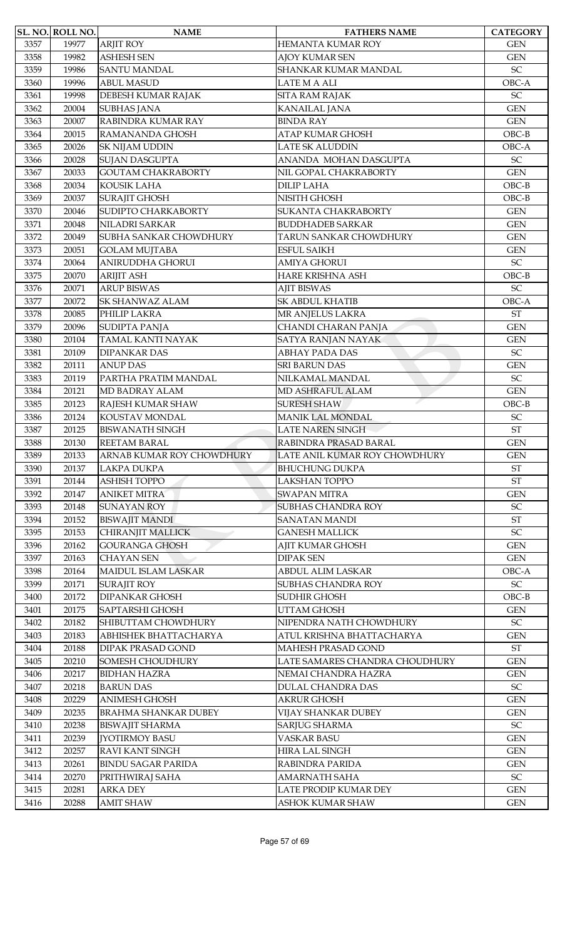|      | SL. NO. ROLL NO. | <b>NAME</b>                 | <b>FATHERS NAME</b>                             | <b>CATEGORY</b>            |
|------|------------------|-----------------------------|-------------------------------------------------|----------------------------|
| 3357 | 19977            | <b>ARJIT ROY</b>            | HEMANTA KUMAR ROY                               | <b>GEN</b>                 |
| 3358 | 19982            | <b>ASHESH SEN</b>           | <b>AJOY KUMAR SEN</b>                           | <b>GEN</b>                 |
| 3359 | 19986            | <b>SANTU MANDAL</b>         | SHANKAR KUMAR MANDAL                            | $\ensuremath{\mathsf{SC}}$ |
| 3360 | 19996            | <b>ABUL MASUD</b>           | <b>LATE M A ALI</b>                             | OBC-A                      |
| 3361 | 19998            | DEBESH KUMAR RAJAK          | SITA RAM RAJAK                                  | SC                         |
| 3362 | 20004            | <b>SUBHAS JANA</b>          | <b>KANAILAL JANA</b>                            | <b>GEN</b>                 |
| 3363 | 20007            | RABINDRA KUMAR RAY          | <b>BINDA RAY</b>                                | <b>GEN</b>                 |
| 3364 | 20015            | RAMANANDA GHOSH             | ATAP KUMAR GHOSH                                | $OBC-B$                    |
| 3365 | 20026            | <b>SK NIJAM UDDIN</b>       | <b>LATE SK ALUDDIN</b>                          | OBC-A                      |
| 3366 | 20028            | <b>SUJAN DASGUPTA</b>       | ANANDA MOHAN DASGUPTA                           | $\ensuremath{\mathsf{SC}}$ |
| 3367 | 20033            | <b>GOUTAM CHAKRABORTY</b>   | NIL GOPAL CHAKRABORTY                           | <b>GEN</b>                 |
| 3368 | 20034            | KOUSIK LAHA                 | <b>DILIP LAHA</b>                               | $OBC-B$                    |
| 3369 | 20037            | <b>SURAJIT GHOSH</b>        | NISITH GHOSH                                    | $OBC-B$                    |
| 3370 | 20046            | SUDIPTO CHARKABORTY         | <b>SUKANTA CHAKRABORTY</b>                      | <b>GEN</b>                 |
| 3371 | 20048            | NILADRI SARKAR              | <b>BUDDHADEB SARKAR</b>                         | <b>GEN</b>                 |
| 3372 | 20049            | SUBHA SANKAR CHOWDHURY      | TARUN SANKAR CHOWDHURY                          | <b>GEN</b>                 |
| 3373 | 20051            | <b>GOLAM MUJTABA</b>        | <b>ESFUL SAIKH</b>                              | <b>GEN</b>                 |
|      | 20064            |                             |                                                 | $\ensuremath{\mathsf{SC}}$ |
| 3374 |                  | ANIRUDDHA GHORUI            | <b>AMIYA GHORUI</b>                             |                            |
| 3375 | 20070            | <b>ARIJIT ASH</b>           | HARE KRISHNA ASH                                | $OBC-B$                    |
| 3376 | 20071            | <b>ARUP BISWAS</b>          | <b>AJIT BISWAS</b>                              | SC                         |
| 3377 | 20072            | <b>SK SHANWAZ ALAM</b>      | <b>SK ABDUL KHATIB</b>                          | OBC-A                      |
| 3378 | 20085            | PHILIP LAKRA                | MR ANJELUS LAKRA                                | <b>ST</b>                  |
| 3379 | 20096            | <b>SUDIPTA PANJA</b>        | CHANDI CHARAN PANJA                             | <b>GEN</b>                 |
| 3380 | 20104            | TAMAL KANTI NAYAK           | SATYA RANJAN NAYAK                              | <b>GEN</b>                 |
| 3381 | 20109            | <b>DIPANKAR DAS</b>         | <b>ABHAY PADA DAS</b>                           | SC                         |
| 3382 | 20111            | <b>ANUP DAS</b>             | SRI BARUN DAS                                   | <b>GEN</b>                 |
| 3383 | 20119            | PARTHA PRATIM MANDAL        | NILKAMAL MANDAL                                 | $\ensuremath{\mathsf{SC}}$ |
| 3384 | 20121            | MD BADRAY ALAM              | MD ASHRAFUL ALAM                                | <b>GEN</b>                 |
| 3385 | 20123            | RAJESH KUMAR SHAW           | <b>SURESH SHAW</b>                              | $OBC-B$                    |
| 3386 | 20124            | KOUSTAV MONDAL              | <b>MANIK LAL MONDAL</b>                         | $\ensuremath{\mathsf{SC}}$ |
| 3387 | 20125            | <b>BISWANATH SINGH</b>      | <b>LATE NAREN SINGH</b>                         | <b>ST</b>                  |
| 3388 | 20130            | REETAM BARAL                | RABINDRA PRASAD BARAL                           | <b>GEN</b>                 |
| 3389 | 20133            | ARNAB KUMAR ROY CHOWDHURY   | LATE ANIL KUMAR ROY CHOWDHURY                   | <b>GEN</b>                 |
| 3390 | 20137            | LAKPA DUKPA                 | <b>BHUCHUNG DUKPA</b>                           | $\operatorname{ST}$        |
| 3391 | 20144            | <b>ASHISH TOPPO</b>         | LAKSHAN TOPPO                                   | $\operatorname{ST}$        |
| 3392 | 20147            | <b>ANIKET MITRA</b>         | <b>SWAPAN MITRA</b>                             | <b>GEN</b>                 |
| 3393 | 20148            | <b>SUNAYAN ROY</b>          | <b>SUBHAS CHANDRA ROY</b>                       | $\ensuremath{\mathsf{SC}}$ |
| 3394 | 20152            | <b>BISWAJIT MANDI</b>       | <b>SANATAN MANDI</b>                            | $\operatorname{ST}$        |
| 3395 | 20153            | CHIRANJIT MALLICK           | <b>GANESH MALLICK</b>                           | SC                         |
| 3396 | 20162            | <b>GOURANGA GHOSH</b>       | <b>AJIT KUMAR GHOSH</b>                         | <b>GEN</b>                 |
| 3397 | 20163            | <b>CHAYAN SEN</b>           | <b>DIPAK SEN</b>                                | <b>GEN</b>                 |
| 3398 | 20164            | MAIDUL ISLAM LASKAR         | <b>ABDUL ALIM LASKAR</b>                        | OBC-A                      |
| 3399 | 20171            | <b>SURAJIT ROY</b>          | SUBHAS CHANDRA ROY                              | $\ensuremath{\mathsf{SC}}$ |
| 3400 | 20172            | <b>DIPANKAR GHOSH</b>       | SUDHIR GHOSH                                    | $OBC-B$                    |
| 3401 | 20175            | <b>SAPTARSHI GHOSH</b>      | UTTAM GHOSH                                     | <b>GEN</b>                 |
| 3402 | 20182            | SHIBUTTAM CHOWDHURY         | NIPENDRA NATH CHOWDHURY                         | $\ensuremath{\mathsf{SC}}$ |
| 3403 | 20183            | ABHISHEK BHATTACHARYA       | ATUL KRISHNA BHATTACHARYA                       | <b>GEN</b>                 |
| 3404 | 20188            | <b>DIPAK PRASAD GOND</b>    | MAHESH PRASAD GOND                              | $\operatorname{ST}$        |
| 3405 | 20210            | SOMESH CHOUDHURY            | LATE SAMARES CHANDRA CHOUDHURY                  | <b>GEN</b>                 |
| 3406 | 20217            | <b>BIDHAN HAZRA</b>         | NEMAI CHANDRA HAZRA                             | <b>GEN</b>                 |
| 3407 | 20218            | <b>BARUN DAS</b>            | <b>DULAL CHANDRA DAS</b>                        | $\ensuremath{\mathsf{SC}}$ |
| 3408 | 20229            | <b>ANIMESH GHOSH</b>        | <b>AKRUR GHOSH</b>                              | <b>GEN</b>                 |
| 3409 | 20235            | <b>BRAHMA SHANKAR DUBEY</b> | VIJAY SHANKAR DUBEY                             | <b>GEN</b>                 |
| 3410 | 20238            | <b>BISWAJIT SHARMA</b>      | <b>SARJUG SHARMA</b>                            | SC                         |
| 3411 | 20239            | <b>JYOTIRMOY BASU</b>       | <b>VASKAR BASU</b>                              | <b>GEN</b>                 |
|      |                  | RAVI KANT SINGH             |                                                 |                            |
| 3412 | 20257            |                             | <b>HIRA LAL SINGH</b><br><b>RABINDRA PARIDA</b> | <b>GEN</b>                 |
| 3413 | 20261            | <b>BINDU SAGAR PARIDA</b>   |                                                 | <b>GEN</b>                 |
| 3414 | 20270            | PRITHWIRAJ SAHA             | <b>AMARNATH SAHA</b>                            | $\ensuremath{\mathsf{SC}}$ |
| 3415 | 20281            | <b>ARKA DEY</b>             | LATE PRODIP KUMAR DEY                           | <b>GEN</b>                 |
| 3416 | 20288            | <b>AMIT SHAW</b>            | ASHOK KUMAR SHAW                                | <b>GEN</b>                 |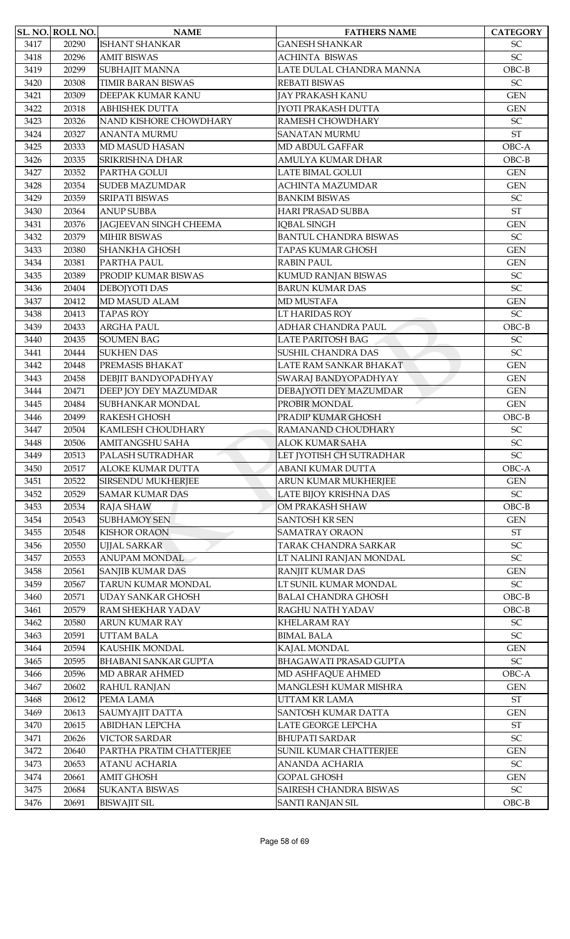|      | <b>SL. NO. ROLL NO.</b> | <b>NAME</b>                   | <b>FATHERS NAME</b>           | <b>CATEGORY</b>            |
|------|-------------------------|-------------------------------|-------------------------------|----------------------------|
| 3417 | 20290                   | <b>ISHANT SHANKAR</b>         | <b>GANESH SHANKAR</b>         | <b>SC</b>                  |
| 3418 | 20296                   | <b>AMIT BISWAS</b>            | <b>ACHINTA BISWAS</b>         | SC                         |
| 3419 | 20299                   | SUBHAJIT MANNA                | LATE DULAL CHANDRA MANNA      | $OBC-B$                    |
| 3420 | 20308                   | <b>TIMIR BARAN BISWAS</b>     | REBATI BISWAS                 | SC                         |
| 3421 | 20309                   | DEEPAK KUMAR KANU             | JAY PRAKASH KANU              | <b>GEN</b>                 |
| 3422 | 20318                   | <b>ABHISHEK DUTTA</b>         | <b>[YOTI PRAKASH DUTTA</b>    | <b>GEN</b>                 |
| 3423 | 20326                   | NAND KISHORE CHOWDHARY        | RAMESH CHOWDHARY              | SC                         |
| 3424 | 20327                   | <b>ANANTA MURMU</b>           | <b>SANATAN MURMU</b>          | <b>ST</b>                  |
| 3425 | 20333                   | MD MASUD HASAN                | MD ABDUL GAFFAR               | OBC-A                      |
| 3426 | 20335                   | SRIKRISHNA DHAR               | <b>AMULYA KUMAR DHAR</b>      | $OBC-B$                    |
| 3427 | 20352                   | PARTHA GOLUI                  | <b>LATE BIMAL GOLUI</b>       | <b>GEN</b>                 |
| 3428 | 20354                   | <b>SUDEB MAZUMDAR</b>         | <b>ACHINTA MAZUMDAR</b>       | <b>GEN</b>                 |
| 3429 | 20359                   | <b>SRIPATI BISWAS</b>         | <b>BANKIM BISWAS</b>          | SC                         |
| 3430 | 20364                   | <b>ANUP SUBBA</b>             | <b>HARI PRASAD SUBBA</b>      | <b>ST</b>                  |
| 3431 | 20376                   | <b>JAGJEEVAN SINGH CHEEMA</b> | <b>IQBAL SINGH</b>            | <b>GEN</b>                 |
| 3432 | 20379                   | <b>MIHIR BISWAS</b>           | <b>BANTUL CHANDRA BISWAS</b>  | $\ensuremath{\mathsf{SC}}$ |
| 3433 | 20380                   | <b>SHANKHA GHOSH</b>          | <b>TAPAS KUMAR GHOSH</b>      | <b>GEN</b>                 |
|      |                         |                               |                               |                            |
| 3434 | 20381                   | PARTHA PAUL                   | <b>RABIN PAUL</b>             | <b>GEN</b>                 |
| 3435 | 20389                   | PRODIP KUMAR BISWAS           | KUMUD RANJAN BISWAS           | $\ensuremath{\mathsf{SC}}$ |
| 3436 | 20404                   | DEBOJYOTI DAS                 | <b>BARUN KUMAR DAS</b>        | SC                         |
| 3437 | 20412                   | <b>MD MASUD ALAM</b>          | <b>MD MUSTAFA</b>             | <b>GEN</b>                 |
| 3438 | 20413                   | <b>TAPAS ROY</b>              | LT HARIDAS ROY                | SC                         |
| 3439 | 20433                   | <b>ARGHA PAUL</b>             | ADHAR CHANDRA PAUL            | $OBC-B$                    |
| 3440 | 20435                   | <b>SOUMEN BAG</b>             | <b>LATE PARITOSH BAG</b>      | SC                         |
| 3441 | 20444                   | <b>SUKHEN DAS</b>             | SUSHIL CHANDRA DAS            | SC                         |
| 3442 | 20448                   | PREMASIS BHAKAT               | LATE RAM SANKAR BHAKAT        | <b>GEN</b>                 |
| 3443 | 20458                   | DEBJIT BANDYOPADHYAY          | SWARAJ BANDYOPADHYAY          | <b>GEN</b>                 |
| 3444 | 20471                   | DEEP JOY DEY MAZUMDAR         | DEBAJYOTI DEY MAZUMDAR        | <b>GEN</b>                 |
| 3445 | 20484                   | SUBHANKAR MONDAL              | PROBIR MONDAL                 | <b>GEN</b>                 |
| 3446 | 20499                   | <b>RAKESH GHOSH</b>           | PRADIP KUMAR GHOSH            | $OBC-B$                    |
| 3447 | 20504                   | KAMLESH CHOUDHARY             | RAMANAND CHOUDHARY            | SC                         |
| 3448 | 20506                   | AMITANGSHU SAHA               | <b>ALOK KUMAR SAHA</b>        | $\ensuremath{\mathsf{SC}}$ |
| 3449 | 20513                   | PALASH SUTRADHAR              | LET JYOTISH CH SUTRADHAR      | SC                         |
| 3450 | 20517                   | <b>ALOKE KUMAR DUTTA</b>      | ABANI KUMAR DUTTA             | OBC-A                      |
| 3451 | 20522                   | <b>SIRSENDU MUKHERJEE</b>     | ARUN KUMAR MUKHERJEE          | <b>GEN</b>                 |
| 3452 | 20529                   | <b>SAMAR KUMAR DAS</b>        | LATE BIJOY KRISHNA DAS        | $\ensuremath{\mathsf{SC}}$ |
| 3453 | 20534                   | <b>RAJA SHAW</b>              | OM PRAKASH SHAW               | $OBC-B$                    |
| 3454 | 20543                   | <b>SUBHAMOY SEN</b>           | <b>SANTOSH KR SEN</b>         | <b>GEN</b>                 |
| 3455 | 20548                   | <b>KISHOR ORAON</b>           | <b>SAMATRAY ORAON</b>         | ST                         |
| 3456 | 20550                   | <b>UJJAL SARKAR</b>           | TARAK CHANDRA SARKAR          | $\ensuremath{\mathsf{SC}}$ |
| 3457 | 20553                   | ANUPAM MONDAL                 | LT NALINI RANJAN MONDAL       | SC                         |
| 3458 | 20561                   | <b>SANJIB KUMAR DAS</b>       | RANJIT KUMAR DAS              | <b>GEN</b>                 |
| 3459 | 20567                   | TARUN KUMAR MONDAL            | LT SUNIL KUMAR MONDAL         | SC                         |
| 3460 | 20571                   | <b>UDAY SANKAR GHOSH</b>      | <b>BALAI CHANDRA GHOSH</b>    | $OBC-B$                    |
| 3461 | 20579                   | RAM SHEKHAR YADAV             | RAGHU NATH YADAV              | $OBC-B$                    |
| 3462 | 20580                   | <b>ARUN KUMAR RAY</b>         | KHELARAM RAY                  | $\ensuremath{\mathsf{SC}}$ |
| 3463 | 20591                   | <b>UTTAM BALA</b>             | <b>BIMAL BALA</b>             | SC                         |
| 3464 | 20594                   | KAUSHIK MONDAL                | KAJAL MONDAL                  | <b>GEN</b>                 |
| 3465 | 20595                   | <b>BHABANI SANKAR GUPTA</b>   | <b>BHAGAWATI PRASAD GUPTA</b> | $\ensuremath{\mathsf{SC}}$ |
| 3466 | 20596                   | MD ABRAR AHMED                | MD ASHFAQUE AHMED             | OBC-A                      |
| 3467 | 20602                   | <b>RAHUL RANJAN</b>           | MANGLESH KUMAR MISHRA         | <b>GEN</b>                 |
| 3468 | 20612                   | PEMA LAMA                     | UTTAM KR LAMA                 | $\operatorname{ST}$        |
| 3469 |                         |                               | <b>SANTOSH KUMAR DATTA</b>    |                            |
|      | 20613                   | SAUMYAJIT DATTA               |                               | <b>GEN</b>                 |
| 3470 | 20615                   | <b>ABIDHAN LEPCHA</b>         | LATE GEORGE LEPCHA            | <b>ST</b>                  |
| 3471 | 20626                   | <b>VICTOR SARDAR</b>          | <b>BHUPATI SARDAR</b>         | SC                         |
| 3472 | 20640                   | PARTHA PRATIM CHATTERJEE      | <b>SUNIL KUMAR CHATTERJEE</b> | <b>GEN</b>                 |
| 3473 | 20653                   | <b>ATANU ACHARIA</b>          | <b>ANANDA ACHARIA</b>         | $\ensuremath{\mathsf{SC}}$ |
| 3474 | 20661                   | <b>AMIT GHOSH</b>             | <b>GOPAL GHOSH</b>            | <b>GEN</b>                 |
| 3475 | 20684                   | <b>SUKANTA BISWAS</b>         | SAIRESH CHANDRA BISWAS        | $\ensuremath{\mathsf{SC}}$ |
| 3476 | 20691                   | <b>BISWAJIT SIL</b>           | <b>SANTI RANJAN SIL</b>       | $OBC-B$                    |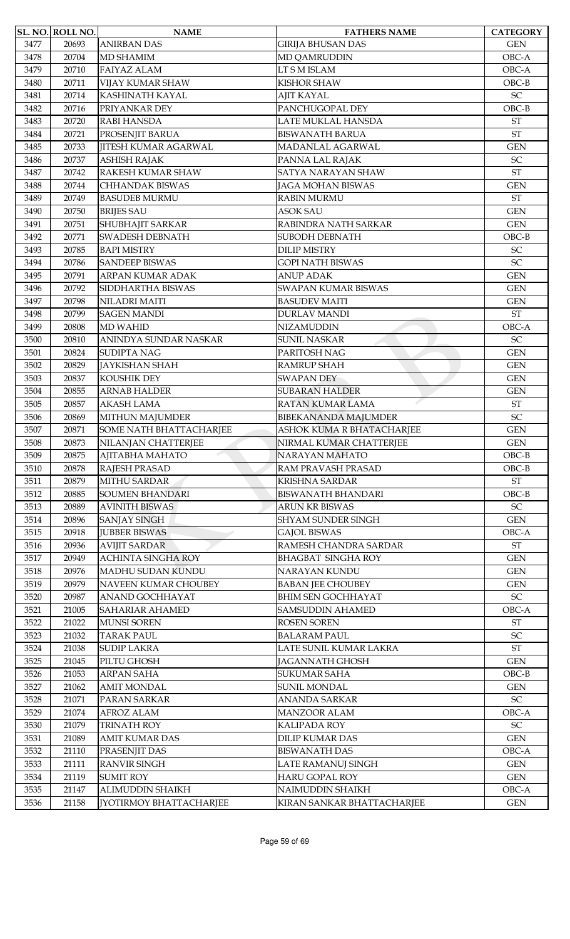|      | SL. NO. ROLL NO. | <b>NAME</b>                    | <b>FATHERS NAME</b>         | <b>CATEGORY</b>            |
|------|------------------|--------------------------------|-----------------------------|----------------------------|
| 3477 | 20693            | <b>ANIRBAN DAS</b>             | <b>GIRIJA BHUSAN DAS</b>    | <b>GEN</b>                 |
| 3478 | 20704            | <b>MD SHAMIM</b>               | <b>MD QAMRUDDIN</b>         | OBC-A                      |
| 3479 | 20710            | <b>FAIYAZ ALAM</b>             | LT S M ISLAM                | OBC-A                      |
| 3480 | 20711            | <b>VIJAY KUMAR SHAW</b>        | <b>KISHOR SHAW</b>          | $OBC-B$                    |
| 3481 | 20714            | KASHINATH KAYAL                | <b>AJIT KAYAL</b>           | SC                         |
| 3482 | 20716            | PRIYANKAR DEY                  | PANCHUGOPAL DEY             | $OBC-B$                    |
| 3483 | 20720            | <b>RABI HANSDA</b>             | LATE MUKLAL HANSDA          | <b>ST</b>                  |
| 3484 | 20721            | PROSENJIT BARUA                | <b>BISWANATH BARUA</b>      | <b>ST</b>                  |
| 3485 | 20733            | <b>JITESH KUMAR AGARWAL</b>    | MADANLAL AGARWAL            | <b>GEN</b>                 |
| 3486 | 20737            | <b>ASHISH RAJAK</b>            | PANNA LAL RAJAK             | SC                         |
| 3487 | 20742            | RAKESH KUMAR SHAW              | <b>SATYA NARAYAN SHAW</b>   | <b>ST</b>                  |
| 3488 | 20744            | CHHANDAK BISWAS                | <b>JAGA MOHAN BISWAS</b>    | <b>GEN</b>                 |
| 3489 | 20749            | <b>BASUDEB MURMU</b>           | <b>RABIN MURMU</b>          | <b>ST</b>                  |
| 3490 | 20750            | <b>BRIJES SAU</b>              | <b>ASOK SAU</b>             | <b>GEN</b>                 |
| 3491 | 20751            | SHUBHAJIT SARKAR               | RABINDRA NATH SARKAR        | <b>GEN</b>                 |
| 3492 | 20771            | <b>SWADESH DEBNATH</b>         | <b>SUBODH DEBNATH</b>       | $OBC-B$                    |
| 3493 | 20785            | <b>BAPI MISTRY</b>             | <b>DILIP MISTRY</b>         | SC                         |
| 3494 | 20786            | <b>SANDEEP BISWAS</b>          | <b>GOPI NATH BISWAS</b>     | SC                         |
|      |                  |                                |                             |                            |
| 3495 | 20791            | ARPAN KUMAR ADAK               | <b>ANUP ADAK</b>            | <b>GEN</b>                 |
| 3496 | 20792            | SIDDHARTHA BISWAS              | <b>SWAPAN KUMAR BISWAS</b>  | <b>GEN</b>                 |
| 3497 | 20798            | NILADRI MAITI                  | <b>BASUDEV MAITI</b>        | <b>GEN</b>                 |
| 3498 | 20799            | <b>SAGEN MANDI</b>             | <b>DURLAV MANDI</b>         | <b>ST</b>                  |
| 3499 | 20808            | <b>MD WAHID</b>                | <b>NIZAMUDDIN</b>           | OBC-A                      |
| 3500 | 20810            | ANINDYA SUNDAR NASKAR          | <b>SUNIL NASKAR</b>         | SC                         |
| 3501 | 20824            | <b>SUDIPTA NAG</b>             | PARITOSH NAG                | <b>GEN</b>                 |
| 3502 | 20829            | <b>JAYKISHAN SHAH</b>          | RAMRUP SHAH                 | <b>GEN</b>                 |
| 3503 | 20837            | KOUSHIK DEY                    | <b>SWAPAN DEY</b>           | <b>GEN</b>                 |
| 3504 | 20855            | <b>ARNAB HALDER</b>            | <b>SUBARAN HALDER</b>       | <b>GEN</b>                 |
| 3505 | 20857            | <b>AKASH LAMA</b>              | RATAN KUMAR LAMA            | $\operatorname{ST}$        |
| 3506 | 20869            | MITHUN MAJUMDER                | <b>BIBEKANANDA MAJUMDER</b> | SC                         |
| 3507 | 20871            | SOME NATH BHATTACHARJEE        | ASHOK KUMA R BHATACHARJEE   | <b>GEN</b>                 |
| 3508 | 20873            | NILANJAN CHATTERJEE            | NIRMAL KUMAR CHATTERJEE     | <b>GEN</b>                 |
| 3509 | 20875            | АЈІТАВНА МАНАТО                | <b>NARAYAN MAHATO</b>       | $OBC-B$                    |
| 3510 | 20878            | RAJESH PRASAD                  | RAM PRAVASH PRASAD          | $OBC-B$                    |
| 3511 | 20879            | <b>MITHU SARDAR</b>            | <b>KRISHNA SARDAR</b>       | <b>ST</b>                  |
| 3512 | 20885            | <b>SOUMEN BHANDARI</b>         | <b>BISWANATH BHANDARI</b>   | $OBC-B$                    |
| 3513 | 20889            | <b>AVINITH BISWAS</b>          | <b>ARUN KR BISWAS</b>       | $\ensuremath{\mathsf{SC}}$ |
| 3514 | 20896            | <b>SANJAY SINGH</b>            | <b>SHYAM SUNDER SINGH</b>   | <b>GEN</b>                 |
| 3515 | 20918            | <b>JUBBER BISWAS</b>           | <b>GAJOL BISWAS</b>         | OBC-A                      |
| 3516 | 20936            | <b>AVIJIT SARDAR</b>           | RAMESH CHANDRA SARDAR       | <b>ST</b>                  |
| 3517 | 20949            | <b>ACHINTA SINGHA ROY</b>      | <b>BHAGBAT SINGHA ROY</b>   | <b>GEN</b>                 |
| 3518 | 20976            | MADHU SUDAN KUNDU              | NARAYAN KUNDU               | <b>GEN</b>                 |
| 3519 | 20979            | NAVEEN KUMAR CHOUBEY           | <b>BABAN JEE CHOUBEY</b>    | <b>GEN</b>                 |
| 3520 | 20987            | ANAND GOCHHAYAT                | <b>BHIM SEN GOCHHAYAT</b>   | $\ensuremath{\mathsf{SC}}$ |
| 3521 | 21005            | SAHARIAR AHAMED                | <b>SAMSUDDIN AHAMED</b>     | OBC-A                      |
| 3522 | 21022            | <b>MUNSI SOREN</b>             | <b>ROSEN SOREN</b>          | ST                         |
| 3523 | 21032            | <b>TARAK PAUL</b>              | <b>BALARAM PAUL</b>         | SC                         |
| 3524 | 21038            | <b>SUDIP LAKRA</b>             | LATE SUNIL KUMAR LAKRA      | $\operatorname{ST}$        |
| 3525 | 21045            | PILTU GHOSH                    | <b>JAGANNATH GHOSH</b>      | <b>GEN</b>                 |
| 3526 | 21053            | ARPAN SAHA                     | <b>SUKUMAR SAHA</b>         | $OBC-B$                    |
| 3527 | 21062            | <b>AMIT MONDAL</b>             | <b>SUNIL MONDAL</b>         | <b>GEN</b>                 |
| 3528 | 21071            | PARAN SARKAR                   | ANANDA SARKAR               | $\ensuremath{\mathsf{SC}}$ |
| 3529 | 21074            | AFROZ ALAM                     | <b>MANZOOR ALAM</b>         | OBC-A                      |
| 3530 | 21079            | <b>TRINATH ROY</b>             | <b>KALIPADA ROY</b>         | SC                         |
| 3531 | 21089            | AMIT KUMAR DAS                 | <b>DILIP KUMAR DAS</b>      | <b>GEN</b>                 |
| 3532 | 21110            | PRASENJIT DAS                  | <b>BISWANATH DAS</b>        | OBC-A                      |
| 3533 |                  | <b>RANVIR SINGH</b>            | LATE RAMANUJ SINGH          |                            |
|      | 21111            |                                | <b>HARU GOPAL ROY</b>       | <b>GEN</b>                 |
| 3534 | 21119            | <b>SUMIT ROY</b>               |                             | <b>GEN</b>                 |
| 3535 | 21147            | ALIMUDDIN SHAIKH               | NAIMUDDIN SHAIKH            | OBC-A                      |
| 3536 | 21158            | <b>[YOTIRMOY BHATTACHARJEE</b> | KIRAN SANKAR BHATTACHARJEE  | <b>GEN</b>                 |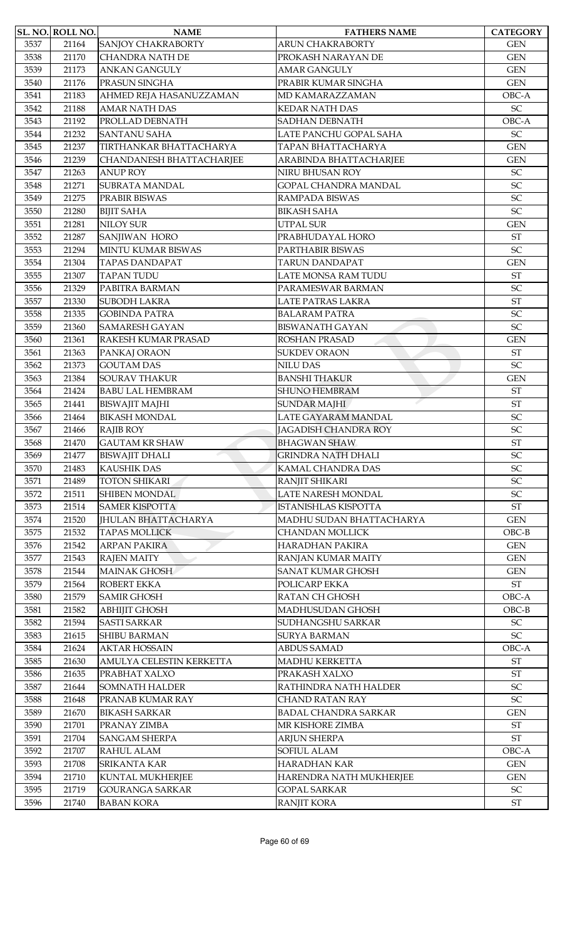|      | SL. NO. ROLL NO. | <b>NAME</b>                     | <b>FATHERS NAME</b>         | <b>CATEGORY</b>            |
|------|------------------|---------------------------------|-----------------------------|----------------------------|
| 3537 | 21164            | <b>SANJOY CHAKRABORTY</b>       | <b>ARUN CHAKRABORTY</b>     | <b>GEN</b>                 |
| 3538 | 21170            | <b>CHANDRA NATH DE</b>          | PROKASH NARAYAN DE          | <b>GEN</b>                 |
| 3539 | 21173            | <b>ANKAN GANGULY</b>            | <b>AMAR GANGULY</b>         | <b>GEN</b>                 |
| 3540 | 21176            | PRASUN SINGHA                   | PRABIR KUMAR SINGHA         | <b>GEN</b>                 |
| 3541 | 21183            | AHMED REJA HASANUZZAMAN         | MD KAMARAZZAMAN             | OBC-A                      |
| 3542 | 21188            | <b>AMAR NATH DAS</b>            | <b>KEDAR NATH DAS</b>       | $\ensuremath{\mathsf{SC}}$ |
| 3543 | 21192            | PROLLAD DEBNATH                 | <b>SADHAN DEBNATH</b>       | OBC-A                      |
| 3544 | 21232            | <b>SANTANU SAHA</b>             | LATE PANCHU GOPAL SAHA      | SC                         |
| 3545 | 21237            | TIRTHANKAR BHATTACHARYA         | TAPAN BHATTACHARYA          | <b>GEN</b>                 |
| 3546 | 21239            | <b>CHANDANESH BHATTACHARJEE</b> | ARABINDA BHATTACHARJEE      | <b>GEN</b>                 |
| 3547 | 21263            | <b>ANUP ROY</b>                 | NIRU BHUSAN ROY             | SC                         |
| 3548 | 21271            | SUBRATA MANDAL                  | <b>GOPAL CHANDRA MANDAL</b> | $\ensuremath{\mathsf{SC}}$ |
| 3549 | 21275            | PRABIR BISWAS                   | RAMPADA BISWAS              | SC                         |
| 3550 | 21280            | <b>BIJIT SAHA</b>               | <b>BIKASH SAHA</b>          | SC                         |
| 3551 | 21281            | <b>NILOY SUR</b>                | <b>UTPAL SUR</b>            | <b>GEN</b>                 |
| 3552 | 21287            | SANJIWAN HORO                   | PRABHUDAYAL HORO            | <b>ST</b>                  |
| 3553 | 21294            | <b>MINTU KUMAR BISWAS</b>       | PARTHABIR BISWAS            | SC                         |
| 3554 | 21304            | <b>TAPAS DANDAPAT</b>           | <b>TARUN DANDAPAT</b>       | <b>GEN</b>                 |
| 3555 | 21307            | <b>TAPAN TUDU</b>               | LATE MONSA RAM TUDU         | $\operatorname{ST}$        |
| 3556 | 21329            | PABITRA BARMAN                  | PARAMESWAR BARMAN           | SC                         |
| 3557 | 21330            | <b>SUBODH LAKRA</b>             | LATE PATRAS LAKRA           | <b>ST</b>                  |
| 3558 | 21335            | <b>GOBINDA PATRA</b>            | <b>BALARAM PATRA</b>        | SC                         |
| 3559 | 21360            | <b>SAMARESH GAYAN</b>           | <b>BISWANATH GAYAN</b>      | SC                         |
| 3560 | 21361            | RAKESH KUMAR PRASAD             | ROSHAN PRASAD               | <b>GEN</b>                 |
| 3561 | 21363            | PANKAJ ORAON                    | <b>SUKDEV ORAON</b>         | $\operatorname{ST}$        |
| 3562 | 21373            | <b>GOUTAM DAS</b>               | <b>NILU DAS</b>             | <b>SC</b>                  |
| 3563 | 21384            | <b>SOURAV THAKUR</b>            | <b>BANSHI THAKUR</b>        | <b>GEN</b>                 |
| 3564 | 21424            | <b>BABU LAL HEMBRAM</b>         | <b>SHUNO HEMBRAM</b>        | <b>ST</b>                  |
| 3565 | 21441            | <b>BISWAJIT MAJHI</b>           | <b>SUNDAR MAJHI</b>         | <b>ST</b>                  |
| 3566 | 21464            | <b>BIKASH MONDAL</b>            | LATE GAYARAM MANDAL         | SC                         |
| 3567 | 21466            | <b>RAJIB ROY</b>                | <b>JAGADISH CHANDRA ROY</b> | SC                         |
| 3568 | 21470            | <b>GAUTAM KR SHAW</b>           | <b>BHAGWAN SHAW</b>         | $\operatorname{ST}$        |
| 3569 | 21477            | <b>BISWAJIT DHALI</b>           | <b>GRINDRA NATH DHALI</b>   | SC                         |
| 3570 | 21483            | <b>KAUSHIK DAS</b>              | KAMAL CHANDRA DAS           | SC                         |
| 3571 | 21489            | <b>TOTON SHIKARI</b>            | RANJIT SHIKARI              | SC                         |
| 3572 | 21511            | <b>SHIBEN MONDAL</b>            | LATE NARESH MONDAL          | SC                         |
| 3573 | 21514            | <b>SAMER KISPOTTA</b>           | ISTANISHLAS KISPOTTA        | <b>ST</b>                  |
|      |                  |                                 |                             |                            |
| 3574 | 21520            | <b>IHULAN BHATTACHARYA</b>      | MADHU SUDAN BHATTACHARYA    | <b>GEN</b>                 |
| 3575 | 21532            | <b>TAPAS MOLLICK</b>            | <b>CHANDAN MOLLICK</b>      | $OBC-B$                    |
| 3576 | 21542            | ARPAN PAKIRA                    | HARADHAN PAKIRA             | <b>GEN</b>                 |
| 3577 | 21543            | <b>RAJEN MAITY</b>              | RANJAN KUMAR MAITY          | <b>GEN</b>                 |
| 3578 | 21544            | <b>MAINAK GHOSH</b>             | <b>SANAT KUMAR GHOSH</b>    | <b>GEN</b>                 |
| 3579 | 21564            | ROBERT EKKA                     | POLICARP EKKA               | $\operatorname{ST}$        |
| 3580 | 21579            | <b>SAMIR GHOSH</b>              | <b>RATAN CH GHOSH</b>       | OBC-A                      |
| 3581 | 21582            | <b>ABHIJIT GHOSH</b>            | MADHUSUDAN GHOSH            | $OBC-B$                    |
| 3582 | 21594            | <b>SASTI SARKAR</b>             | <b>SUDHANGSHU SARKAR</b>    | $\ensuremath{\mathsf{SC}}$ |
| 3583 | 21615            | <b>SHIBU BARMAN</b>             | <b>SURYA BARMAN</b>         | SC                         |
| 3584 | 21624            | <b>AKTAR HOSSAIN</b>            | <b>ABDUS SAMAD</b>          | OBC-A                      |
| 3585 | 21630            | AMULYA CELESTIN KERKETTA        | <b>MADHU KERKETTA</b>       | ST                         |
| 3586 | 21635            | PRABHAT XALXO                   | PRAKASH XALXO               | <b>ST</b>                  |
| 3587 | 21644            | <b>SOMNATH HALDER</b>           | RATHINDRA NATH HALDER       | SC                         |
| 3588 | 21648            | PRANAB KUMAR RAY                | <b>CHAND RATAN RAY</b>      | SC                         |
| 3589 | 21670            | <b>BIKASH SARKAR</b>            | <b>BADAL CHANDRA SARKAR</b> | <b>GEN</b>                 |
| 3590 | 21701            | PRANAY ZIMBA                    | MR KISHORE ZIMBA            | ST                         |
| 3591 | 21704            | <b>SANGAM SHERPA</b>            | <b>ARJUN SHERPA</b>         | <b>ST</b>                  |
| 3592 | 21707            | RAHUL ALAM                      | SOFIUL ALAM                 | OBC-A                      |
| 3593 | 21708            | <b>SRIKANTA KAR</b>             | HARADHAN KAR                | <b>GEN</b>                 |
| 3594 | 21710            | KUNTAL MUKHERJEE                | HARENDRA NATH MUKHERJEE     | <b>GEN</b>                 |
| 3595 | 21719            | <b>GOURANGA SARKAR</b>          | <b>GOPAL SARKAR</b>         | $\ensuremath{\mathsf{SC}}$ |
| 3596 | 21740            | <b>BABAN KORA</b>               | <b>RANJIT KORA</b>          | <b>ST</b>                  |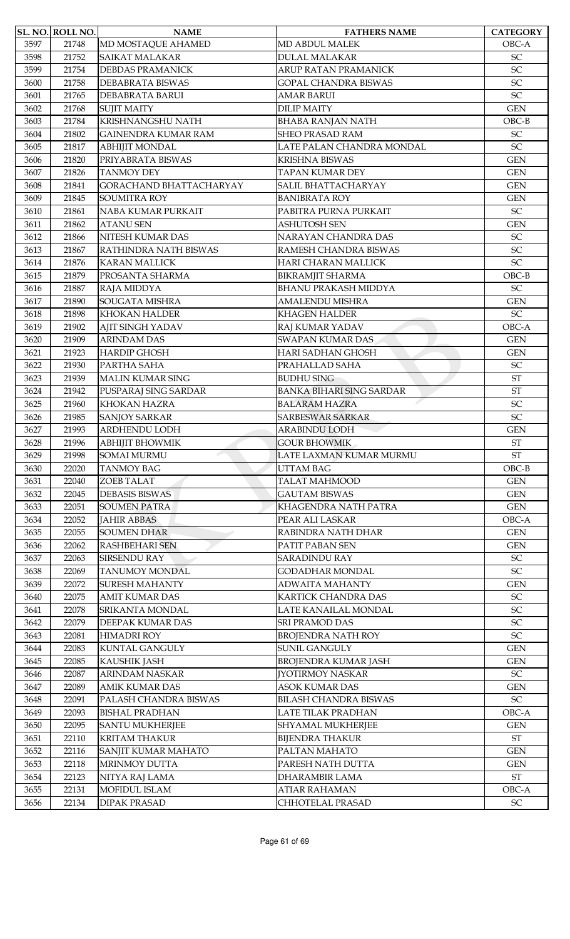|              | SL. NO. ROLL NO. | <b>NAME</b>                | <b>FATHERS NAME</b>             | <b>CATEGORY</b>            |
|--------------|------------------|----------------------------|---------------------------------|----------------------------|
| 3597         | 21748            | MD MOSTAQUE AHAMED         | <b>MD ABDUL MALEK</b>           | OBC-A                      |
| 3598         | 21752            | <b>SAIKAT MALAKAR</b>      | <b>DULAL MALAKAR</b>            | SC                         |
| 3599         | 21754            | <b>DEBDAS PRAMANICK</b>    | ARUP RATAN PRAMANICK            | SC                         |
| 3600         | 21758            | <b>DEBABRATA BISWAS</b>    | <b>GOPAL CHANDRA BISWAS</b>     | SC                         |
| 3601         | 21765            | DEBABRATA BARUI            | AMAR BARUI                      | SC                         |
| 3602         | 21768            | <b>SUJIT MAITY</b>         | <b>DILIP MAITY</b>              | <b>GEN</b>                 |
| 3603         | 21784            | KRISHNANGSHU NATH          | <b>BHABA RANJAN NATH</b>        | $OBC-B$                    |
| 3604         | 21802            | <b>GAINENDRA KUMAR RAM</b> | <b>SHEO PRASAD RAM</b>          | $\ensuremath{\mathsf{SC}}$ |
| 3605         | 21817            | <b>ABHIJIT MONDAL</b>      | LATE PALAN CHANDRA MONDAL       | SC                         |
| 3606         | 21820            | PRIYABRATA BISWAS          | <b>KRISHNA BISWAS</b>           | <b>GEN</b>                 |
| 3607         | 21826            | <b>TANMOY DEY</b>          | <b>TAPAN KUMAR DEY</b>          | <b>GEN</b>                 |
| 3608         | 21841            | GORACHAND BHATTACHARYAY    | SALIL BHATTACHARYAY             | <b>GEN</b>                 |
| 3609         | 21845            | <b>SOUMITRA ROY</b>        | <b>BANIBRATA ROY</b>            | <b>GEN</b>                 |
| 3610         | 21861            | NABA KUMAR PURKAIT         | PABITRA PURNA PURKAIT           | SC                         |
| 3611         | 21862            | <b>ATANU SEN</b>           | <b>ASHUTOSH SEN</b>             | <b>GEN</b>                 |
| 3612         | 21866            | NITESH KUMAR DAS           | NARAYAN CHANDRA DAS             | SC                         |
| 3613         | 21867            | RATHINDRA NATH BISWAS      | RAMESH CHANDRA BISWAS           | SC                         |
| 3614         | 21876            | <b>KARAN MALLICK</b>       | HARI CHARAN MALLICK             | SC                         |
| 3615         | 21879            | PROSANTA SHARMA            | <b>BIKRAMJIT SHARMA</b>         | $OBC-B$                    |
| 3616         | 21887            | RAJA MIDDYA                | <b>BHANU PRAKASH MIDDYA</b>     | <b>SC</b>                  |
| 3617         | 21890            | SOUGATA MISHRA             | <b>AMALENDU MISHRA</b>          | <b>GEN</b>                 |
|              |                  |                            |                                 | SC                         |
| 3618<br>3619 | 21898            | <b>KHOKAN HALDER</b>       | KHAGEN HALDER                   | OBC-A                      |
|              | 21902            | <b>AJIT SINGH YADAV</b>    | RAJ KUMAR YADAV                 |                            |
| 3620         | 21909            | <b>ARINDAM DAS</b>         | <b>SWAPAN KUMAR DAS</b>         | <b>GEN</b>                 |
| 3621         | 21923            | <b>HARDIP GHOSH</b>        | HARI SADHAN GHOSH               | <b>GEN</b>                 |
| 3622         | 21930            | PARTHA SAHA                | PRAHALLAD SAHA                  | $\ensuremath{\mathsf{SC}}$ |
| 3623         | 21939            | <b>MALIN KUMAR SING</b>    | <b>BUDHU SING</b>               | <b>ST</b>                  |
| 3624         | 21942            | PUSPARAJ SING SARDAR       | <b>BANKA BIHARI SING SARDAR</b> | <b>ST</b>                  |
| 3625         | 21960            | <b>KHOKAN HAZRA</b>        | <b>BALARAM HAZRA</b>            | SC                         |
| 3626         | 21985            | <b>SANJOY SARKAR</b>       | <b>SARBESWAR SARKAR</b>         | SC                         |
| 3627         | 21993            | ARDHENDU LODH              | <b>ARABINDU LODH</b>            | <b>GEN</b>                 |
| 3628         | 21996            | АВНІЈІТ ВНОWМІК            | <b>GOUR BHOWMIK</b>             | $\operatorname{ST}$        |
| 3629         | 21998            | <b>SOMAI MURMU</b>         | LATE LAXMAN KUMAR MURMU         | <b>ST</b>                  |
| 3630         | 22020            | <b>TANMOY BAG</b>          | <b>UTTAM BAG</b>                | $OBC-B$                    |
| 3631         | 22040            | <b>ZOEB TALAT</b>          | <b>TALAT MAHMOOD</b>            | <b>GEN</b>                 |
| 3632         | 22045            | <b>DEBASIS BISWAS</b>      | <b>GAUTAM BISWAS</b>            | <b>GEN</b>                 |
| 3633         | 22051            | <b>SOUMEN PATRA</b>        | KHAGENDRA NATH PATRA            | <b>GEN</b>                 |
| 3634         | 22052            | <b>JAHIR ABBAS</b>         | PEAR ALI LASKAR                 | OBC-A                      |
| 3635         | 22055            | <b>SOUMEN DHAR</b>         | RABINDRA NATH DHAR              | <b>GEN</b>                 |
| 3636         | 22062            | <b>RASHBEHARI SEN</b>      | PATIT PABAN SEN                 | <b>GEN</b>                 |
| 3637         | 22063            | SIRSENDU RAY               | <b>SARADINDU RAY</b>            | $\ensuremath{\mathsf{SC}}$ |
| 3638         | 22069            | <b>TANUMOY MONDAL</b>      | <b>GODADHAR MONDAL</b>          | SC                         |
| 3639         | 22072            | <b>SURESH MAHANTY</b>      | <b>ADWAITA MAHANTY</b>          | <b>GEN</b>                 |
| 3640         | 22075            | <b>AMIT KUMAR DAS</b>      | <b>KARTICK CHANDRA DAS</b>      | SC                         |
| 3641         | 22078            | SRIKANTA MONDAL            | LATE KANAILAL MONDAL            | $\ensuremath{\mathsf{SC}}$ |
| 3642         | 22079            | DEEPAK KUMAR DAS           | <b>SRI PRAMOD DAS</b>           | SC                         |
| 3643         | 22081            | <b>HIMADRI ROY</b>         | <b>BROJENDRA NATH ROY</b>       | SC                         |
| 3644         | 22083            | <b>KUNTAL GANGULY</b>      | <b>SUNIL GANGULY</b>            | <b>GEN</b>                 |
| 3645         | 22085            | <b>KAUSHIK JASH</b>        | <b>BROJENDRA KUMAR JASH</b>     | <b>GEN</b>                 |
| 3646         | 22087            | ARINDAM NASKAR             | <b>[YOTIRMOY NASKAR</b>         | SC                         |
| 3647         | 22089            | <b>AMIK KUMAR DAS</b>      | <b>ASOK KUMAR DAS</b>           | <b>GEN</b>                 |
| 3648         | 22091            | PALASH CHANDRA BISWAS      | <b>BILASH CHANDRA BISWAS</b>    | $\ensuremath{\mathsf{SC}}$ |
| 3649         | 22093            | <b>BISHAL PRADHAN</b>      | LATE TILAK PRADHAN              | OBC-A                      |
| 3650         | 22095            | <b>SANTU MUKHERJEE</b>     | <b>SHYAMAL MUKHERJEE</b>        | <b>GEN</b>                 |
| 3651         | 22110            | <b>KRITAM THAKUR</b>       | <b>BIJENDRA THAKUR</b>          | $\operatorname{ST}$        |
| 3652         | 22116            | SANJIT KUMAR MAHATO        | PALTAN MAHATO                   | <b>GEN</b>                 |
| 3653         | 22118            | <b>MRINMOY DUTTA</b>       | PARESH NATH DUTTA               | <b>GEN</b>                 |
| 3654         | 22123            | NITYA RAJ LAMA             | <b>DHARAMBIR LAMA</b>           | $\operatorname{ST}$        |
| 3655         | 22131            | <b>MOFIDUL ISLAM</b>       | <b>ATIAR RAHAMAN</b>            | OBC-A                      |
| 3656         | 22134            | <b>DIPAK PRASAD</b>        | CHHOTELAL PRASAD                | ${\rm SC}$                 |
|              |                  |                            |                                 |                            |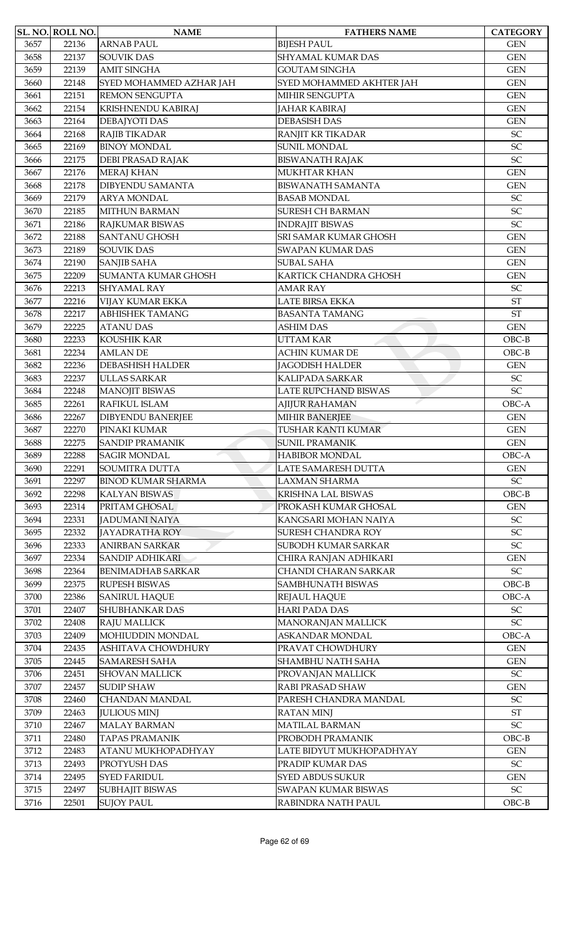|              | SL. NO. ROLL NO. | <b>NAME</b>                                 | <b>FATHERS NAME</b>                            | <b>CATEGORY</b>                          |
|--------------|------------------|---------------------------------------------|------------------------------------------------|------------------------------------------|
| 3657         | 22136            | <b>ARNAB PAUL</b>                           | <b>BIJESH PAUL</b>                             | <b>GEN</b>                               |
| 3658         | 22137            | <b>SOUVIK DAS</b>                           | SHYAMAL KUMAR DAS                              | <b>GEN</b>                               |
| 3659         | 22139            | <b>AMIT SINGHA</b>                          | <b>GOUTAM SINGHA</b>                           | <b>GEN</b>                               |
| 3660         | 22148            | SYED MOHAMMED AZHAR JAH                     | SYED MOHAMMED AKHTER JAH                       | <b>GEN</b>                               |
| 3661         | 22151            | <b>REMON SENGUPTA</b>                       | MIHIR SENGUPTA                                 | <b>GEN</b>                               |
| 3662         | 22154            | KRISHNENDU KABIRAJ                          | <b>JAHAR KABIRAJ</b>                           | <b>GEN</b>                               |
| 3663         | 22164            | DEBAJYOTI DAS                               | <b>DEBASISH DAS</b>                            | <b>GEN</b>                               |
| 3664         | 22168            | RAJIB TIKADAR                               | RANJIT KR TIKADAR                              | $\ensuremath{\mathsf{SC}}$               |
| 3665         | 22169            | <b>BINOY MONDAL</b>                         | <b>SUNIL MONDAL</b>                            | SC                                       |
| 3666         | 22175            | DEBI PRASAD RAJAK                           | <b>BISWANATH RAJAK</b>                         | SC                                       |
| 3667         | 22176            | <b>MERAJ KHAN</b>                           | <b>MUKHTAR KHAN</b>                            | <b>GEN</b>                               |
| 3668         | 22178            | <b>DIBYENDU SAMANTA</b>                     | <b>BISWANATH SAMANTA</b>                       | <b>GEN</b>                               |
| 3669         | 22179            | <b>ARYA MONDAL</b>                          | <b>BASAB MONDAL</b>                            | $\ensuremath{\mathsf{SC}}$               |
| 3670         | 22185            | <b>MITHUN BARMAN</b>                        | <b>SURESH CH BARMAN</b>                        | SC                                       |
| 3671         | 22186            | RAJKUMAR BISWAS                             | <b>INDRAJIT BISWAS</b>                         | SC                                       |
| 3672         | 22188            | <b>SANTANU GHOSH</b>                        | SRI SAMAR KUMAR GHOSH                          | <b>GEN</b>                               |
| 3673         | 22189            | <b>SOUVIK DAS</b>                           | <b>SWAPAN KUMAR DAS</b>                        | <b>GEN</b>                               |
| 3674         | 22190            | <b>SANJIB SAHA</b>                          | <b>SUBAL SAHA</b>                              | <b>GEN</b>                               |
| 3675         | 22209            | <b>SUMANTA KUMAR GHOSH</b>                  | KARTICK CHANDRA GHOSH                          | <b>GEN</b>                               |
| 3676         | 22213            | <b>SHYAMAL RAY</b>                          | <b>AMAR RAY</b>                                | $\ensuremath{\mathsf{SC}}$               |
| 3677         | 22216            | VIJAY KUMAR EKKA                            | <b>LATE BIRSA EKKA</b>                         | <b>ST</b>                                |
| 3678         | 22217            | <b>ABHISHEK TAMANG</b>                      | <b>BASANTA TAMANG</b>                          | <b>ST</b>                                |
| 3679         | 22225            | <b>ATANU DAS</b>                            | <b>ASHIM DAS</b>                               | <b>GEN</b>                               |
| 3680         | 22233            | KOUSHIK KAR                                 | <b>UTTAM KAR</b>                               | $OBC-B$                                  |
| 3681         | 22234            | <b>AMLAN DE</b>                             | <b>ACHIN KUMAR DE</b>                          | $OBC-B$                                  |
| 3682         | 22236            | <b>DEBASHISH HALDER</b>                     | <b>JAGODISH HALDER</b>                         | <b>GEN</b>                               |
| 3683         | 22237            | ULLAS SARKAR                                | KALIPADA SARKAR                                | SC                                       |
| 3684         | 22248            | <b>MANOJIT BISWAS</b>                       | <b>LATE RUPCHAND BISWAS</b>                    | SC                                       |
| 3685         |                  | RAFIKUL ISLAM                               |                                                | OBC-A                                    |
|              | 22261            |                                             | <b>AJIJUR RAHAMAN</b>                          |                                          |
| 3686<br>3687 | 22267<br>22270   | <b>DIBYENDU BANERJEE</b><br>PINAKI KUMAR    | <b>MIHIR BANERJEE</b><br>TUSHAR KANTI KUMAR    | <b>GEN</b><br><b>GEN</b>                 |
| 3688         |                  | <b>SANDIP PRAMANIK</b>                      |                                                |                                          |
| 3689         | 22275<br>22288   | <b>SAGIR MONDAL</b>                         | <b>SUNIL PRAMANIK</b><br><b>HABIBOR MONDAL</b> | <b>GEN</b><br>OBC-A                      |
|              |                  |                                             | <b>LATE SAMARESH DUTTA</b>                     |                                          |
| 3690<br>3691 | 22291<br>22297   | SOUMITRA DUTTA<br><b>BINOD KUMAR SHARMA</b> | <b>LAXMAN SHARMA</b>                           | <b>GEN</b><br>$\ensuremath{\mathsf{SC}}$ |
| 3692         | 22298            | <b>KALYAN BISWAS</b>                        | KRISHNA LAL BISWAS                             | $OBC-B$                                  |
|              |                  | PRITAM GHOSAL                               |                                                |                                          |
| 3693         | 22314            |                                             | PROKASH KUMAR GHOSAL                           | <b>GEN</b>                               |
| 3694         | 22331            | <b>JADUMANI NAIYA</b>                       | KANGSARI MOHAN NAIYA                           | $\ensuremath{\mathsf{SC}}$               |
| 3695         | 22332            | JAYADRATHA ROY                              | <b>SURESH CHANDRA ROY</b>                      | SC                                       |
| 3696         | 22333            | <b>ANIRBAN SARKAR</b>                       | <b>SUBODH KUMAR SARKAR</b>                     | $\ensuremath{\mathsf{SC}}$               |
| 3697         | 22334            | <b>SANDIP ADHIKARI</b>                      | CHIRA RANJAN ADHIKARI                          | <b>GEN</b>                               |
| 3698         | 22364            | <b>BENIMADHAB SARKAR</b>                    | CHANDI CHARAN SARKAR                           | $\ensuremath{\mathsf{SC}}$               |
| 3699         | 22375            | <b>RUPESH BISWAS</b>                        | SAMBHUNATH BISWAS                              | $OBC-B$                                  |
| 3700         | 22386            | <b>SANIRUL HAQUE</b>                        | <b>REJAUL HAQUE</b>                            | OBC-A                                    |
| 3701         | 22407            | <b>SHUBHANKAR DAS</b>                       | <b>HARI PADA DAS</b>                           | SC                                       |
| 3702         | 22408            | <b>RAJU MALLICK</b>                         | MANORANJAN MALLICK                             | SC                                       |
| 3703         | 22409            | MOHIUDDIN MONDAL                            | ASKANDAR MONDAL                                | OBC-A                                    |
| 3704         | 22435            | ASHITAVA CHOWDHURY                          | PRAVAT CHOWDHURY                               | <b>GEN</b>                               |
| 3705         | 22445            | <b>SAMARESH SAHA</b>                        | <b>SHAMBHU NATH SAHA</b>                       | <b>GEN</b>                               |
| 3706         | 22451            | <b>SHOVAN MALLICK</b>                       | PROVANJAN MALLICK                              | SC                                       |
| 3707         | 22457            | <b>SUDIP SHAW</b>                           | RABI PRASAD SHAW                               | <b>GEN</b>                               |
| 3708         | 22460            | <b>CHANDAN MANDAL</b>                       | PARESH CHANDRA MANDAL                          | $\ensuremath{\mathsf{SC}}$               |
| 3709         | 22463            | <b>JULIOUS MINJ</b>                         | <b>RATAN MINJ</b>                              | $\operatorname{ST}$                      |
| 3710         | 22467            | <b>MALAY BARMAN</b>                         | MATILAL BARMAN                                 | SC                                       |
| 3711         | 22480            | <b>TAPAS PRAMANIK</b>                       | PROBODH PRAMANIK                               | $OBC-B$                                  |
| 3712         | 22483            | ATANU MUKHOPADHYAY                          | LATE BIDYUT MUKHOPADHYAY                       | <b>GEN</b>                               |
| 3713         | 22493            | PROTYUSH DAS                                | PRADIP KUMAR DAS                               | $\ensuremath{\mathsf{SC}}$               |
| 3714         | 22495            | <b>SYED FARIDUL</b>                         | <b>SYED ABDUS SUKUR</b>                        | <b>GEN</b>                               |
| 3715         | 22497            | <b>SUBHAJIT BISWAS</b>                      | <b>SWAPAN KUMAR BISWAS</b>                     | $\ensuremath{\mathsf{SC}}$               |
| 3716         | 22501            | <b>SUJOY PAUL</b>                           | RABINDRA NATH PAUL                             | $OBC-B$                                  |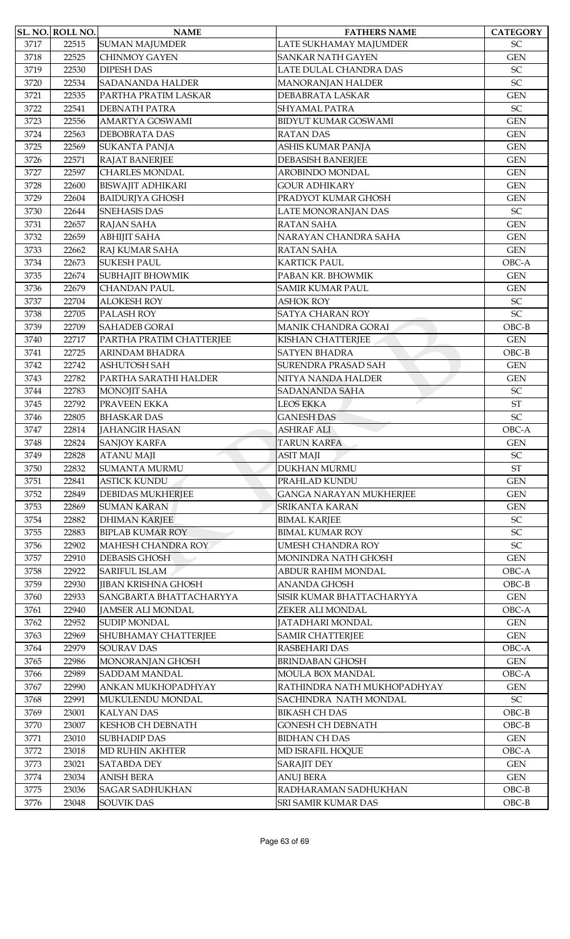|      | SL. NO. ROLL NO. | <b>NAME</b>                | <b>FATHERS NAME</b>            | <b>CATEGORY</b>            |
|------|------------------|----------------------------|--------------------------------|----------------------------|
| 3717 | 22515            | <b>SUMAN MAJUMDER</b>      | LATE SUKHAMAY MAJUMDER         | <b>SC</b>                  |
| 3718 | 22525            | <b>CHINMOY GAYEN</b>       | <b>SANKAR NATH GAYEN</b>       | <b>GEN</b>                 |
| 3719 | 22530            | <b>DIPESH DAS</b>          | LATE DULAL CHANDRA DAS         | $\ensuremath{\mathsf{SC}}$ |
| 3720 | 22534            | <b>SADANANDA HALDER</b>    | <b>MANORANJAN HALDER</b>       | SC                         |
| 3721 | 22535            | PARTHA PRATIM LASKAR       | DEBABRATA LASKAR               | <b>GEN</b>                 |
| 3722 | 22541            | <b>DEBNATH PATRA</b>       | <b>SHYAMAL PATRA</b>           | $\ensuremath{\mathsf{SC}}$ |
| 3723 | 22556            | <b>AMARTYA GOSWAMI</b>     | <b>BIDYUT KUMAR GOSWAMI</b>    | <b>GEN</b>                 |
| 3724 | 22563            | DEBOBRATA DAS              | <b>RATAN DAS</b>               | <b>GEN</b>                 |
| 3725 | 22569            | <b>SUKANTA PANJA</b>       | ASHIS KUMAR PANJA              | <b>GEN</b>                 |
| 3726 | 22571            | <b>RAJAT BANERJEE</b>      | <b>DEBASISH BANERJEE</b>       | <b>GEN</b>                 |
| 3727 | 22597            | <b>CHARLES MONDAL</b>      | AROBINDO MONDAL                | <b>GEN</b>                 |
| 3728 | 22600            | <b>BISWAJIT ADHIKARI</b>   | <b>GOUR ADHIKARY</b>           | <b>GEN</b>                 |
| 3729 | 22604            | <b>BAIDURJYA GHOSH</b>     | PRADYOT KUMAR GHOSH            | <b>GEN</b>                 |
| 3730 | 22644            | <b>SNEHASIS DAS</b>        | LATE MONORANJAN DAS            | <b>SC</b>                  |
| 3731 | 22657            | <b>RAJAN SAHA</b>          | <b>RATAN SAHA</b>              | <b>GEN</b>                 |
| 3732 | 22659            | <b>ABHIJIT SAHA</b>        | NARAYAN CHANDRA SAHA           | <b>GEN</b>                 |
| 3733 | 22662            | <b>RAJ KUMAR SAHA</b>      | <b>RATAN SAHA</b>              | <b>GEN</b>                 |
| 3734 | 22673            | <b>SUKESH PAUL</b>         | KARTICK PAUL                   | OBC-A                      |
| 3735 | 22674            | <b>SUBHAJIT BHOWMIK</b>    | PABAN KR. BHOWMIK              | <b>GEN</b>                 |
| 3736 | 22679            | <b>CHANDAN PAUL</b>        | <b>SAMIR KUMAR PAUL</b>        | <b>GEN</b>                 |
| 3737 | 22704            | <b>ALOKESH ROY</b>         | <b>ASHOK ROY</b>               | SC                         |
| 3738 | 22705            | PALASH ROY                 | <b>SATYA CHARAN ROY</b>        | SC                         |
| 3739 | 22709            | <b>SAHADEB GORAI</b>       | MANIK CHANDRA GORAI            | $OBC-B$                    |
| 3740 | 22717            | PARTHA PRATIM CHATTERJEE   | KISHAN CHATTERJEE              | <b>GEN</b>                 |
| 3741 | 22725            | ARINDAM BHADRA             | <b>SATYEN BHADRA</b>           | $OBC-B$                    |
| 3742 | 22742            | <b>ASHUTOSH SAH</b>        | <b>SURENDRA PRASAD SAH</b>     | <b>GEN</b>                 |
| 3743 | 22782            | PARTHA SARATHI HALDER      | NITYA NANDA HALDER             | <b>GEN</b>                 |
| 3744 | 22783            | MONOJIT SAHA               | <b>SADANANDA SAHA</b>          | $\ensuremath{\mathsf{SC}}$ |
| 3745 | 22792            | PRAVEEN EKKA               | <b>LEOS EKKA</b>               | <b>ST</b>                  |
| 3746 | 22805            | <b>BHASKAR DAS</b>         | <b>GANESH DAS</b>              | SC                         |
| 3747 | 22814            | <b>JAHANGIR HASAN</b>      | <b>ASHRAF ALI</b>              | OBC-A                      |
| 3748 | 22824            | <b>SANJOY KARFA</b>        | <b>TARUN KARFA</b>             | <b>GEN</b>                 |
| 3749 | 22828            | <b>ATANU MAJI</b>          | <b>ASIT MAJI</b>               | SC                         |
| 3750 | 22832            | <b>SUMANTA MURMU</b>       | <b>DUKHAN MURMU</b>            | <b>ST</b>                  |
| 3751 | 22841            | <b>ASTICK KUNDU</b>        | PRAHLAD KUNDU                  | <b>GEN</b>                 |
| 3752 | 22849            | <b>DEBIDAS MUKHERJEE</b>   | <b>GANGA NARAYAN MUKHERJEE</b> | <b>GEN</b>                 |
| 3753 | 22869            | <b>SUMAN KARAN</b>         | <b>SRIKANTA KARAN</b>          | <b>GEN</b>                 |
| 3754 | 22882            | <b>DHIMAN KARJEE</b>       | <b>BIMAL KARJEE</b>            | SC                         |
| 3755 | 22883            | <b>BIPLAB KUMAR ROY</b>    | <b>BIMAL KUMAR ROY</b>         | SC                         |
| 3756 | 22902            | <b>MAHESH CHANDRA ROY</b>  | <b>UMESH CHANDRA ROY</b>       | SC                         |
| 3757 | 22910            | <b>DEBASIS GHOSH</b>       | MONINDRA NATH GHOSH            | <b>GEN</b>                 |
| 3758 | 22922            | <b>SARIFUL ISLAM</b>       | ABDUR RAHIM MONDAL             | OBC-A                      |
| 3759 | 22930            | <b>JIBAN KRISHNA GHOSH</b> | <b>ANANDA GHOSH</b>            | $OBC-B$                    |
| 3760 | 22933            | SANGBARTA BHATTACHARYYA    | SISIR KUMAR BHATTACHARYYA      | <b>GEN</b>                 |
| 3761 | 22940            | <b>JAMSER ALI MONDAL</b>   | ZEKER ALI MONDAL               | OBC-A                      |
| 3762 | 22952            | <b>SUDIP MONDAL</b>        | JATADHARI MONDAL               | $\mbox{GEN}$               |
| 3763 | 22969            | SHUBHAMAY CHATTERJEE       | <b>SAMIR CHATTERJEE</b>        | <b>GEN</b>                 |
| 3764 | 22979            | <b>SOURAV DAS</b>          | RASBEHARI DAS                  | OBC-A                      |
| 3765 | 22986            | MONORANJAN GHOSH           | <b>BRINDABAN GHOSH</b>         | <b>GEN</b>                 |
| 3766 | 22989            | <b>SADDAM MANDAL</b>       | MOULA BOX MANDAL               | OBC-A                      |
| 3767 | 22990            | ANKAN MUKHOPADHYAY         | RATHINDRA NATH MUKHOPADHYAY    | <b>GEN</b>                 |
| 3768 | 22991            | MUKULENDU MONDAL           | SACHINDRA NATH MONDAL          | $\ensuremath{\mathsf{SC}}$ |
| 3769 | 23001            | <b>KALYAN DAS</b>          | <b>BIKASH CH DAS</b>           | $OBC-B$                    |
| 3770 | 23007            | <b>KESHOB CH DEBNATH</b>   | <b>GONESH CH DEBNATH</b>       | $OBC-B$                    |
| 3771 | 23010            | <b>SUBHADIP DAS</b>        | <b>BIDHAN CH DAS</b>           | <b>GEN</b>                 |
| 3772 | 23018            | <b>MD RUHIN AKHTER</b>     | MD ISRAFIL HOQUE               | OBC-A                      |
| 3773 | 23021            | <b>SATABDA DEY</b>         | <b>SARAJIT DEY</b>             | <b>GEN</b>                 |
| 3774 | 23034            | <b>ANISH BERA</b>          | <b>ANUJ BERA</b>               | <b>GEN</b>                 |
| 3775 | 23036            | <b>SAGAR SADHUKHAN</b>     | RADHARAMAN SADHUKHAN           | $OBC-B$                    |
| 3776 | 23048            | <b>SOUVIK DAS</b>          | SRI SAMIR KUMAR DAS            | $OBC-B$                    |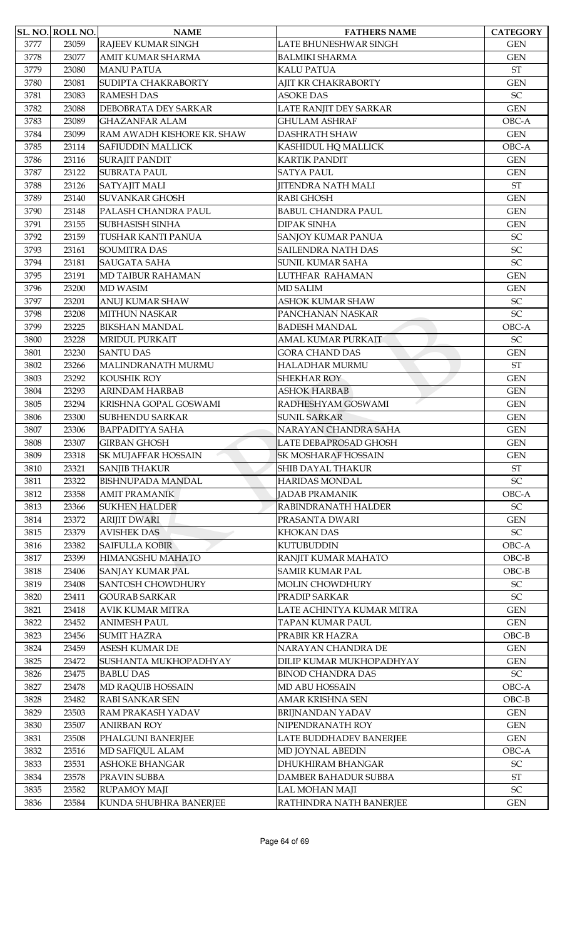|      | <b>SL. NO. ROLL NO.</b> | <b>NAME</b>                | <b>FATHERS NAME</b>                         | <b>CATEGORY</b>            |
|------|-------------------------|----------------------------|---------------------------------------------|----------------------------|
| 3777 | 23059                   | RAJEEV KUMAR SINGH         | LATE BHUNESHWAR SINGH                       | <b>GEN</b>                 |
| 3778 | 23077                   | AMIT KUMAR SHARMA          | <b>BALMIKI SHARMA</b>                       | <b>GEN</b>                 |
| 3779 | 23080                   | <b>MANU PATUA</b>          | <b>KALU PATUA</b>                           | $\operatorname{ST}$        |
| 3780 | 23081                   | SUDIPTA CHAKRABORTY        | AJIT KR CHAKRABORTY                         | <b>GEN</b>                 |
| 3781 | 23083                   | <b>RAMESH DAS</b>          | <b>ASOKE DAS</b>                            | SC                         |
| 3782 | 23088                   | DEBOBRATA DEY SARKAR       | LATE RANJIT DEY SARKAR                      | <b>GEN</b>                 |
| 3783 | 23089                   | <b>GHAZANFAR ALAM</b>      | <b>GHULAM ASHRAF</b>                        | OBC-A                      |
| 3784 | 23099                   | RAM AWADH KISHORE KR. SHAW | <b>DASHRATH SHAW</b>                        | <b>GEN</b>                 |
| 3785 | 23114                   | <b>SAFIUDDIN MALLICK</b>   | KASHIDUL HQ MALLICK                         | OBC-A                      |
| 3786 | 23116                   | <b>SURAJIT PANDIT</b>      | <b>KARTIK PANDIT</b>                        | <b>GEN</b>                 |
| 3787 | 23122                   | <b>SUBRATA PAUL</b>        | <b>SATYA PAUL</b>                           | <b>GEN</b>                 |
| 3788 | 23126                   | SATYAJIT MALI              | JITENDRA NATH MALI                          | <b>ST</b>                  |
| 3789 | 23140                   | <b>SUVANKAR GHOSH</b>      | RABI GHOSH                                  | <b>GEN</b>                 |
| 3790 | 23148                   | PALASH CHANDRA PAUL        | <b>BABUL CHANDRA PAUL</b>                   | <b>GEN</b>                 |
| 3791 | 23155                   | <b>SUBHASISH SINHA</b>     | <b>DIPAK SINHA</b>                          | <b>GEN</b>                 |
| 3792 | 23159                   | TUSHAR KANTI PANUA         | <b>SANJOY KUMAR PANUA</b>                   | SC                         |
| 3793 | 23161                   | <b>SOUMITRA DAS</b>        | SAILENDRA NATH DAS                          | SC                         |
| 3794 | 23181                   | <b>SAUGATA SAHA</b>        | <b>SUNIL KUMAR SAHA</b>                     | SC                         |
| 3795 | 23191                   | MD TAIBUR RAHAMAN          | LUTHFAR RAHAMAN                             | <b>GEN</b>                 |
| 3796 | 23200                   | <b>MD WASIM</b>            | <b>MD SALIM</b>                             | <b>GEN</b>                 |
| 3797 | 23201                   | ANUJ KUMAR SHAW            | ASHOK KUMAR SHAW                            | SC                         |
| 3798 | 23208                   | <b>MITHUN NASKAR</b>       | PANCHANAN NASKAR                            | SC                         |
| 3799 | 23225                   | <b>BIKSHAN MANDAL</b>      | <b>BADESH MANDAL</b>                        | OBC-A                      |
| 3800 | 23228                   | <b>MRIDUL PURKAIT</b>      | AMAL KUMAR PURKAIT                          | SC                         |
| 3801 | 23230                   | <b>SANTU DAS</b>           | <b>GORA CHAND DAS</b>                       | <b>GEN</b>                 |
| 3802 | 23266                   | MALINDRANATH MURMU         | <b>HALADHAR MURMU</b>                       | <b>ST</b>                  |
| 3803 | 23292                   | KOUSHIK ROY                | <b>SHEKHAR ROY</b>                          | <b>GEN</b>                 |
| 3804 | 23293                   | ARINDAM HARBAB             | <b>ASHOK HARBAB</b>                         | <b>GEN</b>                 |
|      |                         | KRISHNA GOPAL GOSWAMI      |                                             | <b>GEN</b>                 |
| 3805 | 23294                   |                            | RADHESHYAM GOSWAMI                          |                            |
| 3806 | 23300                   | <b>SUBHENDU SARKAR</b>     | <b>SUNIL SARKAR</b><br>NARAYAN CHANDRA SAHA | <b>GEN</b>                 |
| 3807 | 23306                   | <b>BAPPADITYA SAHA</b>     |                                             | <b>GEN</b>                 |
| 3808 | 23307                   | <b>GIRBAN GHOSH</b>        | <b>LATE DEBAPROSAD GHOSH</b>                | <b>GEN</b>                 |
| 3809 | 23318                   | SK MUJAFFAR HOSSAIN        | SK MOSHARAF HOSSAIN                         | <b>GEN</b>                 |
| 3810 | 23321                   | <b>SANJIB THAKUR</b>       | SHIB DAYAL THAKUR                           | $\operatorname{ST}$        |
| 3811 | 23322                   | <b>BISHNUPADA MANDAL</b>   | <b>HARIDAS MONDAL</b>                       | SC                         |
| 3812 | 23358                   | <b>AMIT PRAMANIK</b>       | <b>JADAB PRAMANIK</b>                       | OBC-A                      |
| 3813 | 23366                   | <b>SUKHEN HALDER</b>       | RABINDRANATH HALDER                         | SC                         |
| 3814 | 23372                   | <b>ARIJIT DWARI</b>        | PRASANTA DWARI                              | <b>GEN</b>                 |
| 3815 | 23379                   | <b>AVISHEK DAS</b>         | <b>KHOKAN DAS</b>                           | SC                         |
| 3816 | 23382                   | <b>SAIFULLA KOBIR</b>      | <b>KUTUBUDDIN</b>                           | OBC-A                      |
| 3817 | 23399                   | <b>HIMANGSHU MAHATO</b>    | RANJIT KUMAR MAHATO                         | $OBC-B$                    |
| 3818 | 23406                   | <b>SANJAY KUMAR PAL</b>    | SAMIR KUMAR PAL                             | $OBC-B$                    |
| 3819 | 23408                   | <b>SANTOSH CHOWDHURY</b>   | <b>MOLIN CHOWDHURY</b>                      | $\ensuremath{\mathsf{SC}}$ |
| 3820 | 23411                   | <b>GOURAB SARKAR</b>       | PRADIP SARKAR                               | SC                         |
| 3821 | 23418                   | <b>AVIK KUMAR MITRA</b>    | LATE ACHINTYA KUMAR MITRA                   | <b>GEN</b>                 |
| 3822 | 23452                   | <b>ANIMESH PAUL</b>        | TAPAN KUMAR PAUL                            | <b>GEN</b>                 |
| 3823 | 23456                   | <b>SUMIT HAZRA</b>         | PRABIR KR HAZRA                             | $OBC-B$                    |
| 3824 | 23459                   | ASESH KUMAR DE             | NARAYAN CHANDRA DE                          | <b>GEN</b>                 |
| 3825 | 23472                   | SUSHANTA MUKHOPADHYAY      | DILIP KUMAR MUKHOPADHYAY                    | <b>GEN</b>                 |
| 3826 | 23475                   | <b>BABLU DAS</b>           | <b>BINOD CHANDRA DAS</b>                    | SC                         |
| 3827 | 23478                   | MD RAQUIB HOSSAIN          | <b>MD ABU HOSSAIN</b>                       | OBC-A                      |
| 3828 | 23482                   | <b>RABI SANKAR SEN</b>     | AMAR KRISHNA SEN                            | $OBC-B$                    |
| 3829 | 23503                   | RAM PRAKASH YADAV          | <b>BRIJNANDAN YADAV</b>                     | <b>GEN</b>                 |
| 3830 | 23507                   | <b>ANIRBAN ROY</b>         | NIPENDRANATH ROY                            | <b>GEN</b>                 |
| 3831 | 23508                   | PHALGUNI BANERJEE          | LATE BUDDHADEV BANERJEE                     | <b>GEN</b>                 |
| 3832 | 23516                   | MD SAFIQUL ALAM            | MD JOYNAL ABEDIN                            | OBC-A                      |
| 3833 | 23531                   | <b>ASHOKE BHANGAR</b>      | DHUKHIRAM BHANGAR                           | SC                         |
| 3834 | 23578                   | PRAVIN SUBBA               | DAMBER BAHADUR SUBBA                        | <b>ST</b>                  |
| 3835 | 23582                   | <b>RUPAMOY MAJI</b>        | LAL MOHAN MAJI                              | SC                         |
| 3836 | 23584                   | KUNDA SHUBHRA BANERJEE     | RATHINDRA NATH BANERJEE                     | <b>GEN</b>                 |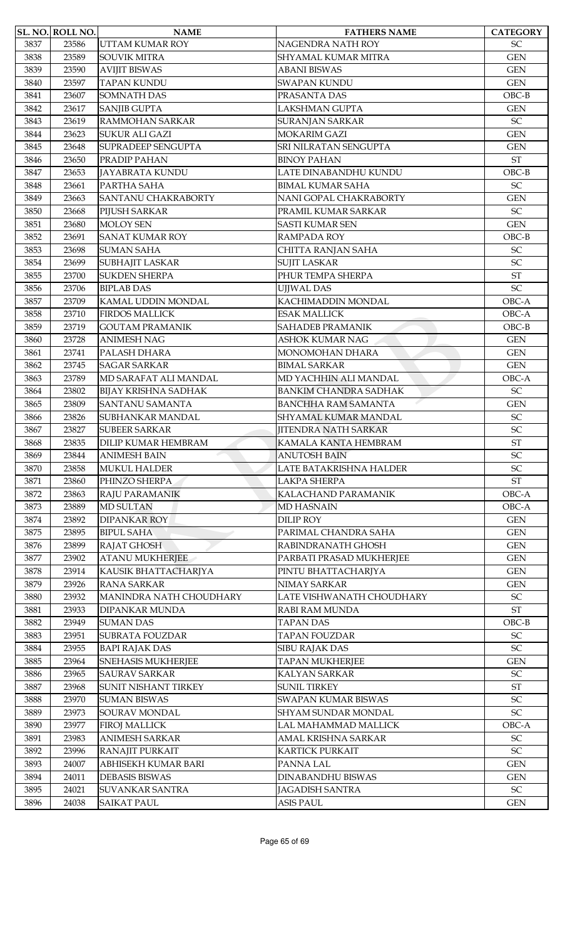|      | SL. NO. ROLL NO. | <b>NAME</b>                                | <b>FATHERS NAME</b>                         | <b>CATEGORY</b>            |
|------|------------------|--------------------------------------------|---------------------------------------------|----------------------------|
| 3837 | 23586            | UTTAM KUMAR ROY                            | NAGENDRA NATH ROY                           | <b>SC</b>                  |
| 3838 | 23589            | <b>SOUVIK MITRA</b>                        | SHYAMAL KUMAR MITRA                         | <b>GEN</b>                 |
| 3839 | 23590            | <b>AVIJIT BISWAS</b>                       | <b>ABANI BISWAS</b>                         | <b>GEN</b>                 |
| 3840 | 23597            | <b>TAPAN KUNDU</b>                         | <b>SWAPAN KUNDU</b>                         | <b>GEN</b>                 |
| 3841 | 23607            | <b>SOMNATH DAS</b>                         | PRASANTA DAS                                | $OBC-B$                    |
| 3842 | 23617            | <b>SANJIB GUPTA</b>                        | <b>LAKSHMAN GUPTA</b>                       | <b>GEN</b>                 |
| 3843 | 23619            | <b>RAMMOHAN SARKAR</b>                     | <b>SURANJAN SARKAR</b>                      | SC                         |
| 3844 | 23623            | <b>SUKUR ALI GAZI</b>                      | <b>MOKARIM GAZI</b>                         | <b>GEN</b>                 |
| 3845 | 23648            | SUPRADEEP SENGUPTA                         | SRI NILRATAN SENGUPTA                       | <b>GEN</b>                 |
| 3846 | 23650            | PRADIP PAHAN                               | <b>BINOY PAHAN</b>                          | <b>ST</b>                  |
| 3847 | 23653            | <b>JAYABRATA KUNDU</b>                     | LATE DINABANDHU KUNDU                       | $OBC-B$                    |
| 3848 | 23661            | PARTHA SAHA                                | <b>BIMAL KUMAR SAHA</b>                     | $\ensuremath{\mathsf{SC}}$ |
| 3849 | 23663            | <b>SANTANU CHAKRABORTY</b>                 | NANI GOPAL CHAKRABORTY                      | <b>GEN</b>                 |
| 3850 | 23668            | PIJUSH SARKAR                              | PRAMIL KUMAR SARKAR                         | $\ensuremath{\mathsf{SC}}$ |
| 3851 | 23680            | <b>MOLOY SEN</b>                           | <b>SASTI KUMAR SEN</b>                      | <b>GEN</b>                 |
| 3852 | 23691            | <b>SANAT KUMAR ROY</b>                     | RAMPADA ROY                                 | $OBC-B$                    |
| 3853 | 23698            | <b>SUMAN SAHA</b>                          | CHITTA RANJAN SAHA                          | $\ensuremath{\mathsf{SC}}$ |
| 3854 | 23699            | <b>SUBHAJIT LASKAR</b>                     | <b>SUJIT LASKAR</b>                         | SC                         |
| 3855 | 23700            | <b>SUKDEN SHERPA</b>                       | PHUR TEMPA SHERPA                           | $\operatorname{ST}$        |
| 3856 | 23706            | <b>BIPLAB DAS</b>                          | UJJWAL DAS                                  | <b>SC</b>                  |
| 3857 | 23709            | KAMAL UDDIN MONDAL                         | KACHIMADDIN MONDAL                          | OBC-A                      |
| 3858 | 23710            | <b>FIRDOS MALLICK</b>                      | <b>ESAK MALLICK</b>                         | OBC-A                      |
| 3859 | 23719            | <b>GOUTAM PRAMANIK</b>                     | SAHADEB PRAMANIK                            | $OBC-B$                    |
| 3860 | 23728            | <b>ANIMESH NAG</b>                         | <b>ASHOK KUMAR NAG</b>                      | <b>GEN</b>                 |
| 3861 | 23741            | PALASH DHARA                               | MONOMOHAN DHARA                             | <b>GEN</b>                 |
| 3862 | 23745            | <b>SAGAR SARKAR</b>                        | <b>BIMAL SARKAR</b>                         | <b>GEN</b>                 |
| 3863 | 23789            | MD SARAFAT ALI MANDAL                      | MD YACHHIN ALI MANDAL                       | OBC-A                      |
| 3864 | 23802            | <b>BIJAY KRISHNA SADHAK</b>                | <b>BANKIM CHANDRA SADHAK</b>                | $\ensuremath{\mathsf{SC}}$ |
| 3865 | 23809            | <b>SANTANU SAMANTA</b>                     | <b>BANCHHA RAM SAMANTA</b>                  | <b>GEN</b>                 |
| 3866 | 23826            | SUBHANKAR MANDAL                           | SHYAMAL KUMAR MANDAL                        | $\ensuremath{\mathsf{SC}}$ |
| 3867 | 23827            | <b>SUBEER SARKAR</b>                       | <b>JITENDRA NATH SARKAR</b>                 | SC                         |
| 3868 | 23835            |                                            |                                             | $\operatorname{ST}$        |
| 3869 | 23844            | DILIP KUMAR HEMBRAM<br><b>ANIMESH BAIN</b> | KAMALA KANTA HEMBRAM<br><b>ANUTOSH BAIN</b> | SC                         |
| 3870 | 23858            | <b>MUKUL HALDER</b>                        | LATE BATAKRISHNA HALDER                     | SC                         |
| 3871 | 23860            | PHINZO SHERPA                              | LAKPA SHERPA                                | $\operatorname{ST}$        |
| 3872 | 23863            | <b>RAJU PARAMANIK</b>                      | KALACHAND PARAMANIK                         | OBC-A                      |
| 3873 | 23889            | <b>MD SULTAN</b>                           | <b>MD HASNAIN</b>                           | OBC-A                      |
|      |                  |                                            |                                             |                            |
| 3874 | 23892            | <b>DIPANKAR ROY</b>                        | <b>DILIP ROY</b>                            | <b>GEN</b>                 |
| 3875 | 23895            | <b>BIPUL SAHA</b>                          | PARIMAL CHANDRA SAHA                        | <b>GEN</b>                 |
| 3876 | 23899            | RAJAT GHOSH                                | RABINDRANATH GHOSH                          | <b>GEN</b>                 |
| 3877 | 23902            | <b>ATANU MUKHERJEE</b>                     | PARBATI PRASAD MUKHERJEE                    | <b>GEN</b>                 |
| 3878 | 23914            | KAUSIK BHATTACHARJYA                       | PINTU BHATTACHARJYA                         | <b>GEN</b>                 |
| 3879 | 23926            | <b>RANA SARKAR</b>                         | NIMAY SARKAR                                | <b>GEN</b>                 |
| 3880 | 23932            | MANINDRA NATH CHOUDHARY                    | LATE VISHWANATH CHOUDHARY                   | $\ensuremath{\mathsf{SC}}$ |
| 3881 | 23933            | DIPANKAR MUNDA                             | RABI RAM MUNDA                              | <b>ST</b>                  |
| 3882 | 23949            | <b>SUMAN DAS</b>                           | <b>TAPAN DAS</b>                            | $OBC-B$                    |
| 3883 | 23951            | <b>SUBRATA FOUZDAR</b>                     | <b>TAPAN FOUZDAR</b>                        | SC                         |
| 3884 | 23955            | <b>BAPI RAJAK DAS</b>                      | SIBU RAJAK DAS                              | SC                         |
| 3885 | 23964            | <b>SNEHASIS MUKHERJEE</b>                  | <b>TAPAN MUKHERJEE</b>                      | <b>GEN</b>                 |
| 3886 | 23965            | <b>SAURAV SARKAR</b>                       | KALYAN SARKAR                               | SC                         |
| 3887 | 23968            | SUNIT NISHANT TIRKEY                       | <b>SUNIL TIRKEY</b>                         | <b>ST</b>                  |
| 3888 | 23970            | <b>SUMAN BISWAS</b>                        | SWAPAN KUMAR BISWAS                         | SC                         |
| 3889 | 23973            | SOURAV MONDAL                              | SHYAM SUNDAR MONDAL                         | SC                         |
| 3890 | 23977            | <b>FIROJ MALLICK</b>                       | LAL MAHAMMAD MALLICK                        | OBC-A                      |
| 3891 | 23983            | <b>ANIMESH SARKAR</b>                      | AMAL KRISHNA SARKAR                         | SC                         |
| 3892 | 23996            | <b>RANAJIT PURKAIT</b>                     | <b>KARTICK PURKAIT</b>                      | <b>SC</b>                  |
| 3893 | 24007            | ABHISEKH KUMAR BARI                        | PANNA LAL                                   | <b>GEN</b>                 |
| 3894 | 24011            | <b>DEBASIS BISWAS</b>                      | <b>DINABANDHU BISWAS</b>                    | <b>GEN</b>                 |
| 3895 | 24021            | <b>SUVANKAR SANTRA</b>                     | <b>JAGADISH SANTRA</b>                      | $\ensuremath{\mathsf{SC}}$ |
| 3896 | 24038            | <b>SAIKAT PAUL</b>                         | <b>ASIS PAUL</b>                            | <b>GEN</b>                 |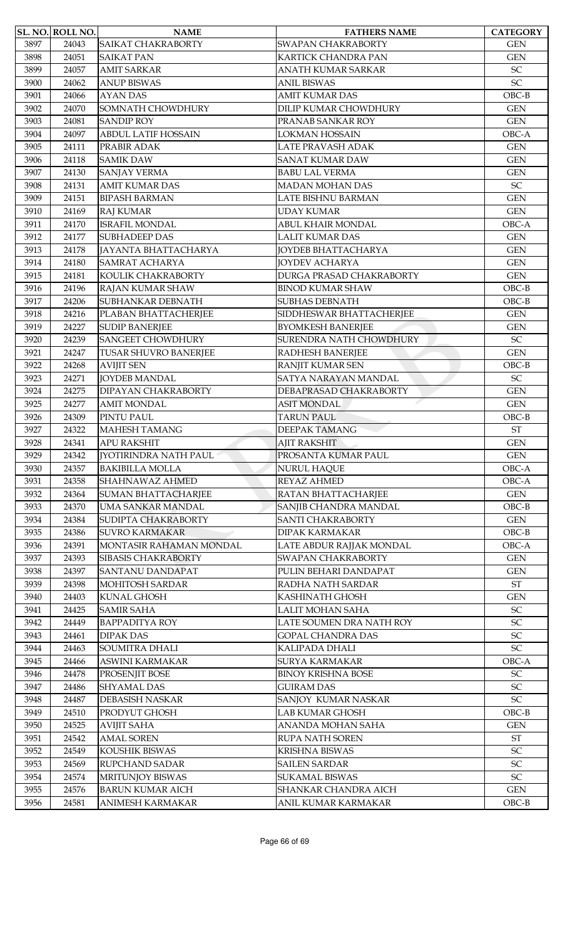|      | SL. NO. ROLL NO. | <b>NAME</b>                  | <b>FATHERS NAME</b>         | <b>CATEGORY</b>            |
|------|------------------|------------------------------|-----------------------------|----------------------------|
| 3897 | 24043            | <b>SAIKAT CHAKRABORTY</b>    | <b>SWAPAN CHAKRABORTY</b>   | <b>GEN</b>                 |
| 3898 | 24051            | <b>SAIKAT PAN</b>            | KARTICK CHANDRA PAN         | <b>GEN</b>                 |
| 3899 | 24057            | <b>AMIT SARKAR</b>           | ANATH KUMAR SARKAR          | $\ensuremath{\mathsf{SC}}$ |
| 3900 | 24062            | <b>ANUP BISWAS</b>           | <b>ANIL BISWAS</b>          | SC                         |
| 3901 | 24066            | <b>AYAN DAS</b>              | <b>AMIT KUMAR DAS</b>       | $OBC-B$                    |
| 3902 | 24070            | SOMNATH CHOWDHURY            | DILIP KUMAR CHOWDHURY       | <b>GEN</b>                 |
| 3903 | 24081            | <b>SANDIP ROY</b>            | PRANAB SANKAR ROY           | <b>GEN</b>                 |
| 3904 | 24097            | <b>ABDUL LATIF HOSSAIN</b>   | <b>LOKMAN HOSSAIN</b>       | OBC-A                      |
| 3905 | 24111            | PRABIR ADAK                  | LATE PRAVASH ADAK           | <b>GEN</b>                 |
| 3906 | 24118            | <b>SAMIK DAW</b>             | <b>SANAT KUMAR DAW</b>      | <b>GEN</b>                 |
| 3907 | 24130            | <b>SANJAY VERMA</b>          | <b>BABU LAL VERMA</b>       | <b>GEN</b>                 |
| 3908 | 24131            | <b>AMIT KUMAR DAS</b>        | <b>MADAN MOHAN DAS</b>      | SC                         |
| 3909 | 24151            | <b>BIPASH BARMAN</b>         | LATE BISHNU BARMAN          | <b>GEN</b>                 |
| 3910 | 24169            | <b>RAJ KUMAR</b>             | <b>UDAY KUMAR</b>           | <b>GEN</b>                 |
| 3911 | 24170            | <b>ISRAFIL MONDAL</b>        | ABUL KHAIR MONDAL           | OBC-A                      |
| 3912 | 24177            | <b>SUBHADEEP DAS</b>         | <b>LALIT KUMAR DAS</b>      | <b>GEN</b>                 |
| 3913 | 24178            | JAYANTA BHATTACHARYA         | JOYDEB BHATTACHARYA         | <b>GEN</b>                 |
| 3914 | 24180            | <b>SAMRAT ACHARYA</b>        | <b>JOYDEV ACHARYA</b>       | <b>GEN</b>                 |
| 3915 | 24181            | KOULIK CHAKRABORTY           | DURGA PRASAD CHAKRABORTY    | <b>GEN</b>                 |
| 3916 | 24196            | RAJAN KUMAR SHAW             | <b>BINOD KUMAR SHAW</b>     | $OBC-B$                    |
| 3917 | 24206            | SUBHANKAR DEBNATH            | <b>SUBHAS DEBNATH</b>       | $OBC-B$                    |
| 3918 | 24216            | PLABAN BHATTACHERJEE         | SIDDHESWAR BHATTACHERJEE    | <b>GEN</b>                 |
| 3919 | 24227            | <b>SUDIP BANERJEE</b>        | <b>BYOMKESH BANERJEE</b>    | <b>GEN</b>                 |
| 3920 | 24239            | <b>SANGEET CHOWDHURY</b>     | SURENDRA NATH CHOWDHURY     | SC                         |
| 3921 | 24247            | <b>TUSAR SHUVRO BANERJEE</b> | RADHESH BANERJEE            | <b>GEN</b>                 |
| 3922 | 24268            | <b>AVIJIT SEN</b>            | RANJIT KUMAR SEN            | $OBC-B$                    |
| 3923 | 24271            | <b>JOYDEB MANDAL</b>         | SATYA NARAYAN MANDAL        | SC                         |
| 3924 | 24275            | DIPAYAN CHAKRABORTY          | DEBAPRASAD CHAKRABORTY      | <b>GEN</b>                 |
| 3925 | 24277            | <b>AMIT MONDAL</b>           | <b>ASIT MONDAL</b>          | <b>GEN</b>                 |
| 3926 | 24309            | PINTU PAUL                   | <b>TARUN PAUL</b>           | $OBC-B$                    |
| 3927 | 24322            | <b>MAHESH TAMANG</b>         | DEEPAK TAMANG               | <b>ST</b>                  |
| 3928 | 24341            | <b>APU RAKSHIT</b>           | <b>AJIT RAKSHIT</b>         | <b>GEN</b>                 |
| 3929 | 24342            | <b>IYOTIRINDRA NATH PAUL</b> | PROSANTA KUMAR PAUL         | <b>GEN</b>                 |
| 3930 | 24357            | <b>BAKIBILLA MOLLA</b>       | <b>NURUL HAQUE</b>          | OBC-A                      |
| 3931 | 24358            | SHAHNAWAZ AHMED              | REYAZ AHMED                 | OBC-A                      |
| 3932 | 24364            | <b>SUMAN BHATTACHARJEE</b>   | RATAN BHATTACHARJEE         | <b>GEN</b>                 |
| 3933 | 24370            | <b>UMA SANKAR MANDAL</b>     | SANJIB CHANDRA MANDAL       | $OBC-B$                    |
| 3934 | 24384            | SUDIPTA CHAKRABORTY          | <b>SANTI CHAKRABORTY</b>    | <b>GEN</b>                 |
| 3935 | 24386            | <b>SUVRO KARMAKAR</b>        | <b>DIPAK KARMAKAR</b>       | $OBC-B$                    |
| 3936 | 24391            | MONTASIR RAHAMAN MONDAL      | LATE ABDUR RAJJAK MONDAL    | OBC-A                      |
| 3937 | 24393            | <b>SIBASIS CHAKRABORTY</b>   | <b>SWAPAN CHAKRABORTY</b>   | <b>GEN</b>                 |
| 3938 | 24397            | <b>SANTANU DANDAPAT</b>      | PULIN BEHARI DANDAPAT       | <b>GEN</b>                 |
| 3939 | 24398            | <b>MOHITOSH SARDAR</b>       | RADHA NATH SARDAR           | $\operatorname{ST}$        |
| 3940 | 24403            | <b>KUNAL GHOSH</b>           | KASHINATH GHOSH             | <b>GEN</b>                 |
| 3941 | 24425            | <b>SAMIR SAHA</b>            | LALIT MOHAN SAHA            | $\ensuremath{\mathsf{SC}}$ |
| 3942 | 24449            | <b>BAPPADITYA ROY</b>        | LATE SOUMEN DRA NATH ROY    | $\ensuremath{\mathsf{SC}}$ |
| 3943 | 24461            | <b>DIPAK DAS</b>             | <b>GOPAL CHANDRA DAS</b>    | SC                         |
| 3944 | 24463            | <b>SOUMITRA DHALI</b>        | KALIPADA DHALI              | SC                         |
| 3945 | 24466            | ASWINI KARMAKAR              | <b>SURYA KARMAKAR</b>       | OBC-A                      |
| 3946 | 24478            | PROSENJIT BOSE               | <b>BINOY KRISHNA BOSE</b>   | $\ensuremath{\mathsf{SC}}$ |
| 3947 | 24486            | <b>SHYAMAL DAS</b>           | <b>GUIRAM DAS</b>           | SC                         |
| 3948 | 24487            | DEBASISH NASKAR              | SANJOY KUMAR NASKAR         | $\ensuremath{\mathsf{SC}}$ |
| 3949 | 24510            | PRODYUT GHOSH                | <b>LAB KUMAR GHOSH</b>      | $OBC-B$                    |
| 3950 | 24525            | <b>AVIJIT SAHA</b>           | ANANDA MOHAN SAHA           | <b>GEN</b>                 |
| 3951 | 24542            | <b>AMAL SOREN</b>            | RUPA NATH SOREN             | $\operatorname{ST}$        |
| 3952 | 24549            | KOUSHIK BISWAS               | KRISHNA BISWAS              | SC                         |
| 3953 | 24569            | <b>RUPCHAND SADAR</b>        | <b>SAILEN SARDAR</b>        | SC                         |
| 3954 | 24574            | MRITUNJOY BISWAS             | <b>SUKAMAL BISWAS</b>       | $\ensuremath{\mathsf{SC}}$ |
| 3955 | 24576            | <b>BARUN KUMAR AICH</b>      | <b>SHANKAR CHANDRA AICH</b> | <b>GEN</b>                 |
| 3956 | 24581            | ANIMESH KARMAKAR             | ANIL KUMAR KARMAKAR         | $OBC-B$                    |
|      |                  |                              |                             |                            |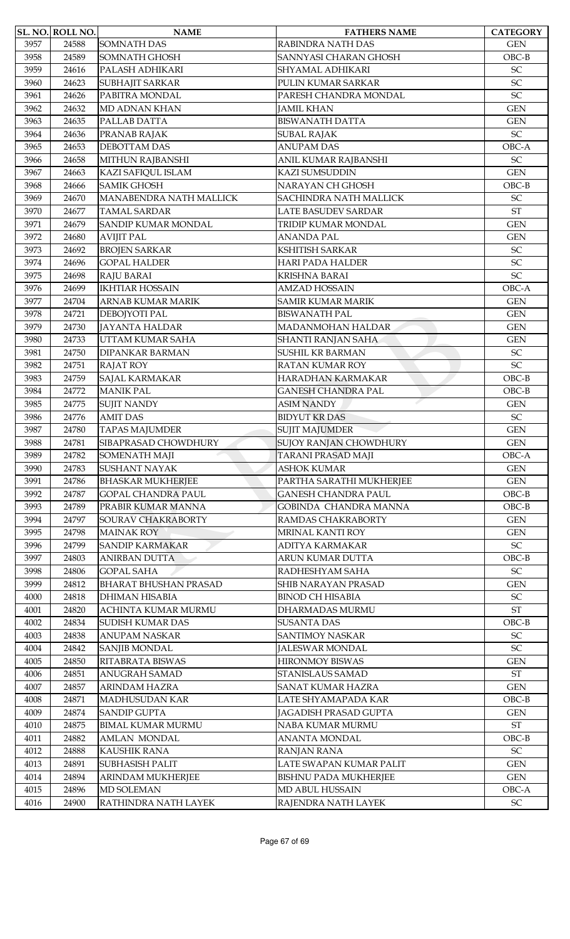|      | SL. NO. ROLL NO. | <b>NAME</b>                  | <b>FATHERS NAME</b>          | <b>CATEGORY</b>            |
|------|------------------|------------------------------|------------------------------|----------------------------|
| 3957 | 24588            | <b>SOMNATH DAS</b>           | RABINDRA NATH DAS            | <b>GEN</b>                 |
| 3958 | 24589            | SOMNATH GHOSH                | SANNYASI CHARAN GHOSH        | $OBC-B$                    |
| 3959 | 24616            | PALASH ADHIKARI              | SHYAMAL ADHIKARI             | $\ensuremath{\mathsf{SC}}$ |
| 3960 | 24623            | <b>SUBHAJIT SARKAR</b>       | PULIN KUMAR SARKAR           | SC                         |
| 3961 | 24626            | PABITRA MONDAL               | PARESH CHANDRA MONDAL        | $\ensuremath{\mathsf{SC}}$ |
| 3962 | 24632            | <b>MD ADNAN KHAN</b>         | <b>JAMIL KHAN</b>            | <b>GEN</b>                 |
| 3963 | 24635            | PALLAB DATTA                 | <b>BISWANATH DATTA</b>       | <b>GEN</b>                 |
| 3964 | 24636            | PRANAB RAJAK                 | <b>SUBAL RAJAK</b>           | SC                         |
| 3965 | 24653            | DEBOTTAM DAS                 | <b>ANUPAM DAS</b>            | OBC-A                      |
| 3966 | 24658            | MITHUN RAJBANSHI             | ANIL KUMAR RAJBANSHI         | SC                         |
| 3967 | 24663            | KAZI SAFIQUL ISLAM           | <b>KAZI SUMSUDDIN</b>        | <b>GEN</b>                 |
| 3968 | 24666            | <b>SAMIK GHOSH</b>           | NARAYAN CH GHOSH             | $OBC-B$                    |
| 3969 | 24670            | MANABENDRA NATH MALLICK      | SACHINDRA NATH MALLICK       | $\ensuremath{\mathsf{SC}}$ |
| 3970 | 24677            | <b>TAMAL SARDAR</b>          | <b>LATE BASUDEV SARDAR</b>   | <b>ST</b>                  |
| 3971 | 24679            | SANDIP KUMAR MONDAL          | TRIDIP KUMAR MONDAL          | <b>GEN</b>                 |
| 3972 | 24680            | <b>AVIJIT PAL</b>            | <b>ANANDA PAL</b>            | <b>GEN</b>                 |
| 3973 | 24692            | <b>BROJEN SARKAR</b>         | <b>KSHITISH SARKAR</b>       | SC                         |
| 3974 | 24696            | <b>GOPAL HALDER</b>          | <b>HARI PADA HALDER</b>      | SC                         |
| 3975 | 24698            | <b>RAJU BARAI</b>            | KRISHNA BARAI                | <b>SC</b>                  |
| 3976 | 24699            | <b>IKHTIAR HOSSAIN</b>       | <b>AMZAD HOSSAIN</b>         | OBC-A                      |
| 3977 | 24704            | ARNAB KUMAR MARIK            | <b>SAMIR KUMAR MARIK</b>     | <b>GEN</b>                 |
| 3978 | 24721            | DEBOJYOTI PAL                | <b>BISWANATH PAL</b>         | <b>GEN</b>                 |
| 3979 | 24730            | <b>JAYANTA HALDAR</b>        | MADANMOHAN HALDAR            | <b>GEN</b>                 |
| 3980 | 24733            | UTTAM KUMAR SAHA             | SHANTI RANJAN SAHA           | <b>GEN</b>                 |
| 3981 | 24750            | <b>DIPANKAR BARMAN</b>       | SUSHIL KR BARMAN             | $\ensuremath{\mathsf{SC}}$ |
| 3982 | 24751            | <b>RAJAT ROY</b>             | RATAN KUMAR ROY              | SC                         |
| 3983 | 24759            | SAJAL KARMAKAR               | HARADHAN KARMAKAR            | $OBC-B$                    |
| 3984 | 24772            | <b>MANIK PAL</b>             | <b>GANESH CHANDRA PAL</b>    | $OBC-B$                    |
| 3985 | 24775            | <b>SUJIT NANDY</b>           | <b>ASIM NANDY</b>            | <b>GEN</b>                 |
| 3986 | 24776            | <b>AMIT DAS</b>              | <b>BIDYUT KR DAS</b>         | SC                         |
| 3987 | 24780            | <b>TAPAS MAJUMDER</b>        | <b>SUJIT MAJUMDER</b>        | <b>GEN</b>                 |
| 3988 | 24781            | SIBAPRASAD CHOWDHURY         | SUJOY RANJAN CHOWDHURY       | <b>GEN</b>                 |
| 3989 | 24782            | SOMENATH MAJI                | <b>TARANI PRASAD MAJI</b>    | OBC-A                      |
| 3990 | 24783            | <b>SUSHANT NAYAK</b>         | <b>ASHOK KUMAR</b>           | <b>GEN</b>                 |
| 3991 | 24786            | <b>BHASKAR MUKHERJEE</b>     | PARTHA SARATHI MUKHERJEE     | <b>GEN</b>                 |
| 3992 | 24787            | <b>GOPAL CHANDRA PAUL</b>    | <b>GANESH CHANDRA PAUL</b>   | $OBC-B$                    |
| 3993 | 24789            | PRABIR KUMAR MANNA           | GOBINDA CHANDRA MANNA        | $OBC-B$                    |
| 3994 | 24797            | SOURAV CHAKRABORTY           | RAMDAS CHAKRABORTY           | <b>GEN</b>                 |
| 3995 | 24798            | <b>MAINAK ROY</b>            | <b>MRINAL KANTI ROY</b>      | <b>GEN</b>                 |
| 3996 | 24799            | <b>SANDIP KARMAKAR</b>       | <b>ADITYA KARMAKAR</b>       | $\ensuremath{\mathsf{SC}}$ |
| 3997 | 24803            | <b>ANIRBAN DUTTA</b>         | ARUN KUMAR DUTTA             | $OBC-B$                    |
| 3998 | 24806            | <b>GOPAL SAHA</b>            | RADHESHYAM SAHA              | $\ensuremath{\mathsf{SC}}$ |
| 3999 | 24812            | <b>BHARAT BHUSHAN PRASAD</b> | SHIB NARAYAN PRASAD          | <b>GEN</b>                 |
| 4000 | 24818            | <b>DHIMAN HISABIA</b>        | <b>BINOD CH HISABIA</b>      | $\ensuremath{\mathsf{SC}}$ |
| 4001 | 24820            | ACHINTA KUMAR MURMU          | DHARMADAS MURMU              | $\operatorname{ST}$        |
| 4002 | 24834            | <b>SUDISH KUMAR DAS</b>      | <b>SUSANTA DAS</b>           | $OBC-B$                    |
| 4003 | 24838            | <b>ANUPAM NASKAR</b>         | <b>SANTIMOY NASKAR</b>       | SC                         |
| 4004 | 24842            | <b>SANJIB MONDAL</b>         | <b>JALESWAR MONDAL</b>       | SC                         |
| 4005 | 24850            | RITABRATA BISWAS             | <b>HIRONMOY BISWAS</b>       | <b>GEN</b>                 |
| 4006 | 24851            | <b>ANUGRAH SAMAD</b>         | STANISLAUS SAMAD             | $\operatorname{ST}$        |
| 4007 | 24857            | ARINDAM HAZRA                | SANAT KUMAR HAZRA            | <b>GEN</b>                 |
| 4008 | 24871            | MADHUSUDAN KAR               | LATE SHYAMAPADA KAR          | $OBC-B$                    |
| 4009 | 24874            | <b>SANDIP GUPTA</b>          | JAGADISH PRASAD GUPTA        | <b>GEN</b>                 |
| 4010 | 24875            | <b>BIMAL KUMAR MURMU</b>     | NABA KUMAR MURMU             | $\operatorname{ST}$        |
| 4011 | 24882            | <b>AMLAN MONDAL</b>          | <b>ANANTA MONDAL</b>         | $OBC-B$                    |
| 4012 | 24888            | <b>KAUSHIK RANA</b>          | <b>RANJAN RANA</b>           | SC                         |
| 4013 | 24891            | <b>SUBHASISH PALIT</b>       | LATE SWAPAN KUMAR PALIT      | <b>GEN</b>                 |
| 4014 | 24894            | ARINDAM MUKHERJEE            | <b>BISHNU PADA MUKHERJEE</b> | <b>GEN</b>                 |
| 4015 | 24896            | <b>MD SOLEMAN</b>            | MD ABUL HUSSAIN              | OBC-A                      |
| 4016 | 24900            | RATHINDRA NATH LAYEK         | RAJENDRA NATH LAYEK          | $\ensuremath{\mathsf{SC}}$ |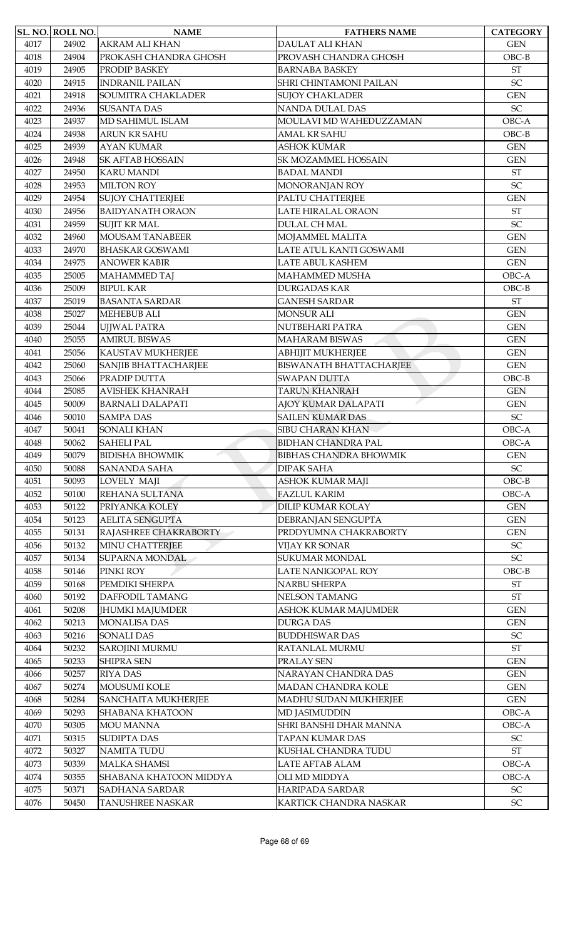|      | SL. NO. ROLL NO. | <b>NAME</b>                | <b>FATHERS NAME</b>            | <b>CATEGORY</b>            |
|------|------------------|----------------------------|--------------------------------|----------------------------|
| 4017 | 24902            | AKRAM ALI KHAN             | <b>DAULAT ALI KHAN</b>         | <b>GEN</b>                 |
| 4018 | 24904            | PROKASH CHANDRA GHOSH      | PROVASH CHANDRA GHOSH          | $OBC-B$                    |
| 4019 | 24905            | PRODIP BASKEY              | <b>BARNABA BASKEY</b>          | $\operatorname{ST}$        |
| 4020 | 24915            | <b>INDRANIL PAILAN</b>     | SHRI CHINTAMONI PAILAN         | SC                         |
| 4021 | 24918            | SOUMITRA CHAKLADER         | <b>SUJOY CHAKLADER</b>         | <b>GEN</b>                 |
| 4022 | 24936            | <b>SUSANTA DAS</b>         | <b>NANDA DULAL DAS</b>         | <b>SC</b>                  |
| 4023 | 24937            | MD SAHIMUL ISLAM           | MOULAVI MD WAHEDUZZAMAN        | OBC-A                      |
| 4024 | 24938            | ARUN KR SAHU               | <b>AMAL KR SAHU</b>            | $OBC-B$                    |
| 4025 | 24939            | <b>AYAN KUMAR</b>          | <b>ASHOK KUMAR</b>             | <b>GEN</b>                 |
| 4026 | 24948            | <b>SK AFTAB HOSSAIN</b>    | SK MOZAMMEL HOSSAIN            | <b>GEN</b>                 |
| 4027 | 24950            | <b>KARU MANDI</b>          | <b>BADAL MANDI</b>             | $\operatorname{ST}$        |
| 4028 | 24953            | <b>MILTON ROY</b>          | MONORANJAN ROY                 | SC                         |
| 4029 | 24954            | <b>SUJOY CHATTERJEE</b>    | PALTU CHATTERJEE               | <b>GEN</b>                 |
| 4030 | 24956            | <b>BAIDYANATH ORAON</b>    | LATE HIRALAL ORAON             | <b>ST</b>                  |
| 4031 | 24959            | <b>SUJIT KR MAL</b>        | <b>DULAL CH MAL</b>            | SC                         |
| 4032 |                  | <b>MOUSAM TANABEER</b>     | MOJAMMEL MALITA                | <b>GEN</b>                 |
|      | 24960            |                            | LATE ATUL KANTI GOSWAMI        |                            |
| 4033 | 24970            | <b>BHASKAR GOSWAMI</b>     |                                | <b>GEN</b>                 |
| 4034 | 24975            | <b>ANOWER KABIR</b>        | <b>LATE ABUL KASHEM</b>        | <b>GEN</b>                 |
| 4035 | 25005            | <b>MAHAMMED TAJ</b>        | MAHAMMED MUSHA                 | OBC-A                      |
| 4036 | 25009            | <b>BIPUL KAR</b>           | <b>DURGADAS KAR</b>            | $OBC-B$                    |
| 4037 | 25019            | <b>BASANTA SARDAR</b>      | <b>GANESH SARDAR</b>           | <b>ST</b>                  |
| 4038 | 25027            | <b>MEHEBUB ALI</b>         | <b>MONSUR ALI</b>              | <b>GEN</b>                 |
| 4039 | 25044            | <b>UJJWAL PATRA</b>        | NUTBEHARI PATRA                | <b>GEN</b>                 |
| 4040 | 25055            | <b>AMIRUL BISWAS</b>       | <b>MAHARAM BISWAS</b>          | <b>GEN</b>                 |
| 4041 | 25056            | KAUSTAV MUKHERJEE          | <b>ABHIJIT MUKHERJEE</b>       | <b>GEN</b>                 |
| 4042 | 25060            | SANJIB BHATTACHARJEE       | <b>BISWANATH BHATTACHARJEE</b> | <b>GEN</b>                 |
| 4043 | 25066            | PRADIP DUTTA               | <b>SWAPAN DUTTA</b>            | $OBC-B$                    |
| 4044 | 25085            | <b>AVISHEK KHANRAH</b>     | <b>TARUN KHANRAH</b>           | <b>GEN</b>                 |
| 4045 | 50009            | <b>BARNALI DALAPATI</b>    | AJOY KUMAR DALAPATI            | <b>GEN</b>                 |
| 4046 | 50010            | <b>SAMPA DAS</b>           | <b>SAILEN KUMAR DAS</b>        | SC                         |
| 4047 | 50041            | <b>SONALI KHAN</b>         | <b>SIBU CHARAN KHAN</b>        | OBC-A                      |
| 4048 | 50062            | <b>SAHELI PAL</b>          | <b>BIDHAN CHANDRA PAL</b>      | OBC-A                      |
| 4049 | 50079            | <b>BIDISHA BHOWMIK</b>     | <b>BIBHAS CHANDRA BHOWMIK</b>  | <b>GEN</b>                 |
| 4050 | 50088            | <b>SANANDA SAHA</b>        | <b>DIPAK SAHA</b>              | $\ensuremath{\mathsf{SC}}$ |
| 4051 | 50093            | LOVELY MAJI                | ASHOK KUMAR MAJI               | $OBC-B$                    |
| 4052 | 50100            | REHANA SULTANA             | <b>FAZLUL KARIM</b>            | OBC-A                      |
| 4053 | 50122            | PRIYANKA KOLEY             | <b>DILIP KUMAR KOLAY</b>       | <b>GEN</b>                 |
| 4054 | 50123            | <b>AELITA SENGUPTA</b>     | DEBRANJAN SENGUPTA             | <b>GEN</b>                 |
| 4055 | 50131            | RAJASHREE CHAKRABORTY      | PRDDYUMNA CHAKRABORTY          | <b>GEN</b>                 |
| 4056 | 50132            | <b>MINU CHATTERJEE</b>     | VIJAY KR SONAR                 | SC                         |
| 4057 | 50134            | <b>SUPARNA MONDAL</b>      | SUKUMAR MONDAL                 | SC                         |
| 4058 | 50146            | PINKI ROY                  | LATE NANIGOPAL ROY             | $OBC-B$                    |
| 4059 | 50168            | PEMDIKI SHERPA             | NARBU SHERPA                   | $\operatorname{ST}$        |
| 4060 | 50192            | DAFFODIL TAMANG            | <b>NELSON TAMANG</b>           | $\operatorname{ST}$        |
| 4061 | 50208            | <b>JHUMKI MAJUMDER</b>     | ASHOK KUMAR MAJUMDER           | <b>GEN</b>                 |
| 4062 | 50213            | <b>MONALISA DAS</b>        | <b>DURGA DAS</b>               | <b>GEN</b>                 |
| 4063 | 50216            | <b>SONALI DAS</b>          | <b>BUDDHISWAR DAS</b>          | SC                         |
| 4064 | 50232            | <b>SAROJINI MURMU</b>      | RATANLAL MURMU                 | $\operatorname{ST}$        |
| 4065 | 50233            | <b>SHIPRA SEN</b>          | PRALAY SEN                     | <b>GEN</b>                 |
| 4066 | 50257            | <b>RIYA DAS</b>            | NARAYAN CHANDRA DAS            | <b>GEN</b>                 |
| 4067 | 50274            | <b>MOUSUMI KOLE</b>        | MADAN CHANDRA KOLE             | <b>GEN</b>                 |
|      | 50284            | <b>SANCHAITA MUKHERJEE</b> |                                | <b>GEN</b>                 |
| 4068 |                  |                            | MADHU SUDAN MUKHERJEE          |                            |
| 4069 | 50293            | <b>SHABANA KHATOON</b>     | MD JASIMUDDIN                  | OBC-A                      |
| 4070 | 50305            | <b>MOU MANNA</b>           | SHRI BANSHI DHAR MANNA         | OBC-A                      |
| 4071 | 50315            | <b>SUDIPTA DAS</b>         | <b>TAPAN KUMAR DAS</b>         | SC                         |
| 4072 | 50327            | <b>NAMITA TUDU</b>         | KUSHAL CHANDRA TUDU            | <b>ST</b>                  |
| 4073 | 50339            | <b>MALKA SHAMSI</b>        | LATE AFTAB ALAM                | OBC-A                      |
| 4074 | 50355            | SHABANA KHATOON MIDDYA     | OLI MD MIDDYA                  | OBC-A                      |
| 4075 | 50371            | <b>SADHANA SARDAR</b>      | HARIPADA SARDAR                | $\ensuremath{\mathsf{SC}}$ |
| 4076 | 50450            | <b>TANUSHREE NASKAR</b>    | KARTICK CHANDRA NASKAR         | $\ensuremath{\mathsf{SC}}$ |